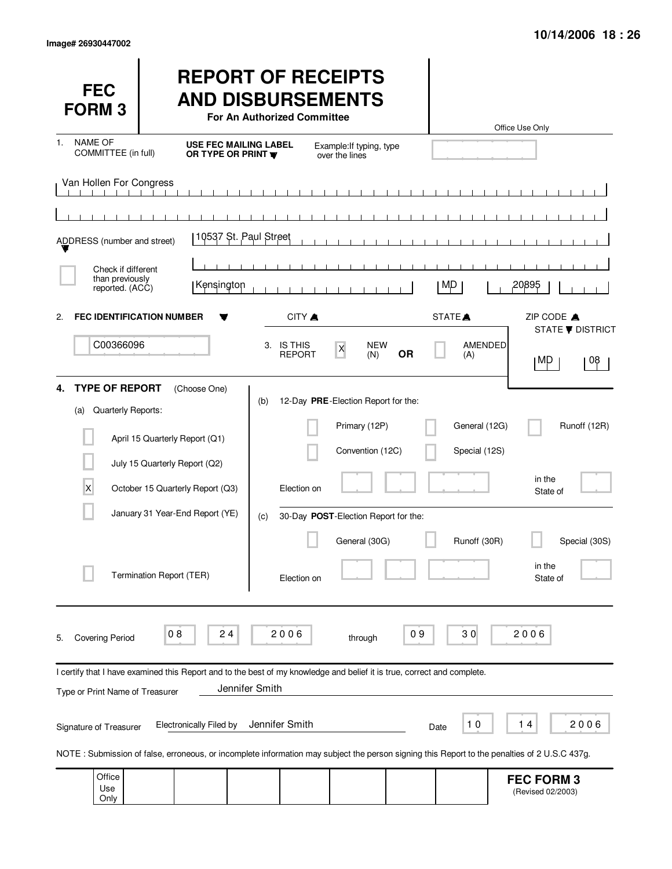| <b>FEC</b><br><b>FORM 3</b>                                     |                                                                                                                                                                                    | <b>REPORT OF RECEIPTS</b><br><b>AND DISBURSEMENTS</b><br><b>For An Authorized Committee</b> |                                                                                                                                   |                                                | Office Use Only                                                           |
|-----------------------------------------------------------------|------------------------------------------------------------------------------------------------------------------------------------------------------------------------------------|---------------------------------------------------------------------------------------------|-----------------------------------------------------------------------------------------------------------------------------------|------------------------------------------------|---------------------------------------------------------------------------|
| <b>NAME OF</b><br>$\mathbf{1}$ .<br>COMMITTEE (in full)         | OR TYPE OR PRINT W                                                                                                                                                                 | <b>USE FEC MAILING LABEL</b>                                                                | Example: If typing, type<br>over the lines                                                                                        |                                                |                                                                           |
| Van Hollen For Congress<br>ADDRESS (number and street)          |                                                                                                                                                                                    | 10537 St. Paul Street                                                                       |                                                                                                                                   |                                                |                                                                           |
| Check if different                                              |                                                                                                                                                                                    |                                                                                             |                                                                                                                                   |                                                |                                                                           |
| than previously<br>reported. (ACC)                              | Kensington                                                                                                                                                                         |                                                                                             |                                                                                                                                   | M,D                                            | 20895                                                                     |
| 2.<br>C00366096                                                 | <b>FEC IDENTIFICATION NUMBER</b>                                                                                                                                                   | CITY A<br>3. IS THIS<br><b>REPORT</b>                                                       | <b>NEW</b><br>$\mathsf X$<br><b>OR</b><br>(N)                                                                                     | STATE <sup></sup><br><b>AMENDED</b><br>(A)     | ZIP CODE A<br><b>STATE ▼ DISTRICT</b><br>08<br>∣MP                        |
| <b>TYPE OF REPORT</b><br>4.<br>Quarterly Reports:<br>(a)<br>X   | (Choose One)<br>April 15 Quarterly Report (Q1)<br>July 15 Quarterly Report (Q2)<br>October 15 Quarterly Report (Q3)<br>January 31 Year-End Report (YE)<br>Termination Report (TER) | (b)<br>Election on<br>(c)<br>Election on                                                    | 12-Day PRE-Election Report for the:<br>Primary (12P)<br>Convention (12C)<br>30-Day POST-Election Report for the:<br>General (30G) | General (12G)<br>Special (12S)<br>Runoff (30R) | Runoff (12R)<br>in the<br>State of<br>Special (30S)<br>in the<br>State of |
| <b>Covering Period</b><br>5.<br>Type or Print Name of Treasurer | 24<br>08<br>I certify that I have examined this Report and to the best of my knowledge and belief it is true, correct and complete.                                                | 2006<br>Jennifer Smith                                                                      | through                                                                                                                           | 30<br>09                                       | 2006                                                                      |
| Signature of Treasurer                                          | <b>Electronically Filed by</b>                                                                                                                                                     | Jennifer Smith                                                                              |                                                                                                                                   | $10$<br>Date                                   | 14<br>2006                                                                |
| Office                                                          | NOTE: Submission of false, erroneous, or incomplete information may subject the person signing this Report to the penalties of 2 U.S.C 437g.                                       |                                                                                             |                                                                                                                                   |                                                | <b>FEC FORM 3</b>                                                         |

| Office i |  |  |  | <b>FEC FORM 3</b> |
|----------|--|--|--|-------------------|
| Use      |  |  |  | (Revised 02/2003) |
| Only     |  |  |  |                   |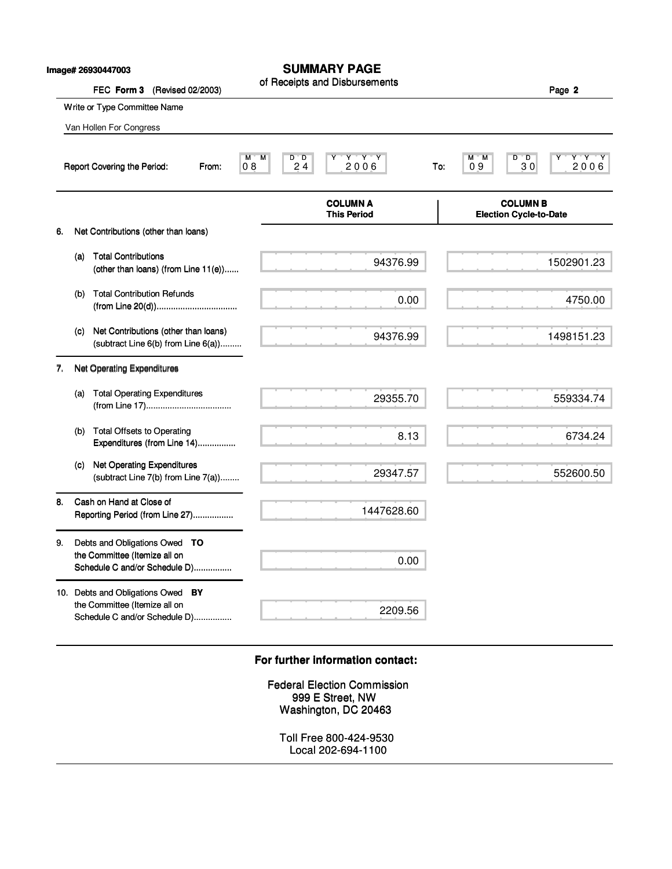|    |     | lmage# 26930447003                                                                                  | SUMMARY PAGE                                                                          |                                                                |
|----|-----|-----------------------------------------------------------------------------------------------------|---------------------------------------------------------------------------------------|----------------------------------------------------------------|
|    |     | FEC Form 3 (Revised 02/2003)                                                                        | of Receipts and Disbursements                                                         | Page 2                                                         |
|    |     | Write or Type Committee Name                                                                        |                                                                                       |                                                                |
|    |     | Van Hollen For Congress                                                                             |                                                                                       |                                                                |
|    |     | Report Covering the Period:<br>From:                                                                | $\begin{array}{cc}\nY & Y & Y \\ 2006\n\end{array}$<br>M<br>M<br>D"D<br>Y<br>24<br>08 | Y Y Y<br>$D^{\prime\prime}D$<br>M M<br>2006<br>09<br>30<br>To: |
|    |     |                                                                                                     | <b>COLUMN A</b><br><b>This Period</b>                                                 | <b>COLUMN B</b><br><b>Election Cycle-to-Date</b>               |
| 6. |     | Net Contributions (other than loans)                                                                |                                                                                       |                                                                |
|    | (a) | <b>Total Contributions</b><br>(other than loans) (from Line 11(e))                                  | 94376.99                                                                              | 1502901.23                                                     |
|    | (b) | <b>Total Contribution Refunds</b>                                                                   | 0.00                                                                                  | 4750.00                                                        |
|    | (C) | Net Contributions (other than loans)<br>(subtract Line 6(b) from Line 6(a))                         | 94376.99                                                                              | 1498151.23                                                     |
| 7. |     | <b>Net Operating Expenditures</b>                                                                   |                                                                                       |                                                                |
|    | (a) | <b>Total Operating Expenditures</b>                                                                 | 29355.70                                                                              | 559334.74                                                      |
|    | (b) | <b>Total Offsets to Operating</b><br>Expenditures (from Line 14)                                    | 8.13                                                                                  | 6734.24                                                        |
|    | (C) | <b>Net Operating Expenditures</b><br>(subtract Line 7(b) from Line 7(a))                            | 29347.57                                                                              | 552600.50                                                      |
| 8. |     | Cash on Hand at Close of<br>Reporting Period (from Line 27)                                         | 1447628.60                                                                            |                                                                |
| 9. |     | Debts and Obligations Owed TO<br>the Committee (Itemize all on<br>Schedule C and/or Schedule D)     | 0.00                                                                                  |                                                                |
|    |     | 10. Debts and Obligations Owed BY<br>the Committee (Itemize all on<br>Schedule C and/or Schedule D) | 2209.56                                                                               |                                                                |
|    |     |                                                                                                     | For further information contact:                                                      |                                                                |
|    |     |                                                                                                     | <b>Federal Election Commission</b><br>999 E Street, NW<br>Washington, DC 20463        |                                                                |
|    |     |                                                                                                     | Toll Free 800-424-9530<br>Local 202-694-1100                                          |                                                                |

# **For further information contact: For further information contact:**

## **SUMMARY PAGE**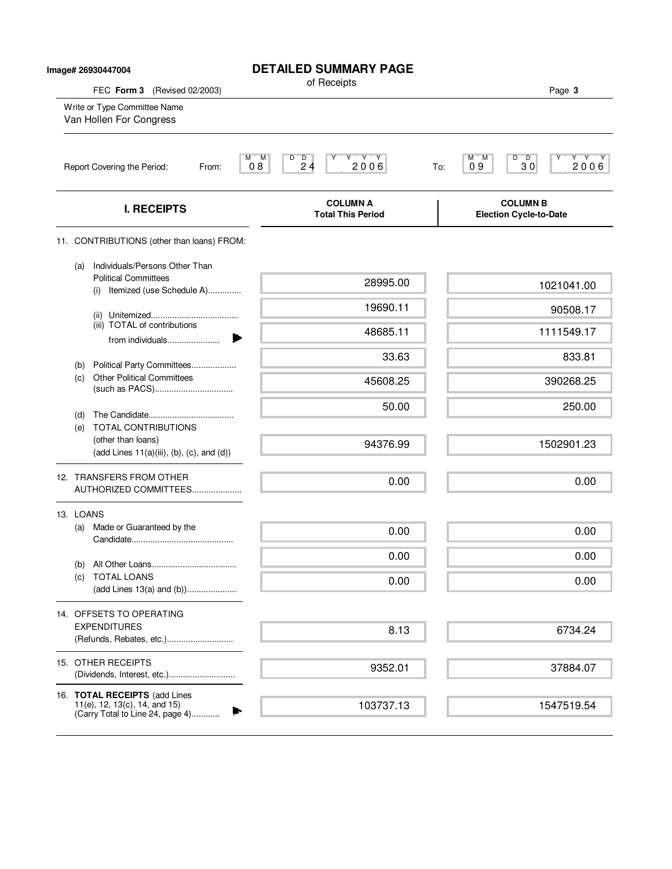| Image# 26930447004                                                                                           | <b>DETAILED SUMMARY PAGE</b>                                                         |                                                                 |
|--------------------------------------------------------------------------------------------------------------|--------------------------------------------------------------------------------------|-----------------------------------------------------------------|
| FEC Form 3 (Revised 02/2003)                                                                                 | of Receipts                                                                          | Page 3                                                          |
| Write or Type Committee Name<br>Van Hollen For Congress                                                      |                                                                                      |                                                                 |
| Report Covering the Period:<br>From:                                                                         | $Y'$ $Y'$ $Y'$<br>M)<br>M<br>$D^{\prime}$ , $D$<br>Υ<br>2 <sub>4</sub><br>2006<br>08 | Y'Y'Y<br>$D^{\bullet}$ $D$<br>М<br>M<br>30<br>2006<br>09<br>To: |
| <b>I. RECEIPTS</b>                                                                                           | <b>COLUMN A</b><br><b>Total This Period</b>                                          | <b>COLUMN B</b><br><b>Election Cycle-to-Date</b>                |
| 11. CONTRIBUTIONS (other than loans) FROM:                                                                   |                                                                                      |                                                                 |
| Individuals/Persons Other Than<br>(a)<br><b>Political Committees</b>                                         | 28995.00                                                                             | 1021041.00                                                      |
| Itemized (use Schedule A)<br>(i)                                                                             | 19690.11                                                                             | 90508.17                                                        |
| (iii) TOTAL of contributions<br>from individuals                                                             | 48685.11                                                                             | 1111549.17                                                      |
| Political Party Committees                                                                                   | 33.63                                                                                | 833.81                                                          |
| (b)<br><b>Other Political Committees</b><br>(c)                                                              | 45608.25                                                                             | 390268.25                                                       |
| (d)                                                                                                          | 50.00                                                                                | 250.00                                                          |
| (e) TOTAL CONTRIBUTIONS<br>(other than loans)<br>$(\text{add Lines } 11(a)(iii), (b), (c), \text{and } (d))$ | 94376.99                                                                             | 1502901.23                                                      |
| 12. TRANSFERS FROM OTHER<br>AUTHORIZED COMMITTEES                                                            | 0.00                                                                                 | 0.00                                                            |
| 13. LOANS                                                                                                    |                                                                                      |                                                                 |
| Made or Guaranteed by the<br>(a)                                                                             | 0.00                                                                                 | 0.00                                                            |
| (b)                                                                                                          | 0.00                                                                                 | 0.00                                                            |
| <b>TOTAL LOANS</b><br>(c)<br>(add Lines 13(a) and (b))                                                       | 0.00                                                                                 | 0.00                                                            |
| 14. OFFSETS TO OPERATING                                                                                     |                                                                                      |                                                                 |
| <b>EXPENDITURES</b><br>(Refunds, Rebates, etc.)                                                              | 8.13                                                                                 | 6734.24                                                         |
| 15. OTHER RECEIPTS                                                                                           | 9352.01                                                                              | 37884.07                                                        |
| 16. TOTAL RECEIPTS (add Lines<br>11(e), 12, 13(c), 14, and 15)<br>(Carry Total to Line 24, page 4)           | 103737.13                                                                            | 1547519.54                                                      |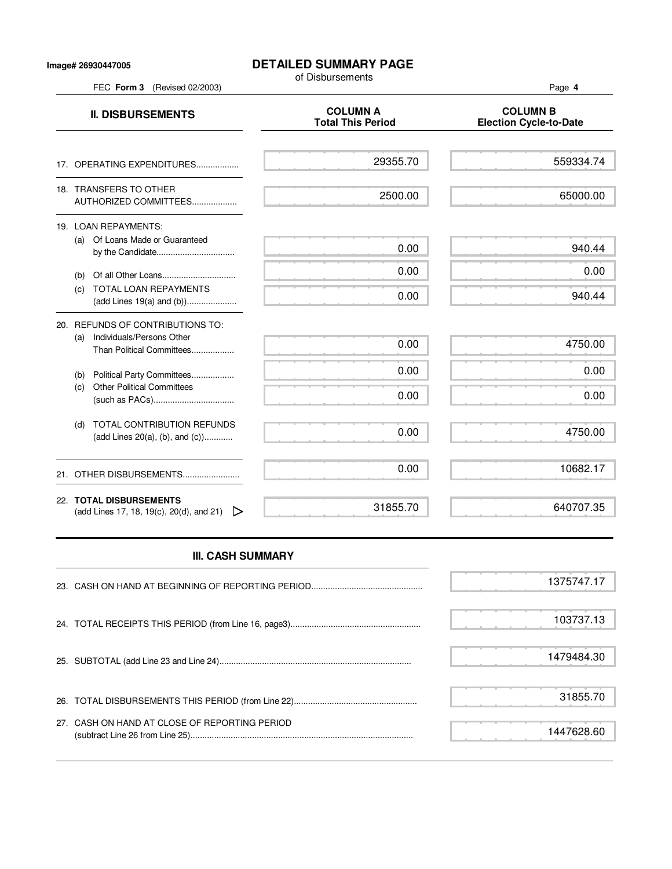### **Image# 26930447005**

# **DETAILED SUMMARY PAGE**

of Disbursements

|     | FEC Form 3 (Revised 02/2003)                                                               |                                             | Page 4                                           |
|-----|--------------------------------------------------------------------------------------------|---------------------------------------------|--------------------------------------------------|
|     | <b>II. DISBURSEMENTS</b>                                                                   | <b>COLUMN A</b><br><b>Total This Period</b> | <b>COLUMN B</b><br><b>Election Cycle-to-Date</b> |
|     | 17. OPERATING EXPENDITURES                                                                 | 29355.70                                    | 559334.74                                        |
|     | 18. TRANSFERS TO OTHER<br>AUTHORIZED COMMITTEES                                            | 2500.00                                     | 65000.00                                         |
|     | 19. LOAN REPAYMENTS:<br>(a) Of Loans Made or Guaranteed                                    | 0.00                                        | 940.44                                           |
| (b) |                                                                                            | 0.00                                        | 0.00                                             |
| (c) | <b>TOTAL LOAN REPAYMENTS</b>                                                               | 0.00                                        | 940.44                                           |
| (a) | 20. REFUNDS OF CONTRIBUTIONS TO:<br>Individuals/Persons Other<br>Than Political Committees | 0.00                                        | 4750.00                                          |
| (b) | Political Party Committees                                                                 | 0.00                                        | 0.00                                             |
| (c) | <b>Other Political Committees</b>                                                          | 0.00                                        | 0.00                                             |
| (d) | <b>TOTAL CONTRIBUTION REFUNDS</b><br>(add Lines 20(a), (b), and (c))                       | 0.00                                        | 4750.00                                          |
|     | 21. OTHER DISBURSEMENTS                                                                    | 0.00                                        | 10682.17                                         |
|     | 22. TOTAL DISBURSEMENTS<br>(add Lines 17, 18, 19(c), 20(d), and 21) $\triangleright$       | 31855.70                                    | 640707.35                                        |

Ĩ.

# **III. CASH SUMMARY**

|                                               | 1375747.17 |
|-----------------------------------------------|------------|
|                                               | 103737.13  |
|                                               | 1479484.30 |
|                                               | 31855.70   |
| 27. CASH ON HAND AT CLOSE OF REPORTING PERIOD | 1447628.60 |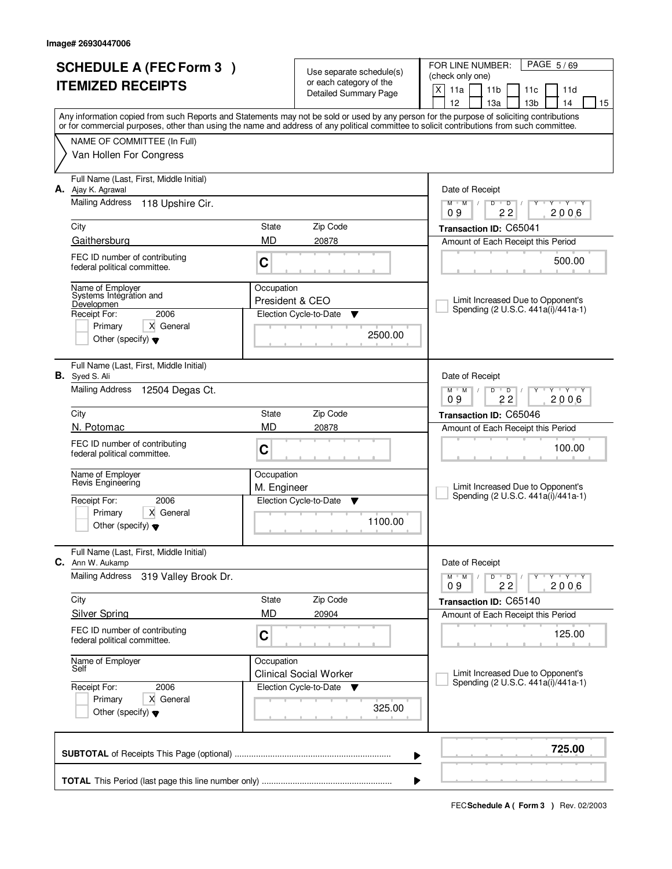| <b>SCHEDULE A (FEC Form 3)</b><br><b>ITEMIZED RECEIPTS</b>         | Use separate schedule(s)<br>or each category of the<br><b>Detailed Summary Page</b> |                                    | PAGE 5/69<br>FOR LINE NUMBER:<br>(check only one)<br>$\mathsf{X}$<br>11a<br>11 <sub>b</sub><br>11c<br>11d                                                                                                                                                                               |  |
|--------------------------------------------------------------------|-------------------------------------------------------------------------------------|------------------------------------|-----------------------------------------------------------------------------------------------------------------------------------------------------------------------------------------------------------------------------------------------------------------------------------------|--|
|                                                                    |                                                                                     |                                    | 12<br>13a<br>13 <sub>b</sub><br>14<br>15                                                                                                                                                                                                                                                |  |
|                                                                    |                                                                                     |                                    | Any information copied from such Reports and Statements may not be sold or used by any person for the purpose of soliciting contributions<br>or for commercial purposes, other than using the name and address of any political committee to solicit contributions from such committee. |  |
| NAME OF COMMITTEE (In Full)                                        |                                                                                     |                                    |                                                                                                                                                                                                                                                                                         |  |
| Van Hollen For Congress                                            |                                                                                     |                                    |                                                                                                                                                                                                                                                                                         |  |
| Full Name (Last, First, Middle Initial)<br>A. Ajay K. Agrawal      |                                                                                     |                                    | Date of Receipt                                                                                                                                                                                                                                                                         |  |
| Mailing Address<br>118 Upshire Cir.                                |                                                                                     |                                    | $Y + Y + Y$<br>$M$ $M$ /<br>$D$ $D$<br>Y<br>$\sqrt{ }$<br>22<br>09<br>2006                                                                                                                                                                                                              |  |
| City                                                               | State                                                                               | Zip Code                           | Transaction ID: C65041                                                                                                                                                                                                                                                                  |  |
| Gaithersburg                                                       | <b>MD</b>                                                                           | 20878                              | Amount of Each Receipt this Period                                                                                                                                                                                                                                                      |  |
| FEC ID number of contributing<br>federal political committee.      | C                                                                                   |                                    | 500.00                                                                                                                                                                                                                                                                                  |  |
| Name of Employer<br>Systems Integration and                        | Occupation<br>President & CEO                                                       |                                    | Limit Increased Due to Opponent's                                                                                                                                                                                                                                                       |  |
| Developmen<br>2006<br>Receipt For:                                 |                                                                                     | Election Cycle-to-Date<br>▼        | Spending (2 U.S.C. 441a(i)/441a-1)                                                                                                                                                                                                                                                      |  |
| Primary<br>X General                                               |                                                                                     | 2500.00                            |                                                                                                                                                                                                                                                                                         |  |
| Other (specify) $\blacktriangledown$                               |                                                                                     |                                    |                                                                                                                                                                                                                                                                                         |  |
| Full Name (Last, First, Middle Initial)<br><b>B.</b> Syed S. Ali   |                                                                                     |                                    | Date of Receipt                                                                                                                                                                                                                                                                         |  |
| <b>Mailing Address</b><br>12504 Degas Ct.                          |                                                                                     |                                    | $M$ M<br>D<br>$Y + Y$<br>$\overline{D}$<br>22<br>2006<br>09                                                                                                                                                                                                                             |  |
| City                                                               | State                                                                               | Zip Code                           | Transaction ID: C65046                                                                                                                                                                                                                                                                  |  |
| N. Potomac                                                         | <b>MD</b>                                                                           | 20878                              | Amount of Each Receipt this Period                                                                                                                                                                                                                                                      |  |
| FEC ID number of contributing<br>federal political committee.      | C                                                                                   |                                    | 100.00                                                                                                                                                                                                                                                                                  |  |
| Name of Employer<br>Revis Engineering                              | Occupation                                                                          |                                    |                                                                                                                                                                                                                                                                                         |  |
| 2006<br>Receipt For:                                               | M. Engineer                                                                         | Election Cycle-to-Date<br>Y        | Limit Increased Due to Opponent's<br>Spending (2 U.S.C. 441a(i)/441a-1)                                                                                                                                                                                                                 |  |
| X General<br>Primary                                               |                                                                                     |                                    |                                                                                                                                                                                                                                                                                         |  |
| Other (specify) $\blacktriangledown$                               |                                                                                     | 1100.00                            |                                                                                                                                                                                                                                                                                         |  |
| Full Name (Last, First, Middle Initial)<br><b>C.</b> Ann W. Aukamp |                                                                                     |                                    | Date of Receipt                                                                                                                                                                                                                                                                         |  |
| <b>Mailing Address</b><br>319 Valley Brook Dr.                     |                                                                                     |                                    | $M$ $M$ $/$<br>D<br>$\overline{D}$<br>Y Y Y Y<br>2006<br>22<br>09                                                                                                                                                                                                                       |  |
| City                                                               | State                                                                               | Zip Code                           | Transaction ID: C65140                                                                                                                                                                                                                                                                  |  |
| <b>Silver Spring</b>                                               | MD                                                                                  | 20904                              | Amount of Each Receipt this Period                                                                                                                                                                                                                                                      |  |
| FEC ID number of contributing<br>federal political committee.      | C                                                                                   |                                    | 125.00                                                                                                                                                                                                                                                                                  |  |
| Name of Employer<br>Self                                           | Occupation                                                                          | <b>Clinical Social Worker</b>      | Limit Increased Due to Opponent's                                                                                                                                                                                                                                                       |  |
| Receipt For:<br>2006                                               |                                                                                     | Election Cycle-to-Date<br><b>V</b> | Spending (2 U.S.C. 441a(i)/441a-1)                                                                                                                                                                                                                                                      |  |
| Primary<br>X General<br>Other (specify) $\blacktriangledown$       |                                                                                     | 325.00                             |                                                                                                                                                                                                                                                                                         |  |
|                                                                    |                                                                                     |                                    | 725.00<br>▶                                                                                                                                                                                                                                                                             |  |
|                                                                    |                                                                                     |                                    | ▶                                                                                                                                                                                                                                                                                       |  |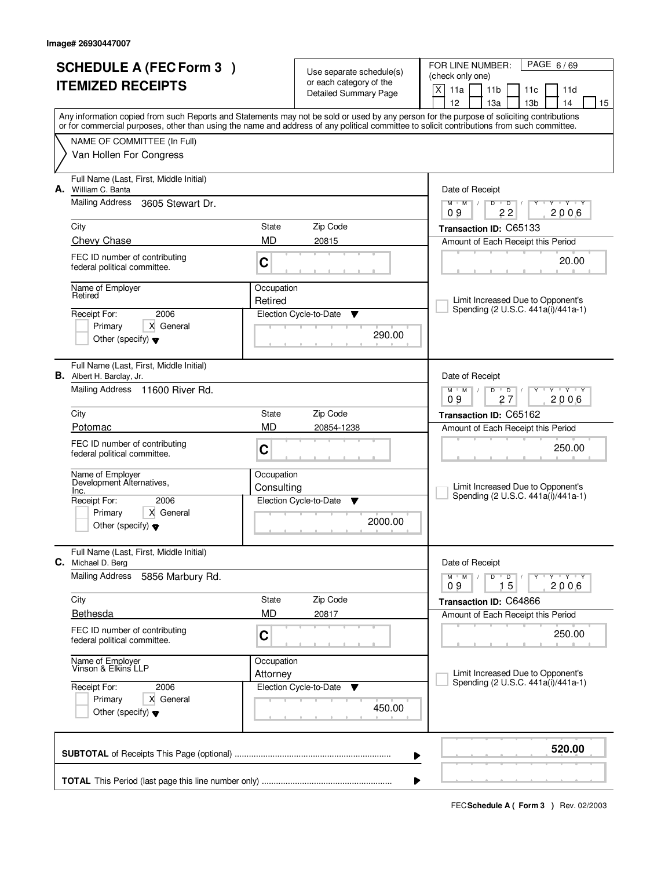|    | <b>SCHEDULE A (FEC Form 3)</b>                                              |                          | Use separate schedule(s)<br>or each category of the | PAGE 6/69<br>FOR LINE NUMBER:<br>(check only one)                                                                                                                                                                                                                                       |  |
|----|-----------------------------------------------------------------------------|--------------------------|-----------------------------------------------------|-----------------------------------------------------------------------------------------------------------------------------------------------------------------------------------------------------------------------------------------------------------------------------------------|--|
|    | <b>ITEMIZED RECEIPTS</b>                                                    |                          | Detailed Summary Page                               | X<br>11a<br>11 <sub>b</sub><br>11c<br>11d<br>12<br>13 <sub>b</sub><br>14<br>13a<br>15                                                                                                                                                                                                   |  |
|    |                                                                             |                          |                                                     | Any information copied from such Reports and Statements may not be sold or used by any person for the purpose of soliciting contributions<br>or for commercial purposes, other than using the name and address of any political committee to solicit contributions from such committee. |  |
|    | NAME OF COMMITTEE (In Full)                                                 |                          |                                                     |                                                                                                                                                                                                                                                                                         |  |
|    | Van Hollen For Congress                                                     |                          |                                                     |                                                                                                                                                                                                                                                                                         |  |
| А. | Full Name (Last, First, Middle Initial)<br>William C. Banta                 |                          |                                                     | Date of Receipt                                                                                                                                                                                                                                                                         |  |
|    | Mailing Address<br>3605 Stewart Dr.                                         |                          |                                                     | $\mathbf{y}$ $\mathbf{y}$<br>$\overline{D}$<br>$M$ <sup><math>+</math></sup><br>$M$ /<br>D<br>Y<br>22<br>2006<br>09                                                                                                                                                                     |  |
|    | City                                                                        | State                    | Zip Code                                            | Transaction ID: C65133                                                                                                                                                                                                                                                                  |  |
|    | Chevy Chase                                                                 | <b>MD</b>                | 20815                                               | Amount of Each Receipt this Period                                                                                                                                                                                                                                                      |  |
|    | FEC ID number of contributing<br>federal political committee.               | C                        |                                                     | 20.00                                                                                                                                                                                                                                                                                   |  |
|    | Name of Employer<br>Retired                                                 | Occupation<br>Retired    |                                                     | Limit Increased Due to Opponent's                                                                                                                                                                                                                                                       |  |
|    | 2006<br>Receipt For:                                                        |                          | Election Cycle-to-Date<br>▼                         | Spending (2 U.S.C. 441a(i)/441a-1)                                                                                                                                                                                                                                                      |  |
|    | Primary<br>X General<br>Other (specify) $\blacktriangledown$                |                          | 290.00                                              |                                                                                                                                                                                                                                                                                         |  |
|    | Full Name (Last, First, Middle Initial)<br><b>B.</b> Albert H. Barclay, Jr. |                          |                                                     | Date of Receipt                                                                                                                                                                                                                                                                         |  |
|    | Mailing Address 11600 River Rd.                                             |                          |                                                     | $D$ $D$<br>$Y \vdash Y \vdash Y$<br>$M$ $M$ /<br>09<br>2006<br>27                                                                                                                                                                                                                       |  |
|    | City                                                                        | State                    | Zip Code                                            | Transaction ID: C65162                                                                                                                                                                                                                                                                  |  |
|    | Potomac                                                                     | <b>MD</b>                | 20854-1238                                          | Amount of Each Receipt this Period                                                                                                                                                                                                                                                      |  |
|    | FEC ID number of contributing<br>federal political committee.               | C                        |                                                     | 250.00                                                                                                                                                                                                                                                                                  |  |
|    | Name of Employer<br>Development Alternatives,                               | Occupation<br>Consulting |                                                     | Limit Increased Due to Opponent's                                                                                                                                                                                                                                                       |  |
|    | Inc.<br>Receipt For:<br>2006                                                |                          | Election Cycle-to-Date<br>▼                         | Spending (2 U.S.C. 441a(i)/441a-1)                                                                                                                                                                                                                                                      |  |
|    | X General<br>Primary<br>Other (specify) $\blacktriangledown$                |                          | 2000.00                                             |                                                                                                                                                                                                                                                                                         |  |
|    | Full Name (Last, First, Middle Initial)<br>C. Michael D. Berg               |                          |                                                     | Date of Receipt                                                                                                                                                                                                                                                                         |  |
|    | <b>Mailing Address</b><br>5856 Marbury Rd.                                  |                          |                                                     | $D$ $D$ $I$<br>тгүтгүтгү<br>$M^+$ M<br>Y<br>$\sqrt{2}$<br>2006<br>15<br>09                                                                                                                                                                                                              |  |
|    | City                                                                        | State                    | Zip Code                                            | Transaction ID: C64866                                                                                                                                                                                                                                                                  |  |
|    | Bethesda                                                                    | <b>MD</b>                | 20817                                               | Amount of Each Receipt this Period                                                                                                                                                                                                                                                      |  |
|    | FEC ID number of contributing<br>federal political committee.               | C                        |                                                     | 250.00                                                                                                                                                                                                                                                                                  |  |
|    | Name of Employer<br>Vinson & Elkins LLP                                     | Occupation<br>Attorney   |                                                     | Limit Increased Due to Opponent's                                                                                                                                                                                                                                                       |  |
|    | Receipt For:<br>2006                                                        |                          | Election Cycle-to-Date<br>v                         | Spending (2 U.S.C. 441a(i)/441a-1)                                                                                                                                                                                                                                                      |  |
|    | X General<br>Primary<br>Other (specify) $\blacktriangledown$                |                          | 450.00                                              |                                                                                                                                                                                                                                                                                         |  |
|    |                                                                             |                          |                                                     | 520.00<br>▶                                                                                                                                                                                                                                                                             |  |
|    |                                                                             |                          |                                                     |                                                                                                                                                                                                                                                                                         |  |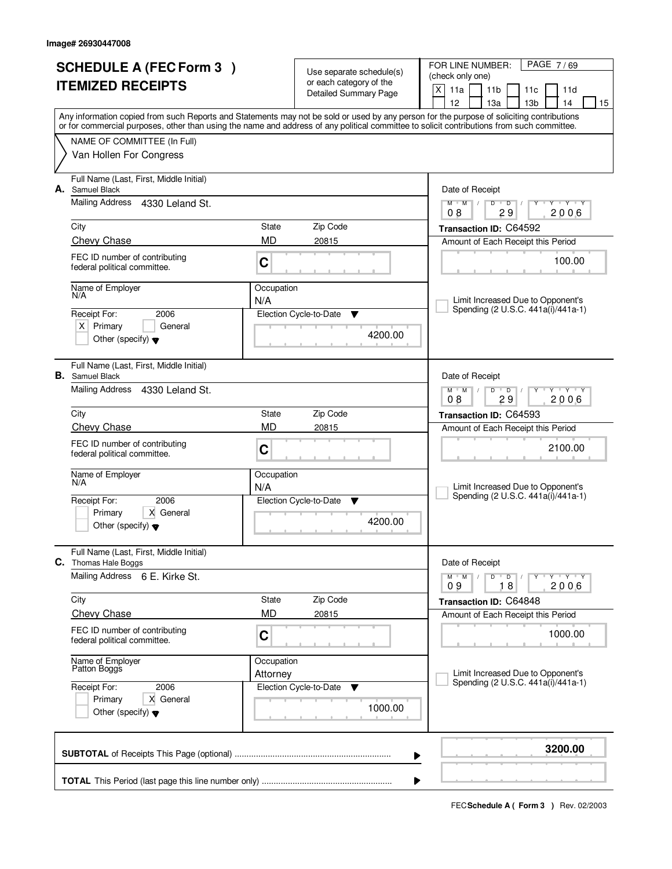|    | <b>SCHEDULE A (FEC Form 3)</b><br><b>ITEMIZED RECEIPTS</b>                                                      |                        | Use separate schedule(s)<br>or each category of the<br>Detailed Summary Page | PAGE 7/69<br>FOR LINE NUMBER:<br>(check only one)<br>X<br>11a<br>11 <sub>b</sub><br>11c<br>11d                                                                                                                                                                                                                                      |  |  |  |
|----|-----------------------------------------------------------------------------------------------------------------|------------------------|------------------------------------------------------------------------------|-------------------------------------------------------------------------------------------------------------------------------------------------------------------------------------------------------------------------------------------------------------------------------------------------------------------------------------|--|--|--|
|    |                                                                                                                 |                        |                                                                              | 12<br>13a<br>13 <sub>b</sub><br>14<br>15<br>Any information copied from such Reports and Statements may not be sold or used by any person for the purpose of soliciting contributions<br>or for commercial purposes, other than using the name and address of any political committee to solicit contributions from such committee. |  |  |  |
|    | NAME OF COMMITTEE (In Full)<br>Van Hollen For Congress                                                          |                        |                                                                              |                                                                                                                                                                                                                                                                                                                                     |  |  |  |
| А. | Full Name (Last, First, Middle Initial)<br>Samuel Black                                                         |                        |                                                                              | Date of Receipt                                                                                                                                                                                                                                                                                                                     |  |  |  |
|    | <b>Mailing Address</b><br>4330 Leland St.                                                                       |                        |                                                                              | $\overline{D}$<br><b>TY TY</b><br>$M$ $M$ /<br>$\overline{D}$<br>29<br>2006<br>08                                                                                                                                                                                                                                                   |  |  |  |
|    | City<br>Chevy Chase                                                                                             | State<br><b>MD</b>     | Zip Code<br>20815                                                            | Transaction ID: C64592<br>Amount of Each Receipt this Period                                                                                                                                                                                                                                                                        |  |  |  |
|    | FEC ID number of contributing<br>federal political committee.                                                   | C                      |                                                                              | 100.00                                                                                                                                                                                                                                                                                                                              |  |  |  |
|    | Name of Employer<br>N/A                                                                                         | Occupation<br>N/A      |                                                                              | Limit Increased Due to Opponent's                                                                                                                                                                                                                                                                                                   |  |  |  |
|    | Receipt For:<br>2006<br>$X$ Primary<br>General<br>Other (specify) $\blacktriangledown$                          |                        | Election Cycle-to-Date<br>v<br>4200.00                                       | Spending (2 U.S.C. 441a(i)/441a-1)                                                                                                                                                                                                                                                                                                  |  |  |  |
|    | Full Name (Last, First, Middle Initial)<br><b>B.</b> Samuel Black                                               |                        |                                                                              | Date of Receipt                                                                                                                                                                                                                                                                                                                     |  |  |  |
|    | Mailing Address<br>4330 Leland St.                                                                              |                        |                                                                              | $Y$ $Y$ $Y$<br>$M$ $M$ /<br>$D$ $D$<br>29<br>2006<br>08                                                                                                                                                                                                                                                                             |  |  |  |
|    | City                                                                                                            | State                  | Zip Code                                                                     | Transaction ID: C64593                                                                                                                                                                                                                                                                                                              |  |  |  |
|    | <b>Chevy Chase</b><br>FEC ID number of contributing<br>federal political committee.                             | <b>MD</b><br>C         | 20815                                                                        | Amount of Each Receipt this Period<br>2100.00                                                                                                                                                                                                                                                                                       |  |  |  |
|    | Name of Employer<br>N/A<br>2006<br>Receipt For:<br>Primary<br>X General<br>Other (specify) $\blacktriangledown$ | Occupation<br>N/A      | Election Cycle-to-Date<br>▼<br>4200.00                                       | Limit Increased Due to Opponent's<br>Spending (2 U.S.C. 441a(i)/441a-1)                                                                                                                                                                                                                                                             |  |  |  |
| C. | Full Name (Last, First, Middle Initial)<br>Thomas Hale Boggs                                                    |                        |                                                                              | Date of Receipt                                                                                                                                                                                                                                                                                                                     |  |  |  |
|    | Mailing Address 6 E. Kirke St.                                                                                  |                        |                                                                              | $D$ $D$ $/$<br>$M$ $M$ /<br>$Y + Y + Y$<br>18<br>2006<br>09                                                                                                                                                                                                                                                                         |  |  |  |
|    | City                                                                                                            | State                  | Zip Code                                                                     | Transaction ID: C64848                                                                                                                                                                                                                                                                                                              |  |  |  |
|    | <b>Chevy Chase</b><br>FEC ID number of contributing<br>federal political committee.                             | <b>MD</b><br>C         | 20815                                                                        | Amount of Each Receipt this Period<br>1000.00                                                                                                                                                                                                                                                                                       |  |  |  |
|    | Name of Employer<br>Patton Boggs                                                                                | Occupation<br>Attorney |                                                                              | Limit Increased Due to Opponent's                                                                                                                                                                                                                                                                                                   |  |  |  |
|    | Receipt For:<br>2006<br>Primary<br>X General<br>Other (specify) $\blacktriangledown$                            |                        | Election Cycle-to-Date<br>v<br>1000.00                                       | Spending (2 U.S.C. 441a(i)/441a-1)                                                                                                                                                                                                                                                                                                  |  |  |  |
|    |                                                                                                                 |                        |                                                                              | 3200.00<br>▶                                                                                                                                                                                                                                                                                                                        |  |  |  |
|    |                                                                                                                 |                        |                                                                              |                                                                                                                                                                                                                                                                                                                                     |  |  |  |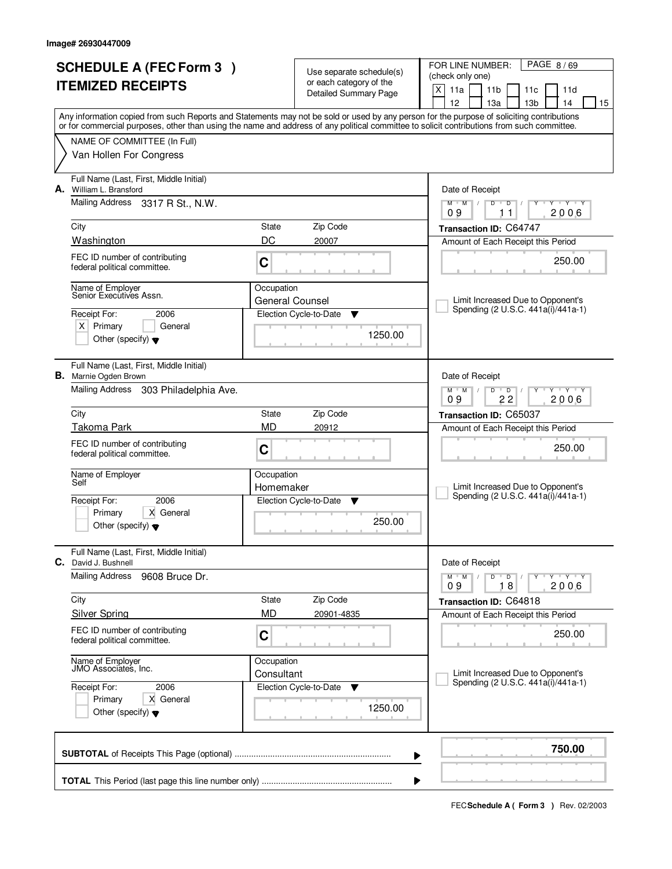|    | <b>SCHEDULE A (FEC Form 3)</b>                                          |                                      | Use separate schedule(s)                         | PAGE 8/69<br>FOR LINE NUMBER:<br>(check only one)                                                                                                                                                                                                                                                                                   |
|----|-------------------------------------------------------------------------|--------------------------------------|--------------------------------------------------|-------------------------------------------------------------------------------------------------------------------------------------------------------------------------------------------------------------------------------------------------------------------------------------------------------------------------------------|
|    | <b>ITEMIZED RECEIPTS</b>                                                |                                      | or each category of the<br>Detailed Summary Page | $\mathsf{X}$<br>11a<br>11 <sub>b</sub><br>11c<br>11d                                                                                                                                                                                                                                                                                |
|    |                                                                         |                                      |                                                  | 12<br>13 <sub>b</sub><br>13a<br>14<br>15<br>Any information copied from such Reports and Statements may not be sold or used by any person for the purpose of soliciting contributions<br>or for commercial purposes, other than using the name and address of any political committee to solicit contributions from such committee. |
|    | NAME OF COMMITTEE (In Full)                                             |                                      |                                                  |                                                                                                                                                                                                                                                                                                                                     |
|    | Van Hollen For Congress                                                 |                                      |                                                  |                                                                                                                                                                                                                                                                                                                                     |
| А. | Full Name (Last, First, Middle Initial)<br>William L. Bransford         |                                      |                                                  | Date of Receipt                                                                                                                                                                                                                                                                                                                     |
|    | <b>Mailing Address</b><br>3317 R St., N.W.                              |                                      |                                                  | $Y - Y - Y$<br>$M$ $M$ /<br>$D$ $D$<br>Y<br>$\sqrt{ }$<br>09<br>2006<br>11                                                                                                                                                                                                                                                          |
|    | City                                                                    | State                                | Zip Code                                         | Transaction ID: C64747                                                                                                                                                                                                                                                                                                              |
|    | Washington                                                              | DC                                   | 20007                                            | Amount of Each Receipt this Period                                                                                                                                                                                                                                                                                                  |
|    | FEC ID number of contributing<br>federal political committee.           | C                                    |                                                  | 250.00                                                                                                                                                                                                                                                                                                                              |
|    | Name of Employer<br>Senior Executives Assn.                             | Occupation<br><b>General Counsel</b> |                                                  | Limit Increased Due to Opponent's                                                                                                                                                                                                                                                                                                   |
|    | Receipt For:<br>2006                                                    |                                      | Election Cycle-to-Date<br>Y                      | Spending (2 U.S.C. 441a(i)/441a-1)                                                                                                                                                                                                                                                                                                  |
|    | $X$ Primary<br>General<br>Other (specify) $\blacktriangledown$          |                                      | 1250.00                                          |                                                                                                                                                                                                                                                                                                                                     |
|    | Full Name (Last, First, Middle Initial)<br><b>B.</b> Marnie Ogden Brown |                                      |                                                  | Date of Receipt                                                                                                                                                                                                                                                                                                                     |
|    | Mailing Address 303 Philadelphia Ave.                                   |                                      |                                                  | <u>י ץ י</u><br>$M$ M<br>D<br>$\overline{D}$<br>22<br>2006<br>09                                                                                                                                                                                                                                                                    |
|    | City                                                                    | State                                | Zip Code                                         | Transaction ID: C65037                                                                                                                                                                                                                                                                                                              |
|    | <b>Takoma Park</b><br><b>MD</b>                                         |                                      | 20912                                            | Amount of Each Receipt this Period                                                                                                                                                                                                                                                                                                  |
|    | FEC ID number of contributing<br>federal political committee.           | C                                    |                                                  | 250.00                                                                                                                                                                                                                                                                                                                              |
|    | Name of Employer<br>Self                                                | Occupation                           |                                                  |                                                                                                                                                                                                                                                                                                                                     |
|    |                                                                         | Homemaker                            |                                                  | Limit Increased Due to Opponent's<br>Spending (2 U.S.C. 441a(i)/441a-1)                                                                                                                                                                                                                                                             |
|    | 2006<br>Receipt For:<br>Primary<br>X General                            |                                      | Election Cycle-to-Date<br>v                      |                                                                                                                                                                                                                                                                                                                                     |
|    | Other (specify) $\blacktriangledown$                                    |                                      | 250.00                                           |                                                                                                                                                                                                                                                                                                                                     |
|    | Full Name (Last, First, Middle Initial)<br><b>C.</b> David J. Bushnell  |                                      |                                                  | Date of Receipt                                                                                                                                                                                                                                                                                                                     |
|    | <b>Mailing Address</b><br>9608 Bruce Dr.                                |                                      |                                                  | D<br>$M$ $M$ $/$<br>$\overline{\phantom{0}}$ D $\overline{\phantom{0}}$ /<br>$Y + Y + Y$<br>2006<br>18<br>09                                                                                                                                                                                                                        |
|    | City                                                                    | State                                | Zip Code                                         | Transaction ID: C64818                                                                                                                                                                                                                                                                                                              |
|    | <b>Silver Spring</b>                                                    | <b>MD</b>                            | 20901-4835                                       | Amount of Each Receipt this Period                                                                                                                                                                                                                                                                                                  |
|    | FEC ID number of contributing<br>federal political committee.           | $\mathbf C$                          |                                                  | 250.00                                                                                                                                                                                                                                                                                                                              |
|    | Name of Employer<br>JMO Associates. Inc.                                | Occupation<br>Consultant             |                                                  | Limit Increased Due to Opponent's                                                                                                                                                                                                                                                                                                   |
|    | Receipt For:<br>2006                                                    |                                      | Election Cycle-to-Date<br>v                      | Spending (2 U.S.C. 441a(i)/441a-1)                                                                                                                                                                                                                                                                                                  |
|    | Primary<br>X General<br>Other (specify) $\blacktriangledown$            |                                      | 1250.00                                          |                                                                                                                                                                                                                                                                                                                                     |
|    |                                                                         |                                      |                                                  | 750.00<br>▶                                                                                                                                                                                                                                                                                                                         |
|    |                                                                         |                                      |                                                  | ▶                                                                                                                                                                                                                                                                                                                                   |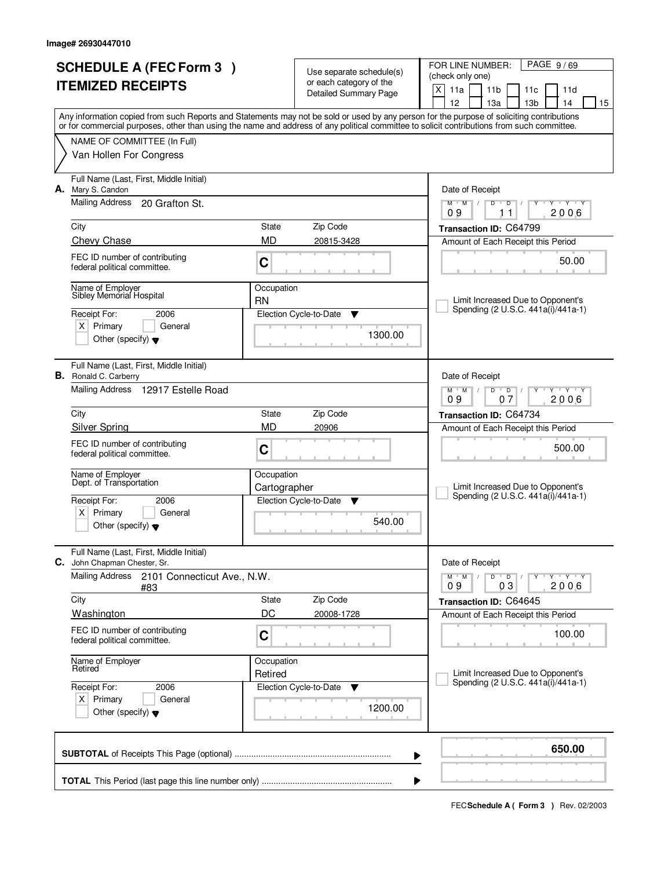| <b>SCHEDULE A (FEC Form 3)</b><br><b>ITEMIZED RECEIPTS</b> |                                                                         |                       | Use separate schedule(s)<br>or each category of the<br>Detailed Summary Page | PAGE 9/69<br>FOR LINE NUMBER:<br>(check only one)<br>X<br>11a<br>11 <sub>b</sub><br>11c<br>11d<br>12<br>13а<br>13 <sub>b</sub><br>14<br>15                                                                                                                                              |
|------------------------------------------------------------|-------------------------------------------------------------------------|-----------------------|------------------------------------------------------------------------------|-----------------------------------------------------------------------------------------------------------------------------------------------------------------------------------------------------------------------------------------------------------------------------------------|
|                                                            |                                                                         |                       |                                                                              | Any information copied from such Reports and Statements may not be sold or used by any person for the purpose of soliciting contributions<br>or for commercial purposes, other than using the name and address of any political committee to solicit contributions from such committee. |
|                                                            | NAME OF COMMITTEE (In Full)<br>Van Hollen For Congress                  |                       |                                                                              |                                                                                                                                                                                                                                                                                         |
|                                                            | Full Name (Last, First, Middle Initial)<br>A. Mary S. Candon            |                       |                                                                              | Date of Receipt                                                                                                                                                                                                                                                                         |
|                                                            | Mailing Address<br>20 Grafton St.                                       |                       |                                                                              | $M$ $M$ /<br>$\mathsf D$<br>$Y - Y - Y - Y$<br>$D$ <sup><math>\Box</math></sup><br>Υ<br>09<br>11<br>2006                                                                                                                                                                                |
|                                                            | City                                                                    | State                 | Zip Code                                                                     | Transaction ID: C64799                                                                                                                                                                                                                                                                  |
|                                                            | Chevy Chase                                                             | <b>MD</b>             | 20815-3428                                                                   | Amount of Each Receipt this Period                                                                                                                                                                                                                                                      |
|                                                            | FEC ID number of contributing<br>federal political committee.           | C                     |                                                                              | 50.00                                                                                                                                                                                                                                                                                   |
|                                                            | Name of Emplover<br>Sibley Memorial Hospital                            | Occupation<br>RN      |                                                                              | Limit Increased Due to Opponent's                                                                                                                                                                                                                                                       |
|                                                            | Receipt For:<br>2006                                                    |                       | Election Cycle-to-Date<br>Y                                                  | Spending (2 U.S.C. 441a(i)/441a-1)                                                                                                                                                                                                                                                      |
|                                                            | $X$ Primary<br>General<br>Other (specify) $\blacktriangledown$          |                       | 1300.00                                                                      |                                                                                                                                                                                                                                                                                         |
|                                                            | Full Name (Last, First, Middle Initial)<br><b>B.</b> Ronald C. Carberry |                       |                                                                              | Date of Receipt                                                                                                                                                                                                                                                                         |
|                                                            | Mailing Address 12917 Estelle Road                                      |                       |                                                                              | $M$ $M$ /<br>D<br>$\overline{D}$<br>Y 'Y 'Y<br>2006<br>09<br>07                                                                                                                                                                                                                         |
|                                                            | City                                                                    | State                 | Zip Code                                                                     | Transaction ID: C64734                                                                                                                                                                                                                                                                  |
|                                                            | <b>Silver Spring</b>                                                    | MD                    | 20906                                                                        | Amount of Each Receipt this Period                                                                                                                                                                                                                                                      |
|                                                            | FEC ID number of contributing<br>federal political committee.           | C                     |                                                                              | 500.00                                                                                                                                                                                                                                                                                  |
|                                                            | Name of Employer<br>Dept. of Transportation                             | Occupation            |                                                                              | Limit Increased Due to Opponent's                                                                                                                                                                                                                                                       |
|                                                            | Receipt For:<br>2006                                                    | Cartographer          | Election Cycle-to-Date<br>▼                                                  | Spending (2 U.S.C. 441a(i)/441a-1)                                                                                                                                                                                                                                                      |
|                                                            | $x \mid$<br>Primary<br>General<br>Other (specify) $\blacktriangledown$  |                       | 540.00                                                                       |                                                                                                                                                                                                                                                                                         |
| С.                                                         | Full Name (Last, First, Middle Initial)<br>John Chapman Chester, Sr.    |                       |                                                                              | Date of Receipt                                                                                                                                                                                                                                                                         |
|                                                            | <b>Mailing Address</b><br>2101 Connecticut Ave., N.W.<br>#83            |                       |                                                                              | $M$ $M$ $M$<br>$D$ $D$ $/$<br>Y FY FY FY<br>03<br>2006<br>09                                                                                                                                                                                                                            |
|                                                            | City                                                                    | State                 | Zip Code                                                                     | Transaction ID: C64645                                                                                                                                                                                                                                                                  |
|                                                            | <b>Washington</b>                                                       | DC                    | 20008-1728                                                                   | Amount of Each Receipt this Period                                                                                                                                                                                                                                                      |
|                                                            | FEC ID number of contributing<br>federal political committee.           | C                     |                                                                              | 100.00                                                                                                                                                                                                                                                                                  |
|                                                            | Name of Employer<br>Retired                                             | Occupation<br>Retired |                                                                              | Limit Increased Due to Opponent's                                                                                                                                                                                                                                                       |
|                                                            | Receipt For:<br>2006                                                    |                       | Election Cycle-to-Date<br>v                                                  | Spending (2 U.S.C. 441a(i)/441a-1)                                                                                                                                                                                                                                                      |
|                                                            | $X$ Primary<br>General<br>Other (specify) $\blacktriangledown$          |                       | 1200.00                                                                      |                                                                                                                                                                                                                                                                                         |
|                                                            |                                                                         |                       |                                                                              | 650.00<br>▶                                                                                                                                                                                                                                                                             |
|                                                            |                                                                         |                       |                                                                              | ▶                                                                                                                                                                                                                                                                                       |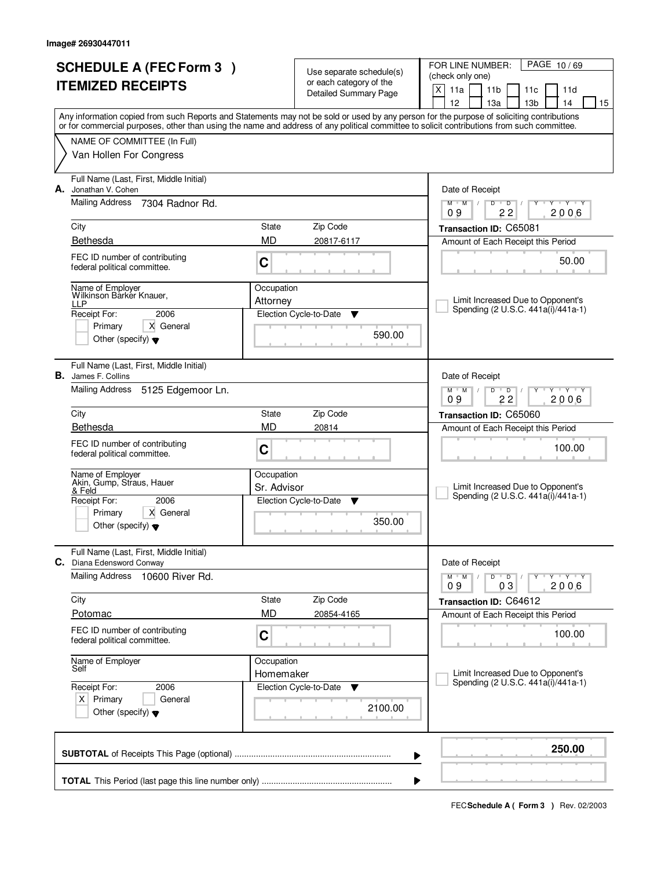| <b>SCHEDULE A (FEC Form 3)</b><br><b>ITEMIZED RECEIPTS</b> |                                                                                        |                           | Use separate schedule(s)<br>or each category of the<br>Detailed Summary Page | PAGE 10/69<br>FOR LINE NUMBER:<br>(check only one)<br>$\mathsf{X}$<br>11a<br>11 <sub>b</sub><br>11c<br>11d<br>12<br>13a<br>13 <sub>b</sub><br>14<br>15                                                                                                                                  |  |  |
|------------------------------------------------------------|----------------------------------------------------------------------------------------|---------------------------|------------------------------------------------------------------------------|-----------------------------------------------------------------------------------------------------------------------------------------------------------------------------------------------------------------------------------------------------------------------------------------|--|--|
|                                                            |                                                                                        |                           |                                                                              | Any information copied from such Reports and Statements may not be sold or used by any person for the purpose of soliciting contributions<br>or for commercial purposes, other than using the name and address of any political committee to solicit contributions from such committee. |  |  |
|                                                            | NAME OF COMMITTEE (In Full)<br>Van Hollen For Congress                                 |                           |                                                                              |                                                                                                                                                                                                                                                                                         |  |  |
| А.                                                         | Full Name (Last, First, Middle Initial)<br>Jonathan V. Cohen                           |                           |                                                                              | Date of Receipt                                                                                                                                                                                                                                                                         |  |  |
|                                                            | <b>Mailing Address</b><br>7304 Radnor Rd.                                              |                           |                                                                              | TEY TEY<br>$M$ $M$<br>D<br>$\overline{D}$<br>$\top$<br>Y<br>22<br>2006<br>09                                                                                                                                                                                                            |  |  |
|                                                            | City                                                                                   | State                     | Zip Code                                                                     | Transaction ID: C65081                                                                                                                                                                                                                                                                  |  |  |
|                                                            | <b>Bethesda</b>                                                                        | <b>MD</b>                 | 20817-6117                                                                   | Amount of Each Receipt this Period                                                                                                                                                                                                                                                      |  |  |
|                                                            | FEC ID number of contributing<br>federal political committee.                          | C                         |                                                                              | 50.00                                                                                                                                                                                                                                                                                   |  |  |
|                                                            | Name of Employer<br>Wilkinson Barkér Knauer,                                           | Occupation                |                                                                              |                                                                                                                                                                                                                                                                                         |  |  |
|                                                            | LLP<br>Receipt For:<br>2006                                                            | Attorney                  | Election Cycle-to-Date<br>v                                                  | Limit Increased Due to Opponent's<br>Spending (2 U.S.C. 441a(i)/441a-1)                                                                                                                                                                                                                 |  |  |
|                                                            | Primary<br>X General<br>Other (specify) $\blacktriangledown$                           |                           | 590.00                                                                       |                                                                                                                                                                                                                                                                                         |  |  |
|                                                            | Full Name (Last, First, Middle Initial)<br><b>B.</b> James F. Collins                  |                           |                                                                              | Date of Receipt                                                                                                                                                                                                                                                                         |  |  |
|                                                            | Mailing Address<br>5125 Edgemoor Ln.                                                   |                           |                                                                              | $M$ $M$ $/$<br>D<br>$\overline{D}$<br>$Y \vdash Y \vdash Y$<br>22<br>2006<br>09                                                                                                                                                                                                         |  |  |
|                                                            | City                                                                                   | State                     | Zip Code                                                                     | Transaction ID: C65060                                                                                                                                                                                                                                                                  |  |  |
|                                                            | Bethesda                                                                               | <b>MD</b>                 | 20814                                                                        | Amount of Each Receipt this Period                                                                                                                                                                                                                                                      |  |  |
|                                                            | FEC ID number of contributing<br>federal political committee.                          | C                         |                                                                              | 100.00                                                                                                                                                                                                                                                                                  |  |  |
|                                                            | Name of Employer<br>Akin, Gump, Straus, Hauer                                          | Occupation<br>Sr. Advisor |                                                                              | Limit Increased Due to Opponent's                                                                                                                                                                                                                                                       |  |  |
|                                                            | & Feld<br>Receipt For:<br>2006                                                         |                           | Election Cycle-to-Date<br>▼                                                  | Spending (2 U.S.C. 441a(i)/441a-1)                                                                                                                                                                                                                                                      |  |  |
|                                                            | Primary<br>X General<br>Other (specify) $\blacktriangledown$                           |                           | 350.00                                                                       |                                                                                                                                                                                                                                                                                         |  |  |
|                                                            | Full Name (Last, First, Middle Initial)                                                |                           |                                                                              |                                                                                                                                                                                                                                                                                         |  |  |
|                                                            | C. Diana Edensword Conway<br><b>Mailing Address</b><br>10600 River Rd.                 |                           |                                                                              | Date of Receipt<br>$D$ $D$ $/$<br>$Y - Y - Y - Y$<br>$M$ $M$ /<br>2006<br>03<br>09                                                                                                                                                                                                      |  |  |
|                                                            | City                                                                                   | State                     | Zip Code                                                                     | Transaction ID: C64612                                                                                                                                                                                                                                                                  |  |  |
|                                                            | Potomac                                                                                | <b>MD</b>                 | 20854-4165                                                                   | Amount of Each Receipt this Period                                                                                                                                                                                                                                                      |  |  |
|                                                            | FEC ID number of contributing<br>federal political committee.                          | C                         |                                                                              | 100.00                                                                                                                                                                                                                                                                                  |  |  |
|                                                            | Name of Employer<br>Self                                                               | Occupation<br>Homemaker   |                                                                              | Limit Increased Due to Opponent's                                                                                                                                                                                                                                                       |  |  |
|                                                            | Receipt For:<br>2006<br>$X$ Primary<br>General<br>Other (specify) $\blacktriangledown$ |                           | Election Cycle-to-Date<br>v<br>2100.00                                       | Spending (2 U.S.C. 441a(i)/441a-1)                                                                                                                                                                                                                                                      |  |  |
|                                                            |                                                                                        |                           |                                                                              | 250.00<br>▶                                                                                                                                                                                                                                                                             |  |  |
|                                                            | ▶                                                                                      |                           |                                                                              |                                                                                                                                                                                                                                                                                         |  |  |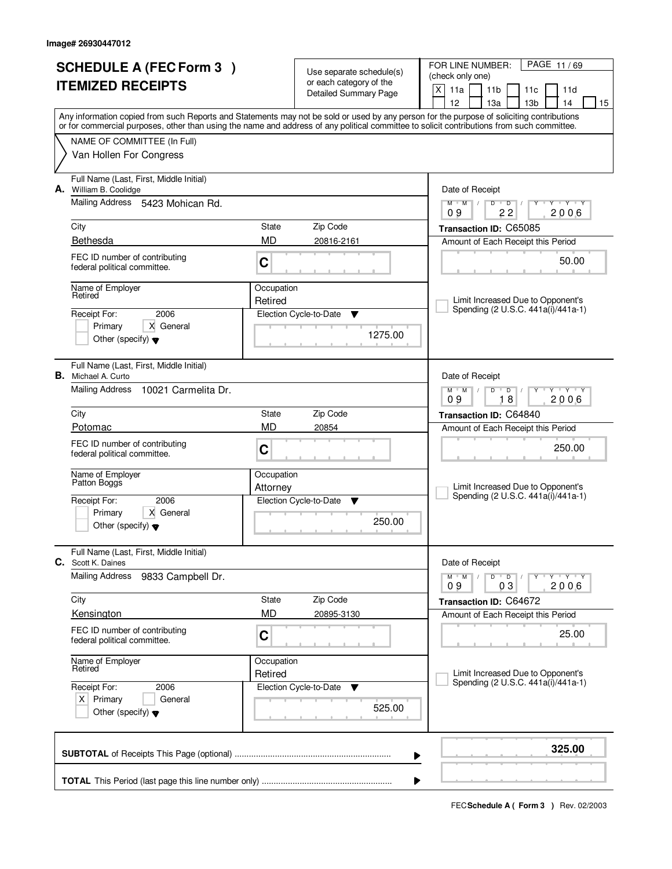|    | <b>SCHEDULE A (FEC Form 3)</b><br><b>ITEMIZED RECEIPTS</b>            |                        | Use separate schedule(s)<br>or each category of the<br>Detailed Summary Page | PAGE 11/69<br>FOR LINE NUMBER:<br>(check only one)<br>X<br>11a<br>11 <sub>b</sub><br>11c<br>11d<br>12<br>14<br>13а<br>13 <sub>b</sub><br>15                                                                                                                                             |
|----|-----------------------------------------------------------------------|------------------------|------------------------------------------------------------------------------|-----------------------------------------------------------------------------------------------------------------------------------------------------------------------------------------------------------------------------------------------------------------------------------------|
|    |                                                                       |                        |                                                                              | Any information copied from such Reports and Statements may not be sold or used by any person for the purpose of soliciting contributions<br>or for commercial purposes, other than using the name and address of any political committee to solicit contributions from such committee. |
|    | NAME OF COMMITTEE (In Full)                                           |                        |                                                                              |                                                                                                                                                                                                                                                                                         |
|    | Van Hollen For Congress                                               |                        |                                                                              |                                                                                                                                                                                                                                                                                         |
|    | Full Name (Last, First, Middle Initial)<br>A. William B. Coolidge     |                        |                                                                              | Date of Receipt                                                                                                                                                                                                                                                                         |
|    | Mailing Address 5423 Mohican Rd.                                      |                        |                                                                              | $M$ $M$ /<br>$D$ $D$<br>$Y - Y - Y - Y$<br>22<br>2006<br>09                                                                                                                                                                                                                             |
|    | City                                                                  | State                  | Zip Code                                                                     | Transaction ID: C65085                                                                                                                                                                                                                                                                  |
|    | Bethesda                                                              | <b>MD</b>              | 20816-2161                                                                   | Amount of Each Receipt this Period                                                                                                                                                                                                                                                      |
|    | FEC ID number of contributing<br>federal political committee.         | C                      |                                                                              | 50.00                                                                                                                                                                                                                                                                                   |
|    | Name of Employer<br>Retired                                           | Occupation<br>Retired  |                                                                              | Limit Increased Due to Opponent's                                                                                                                                                                                                                                                       |
|    | 2006<br>Receipt For:                                                  |                        | Election Cycle-to-Date<br>Y                                                  | Spending (2 U.S.C. 441a(i)/441a-1)                                                                                                                                                                                                                                                      |
|    | Primary<br>X General<br>Other (specify) $\blacktriangledown$          |                        | 1275.00                                                                      |                                                                                                                                                                                                                                                                                         |
|    | Full Name (Last, First, Middle Initial)<br><b>B.</b> Michael A. Curto |                        |                                                                              | Date of Receipt                                                                                                                                                                                                                                                                         |
|    | <b>Mailing Address</b><br>10021 Carmelita Dr.                         |                        |                                                                              | $M$ $M$ /<br>D<br>$\overline{D}$<br>Y 'Y 'Y<br>18<br>2006<br>09                                                                                                                                                                                                                         |
|    | City                                                                  | State                  | Zip Code                                                                     | Transaction ID: C64840                                                                                                                                                                                                                                                                  |
|    | Potomac                                                               | MD                     | 20854                                                                        | Amount of Each Receipt this Period                                                                                                                                                                                                                                                      |
|    | FEC ID number of contributing<br>federal political committee.         | C                      |                                                                              | 250.00                                                                                                                                                                                                                                                                                  |
|    | Name of Employer<br>Patton Bogg's                                     | Occupation<br>Attorney |                                                                              | Limit Increased Due to Opponent's                                                                                                                                                                                                                                                       |
|    | 2006<br>Receipt For:                                                  |                        | Election Cycle-to-Date<br>Y                                                  | Spending (2 U.S.C. 441a(i)/441a-1)                                                                                                                                                                                                                                                      |
|    | Primary<br>X General<br>Other (specify) $\blacktriangledown$          |                        | 250.00                                                                       |                                                                                                                                                                                                                                                                                         |
| C. | Full Name (Last, First, Middle Initial)<br>Scott K. Daines            |                        |                                                                              | Date of Receipt                                                                                                                                                                                                                                                                         |
|    | <b>Mailing Address</b><br>9833 Campbell Dr.                           |                        |                                                                              | $M$ $M$ $M$<br>$D$ $D$ $/$<br>Y FY FY FY<br>03<br>2006<br>09                                                                                                                                                                                                                            |
|    | City                                                                  | State                  | Zip Code                                                                     | Transaction ID: C64672                                                                                                                                                                                                                                                                  |
|    | Kensington                                                            | <b>MD</b>              | 20895-3130                                                                   | Amount of Each Receipt this Period                                                                                                                                                                                                                                                      |
|    | FEC ID number of contributing<br>federal political committee.         | C                      |                                                                              | 25.00                                                                                                                                                                                                                                                                                   |
|    | Name of Employer<br>Retired                                           | Occupation             |                                                                              | Limit Increased Due to Opponent's                                                                                                                                                                                                                                                       |
|    | Receipt For:<br>2006                                                  | Retired                | Election Cycle-to-Date<br><b>V</b>                                           | Spending (2 U.S.C. 441a(i)/441a-1)                                                                                                                                                                                                                                                      |
|    | $X$ Primary<br>General<br>Other (specify) $\blacktriangledown$        |                        | 525.00                                                                       |                                                                                                                                                                                                                                                                                         |
|    |                                                                       |                        |                                                                              | 325.00<br>▶                                                                                                                                                                                                                                                                             |
|    |                                                                       |                        |                                                                              | ▶                                                                                                                                                                                                                                                                                       |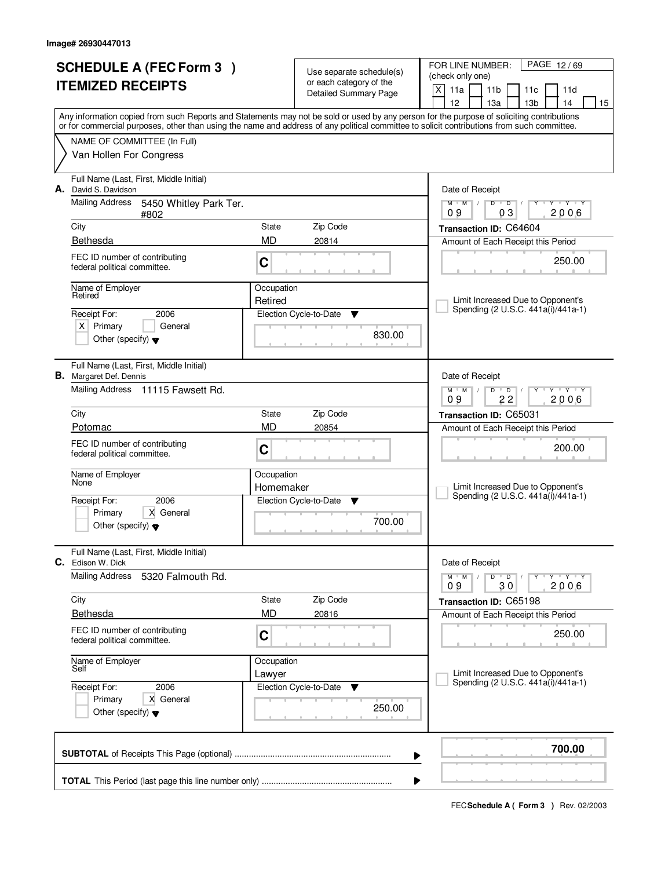| <b>SCHEDULE A (FEC Form 3)</b> |                                                                           | Use separate schedule(s) |                             | PAGE 12/69<br>FOR LINE NUMBER:                                                                                                             |
|--------------------------------|---------------------------------------------------------------------------|--------------------------|-----------------------------|--------------------------------------------------------------------------------------------------------------------------------------------|
| <b>ITEMIZED RECEIPTS</b>       |                                                                           |                          | or each category of the     | (check only one)<br>X<br>11a<br>11 <sub>b</sub><br>11c<br>11d                                                                              |
|                                |                                                                           |                          | Detailed Summary Page       | 12<br>13 <sub>b</sub><br>13a<br>14<br>15                                                                                                   |
|                                |                                                                           |                          |                             | Any information copied from such Reports and Statements may not be sold or used by any person for the purpose of soliciting contributions  |
|                                |                                                                           |                          |                             | or for commercial purposes, other than using the name and address of any political committee to solicit contributions from such committee. |
|                                | NAME OF COMMITTEE (In Full)<br>Van Hollen For Congress                    |                          |                             |                                                                                                                                            |
|                                |                                                                           |                          |                             |                                                                                                                                            |
| А.                             | Full Name (Last, First, Middle Initial)<br>David S. Davidson              |                          |                             | Date of Receipt                                                                                                                            |
|                                | <b>Mailing Address</b><br>5450 Whitley Park Ter.<br>#802                  |                          |                             | $D$ $D$<br>Y Y Y Y<br>$M$ $M$ /<br>2006<br>09<br>03                                                                                        |
|                                | City                                                                      | State                    | Zip Code                    | Transaction ID: C64604                                                                                                                     |
|                                | Bethesda                                                                  | MD                       | 20814                       | Amount of Each Receipt this Period                                                                                                         |
|                                | FEC ID number of contributing<br>federal political committee.             | C                        |                             | 250.00                                                                                                                                     |
|                                | Name of Employer                                                          | Occupation               |                             |                                                                                                                                            |
|                                | Retired                                                                   | Retired                  |                             | Limit Increased Due to Opponent's<br>Spending (2 U.S.C. 441a(i)/441a-1)                                                                    |
|                                | Receipt For:<br>2006                                                      |                          | Election Cycle-to-Date<br>Y |                                                                                                                                            |
|                                | $X$ Primary<br>General<br>Other (specify) $\blacktriangledown$            |                          | 830.00                      |                                                                                                                                            |
|                                | Full Name (Last, First, Middle Initial)<br><b>B.</b> Margaret Def. Dennis |                          |                             | Date of Receipt                                                                                                                            |
|                                | Mailing Address 11115 Fawsett Rd.                                         |                          |                             | TEY TY<br>$M$ M<br>D<br>$\overline{D}$                                                                                                     |
|                                |                                                                           |                          |                             | 22<br>2006<br>09                                                                                                                           |
|                                | City<br>Potomac                                                           | State<br><b>MD</b>       | Zip Code                    | Transaction ID: C65031                                                                                                                     |
|                                |                                                                           |                          | 20854                       | Amount of Each Receipt this Period                                                                                                         |
|                                | FEC ID number of contributing<br>federal political committee.             | C                        |                             | 200.00                                                                                                                                     |
|                                | Name of Employer                                                          | Occupation               |                             |                                                                                                                                            |
|                                | None                                                                      | Homemaker                |                             | Limit Increased Due to Opponent's                                                                                                          |
|                                | 2006<br>Receipt For:                                                      |                          | Election Cycle-to-Date<br>v | Spending (2 U.S.C. 441a(i)/441a-1)                                                                                                         |
|                                | Primary<br>X General<br>Other (specify) $\blacktriangledown$              |                          | 700.00                      |                                                                                                                                            |
|                                | Full Name (Last, First, Middle Initial)<br><b>C.</b> Edison W. Dick       |                          |                             | Date of Receipt                                                                                                                            |
|                                | <b>Mailing Address</b><br>5320 Falmouth Rd.                               |                          |                             | D<br>$M$ $M$ $/$<br>$\overline{D}$<br>$Y + Y + Y$<br>2006<br>09<br>30                                                                      |
|                                | City                                                                      | State                    | Zip Code                    | Transaction ID: C65198                                                                                                                     |
|                                | <b>Bethesda</b>                                                           | <b>MD</b>                | 20816                       | Amount of Each Receipt this Period                                                                                                         |
|                                | FEC ID number of contributing<br>federal political committee.             | $\mathbf C$              |                             | 250.00                                                                                                                                     |
|                                | Name of Employer<br>Self                                                  | Occupation               |                             |                                                                                                                                            |
|                                |                                                                           | Lawyer                   |                             | Limit Increased Due to Opponent's<br>Spending (2 U.S.C. 441a(i)/441a-1)                                                                    |
|                                | 2006<br>Receipt For:<br>Primary<br>X General                              |                          | Election Cycle-to-Date<br>v |                                                                                                                                            |
|                                | Other (specify) $\blacktriangledown$                                      |                          | 250.00                      |                                                                                                                                            |
|                                |                                                                           |                          |                             | 700.00<br>▶                                                                                                                                |
|                                |                                                                           |                          |                             |                                                                                                                                            |
|                                |                                                                           |                          |                             | ▶                                                                                                                                          |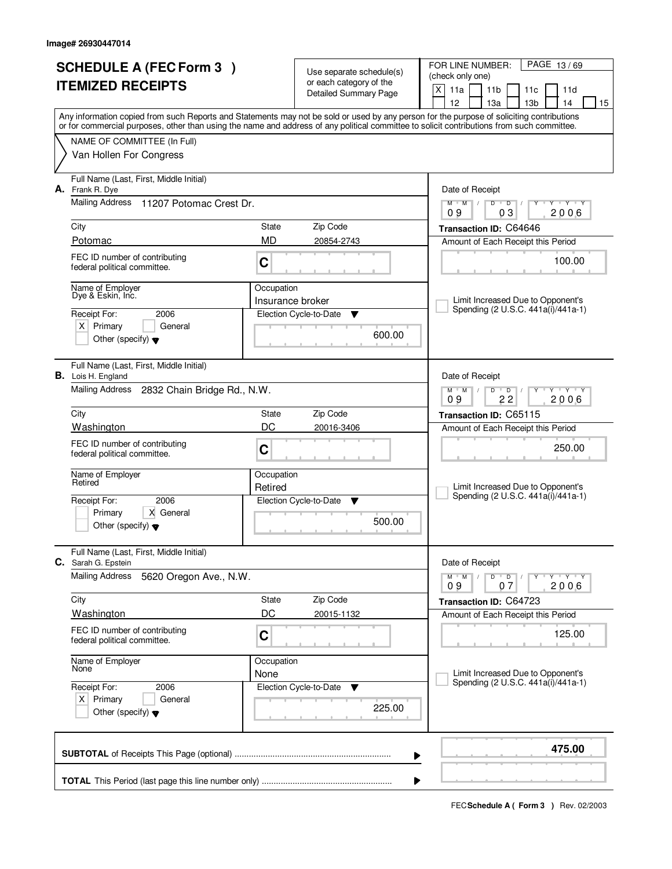| <b>SCHEDULE A (FEC Form 3)</b>                                                                                                             | Use separate schedule(s) | PAGE 13/69<br>FOR LINE NUMBER:                          |                                                                                                  |
|--------------------------------------------------------------------------------------------------------------------------------------------|--------------------------|---------------------------------------------------------|--------------------------------------------------------------------------------------------------|
| <b>ITEMIZED RECEIPTS</b>                                                                                                                   |                          | or each category of the<br><b>Detailed Summary Page</b> | (check only one)                                                                                 |
|                                                                                                                                            |                          |                                                         | X<br>11a<br>11 <sub>b</sub><br>11c<br>11d<br>12<br>13 <sub>b</sub><br>13a<br>14<br>15            |
| Any information copied from such Reports and Statements may not be sold or used by any person for the purpose of soliciting contributions  |                          |                                                         |                                                                                                  |
| or for commercial purposes, other than using the name and address of any political committee to solicit contributions from such committee. |                          |                                                         |                                                                                                  |
| NAME OF COMMITTEE (In Full)                                                                                                                |                          |                                                         |                                                                                                  |
| Van Hollen For Congress                                                                                                                    |                          |                                                         |                                                                                                  |
| Full Name (Last, First, Middle Initial)<br>A. Frank R. Dye                                                                                 |                          |                                                         | Date of Receipt                                                                                  |
| <b>Mailing Address</b><br>11207 Potomac Crest Dr.                                                                                          |                          |                                                         | Y Y Y Y<br>$M$ $M$ /<br>$D$ $D$<br>2006<br>09<br>03                                              |
| City                                                                                                                                       | State                    | Zip Code                                                | Transaction ID: C64646                                                                           |
| Potomac                                                                                                                                    | <b>MD</b>                | 20854-2743                                              | Amount of Each Receipt this Period                                                               |
| FEC ID number of contributing<br>federal political committee.                                                                              | C                        |                                                         | 100.00                                                                                           |
| Name of Employer                                                                                                                           | Occupation               |                                                         |                                                                                                  |
| Dye & Eskin, Inc.                                                                                                                          | Insurance broker         |                                                         | Limit Increased Due to Opponent's<br>Spending (2 U.S.C. 441a(i)/441a-1)                          |
| Receipt For:<br>2006                                                                                                                       |                          | Election Cycle-to-Date<br>▼                             |                                                                                                  |
| $X$ Primary<br>General<br>Other (specify) $\blacktriangledown$                                                                             |                          | 600.00                                                  |                                                                                                  |
| Full Name (Last, First, Middle Initial)<br><b>B.</b> Lois H. England                                                                       |                          |                                                         | Date of Receipt                                                                                  |
| <b>Mailing Address</b><br>2832 Chain Bridge Rd., N.W.                                                                                      |                          |                                                         | $M$ $M$ $/$<br>$\overline{D}$<br>$\mathbf{Y} \mathbf{Y}$<br>D<br>22<br>2006<br>09                |
| City                                                                                                                                       | <b>State</b>             | Zip Code                                                | Transaction ID: C65115                                                                           |
| Washington                                                                                                                                 | DC                       | 20016-3406                                              | Amount of Each Receipt this Period                                                               |
| FEC ID number of contributing<br>federal political committee.                                                                              | C                        |                                                         | 250.00                                                                                           |
| Name of Employer<br>Retired                                                                                                                | Occupation               |                                                         |                                                                                                  |
|                                                                                                                                            | Retired                  |                                                         | Limit Increased Due to Opponent's<br>Spending (2 U.S.C. 441a(i)/441a-1)                          |
| 2006<br>Receipt For:<br>X General<br>Primary                                                                                               |                          | Election Cycle-to-Date<br>v                             |                                                                                                  |
| Other (specify) $\blacktriangledown$                                                                                                       |                          | 500.00                                                  |                                                                                                  |
| Full Name (Last, First, Middle Initial)<br>C. Sarah G. Epstein                                                                             |                          |                                                         | Date of Receipt                                                                                  |
| <b>Mailing Address</b><br>5620 Oregon Ave., N.W.                                                                                           |                          |                                                         | $D$ $D$ $I$<br>$M$ $M$ /<br>$\mathsf{Y} \dashv \mathsf{Y} \dashv \mathsf{Y}$<br>2006<br>09<br>07 |
| City                                                                                                                                       | State                    | Zip Code                                                | Transaction ID: C64723                                                                           |
| <b>Washington</b>                                                                                                                          | DC                       | 20015-1132                                              | Amount of Each Receipt this Period                                                               |
| FEC ID number of contributing<br>federal political committee.                                                                              | C                        |                                                         | 125.00                                                                                           |
| Name of Employer<br>None                                                                                                                   | Occupation               |                                                         |                                                                                                  |
|                                                                                                                                            | None                     |                                                         | Limit Increased Due to Opponent's<br>Spending (2 U.S.C. 441a(i)/441a-1)                          |
| Receipt For:<br>2006<br>$X$ Primary<br>General                                                                                             |                          | Election Cycle-to-Date<br>v                             |                                                                                                  |
| Other (specify) $\blacktriangledown$                                                                                                       |                          | 225.00                                                  |                                                                                                  |
|                                                                                                                                            |                          |                                                         | 475.00<br>▶                                                                                      |
|                                                                                                                                            |                          |                                                         |                                                                                                  |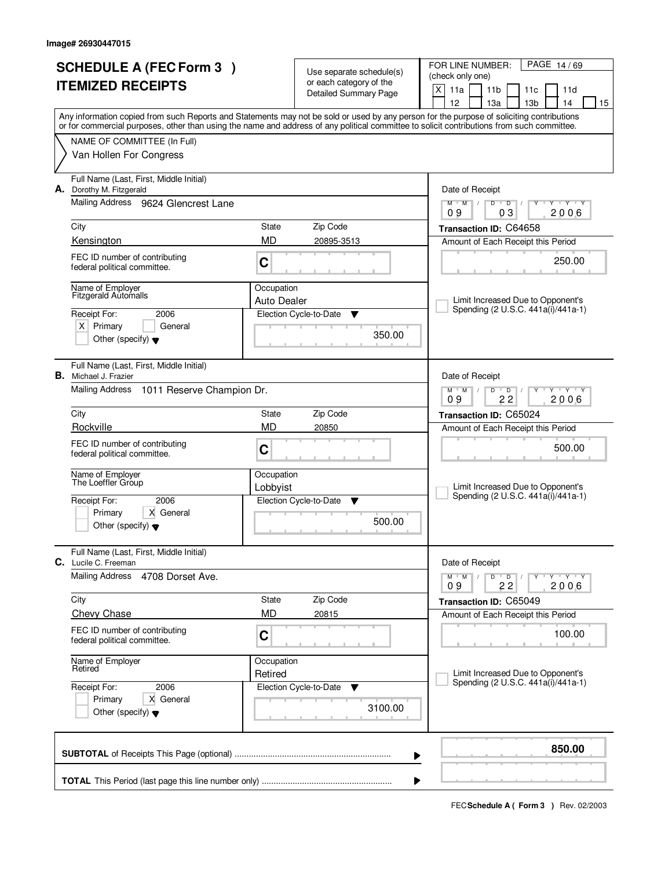| <b>SCHEDULE A (FEC Form 3)</b><br><b>ITEMIZED RECEIPTS</b>                                                                                                                                                                                                                              |             | Use separate schedule(s)<br>or each category of the<br>Detailed Summary Page | PAGE 14/69<br>FOR LINE NUMBER:<br>(check only one)<br>X<br>11a<br>11 <sub>b</sub><br>11 <sub>c</sub><br>11d<br>12<br>13а<br>13 <sub>b</sub><br>14<br>15 |
|-----------------------------------------------------------------------------------------------------------------------------------------------------------------------------------------------------------------------------------------------------------------------------------------|-------------|------------------------------------------------------------------------------|---------------------------------------------------------------------------------------------------------------------------------------------------------|
| Any information copied from such Reports and Statements may not be sold or used by any person for the purpose of soliciting contributions<br>or for commercial purposes, other than using the name and address of any political committee to solicit contributions from such committee. |             |                                                                              |                                                                                                                                                         |
| NAME OF COMMITTEE (In Full)                                                                                                                                                                                                                                                             |             |                                                                              |                                                                                                                                                         |
| Van Hollen For Congress                                                                                                                                                                                                                                                                 |             |                                                                              |                                                                                                                                                         |
| Full Name (Last, First, Middle Initial)<br>A. Dorothy M. Fitzgerald                                                                                                                                                                                                                     |             |                                                                              | Date of Receipt                                                                                                                                         |
| Mailing Address 9624 Glencrest Lane                                                                                                                                                                                                                                                     |             |                                                                              | $M$ $M$ /<br>$D$ $D$<br>$\overline{Y}$ $\overline{Y}$<br>Y<br>03<br>2006<br>09                                                                          |
| City                                                                                                                                                                                                                                                                                    | State       | Zip Code                                                                     | Transaction ID: C64658                                                                                                                                  |
| Kensington                                                                                                                                                                                                                                                                              | <b>MD</b>   | 20895-3513                                                                   | Amount of Each Receipt this Period                                                                                                                      |
| FEC ID number of contributing<br>federal political committee.                                                                                                                                                                                                                           | C           |                                                                              | 250.00                                                                                                                                                  |
| Name of Employer<br><b>Fitzgerald Automalls</b>                                                                                                                                                                                                                                         | Occupation  |                                                                              |                                                                                                                                                         |
| 2006<br>Receipt For:                                                                                                                                                                                                                                                                    | Auto Dealer | Election Cycle-to-Date                                                       | Limit Increased Due to Opponent's<br>Spending (2 U.S.C. 441a(i)/441a-1)                                                                                 |
| $X$ Primary<br>General                                                                                                                                                                                                                                                                  |             | ▼                                                                            |                                                                                                                                                         |
| Other (specify) $\blacktriangledown$                                                                                                                                                                                                                                                    |             | 350.00                                                                       |                                                                                                                                                         |
| Full Name (Last, First, Middle Initial)<br><b>B.</b> Michael J. Frazier                                                                                                                                                                                                                 |             |                                                                              | Date of Receipt                                                                                                                                         |
| <b>Mailing Address</b><br>1011 Reserve Champion Dr.                                                                                                                                                                                                                                     |             |                                                                              | $M$ $M$ /<br>D<br>$\overline{D}$<br>$T$ $Y$ $T$ $Y$<br>22<br>2006<br>09                                                                                 |
| City                                                                                                                                                                                                                                                                                    | State       | Zip Code                                                                     | Transaction ID: C65024                                                                                                                                  |
| Rockville                                                                                                                                                                                                                                                                               | <b>MD</b>   | 20850                                                                        | Amount of Each Receipt this Period                                                                                                                      |
| FEC ID number of contributing<br>federal political committee.                                                                                                                                                                                                                           | C           |                                                                              | 500.00                                                                                                                                                  |
| Name of Employer<br>The Loeffler Group                                                                                                                                                                                                                                                  | Occupation  |                                                                              |                                                                                                                                                         |
| 2006                                                                                                                                                                                                                                                                                    | Lobbyist    | Election Cycle-to-Date<br>▼                                                  | Limit Increased Due to Opponent's<br>Spending (2 U.S.C. 441a(i)/441a-1)                                                                                 |
| Receipt For:<br>Primary<br>X General                                                                                                                                                                                                                                                    |             |                                                                              |                                                                                                                                                         |
| Other (specify) $\blacktriangledown$                                                                                                                                                                                                                                                    |             | 500.00                                                                       |                                                                                                                                                         |
| Full Name (Last, First, Middle Initial)<br>C. Lucile C. Freeman                                                                                                                                                                                                                         |             |                                                                              | Date of Receipt                                                                                                                                         |
| <b>Mailing Address</b><br>4708 Dorset Ave.                                                                                                                                                                                                                                              |             |                                                                              | $D$ $D$ $/$<br>יץ ייץ י<br>$M$ $M$ $/$<br>Y<br>22<br>2006<br>09                                                                                         |
| City                                                                                                                                                                                                                                                                                    | State       | Zip Code                                                                     | Transaction ID: C65049                                                                                                                                  |
| Chevy Chase                                                                                                                                                                                                                                                                             | <b>MD</b>   | 20815                                                                        | Amount of Each Receipt this Period                                                                                                                      |
| FEC ID number of contributing<br>federal political committee.                                                                                                                                                                                                                           | C           |                                                                              | 100.00                                                                                                                                                  |
| Name of Employer<br>Retired                                                                                                                                                                                                                                                             | Occupation  |                                                                              |                                                                                                                                                         |
| Receipt For:<br>2006                                                                                                                                                                                                                                                                    | Retired     | Election Cycle-to-Date<br>v                                                  | Limit Increased Due to Opponent's<br>Spending (2 U.S.C. 441a(i)/441a-1)                                                                                 |
| Primary<br>X General<br>Other (specify) $\blacktriangledown$                                                                                                                                                                                                                            |             | 3100.00                                                                      |                                                                                                                                                         |
|                                                                                                                                                                                                                                                                                         |             |                                                                              |                                                                                                                                                         |
|                                                                                                                                                                                                                                                                                         |             |                                                                              | 850.00<br>▶                                                                                                                                             |
|                                                                                                                                                                                                                                                                                         |             |                                                                              | ▶                                                                                                                                                       |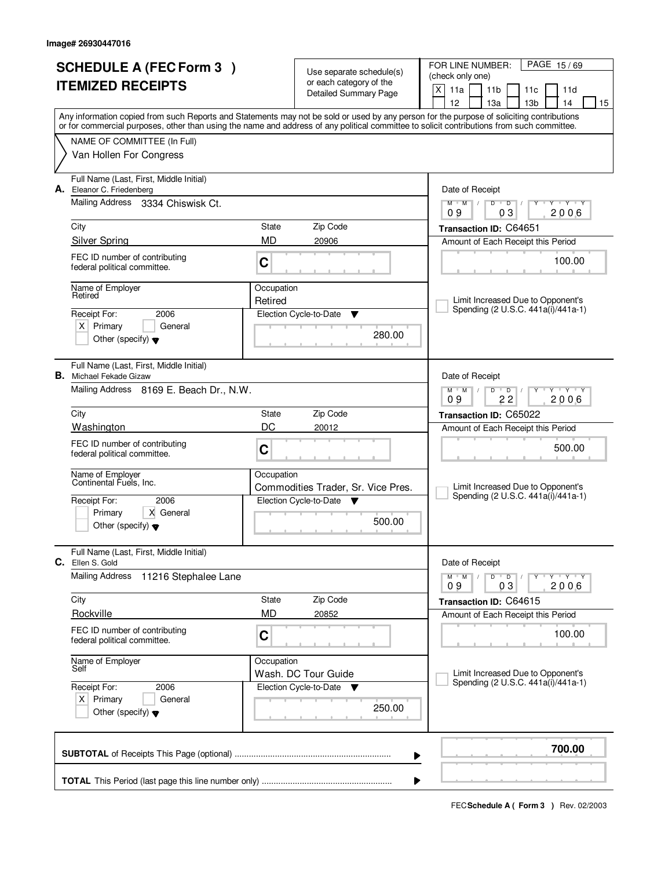| <b>SCHEDULE A (FEC Form 3)</b><br><b>ITEMIZED RECEIPTS</b> |                                                                                        |                       | Use separate schedule(s)<br>or each category of the<br><b>Detailed Summary Page</b> | PAGE 15/69<br>FOR LINE NUMBER:<br>(check only one)<br>X<br>11a<br>11 <sub>b</sub><br>11c<br>11d<br>12<br>13a<br>13 <sub>b</sub><br>14<br>15                                                                                                                                             |
|------------------------------------------------------------|----------------------------------------------------------------------------------------|-----------------------|-------------------------------------------------------------------------------------|-----------------------------------------------------------------------------------------------------------------------------------------------------------------------------------------------------------------------------------------------------------------------------------------|
|                                                            | NAME OF COMMITTEE (In Full)                                                            |                       |                                                                                     | Any information copied from such Reports and Statements may not be sold or used by any person for the purpose of soliciting contributions<br>or for commercial purposes, other than using the name and address of any political committee to solicit contributions from such committee. |
|                                                            | Van Hollen For Congress                                                                |                       |                                                                                     |                                                                                                                                                                                                                                                                                         |
|                                                            | Full Name (Last, First, Middle Initial)<br>A. Eleanor C. Friedenberg                   |                       |                                                                                     | Date of Receipt                                                                                                                                                                                                                                                                         |
|                                                            | Mailing Address 3334 Chiswisk Ct.                                                      |                       |                                                                                     | $M$ $M$ /<br>D<br>$\overline{D}$<br>$T - Y$<br>0 <sub>3</sub><br>2006<br>09                                                                                                                                                                                                             |
|                                                            | City                                                                                   | State                 | Zip Code                                                                            | Transaction ID: C64651                                                                                                                                                                                                                                                                  |
|                                                            | <b>Silver Spring</b><br>FEC ID number of contributing<br>federal political committee.  | <b>MD</b><br>C        | 20906                                                                               | Amount of Each Receipt this Period<br>100.00                                                                                                                                                                                                                                            |
|                                                            | Name of Employer<br>Retired                                                            | Occupation<br>Retired |                                                                                     | Limit Increased Due to Opponent's                                                                                                                                                                                                                                                       |
|                                                            | Receipt For:<br>2006<br>$X$ Primary<br>General<br>Other (specify) $\blacktriangledown$ |                       | Election Cycle-to-Date<br>Y<br>280.00                                               | Spending (2 U.S.C. 441a(i)/441a-1)                                                                                                                                                                                                                                                      |
| В.                                                         | Full Name (Last, First, Middle Initial)<br>Michael Fekade Gizaw                        |                       |                                                                                     | Date of Receipt                                                                                                                                                                                                                                                                         |
|                                                            | Mailing Address 8169 E. Beach Dr., N.W.                                                |                       |                                                                                     | $Y$ $Y$<br>$M$ $M$ /<br>D<br>D<br>22<br>2006<br>09                                                                                                                                                                                                                                      |
|                                                            | City                                                                                   | State                 | Zip Code                                                                            | Transaction ID: C65022                                                                                                                                                                                                                                                                  |
|                                                            | Washington<br>FEC ID number of contributing<br>federal political committee.            | DC<br>C               | 20012                                                                               | Amount of Each Receipt this Period<br>500.00                                                                                                                                                                                                                                            |
|                                                            | Name of Employer<br>Continental Fuels, Inc.<br>Receipt For:<br>2006                    | Occupation            | Commodities Trader, Sr. Vice Pres.<br>Election Cycle-to-Date<br>- V                 | Limit Increased Due to Opponent's<br>Spending (2 U.S.C. 441a(i)/441a-1)                                                                                                                                                                                                                 |
|                                                            | Primary<br>X General<br>Other (specify) $\blacktriangledown$                           |                       | 500.00                                                                              |                                                                                                                                                                                                                                                                                         |
|                                                            | Full Name (Last, First, Middle Initial)<br>C. Ellen S. Gold                            |                       |                                                                                     | Date of Receipt                                                                                                                                                                                                                                                                         |
|                                                            | <b>Mailing Address</b><br>11216 Stephalee Lane                                         |                       |                                                                                     | $Y - Y - Y$<br>$M$ <sup>U</sup><br>M<br>$D$ $D$<br>2006<br>09<br>03                                                                                                                                                                                                                     |
|                                                            | City<br>Rockville                                                                      | State<br><b>MD</b>    | Zip Code<br>20852                                                                   | Transaction ID: C64615                                                                                                                                                                                                                                                                  |
|                                                            | FEC ID number of contributing<br>federal political committee.                          | С                     |                                                                                     | Amount of Each Receipt this Period<br>100.00                                                                                                                                                                                                                                            |
|                                                            | Name of Employer<br>Self<br>2006<br>Receipt For:                                       | Occupation            | Wash. DC Tour Guide<br>Election Cycle-to-Date<br>v                                  | Limit Increased Due to Opponent's<br>Spending (2 U.S.C. 441a(i)/441a-1)                                                                                                                                                                                                                 |
|                                                            | $X$ Primary<br>General<br>Other (specify) $\blacktriangledown$                         |                       | 250.00                                                                              |                                                                                                                                                                                                                                                                                         |
|                                                            |                                                                                        |                       | ▶                                                                                   | 700.00                                                                                                                                                                                                                                                                                  |
|                                                            |                                                                                        |                       |                                                                                     |                                                                                                                                                                                                                                                                                         |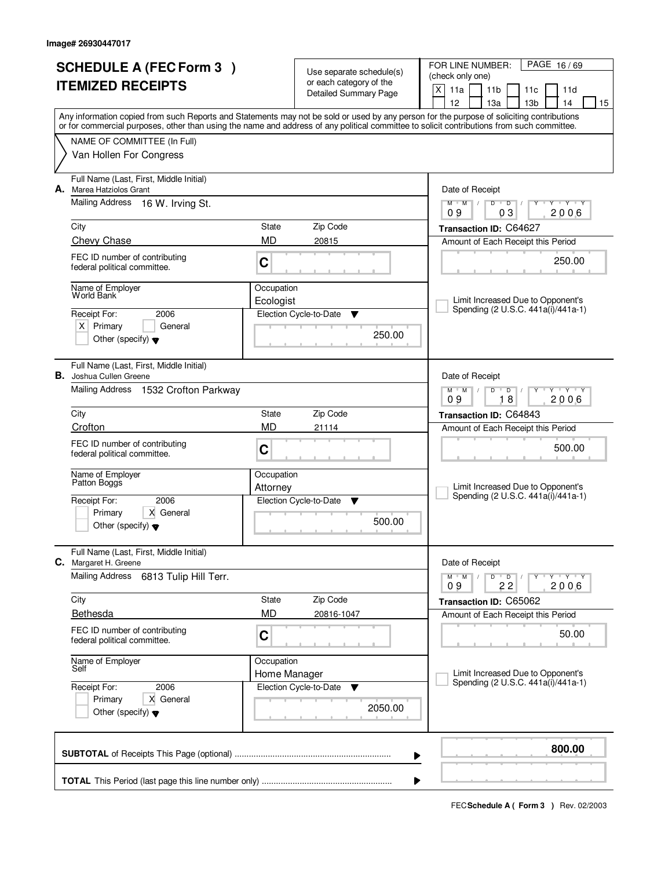| <b>SCHEDULE A (FEC Form 3)</b> |                                                                                                                                                                                                                                                                                         | Use separate schedule(s)   |                                                  | PAGE 16/69<br>FOR LINE NUMBER:<br>(check only one)                                                                        |  |
|--------------------------------|-----------------------------------------------------------------------------------------------------------------------------------------------------------------------------------------------------------------------------------------------------------------------------------------|----------------------------|--------------------------------------------------|---------------------------------------------------------------------------------------------------------------------------|--|
|                                | <b>ITEMIZED RECEIPTS</b>                                                                                                                                                                                                                                                                |                            | or each category of the<br>Detailed Summary Page | X<br>11a<br>11 <sub>b</sub><br>11c<br>11d<br>12<br>13 <sub>b</sub><br>14<br>13a<br>15                                     |  |
|                                | Any information copied from such Reports and Statements may not be sold or used by any person for the purpose of soliciting contributions<br>or for commercial purposes, other than using the name and address of any political committee to solicit contributions from such committee. |                            |                                                  |                                                                                                                           |  |
|                                | NAME OF COMMITTEE (In Full)                                                                                                                                                                                                                                                             |                            |                                                  |                                                                                                                           |  |
|                                | Van Hollen For Congress                                                                                                                                                                                                                                                                 |                            |                                                  |                                                                                                                           |  |
|                                | Full Name (Last, First, Middle Initial)<br>A. Marea Hatziolos Grant                                                                                                                                                                                                                     |                            |                                                  | Date of Receipt                                                                                                           |  |
|                                | Mailing Address 16 W. Irving St.                                                                                                                                                                                                                                                        |                            |                                                  | $\overline{Y}$ $\overline{Y}$ $\overline{Y}$<br>$M$ <sup>U</sup><br>$M$ /<br>D<br>$\overline{D}$<br>Y<br>03<br>2006<br>09 |  |
|                                | City                                                                                                                                                                                                                                                                                    | State                      | Zip Code                                         | Transaction ID: C64627                                                                                                    |  |
|                                | Chevy Chase                                                                                                                                                                                                                                                                             | <b>MD</b>                  | 20815                                            | Amount of Each Receipt this Period                                                                                        |  |
|                                | FEC ID number of contributing<br>federal political committee.                                                                                                                                                                                                                           | $\mathbf C$                |                                                  | 250.00                                                                                                                    |  |
|                                | Name of Employer<br><b>World Bank</b>                                                                                                                                                                                                                                                   | Occupation                 |                                                  | Limit Increased Due to Opponent's                                                                                         |  |
|                                | 2006<br>Receipt For:                                                                                                                                                                                                                                                                    | Ecologist                  | Election Cycle-to-Date<br>Y                      | Spending (2 U.S.C. 441a(i)/441a-1)                                                                                        |  |
|                                | $X$ Primary<br>General<br>Other (specify) $\blacktriangledown$                                                                                                                                                                                                                          |                            | 250.00                                           |                                                                                                                           |  |
|                                | Full Name (Last, First, Middle Initial)<br><b>B.</b> Joshua Cullen Greene                                                                                                                                                                                                               |                            |                                                  | Date of Receipt                                                                                                           |  |
|                                | Mailing Address 1532 Crofton Parkway                                                                                                                                                                                                                                                    |                            |                                                  | $Y - Y - Y$<br>$M$ $M$ /<br>D<br>$\overline{D}$<br>09<br>18<br>2006                                                       |  |
|                                | City                                                                                                                                                                                                                                                                                    | State                      | Zip Code                                         | Transaction ID: C64843                                                                                                    |  |
|                                | Crofton                                                                                                                                                                                                                                                                                 | <b>MD</b>                  | 21114                                            | Amount of Each Receipt this Period                                                                                        |  |
|                                | FEC ID number of contributing<br>federal political committee.                                                                                                                                                                                                                           | C                          |                                                  | 500.00                                                                                                                    |  |
|                                | Name of Employer<br>Patton Boggs                                                                                                                                                                                                                                                        | Occupation<br>Attorney     |                                                  | Limit Increased Due to Opponent's                                                                                         |  |
|                                | Receipt For:<br>2006                                                                                                                                                                                                                                                                    |                            | Election Cycle-to-Date<br>▼                      | Spending (2 U.S.C. 441a(i)/441a-1)                                                                                        |  |
|                                | Primary<br>X General<br>Other (specify) $\blacktriangledown$                                                                                                                                                                                                                            |                            | 500.00                                           |                                                                                                                           |  |
|                                | Full Name (Last, First, Middle Initial)<br>C. Margaret H. Greene                                                                                                                                                                                                                        |                            |                                                  | Date of Receipt                                                                                                           |  |
|                                | <b>Mailing Address</b><br>6813 Tulip Hill Terr.                                                                                                                                                                                                                                         |                            |                                                  | $D$ $D$<br>$\mathsf{Y} \dashv \mathsf{Y} \dashv \mathsf{Y}$<br>$M$ M<br>$\sqrt{ }$<br>2006<br>22<br>09                    |  |
|                                | City                                                                                                                                                                                                                                                                                    | State                      | Zip Code                                         | Transaction ID: C65062                                                                                                    |  |
|                                | Bethesda                                                                                                                                                                                                                                                                                | <b>MD</b>                  | 20816-1047                                       | Amount of Each Receipt this Period                                                                                        |  |
|                                | FEC ID number of contributing<br>federal political committee.                                                                                                                                                                                                                           | C                          |                                                  | 50.00                                                                                                                     |  |
|                                | Name of Employer<br>Self                                                                                                                                                                                                                                                                | Occupation<br>Home Manager |                                                  | Limit Increased Due to Opponent's                                                                                         |  |
|                                | Receipt For:<br>2006                                                                                                                                                                                                                                                                    |                            | Election Cycle-to-Date<br>v                      | Spending (2 U.S.C. 441a(i)/441a-1)                                                                                        |  |
|                                | X General<br>Primary<br>Other (specify) $\blacktriangledown$                                                                                                                                                                                                                            |                            | 2050.00                                          |                                                                                                                           |  |
|                                |                                                                                                                                                                                                                                                                                         |                            |                                                  | 800.00<br>▶                                                                                                               |  |
|                                |                                                                                                                                                                                                                                                                                         |                            |                                                  |                                                                                                                           |  |
|                                |                                                                                                                                                                                                                                                                                         |                            |                                                  |                                                                                                                           |  |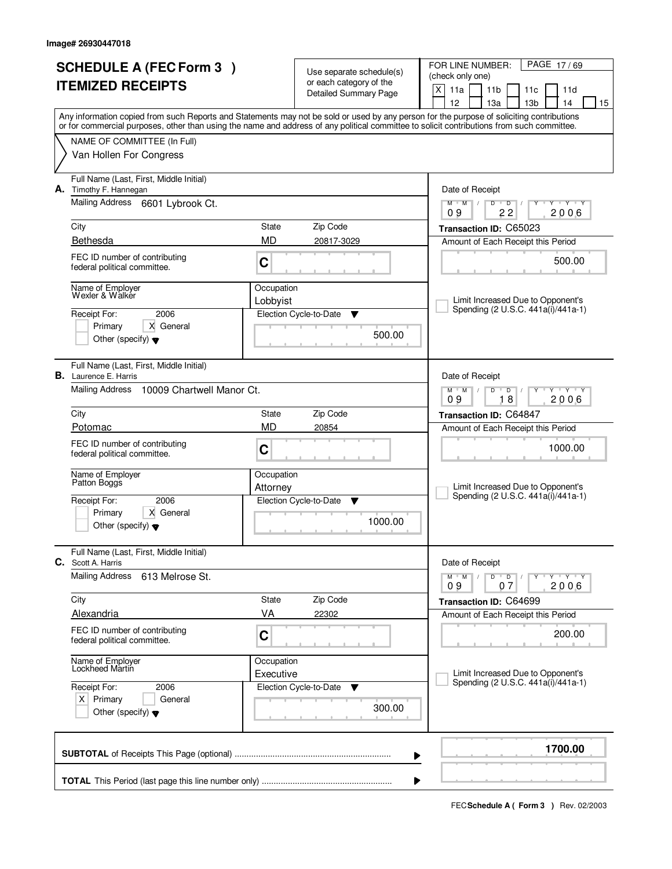| <b>SCHEDULE A (FEC Form 3)</b><br><b>ITEMIZED RECEIPTS</b>                                                                                                                                                                                                                                                                                                                                                                        |                                                   | Use separate schedule(s)<br>or each category of the<br><b>Detailed Summary Page</b>                  | PAGE 17/69<br>FOR LINE NUMBER:<br>(check only one)<br>X<br>11a<br>11 <sub>b</sub><br>11c<br>11d<br>12<br>13a<br>13 <sub>b</sub><br>14<br>15                                                                                                                                   |
|-----------------------------------------------------------------------------------------------------------------------------------------------------------------------------------------------------------------------------------------------------------------------------------------------------------------------------------------------------------------------------------------------------------------------------------|---------------------------------------------------|------------------------------------------------------------------------------------------------------|-------------------------------------------------------------------------------------------------------------------------------------------------------------------------------------------------------------------------------------------------------------------------------|
| Any information copied from such Reports and Statements may not be sold or used by any person for the purpose of soliciting contributions<br>or for commercial purposes, other than using the name and address of any political committee to solicit contributions from such committee.<br>NAME OF COMMITTEE (In Full)<br>Van Hollen For Congress                                                                                 |                                                   |                                                                                                      |                                                                                                                                                                                                                                                                               |
| Full Name (Last, First, Middle Initial)<br>A. Timothy F. Hannegan<br>Mailing Address 6601 Lybrook Ct.<br>City                                                                                                                                                                                                                                                                                                                     | Zip Code<br>State<br><b>MD</b>                    |                                                                                                      | Date of Receipt<br>$M$ $M$ /<br>D<br>$\overline{D}$<br>$T - Y$<br>Υ<br>22<br>2006<br>09<br>Transaction ID: C65023                                                                                                                                                             |
| Bethesda<br>FEC ID number of contributing<br>federal political committee.<br>Name of Employer<br>Wexler & Walker<br>2006<br>Receipt For:<br>Primary<br>X General<br>Other (specify) $\blacktriangledown$                                                                                                                                                                                                                          | C<br>Occupation<br>Lobbyist                       | 20817-3029<br>Election Cycle-to-Date<br>▼<br>500.00                                                  | Amount of Each Receipt this Period<br>500.00<br>Limit Increased Due to Opponent's<br>Spending (2 U.S.C. 441a(i)/441a-1)                                                                                                                                                       |
| Full Name (Last, First, Middle Initial)<br><b>B.</b> Laurence E. Harris<br>Mailing Address<br>10009 Chartwell Manor Ct.<br>City<br>Potomac<br>FEC ID number of contributing<br>federal political committee.<br>Name of Employer<br>Patton Boggs                                                                                                                                                                                   | State<br><b>MD</b><br>C<br>Occupation<br>Attorney | Zip Code<br>20854                                                                                    | Date of Receipt<br>$Y$ $Y$<br>$M$ M<br>D<br>D<br>18<br>2006<br>09<br>Transaction ID: C64847<br>Amount of Each Receipt this Period<br>1000.00<br>Limit Increased Due to Opponent's                                                                                             |
| 2006<br>Receipt For:<br>Primary<br>X General<br>Other (specify) $\blacktriangledown$<br>Full Name (Last, First, Middle Initial)<br><b>C.</b> Scott A. Harris<br><b>Mailing Address</b><br>613 Melrose St.<br>City<br>Alexandria<br>FEC ID number of contributing<br>federal political committee.<br>Name of Employer<br>Lockheed Martin<br>Receipt For:<br>2006<br>$X$ Primary<br>General<br>Other (specify) $\blacktriangledown$ | State<br>VA<br>С<br>Occupation<br>Executive       | Election Cycle-to-Date<br>v<br>1000.00<br>Zip Code<br>22302<br>Election Cycle-to-Date<br>▼<br>300.00 | Spending (2 U.S.C. 441a(i)/441a-1)<br>Date of Receipt<br>Y Y Y Y<br>$M$ <sup>U</sup><br>M<br>$D$ $D$<br>2006<br>09<br>07<br>Transaction ID: C64699<br>Amount of Each Receipt this Period<br>200.00<br>Limit Increased Due to Opponent's<br>Spending (2 U.S.C. 441a(i)/441a-1) |
|                                                                                                                                                                                                                                                                                                                                                                                                                                   |                                                   | ▶                                                                                                    | 1700.00                                                                                                                                                                                                                                                                       |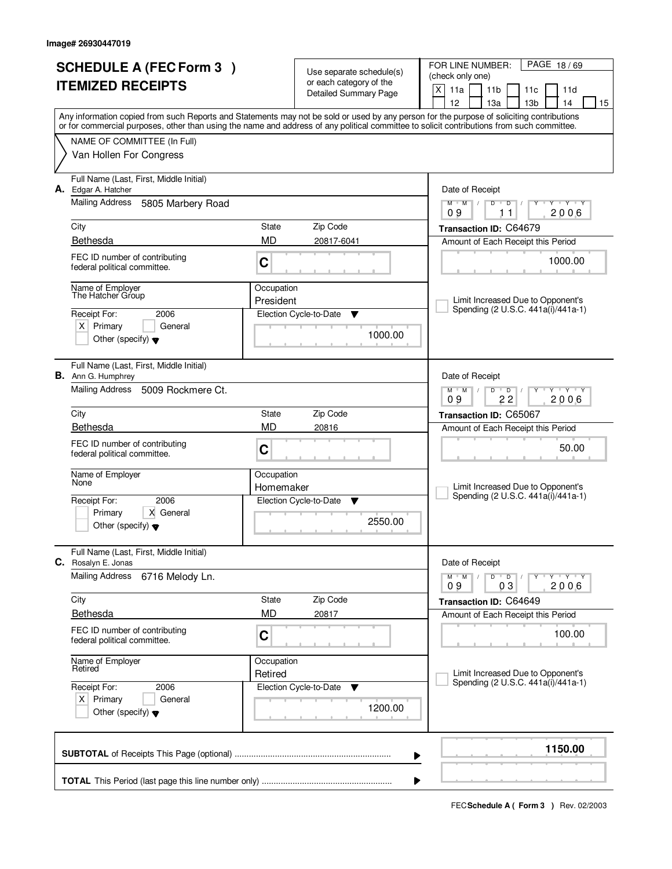| <b>SCHEDULE A (FEC Form 3)</b> |                                                                      | Use separate schedule(s)<br>or each category of the |                             | PAGE 18/69<br>FOR LINE NUMBER:<br>(check only one)                                                                                                                                    |  |
|--------------------------------|----------------------------------------------------------------------|-----------------------------------------------------|-----------------------------|---------------------------------------------------------------------------------------------------------------------------------------------------------------------------------------|--|
|                                | <b>ITEMIZED RECEIPTS</b>                                             |                                                     | Detailed Summary Page       | $\mathsf{X}$<br>11a<br>11 <sub>b</sub><br>11c<br>11d                                                                                                                                  |  |
|                                |                                                                      |                                                     |                             | 12<br>13 <sub>b</sub><br>13a<br>14<br>15<br>Any information copied from such Reports and Statements may not be sold or used by any person for the purpose of soliciting contributions |  |
|                                |                                                                      |                                                     |                             | or for commercial purposes, other than using the name and address of any political committee to solicit contributions from such committee.                                            |  |
|                                | NAME OF COMMITTEE (In Full)<br>Van Hollen For Congress               |                                                     |                             |                                                                                                                                                                                       |  |
|                                | Full Name (Last, First, Middle Initial)<br>A. Edgar A. Hatcher       |                                                     |                             | Date of Receipt                                                                                                                                                                       |  |
|                                | <b>Mailing Address</b><br>5805 Marbery Road                          |                                                     |                             | $M$ $M$ /<br>$\overline{D}$<br>$Y - Y - Y - Y$<br>$D$ <sup>U</sup><br>$\frac{1}{2}$<br>2006<br>09<br>11                                                                               |  |
|                                | City                                                                 | State                                               | Zip Code                    | Transaction ID: C64679                                                                                                                                                                |  |
|                                | Bethesda                                                             | <b>MD</b>                                           | 20817-6041                  | Amount of Each Receipt this Period                                                                                                                                                    |  |
|                                | FEC ID number of contributing<br>federal political committee.        | C                                                   |                             | 1000.00                                                                                                                                                                               |  |
|                                | Name of Employer<br>The Hatcher Group                                | Occupation<br>President                             |                             | Limit Increased Due to Opponent's                                                                                                                                                     |  |
|                                | Receipt For:<br>2006                                                 |                                                     | Election Cycle-to-Date<br>v | Spending (2 U.S.C. 441a(i)/441a-1)                                                                                                                                                    |  |
|                                | $X$ Primary<br>General<br>Other (specify) $\blacktriangledown$       |                                                     | 1000.00                     |                                                                                                                                                                                       |  |
|                                | Full Name (Last, First, Middle Initial)<br><b>B.</b> Ann G. Humphrey |                                                     |                             | Date of Receipt                                                                                                                                                                       |  |
|                                | Mailing Address<br>5009 Rockmere Ct.                                 |                                                     |                             | $M$ $M$ $/$<br>D<br>$\overline{D}$<br>$Y \vdash Y \vdash Y$<br>22<br>2006<br>09                                                                                                       |  |
|                                | City                                                                 | State                                               | Zip Code                    | Transaction ID: C65067                                                                                                                                                                |  |
|                                | Bethesda                                                             | <b>MD</b>                                           | 20816                       | Amount of Each Receipt this Period                                                                                                                                                    |  |
|                                | FEC ID number of contributing<br>federal political committee.        | C                                                   |                             | 50.00                                                                                                                                                                                 |  |
|                                | Name of Employer<br>None                                             | Occupation                                          |                             |                                                                                                                                                                                       |  |
|                                | 2006<br>Receipt For:                                                 | Homemaker                                           | Election Cycle-to-Date<br>Y | Limit Increased Due to Opponent's<br>Spending (2 U.S.C. 441a(i)/441a-1)                                                                                                               |  |
|                                | Primary<br>X General                                                 |                                                     |                             |                                                                                                                                                                                       |  |
|                                | Other (specify) $\blacktriangledown$                                 |                                                     | 2550.00                     |                                                                                                                                                                                       |  |
|                                | Full Name (Last, First, Middle Initial)<br>C. Rosalyn E. Jonas       |                                                     |                             | Date of Receipt                                                                                                                                                                       |  |
|                                | <b>Mailing Address</b><br>6716 Melody Ln.                            |                                                     |                             | $Y - Y - Y - Y$<br>$M$ $M$ /<br>$D$ $D$ $/$<br>2006<br>03<br>09                                                                                                                       |  |
|                                | City                                                                 | State                                               | Zip Code                    | Transaction ID: C64649                                                                                                                                                                |  |
|                                | <b>Bethesda</b>                                                      | <b>MD</b>                                           | 20817                       | Amount of Each Receipt this Period                                                                                                                                                    |  |
|                                | FEC ID number of contributing<br>federal political committee.        | C                                                   |                             | 100.00                                                                                                                                                                                |  |
|                                | Name of Employer<br>Retired                                          | Occupation<br>Retired                               |                             | Limit Increased Due to Opponent's                                                                                                                                                     |  |
|                                | 2006<br>Receipt For:                                                 |                                                     | Election Cycle-to-Date<br>v | Spending (2 U.S.C. 441a(i)/441a-1)                                                                                                                                                    |  |
|                                | $X$ Primary<br>General<br>Other (specify) $\blacktriangledown$       |                                                     | 1200.00                     |                                                                                                                                                                                       |  |
|                                |                                                                      |                                                     |                             | 1150.00<br>▶                                                                                                                                                                          |  |
|                                |                                                                      |                                                     |                             | ▶                                                                                                                                                                                     |  |
|                                |                                                                      |                                                     |                             |                                                                                                                                                                                       |  |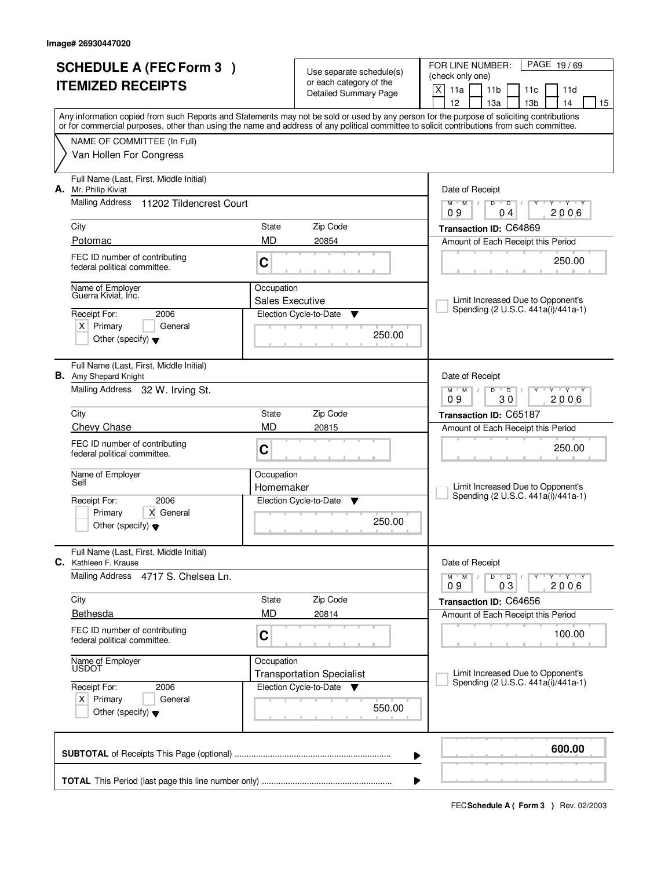| <b>SCHEDULE A (FEC Form 3)</b><br><b>ITEMIZED RECEIPTS</b> |                                                                         | Use separate schedule(s)             |                                                  | FOR LINE NUMBER:<br>PAGE 19/69<br>(check only one)                                                                                                                                                                                                                                      |
|------------------------------------------------------------|-------------------------------------------------------------------------|--------------------------------------|--------------------------------------------------|-----------------------------------------------------------------------------------------------------------------------------------------------------------------------------------------------------------------------------------------------------------------------------------------|
|                                                            |                                                                         |                                      | or each category of the<br>Detailed Summary Page | X<br>11a<br>11 <sub>b</sub><br>11d<br>11c<br>12<br>13 <sub>b</sub><br>13a<br>14<br>15                                                                                                                                                                                                   |
|                                                            |                                                                         |                                      |                                                  | Any information copied from such Reports and Statements may not be sold or used by any person for the purpose of soliciting contributions<br>or for commercial purposes, other than using the name and address of any political committee to solicit contributions from such committee. |
|                                                            | NAME OF COMMITTEE (In Full)                                             |                                      |                                                  |                                                                                                                                                                                                                                                                                         |
|                                                            | Van Hollen For Congress                                                 |                                      |                                                  |                                                                                                                                                                                                                                                                                         |
| А.                                                         | Full Name (Last, First, Middle Initial)<br>Mr. Philip Kiviat            |                                      |                                                  | Date of Receipt                                                                                                                                                                                                                                                                         |
|                                                            | <b>Mailing Address</b><br>11202 Tildencrest Court                       |                                      |                                                  | Y Y Y Y<br>$M$ <sup>U</sup><br>$M$ /<br>D<br>$\overline{D}$<br>2006<br>09<br>04                                                                                                                                                                                                         |
|                                                            | City                                                                    | State                                | Zip Code                                         | Transaction ID: C64869                                                                                                                                                                                                                                                                  |
|                                                            | Potomac                                                                 | MD                                   | 20854                                            | Amount of Each Receipt this Period                                                                                                                                                                                                                                                      |
|                                                            | FEC ID number of contributing<br>federal political committee.           | C                                    |                                                  | 250.00                                                                                                                                                                                                                                                                                  |
|                                                            | Name of Employer<br>Guerra Kiviat. Inc.                                 | Occupation<br><b>Sales Executive</b> |                                                  | Limit Increased Due to Opponent's                                                                                                                                                                                                                                                       |
|                                                            | Receipt For:<br>2006                                                    |                                      | Election Cycle-to-Date<br>▼                      | Spending (2 U.S.C. 441a(i)/441a-1)                                                                                                                                                                                                                                                      |
|                                                            | $X$ Primary<br>General<br>Other (specify) $\blacktriangledown$          |                                      | 250.00                                           |                                                                                                                                                                                                                                                                                         |
|                                                            | Full Name (Last, First, Middle Initial)<br><b>B.</b> Amy Shepard Knight |                                      |                                                  | Date of Receipt                                                                                                                                                                                                                                                                         |
|                                                            | Mailing Address 32 W. Irving St.                                        |                                      |                                                  | $M$ $M$ /<br>$\mathbf{Y} \mathbf{Y}$<br>D<br>$\overline{D}$<br>09<br>30<br>2006                                                                                                                                                                                                         |
|                                                            | City                                                                    | <b>State</b>                         | Zip Code                                         | Transaction ID: C65187                                                                                                                                                                                                                                                                  |
|                                                            | <b>Chevy Chase</b>                                                      | <b>MD</b>                            | 20815                                            | Amount of Each Receipt this Period                                                                                                                                                                                                                                                      |
|                                                            | FEC ID number of contributing<br>federal political committee.           | C                                    |                                                  | 250.00                                                                                                                                                                                                                                                                                  |
|                                                            | Name of Employer<br>Self                                                | Occupation                           |                                                  |                                                                                                                                                                                                                                                                                         |
|                                                            |                                                                         | Homemaker                            |                                                  | Limit Increased Due to Opponent's<br>Spending (2 U.S.C. 441a(i)/441a-1)                                                                                                                                                                                                                 |
|                                                            | 2006<br>Receipt For:<br>Primary<br>X General                            |                                      | Election Cycle-to-Date<br>v                      |                                                                                                                                                                                                                                                                                         |
|                                                            | Other (specify) $\blacktriangledown$                                    |                                      | 250.00                                           |                                                                                                                                                                                                                                                                                         |
|                                                            | Full Name (Last, First, Middle Initial)<br><b>C.</b> Kathleen F. Krause |                                      |                                                  | Date of Receipt                                                                                                                                                                                                                                                                         |
|                                                            | Mailing Address<br>4717 S. Chelsea Ln.                                  |                                      |                                                  | $D$ $D$<br>$M$ $M$ /<br>$Y + Y + Y$<br>09<br>2006<br>03                                                                                                                                                                                                                                 |
|                                                            | City                                                                    | State                                | Zip Code                                         | Transaction ID: C64656                                                                                                                                                                                                                                                                  |
|                                                            | <b>Bethesda</b>                                                         | <b>MD</b>                            | 20814                                            | Amount of Each Receipt this Period                                                                                                                                                                                                                                                      |
|                                                            | FEC ID number of contributing<br>federal political committee.           | C                                    |                                                  | 100.00                                                                                                                                                                                                                                                                                  |
|                                                            | Name of Employer<br>USDOT                                               | Occupation                           | <b>Transportation Specialist</b>                 | Limit Increased Due to Opponent's                                                                                                                                                                                                                                                       |
|                                                            | Receipt For:<br>2006                                                    |                                      | Election Cycle-to-Date<br><b>V</b>               | Spending (2 U.S.C. 441a(i)/441a-1)                                                                                                                                                                                                                                                      |
|                                                            | $X$ Primary<br>General<br>Other (specify) $\blacktriangledown$          |                                      | 550.00                                           |                                                                                                                                                                                                                                                                                         |
|                                                            |                                                                         |                                      |                                                  | 600.00<br>▶                                                                                                                                                                                                                                                                             |
|                                                            |                                                                         |                                      |                                                  |                                                                                                                                                                                                                                                                                         |
|                                                            |                                                                         |                                      |                                                  |                                                                                                                                                                                                                                                                                         |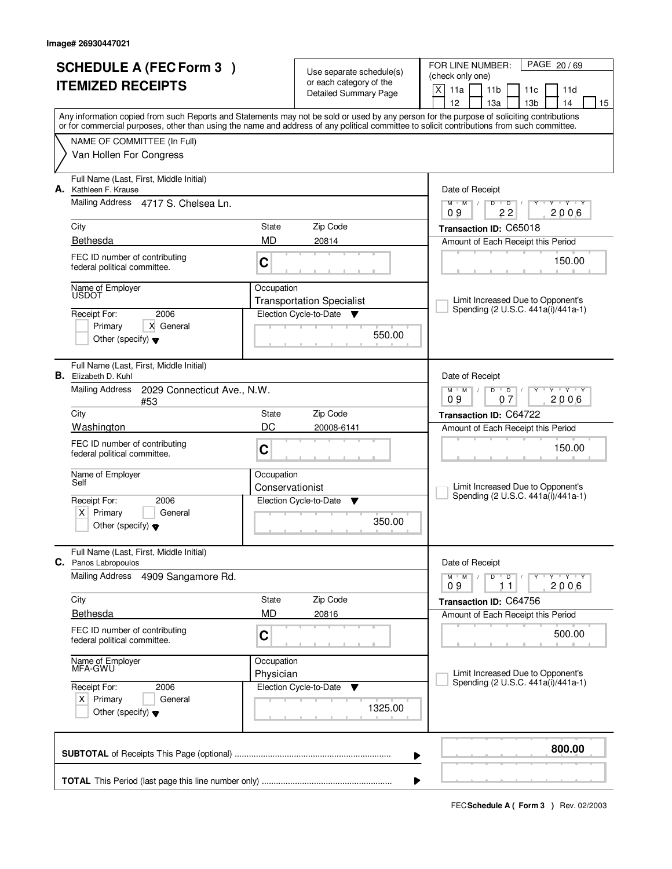| <b>SCHEDULE A (FEC Form 3)</b> |                                                                                                                                                                           |                         | Use separate schedule(s)<br>or each category of the | PAGE 20/69<br>FOR LINE NUMBER:<br>(check only one)                                                                                               |  |
|--------------------------------|---------------------------------------------------------------------------------------------------------------------------------------------------------------------------|-------------------------|-----------------------------------------------------|--------------------------------------------------------------------------------------------------------------------------------------------------|--|
|                                | <b>ITEMIZED RECEIPTS</b>                                                                                                                                                  |                         | Detailed Summary Page                               | $\mathsf{X}$<br>11a<br>11 <sub>b</sub><br>11c<br>11d<br>12<br>13 <sub>b</sub><br>14<br>15                                                        |  |
|                                |                                                                                                                                                                           |                         |                                                     | 13a<br>Any information copied from such Reports and Statements may not be sold or used by any person for the purpose of soliciting contributions |  |
|                                | or for commercial purposes, other than using the name and address of any political committee to solicit contributions from such committee.<br>NAME OF COMMITTEE (In Full) |                         |                                                     |                                                                                                                                                  |  |
|                                | Van Hollen For Congress                                                                                                                                                   |                         |                                                     |                                                                                                                                                  |  |
| А.                             | Full Name (Last, First, Middle Initial)<br>Kathleen F. Krause                                                                                                             |                         |                                                     | Date of Receipt                                                                                                                                  |  |
|                                | <b>Mailing Address</b><br>4717 S. Chelsea Ln.                                                                                                                             |                         |                                                     | $\mathsf D$<br><b>TY TY</b><br>$M$ $M$ /<br>D<br>Y<br>22<br>2006<br>09                                                                           |  |
|                                | City                                                                                                                                                                      | State                   | Zip Code                                            | Transaction ID: C65018                                                                                                                           |  |
|                                | Bethesda                                                                                                                                                                  | <b>MD</b>               | 20814                                               | Amount of Each Receipt this Period                                                                                                               |  |
|                                | FEC ID number of contributing<br>federal political committee.                                                                                                             | $\mathbf C$             |                                                     | 150.00                                                                                                                                           |  |
|                                | Name of Employer<br>USDOT                                                                                                                                                 | Occupation              | <b>Transportation Specialist</b>                    | Limit Increased Due to Opponent's                                                                                                                |  |
|                                | 2006<br>Receipt For:                                                                                                                                                      |                         | Election Cycle-to-Date<br>v                         | Spending (2 U.S.C. 441a(i)/441a-1)                                                                                                               |  |
|                                | X General<br>Primary<br>Other (specify) $\blacktriangledown$                                                                                                              |                         | 550.00                                              |                                                                                                                                                  |  |
|                                | Full Name (Last, First, Middle Initial)<br><b>B.</b> Elizabeth D. Kuhl                                                                                                    |                         |                                                     | Date of Receipt                                                                                                                                  |  |
|                                | Mailing Address<br>2029 Connecticut Ave., N.W.<br>#53                                                                                                                     |                         |                                                     | $M$ $M$ /<br>$D$ $D$<br>$Y \vdash Y \vdash Y$<br>09<br>2006<br>07                                                                                |  |
|                                | City                                                                                                                                                                      | State                   | Zip Code                                            | Transaction ID: C64722                                                                                                                           |  |
|                                | Washington                                                                                                                                                                | DC<br>20008-6141        |                                                     | Amount of Each Receipt this Period                                                                                                               |  |
|                                | FEC ID number of contributing<br>federal political committee.                                                                                                             | C                       |                                                     | 150.00                                                                                                                                           |  |
|                                | Name of Employer<br>Self                                                                                                                                                  | Occupation              |                                                     |                                                                                                                                                  |  |
|                                | Receipt For:<br>2006                                                                                                                                                      | Conservationist         | Election Cycle-to-Date<br>Y                         | Limit Increased Due to Opponent's<br>Spending (2 U.S.C. 441a(i)/441a-1)                                                                          |  |
|                                | Primary<br>$\times$<br>General                                                                                                                                            |                         |                                                     |                                                                                                                                                  |  |
|                                | Other (specify) $\blacktriangledown$                                                                                                                                      |                         | 350.00                                              |                                                                                                                                                  |  |
|                                | Full Name (Last, First, Middle Initial)<br><b>C.</b> Panos Labropoulos                                                                                                    |                         |                                                     | Date of Receipt                                                                                                                                  |  |
|                                | Mailing Address<br>4909 Sangamore Rd.                                                                                                                                     |                         |                                                     | $Y - Y - Y - Y$<br>$M$ $M$ /<br>$D$ $D$ $/$<br>2006<br>09<br>11                                                                                  |  |
|                                | City                                                                                                                                                                      | State                   | Zip Code                                            | Transaction ID: C64756                                                                                                                           |  |
|                                | <b>Bethesda</b>                                                                                                                                                           | <b>MD</b>               | 20816                                               | Amount of Each Receipt this Period                                                                                                               |  |
|                                | FEC ID number of contributing<br>federal political committee.                                                                                                             | C                       |                                                     | 500.00                                                                                                                                           |  |
|                                | Name of Employer<br>MFA-GWU                                                                                                                                               | Occupation<br>Physician |                                                     | Limit Increased Due to Opponent's                                                                                                                |  |
|                                | Receipt For:<br>2006                                                                                                                                                      |                         | Election Cycle-to-Date<br>v                         | Spending (2 U.S.C. 441a(i)/441a-1)                                                                                                               |  |
|                                | $X$ Primary<br>General<br>Other (specify) $\blacktriangledown$                                                                                                            |                         | 1325.00                                             |                                                                                                                                                  |  |
|                                |                                                                                                                                                                           |                         |                                                     | 800.00<br>▶                                                                                                                                      |  |
|                                |                                                                                                                                                                           |                         |                                                     | ▶                                                                                                                                                |  |
|                                |                                                                                                                                                                           |                         |                                                     |                                                                                                                                                  |  |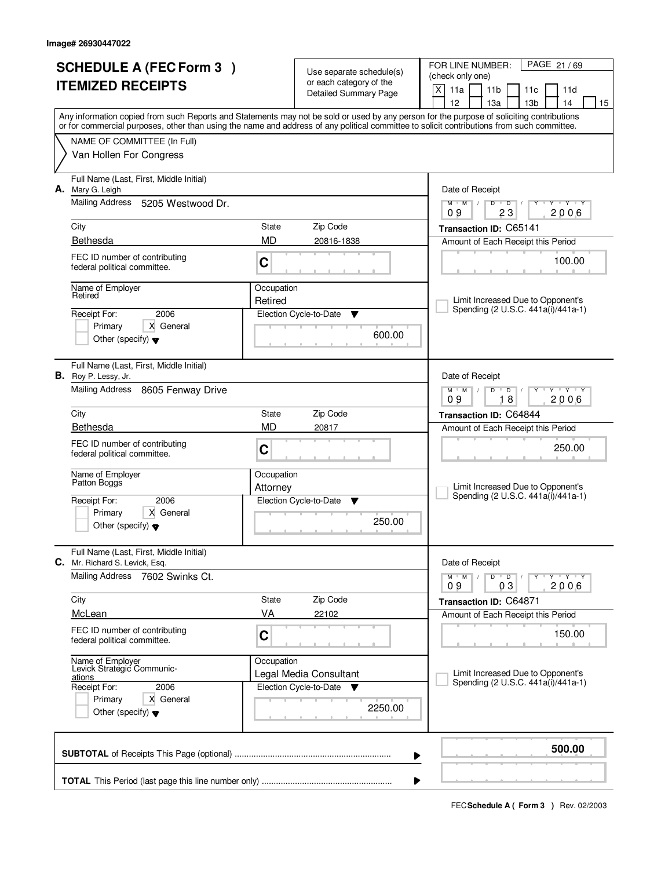| <b>SCHEDULE A (FEC Form 3)</b><br><b>ITEMIZED RECEIPTS</b> |                                                                                                                                            | Use separate schedule(s)<br>or each category of the |                                       | PAGE 21/69<br>FOR LINE NUMBER:<br>(check only one)                                                                                                                                    |  |
|------------------------------------------------------------|--------------------------------------------------------------------------------------------------------------------------------------------|-----------------------------------------------------|---------------------------------------|---------------------------------------------------------------------------------------------------------------------------------------------------------------------------------------|--|
|                                                            |                                                                                                                                            |                                                     | <b>Detailed Summary Page</b>          | X<br>11a<br>11 <sub>b</sub><br>11c<br>11d                                                                                                                                             |  |
|                                                            |                                                                                                                                            |                                                     |                                       | 12<br>14<br>13a<br>13 <sub>b</sub><br>15<br>Any information copied from such Reports and Statements may not be sold or used by any person for the purpose of soliciting contributions |  |
|                                                            | or for commercial purposes, other than using the name and address of any political committee to solicit contributions from such committee. |                                                     |                                       |                                                                                                                                                                                       |  |
|                                                            | NAME OF COMMITTEE (In Full)                                                                                                                |                                                     |                                       |                                                                                                                                                                                       |  |
|                                                            | Van Hollen For Congress                                                                                                                    |                                                     |                                       |                                                                                                                                                                                       |  |
| А.                                                         | Full Name (Last, First, Middle Initial)<br>Mary G. Leigh                                                                                   |                                                     |                                       | Date of Receipt                                                                                                                                                                       |  |
|                                                            | Mailing Address<br>5205 Westwood Dr.                                                                                                       |                                                     |                                       | $+Y+Y$<br>$M$ <sup><math>+</math></sup><br>$M$ /<br>D<br>$\overline{D}$<br>23<br>09<br>2006                                                                                           |  |
|                                                            | City                                                                                                                                       | State                                               | Zip Code                              | Transaction ID: C65141                                                                                                                                                                |  |
|                                                            | Bethesda                                                                                                                                   | <b>MD</b>                                           | 20816-1838                            | Amount of Each Receipt this Period                                                                                                                                                    |  |
|                                                            | FEC ID number of contributing<br>federal political committee.                                                                              | C                                                   |                                       | 100.00                                                                                                                                                                                |  |
|                                                            | Name of Employer<br>Retired                                                                                                                | Occupation<br>Retired                               |                                       | Limit Increased Due to Opponent's                                                                                                                                                     |  |
|                                                            | 2006<br>Receipt For:                                                                                                                       |                                                     | Election Cycle-to-Date<br>▼           | Spending (2 U.S.C. 441a(i)/441a-1)                                                                                                                                                    |  |
|                                                            | Primary<br>X General                                                                                                                       |                                                     | 600.00                                |                                                                                                                                                                                       |  |
|                                                            | Other (specify) $\blacktriangledown$                                                                                                       |                                                     |                                       |                                                                                                                                                                                       |  |
|                                                            | Full Name (Last, First, Middle Initial)<br><b>B.</b> Roy P. Lessy, Jr.                                                                     |                                                     |                                       | Date of Receipt                                                                                                                                                                       |  |
|                                                            | Mailing Address<br>8605 Fenway Drive                                                                                                       |                                                     |                                       | $M$ $M$<br>D<br>$\overline{D}$<br>$Y + Y$<br>18<br>09<br>2006                                                                                                                         |  |
|                                                            | City                                                                                                                                       | State                                               | Zip Code                              | Transaction ID: C64844                                                                                                                                                                |  |
|                                                            | Bethesda                                                                                                                                   | MD                                                  | 20817                                 | Amount of Each Receipt this Period                                                                                                                                                    |  |
|                                                            | FEC ID number of contributing<br>federal political committee.                                                                              | C                                                   |                                       | 250.00                                                                                                                                                                                |  |
|                                                            | Name of Employer<br>Patton Bogg's                                                                                                          | Occupation<br>Attorney                              |                                       | Limit Increased Due to Opponent's                                                                                                                                                     |  |
|                                                            | 2006<br>Receipt For:                                                                                                                       |                                                     | Election Cycle-to-Date<br>▼           | Spending (2 U.S.C. 441a(i)/441a-1)                                                                                                                                                    |  |
|                                                            | X General<br>Primary<br>Other (specify) $\blacktriangledown$                                                                               |                                                     | 250.00                                |                                                                                                                                                                                       |  |
| C.                                                         | Full Name (Last, First, Middle Initial)<br>Mr. Richard S. Levick, Esq.                                                                     |                                                     |                                       | Date of Receipt                                                                                                                                                                       |  |
|                                                            | Mailing Address<br>7602 Swinks Ct.                                                                                                         |                                                     |                                       | $D$ $D$ $/$<br>$M$ $M$ /<br>y y y y y y<br>09<br>03<br>2006                                                                                                                           |  |
|                                                            | City                                                                                                                                       | State                                               | Zip Code                              | Transaction ID: C64871                                                                                                                                                                |  |
|                                                            | McLean                                                                                                                                     | VA                                                  | 22102                                 | Amount of Each Receipt this Period                                                                                                                                                    |  |
|                                                            | FEC ID number of contributing<br>federal political committee.                                                                              | C                                                   |                                       | 150.00                                                                                                                                                                                |  |
|                                                            | Name of Employer<br>Levick Strategic Communic-                                                                                             | Occupation                                          |                                       |                                                                                                                                                                                       |  |
|                                                            | ations                                                                                                                                     |                                                     | Legal Media Consultant                | Limit Increased Due to Opponent's<br>Spending (2 U.S.C. 441a(i)/441a-1)                                                                                                               |  |
|                                                            | Receipt For:<br>2006<br>Primary<br>X General                                                                                               |                                                     | Election Cycle-to-Date<br>$\mathbf v$ |                                                                                                                                                                                       |  |
|                                                            | Other (specify) $\blacktriangledown$                                                                                                       |                                                     | 2250.00                               |                                                                                                                                                                                       |  |
|                                                            |                                                                                                                                            |                                                     |                                       | 500.00<br>▶                                                                                                                                                                           |  |
|                                                            |                                                                                                                                            |                                                     |                                       | ▶                                                                                                                                                                                     |  |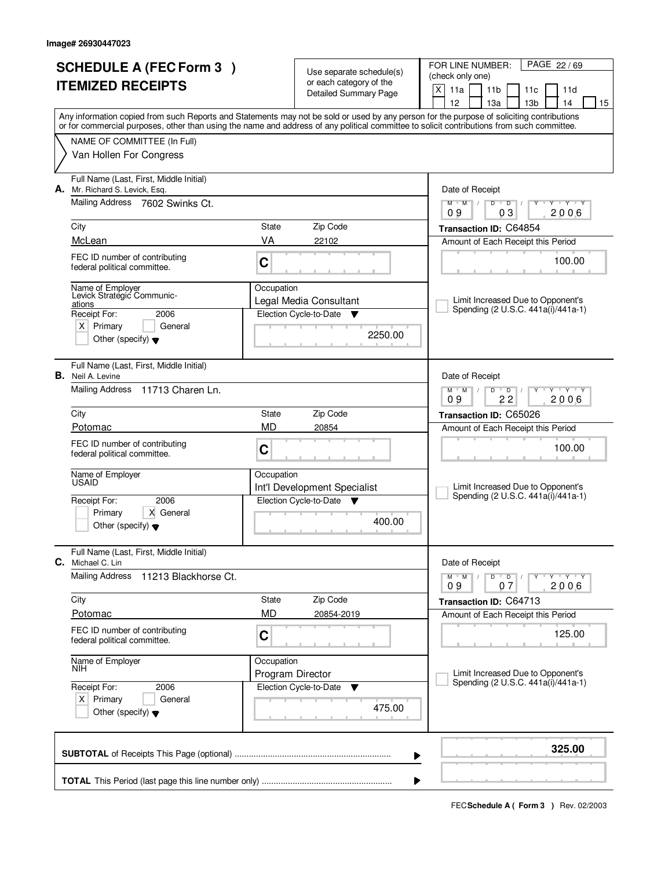| <b>SCHEDULE A (FEC Form 3)</b> |                                                                           |                  | Use separate schedule(s)                                 | PAGE 22/69<br>FOR LINE NUMBER:<br>(check only one)                                                                                                                                                                                                                                      |
|--------------------------------|---------------------------------------------------------------------------|------------------|----------------------------------------------------------|-----------------------------------------------------------------------------------------------------------------------------------------------------------------------------------------------------------------------------------------------------------------------------------------|
|                                | <b>ITEMIZED RECEIPTS</b>                                                  |                  | or each category of the<br>Detailed Summary Page         | X<br>11a<br>11 <sub>b</sub><br>11c<br>11d                                                                                                                                                                                                                                               |
|                                |                                                                           |                  |                                                          | 12<br>13 <sub>b</sub><br>14<br>13a<br>15                                                                                                                                                                                                                                                |
|                                |                                                                           |                  |                                                          | Any information copied from such Reports and Statements may not be sold or used by any person for the purpose of soliciting contributions<br>or for commercial purposes, other than using the name and address of any political committee to solicit contributions from such committee. |
|                                | NAME OF COMMITTEE (In Full)                                               |                  |                                                          |                                                                                                                                                                                                                                                                                         |
|                                | Van Hollen For Congress                                                   |                  |                                                          |                                                                                                                                                                                                                                                                                         |
|                                | Full Name (Last, First, Middle Initial)<br>A. Mr. Richard S. Levick, Esq. |                  |                                                          | Date of Receipt                                                                                                                                                                                                                                                                         |
|                                | Mailing Address 7602 Swinks Ct.                                           |                  |                                                          | $\overline{D}$<br>$+Y+Y$<br>$M$ <sup><math>+</math></sup><br>$M$ /<br>D<br>Y<br>0 <sub>3</sub><br>2006<br>09                                                                                                                                                                            |
|                                | City                                                                      | State            | Zip Code                                                 | Transaction ID: C64854                                                                                                                                                                                                                                                                  |
|                                | McLean                                                                    | VA               | 22102                                                    | Amount of Each Receipt this Period                                                                                                                                                                                                                                                      |
|                                | FEC ID number of contributing<br>federal political committee.             | C                |                                                          | 100.00                                                                                                                                                                                                                                                                                  |
|                                | Name of Employer<br>Levick Strategic Communic-                            | Occupation       | Legal Media Consultant                                   | Limit Increased Due to Opponent's                                                                                                                                                                                                                                                       |
|                                | ations<br>2006<br>Receipt For:                                            |                  | Election Cycle-to-Date<br>v                              | Spending (2 U.S.C. 441a(i)/441a-1)                                                                                                                                                                                                                                                      |
|                                | $X$ Primary<br>General<br>Other (specify) $\blacktriangledown$            |                  | 2250.00                                                  |                                                                                                                                                                                                                                                                                         |
|                                | Full Name (Last, First, Middle Initial)<br><b>B.</b> Neil A. Levine       |                  |                                                          | Date of Receipt                                                                                                                                                                                                                                                                         |
|                                | Mailing Address 11713 Charen Ln.                                          |                  |                                                          | D<br>$Y - Y - Y$<br>$M$ $M$ /<br>$\overline{D}$<br>09<br>22<br>2006                                                                                                                                                                                                                     |
|                                | City                                                                      | State            | Zip Code                                                 | Transaction ID: C65026                                                                                                                                                                                                                                                                  |
|                                | Potomac                                                                   | <b>MD</b>        | 20854                                                    | Amount of Each Receipt this Period                                                                                                                                                                                                                                                      |
|                                | FEC ID number of contributing<br>federal political committee.             | C                |                                                          | 100.00                                                                                                                                                                                                                                                                                  |
|                                | Name of Employer<br><b>USAID</b>                                          | Occupation       |                                                          |                                                                                                                                                                                                                                                                                         |
|                                | Receipt For:<br>2006                                                      |                  | Int'l Development Specialist<br>Election Cycle-to-Date ▼ | Limit Increased Due to Opponent's<br>Spending (2 U.S.C. 441a(i)/441a-1)                                                                                                                                                                                                                 |
|                                | Primary<br>X General                                                      |                  |                                                          |                                                                                                                                                                                                                                                                                         |
|                                | Other (specify) $\blacktriangledown$                                      |                  | 400.00                                                   |                                                                                                                                                                                                                                                                                         |
|                                | Full Name (Last, First, Middle Initial)<br>C. Michael C. Lin              |                  |                                                          | Date of Receipt                                                                                                                                                                                                                                                                         |
|                                | <b>Mailing Address</b><br>11213 Blackhorse Ct.                            |                  |                                                          | $D$ $D$ $/$<br>יץ ייך <i>ץ</i> ייך<br>$M$ $M$<br>$\sqrt{ }$<br>Y<br>2006<br>09<br>07                                                                                                                                                                                                    |
|                                | City                                                                      | State            | Zip Code                                                 | Transaction ID: C64713                                                                                                                                                                                                                                                                  |
|                                | Potomac                                                                   | MD               | 20854-2019                                               | Amount of Each Receipt this Period                                                                                                                                                                                                                                                      |
|                                | FEC ID number of contributing<br>federal political committee.             | C                |                                                          | 125.00                                                                                                                                                                                                                                                                                  |
|                                | Name of Employer<br>NIH                                                   | Occupation       |                                                          |                                                                                                                                                                                                                                                                                         |
|                                | Receipt For:<br>2006                                                      | Program Director | Election Cycle-to-Date<br>▼                              | Limit Increased Due to Opponent's<br>Spending (2 U.S.C. 441a(i)/441a-1)                                                                                                                                                                                                                 |
|                                | $X$ Primary<br>General<br>Other (specify) $\blacktriangledown$            |                  | 475.00                                                   |                                                                                                                                                                                                                                                                                         |
|                                |                                                                           |                  |                                                          | 325.00<br>▶                                                                                                                                                                                                                                                                             |
|                                |                                                                           |                  |                                                          |                                                                                                                                                                                                                                                                                         |
|                                |                                                                           |                  |                                                          |                                                                                                                                                                                                                                                                                         |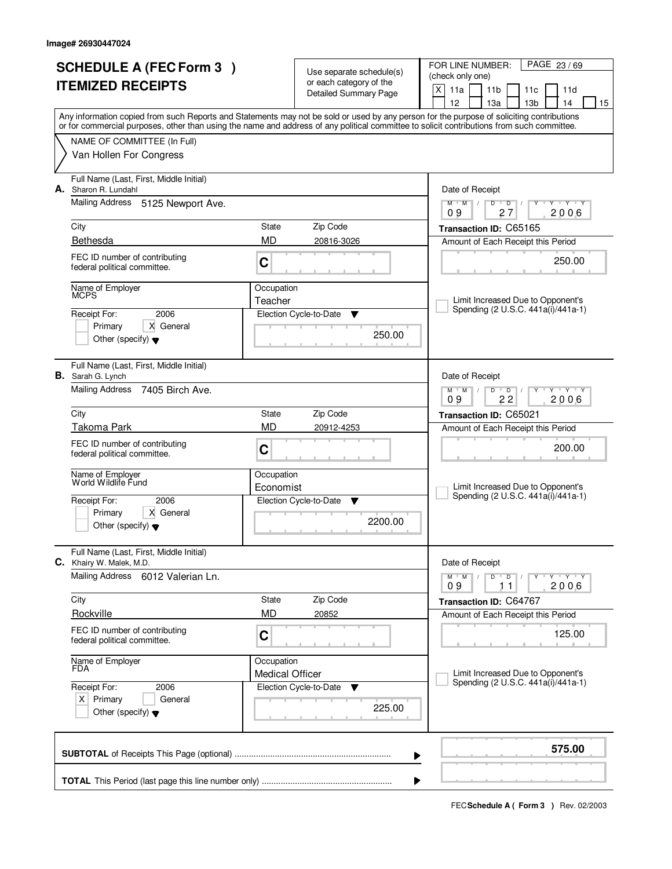|                          | <b>SCHEDULE A (FEC Form 3)</b>                                      |                        |                                                     | FOR LINE NUMBER:<br>PAGE 23/69                                                                                                                                                                                                                                                          |  |  |
|--------------------------|---------------------------------------------------------------------|------------------------|-----------------------------------------------------|-----------------------------------------------------------------------------------------------------------------------------------------------------------------------------------------------------------------------------------------------------------------------------------------|--|--|
| <b>ITEMIZED RECEIPTS</b> |                                                                     |                        | Use separate schedule(s)<br>or each category of the | (check only one)                                                                                                                                                                                                                                                                        |  |  |
|                          |                                                                     |                        | Detailed Summary Page                               | X<br>11a<br>11 <sub>b</sub><br>11c<br>11d                                                                                                                                                                                                                                               |  |  |
|                          |                                                                     |                        |                                                     | 12<br>13 <sub>b</sub><br>13a<br>14<br>15                                                                                                                                                                                                                                                |  |  |
|                          |                                                                     |                        |                                                     | Any information copied from such Reports and Statements may not be sold or used by any person for the purpose of soliciting contributions<br>or for commercial purposes, other than using the name and address of any political committee to solicit contributions from such committee. |  |  |
|                          | NAME OF COMMITTEE (In Full)                                         |                        |                                                     |                                                                                                                                                                                                                                                                                         |  |  |
|                          | Van Hollen For Congress                                             |                        |                                                     |                                                                                                                                                                                                                                                                                         |  |  |
| А.                       | Full Name (Last, First, Middle Initial)<br>Sharon R. Lundahl        |                        |                                                     | Date of Receipt                                                                                                                                                                                                                                                                         |  |  |
|                          | <b>Mailing Address</b><br>5125 Newport Ave.                         |                        |                                                     | Y Y Y Y<br>$M$ $M$ /<br>D<br>$\overline{D}$<br>2006<br>09<br>27                                                                                                                                                                                                                         |  |  |
|                          | City                                                                | State                  | Zip Code                                            | Transaction ID: C65165                                                                                                                                                                                                                                                                  |  |  |
|                          | Bethesda                                                            | <b>MD</b>              | 20816-3026                                          | Amount of Each Receipt this Period                                                                                                                                                                                                                                                      |  |  |
|                          | FEC ID number of contributing<br>federal political committee.       | C                      |                                                     | 250.00                                                                                                                                                                                                                                                                                  |  |  |
|                          | Name of Employer<br>MCPS                                            | Occupation             |                                                     |                                                                                                                                                                                                                                                                                         |  |  |
|                          |                                                                     | Teacher                |                                                     | Limit Increased Due to Opponent's                                                                                                                                                                                                                                                       |  |  |
|                          | 2006<br>Receipt For:                                                |                        | Election Cycle-to-Date<br>Y                         | Spending (2 U.S.C. 441a(i)/441a-1)                                                                                                                                                                                                                                                      |  |  |
|                          | X General<br>Primary                                                |                        | 250.00                                              |                                                                                                                                                                                                                                                                                         |  |  |
|                          | Other (specify) $\blacktriangledown$                                |                        |                                                     |                                                                                                                                                                                                                                                                                         |  |  |
|                          | Full Name (Last, First, Middle Initial)<br><b>B.</b> Sarah G. Lynch |                        |                                                     | Date of Receipt                                                                                                                                                                                                                                                                         |  |  |
|                          | Mailing Address<br>7405 Birch Ave.                                  |                        |                                                     | <u>י ץ י</u><br>$M$ $M$<br>D<br>$\overline{D}$                                                                                                                                                                                                                                          |  |  |
|                          |                                                                     |                        |                                                     | 22<br>2006<br>09                                                                                                                                                                                                                                                                        |  |  |
|                          | City                                                                | State                  | Zip Code                                            | Transaction ID: C65021                                                                                                                                                                                                                                                                  |  |  |
|                          | <b>Takoma Park</b>                                                  | <b>MD</b>              | 20912-4253                                          | Amount of Each Receipt this Period                                                                                                                                                                                                                                                      |  |  |
|                          | FEC ID number of contributing                                       | C                      |                                                     | 200.00                                                                                                                                                                                                                                                                                  |  |  |
|                          | federal political committee.                                        |                        |                                                     |                                                                                                                                                                                                                                                                                         |  |  |
|                          | Name of Employer                                                    | Occupation             |                                                     |                                                                                                                                                                                                                                                                                         |  |  |
|                          | World Wildlife Fund                                                 | Economist              |                                                     | Limit Increased Due to Opponent's<br>Spending (2 U.S.C. 441a(i)/441a-1)                                                                                                                                                                                                                 |  |  |
|                          | Receipt For:<br>2006                                                |                        | Election Cycle-to-Date<br>v                         |                                                                                                                                                                                                                                                                                         |  |  |
|                          | Primary<br>X General<br>Other (specify) $\blacktriangledown$        |                        | 2200.00                                             |                                                                                                                                                                                                                                                                                         |  |  |
|                          |                                                                     |                        |                                                     |                                                                                                                                                                                                                                                                                         |  |  |
|                          | Full Name (Last, First, Middle Initial)<br>C. Khairy W. Malek, M.D. |                        |                                                     | Date of Receipt                                                                                                                                                                                                                                                                         |  |  |
|                          | <b>Mailing Address</b><br>6012 Valerian Ln.                         |                        |                                                     | $D$ $D$ $/$<br>$M$ $M$ /<br>$Y + Y + Y$<br>2006<br>09<br>11                                                                                                                                                                                                                             |  |  |
|                          | City                                                                | State                  | Zip Code                                            | Transaction ID: C64767                                                                                                                                                                                                                                                                  |  |  |
|                          | Rockville                                                           | <b>MD</b>              | 20852                                               | Amount of Each Receipt this Period                                                                                                                                                                                                                                                      |  |  |
|                          | FEC ID number of contributing<br>federal political committee.       | $\mathbf C$            |                                                     | 125.00                                                                                                                                                                                                                                                                                  |  |  |
|                          | Name of Employer                                                    | Occupation             |                                                     |                                                                                                                                                                                                                                                                                         |  |  |
|                          | <b>FDA</b>                                                          | <b>Medical Officer</b> |                                                     | Limit Increased Due to Opponent's<br>Spending (2 U.S.C. 441a(i)/441a-1)                                                                                                                                                                                                                 |  |  |
|                          | Receipt For:<br>2006                                                |                        | Election Cycle-to-Date<br>▼                         |                                                                                                                                                                                                                                                                                         |  |  |
|                          | $X$ Primary<br>General<br>Other (specify) $\blacktriangledown$      |                        | 225.00                                              |                                                                                                                                                                                                                                                                                         |  |  |
|                          |                                                                     |                        |                                                     | 575.00<br>▶                                                                                                                                                                                                                                                                             |  |  |
|                          |                                                                     |                        |                                                     |                                                                                                                                                                                                                                                                                         |  |  |
|                          |                                                                     |                        |                                                     | ▶                                                                                                                                                                                                                                                                                       |  |  |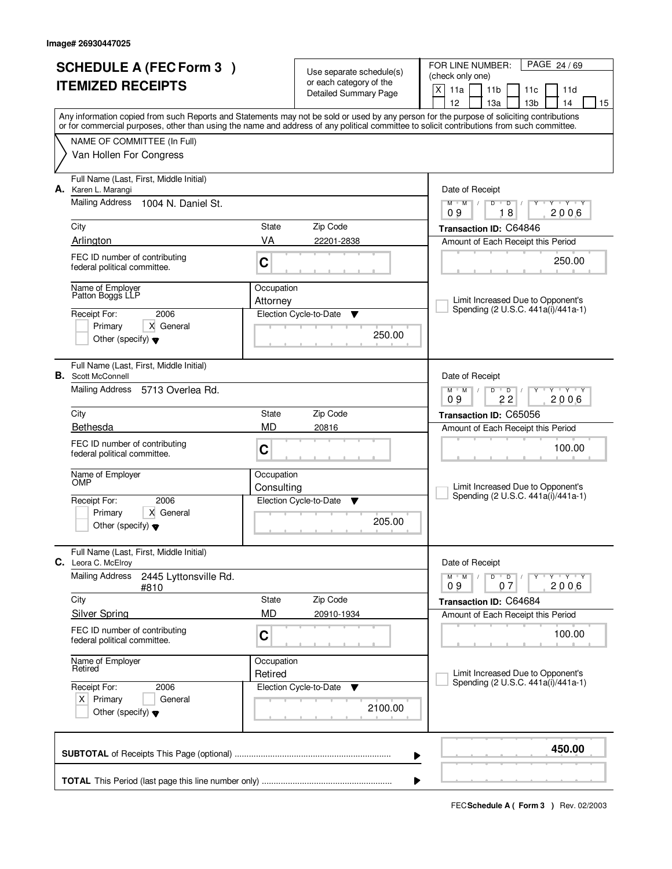|                          | <b>SCHEDULE A (FEC Form 3)</b>                                 |             | Use separate schedule(s)    | FOR LINE NUMBER:<br>PAGE 24/69                                                                                                             |  |  |
|--------------------------|----------------------------------------------------------------|-------------|-----------------------------|--------------------------------------------------------------------------------------------------------------------------------------------|--|--|
| <b>ITEMIZED RECEIPTS</b> |                                                                |             | or each category of the     | (check only one)<br>X<br>11a<br>11 <sub>b</sub>                                                                                            |  |  |
|                          |                                                                |             | Detailed Summary Page       | 11c<br>11d<br>12<br>13 <sub>b</sub><br>13a<br>14<br>15                                                                                     |  |  |
|                          |                                                                |             |                             | Any information copied from such Reports and Statements may not be sold or used by any person for the purpose of soliciting contributions  |  |  |
|                          |                                                                |             |                             | or for commercial purposes, other than using the name and address of any political committee to solicit contributions from such committee. |  |  |
|                          | NAME OF COMMITTEE (In Full)                                    |             |                             |                                                                                                                                            |  |  |
|                          | Van Hollen For Congress                                        |             |                             |                                                                                                                                            |  |  |
|                          | Full Name (Last, First, Middle Initial)<br>A. Karen L. Marangi |             |                             | Date of Receipt                                                                                                                            |  |  |
|                          | <b>Mailing Address</b><br>1004 N. Daniel St.                   |             |                             | Y Y Y Y<br>$M$ $M$ /<br>$D$ <sup>U</sup><br>$\overline{D}$<br>Y<br>18<br>2006<br>09                                                        |  |  |
|                          | City                                                           | State       | Zip Code                    | Transaction ID: C64846                                                                                                                     |  |  |
|                          | Arlington                                                      | VA          | 22201-2838                  | Amount of Each Receipt this Period                                                                                                         |  |  |
|                          | FEC ID number of contributing                                  |             |                             |                                                                                                                                            |  |  |
|                          | federal political committee.                                   | C           |                             | 250.00                                                                                                                                     |  |  |
|                          | Name of Employer<br>Patton Boggs LLP                           | Occupation  |                             |                                                                                                                                            |  |  |
|                          | 2006                                                           | Attorney    |                             | Limit Increased Due to Opponent's<br>Spending (2 U.S.C. 441a(i)/441a-1)                                                                    |  |  |
|                          | Receipt For:<br>X General<br>Primary                           |             | Election Cycle-to-Date<br>Y |                                                                                                                                            |  |  |
|                          | Other (specify) $\blacktriangledown$                           |             | 250.00                      |                                                                                                                                            |  |  |
|                          | Full Name (Last, First, Middle Initial)                        |             |                             |                                                                                                                                            |  |  |
|                          | <b>B.</b> Scott McConnell                                      |             |                             | Date of Receipt                                                                                                                            |  |  |
|                          | Mailing Address<br>5713 Overlea Rd.                            |             |                             | <u>י ץ י</u><br>$M$ $M$<br>D<br>$\overline{D}$<br>22<br>2006<br>09                                                                         |  |  |
|                          | City                                                           | State       | Zip Code                    | Transaction ID: C65056                                                                                                                     |  |  |
|                          | Bethesda                                                       | <b>MD</b>   | 20816                       | Amount of Each Receipt this Period                                                                                                         |  |  |
|                          | FEC ID number of contributing                                  | C           |                             | 100.00                                                                                                                                     |  |  |
|                          | federal political committee.                                   |             |                             |                                                                                                                                            |  |  |
|                          | Name of Employer                                               | Occupation  |                             |                                                                                                                                            |  |  |
|                          |                                                                | Consulting  |                             | Limit Increased Due to Opponent's<br>Spending (2 U.S.C. 441a(i)/441a-1)                                                                    |  |  |
|                          | 2006<br>Receipt For:                                           |             | Election Cycle-to-Date<br>Y |                                                                                                                                            |  |  |
|                          | Primary<br>X General<br>Other (specify) $\blacktriangledown$   |             | 205.00                      |                                                                                                                                            |  |  |
|                          |                                                                |             |                             |                                                                                                                                            |  |  |
|                          | Full Name (Last, First, Middle Initial)<br>C. Leora C. McElroy |             |                             | Date of Receipt                                                                                                                            |  |  |
|                          | <b>Mailing Address</b><br>2445 Lyttonsville Rd.<br>#810        |             |                             | $M$ $M$ $/$<br>D<br>$\overline{\phantom{0}}$ D $\overline{\phantom{0}}$ /<br>$Y + Y + Y$<br>2006<br>09<br>07                               |  |  |
|                          | City                                                           | State       | Zip Code                    | Transaction ID: C64684                                                                                                                     |  |  |
|                          | <b>Silver Spring</b>                                           | <b>MD</b>   | 20910-1934                  | Amount of Each Receipt this Period                                                                                                         |  |  |
|                          | FEC ID number of contributing                                  | $\mathbf C$ |                             | 100.00                                                                                                                                     |  |  |
|                          | federal political committee.                                   |             |                             |                                                                                                                                            |  |  |
|                          | Name of Employer<br>Retired                                    | Occupation  |                             |                                                                                                                                            |  |  |
|                          |                                                                | Retired     |                             | Limit Increased Due to Opponent's<br>Spending (2 U.S.C. 441a(i)/441a-1)                                                                    |  |  |
|                          | Receipt For:<br>2006<br>$X$ Primary<br>General                 |             | Election Cycle-to-Date<br>v |                                                                                                                                            |  |  |
|                          | Other (specify) $\blacktriangledown$                           |             | 2100.00                     |                                                                                                                                            |  |  |
|                          |                                                                |             |                             |                                                                                                                                            |  |  |
|                          |                                                                |             |                             | 450.00<br>▶                                                                                                                                |  |  |
|                          |                                                                |             |                             | ▶                                                                                                                                          |  |  |
|                          |                                                                |             |                             |                                                                                                                                            |  |  |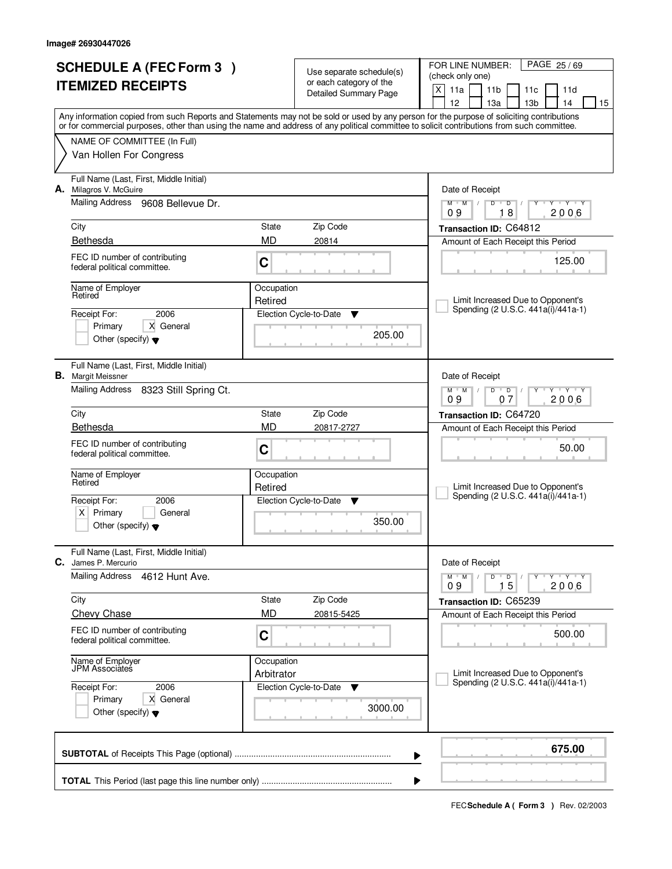| <b>SCHEDULE A (FEC Form 3)</b>                                                                                                                                                                                                                                                          |                       |                                                     | FOR LINE NUMBER:<br>PAGE 25/69                                                                               |
|-----------------------------------------------------------------------------------------------------------------------------------------------------------------------------------------------------------------------------------------------------------------------------------------|-----------------------|-----------------------------------------------------|--------------------------------------------------------------------------------------------------------------|
| <b>ITEMIZED RECEIPTS</b>                                                                                                                                                                                                                                                                |                       | Use separate schedule(s)<br>or each category of the | (check only one)                                                                                             |
|                                                                                                                                                                                                                                                                                         |                       | <b>Detailed Summary Page</b>                        | X<br>11a<br>11 <sub>b</sub><br>11c<br>11d                                                                    |
|                                                                                                                                                                                                                                                                                         |                       |                                                     | 12<br>13 <sub>b</sub><br>13a<br>14<br>15                                                                     |
| Any information copied from such Reports and Statements may not be sold or used by any person for the purpose of soliciting contributions<br>or for commercial purposes, other than using the name and address of any political committee to solicit contributions from such committee. |                       |                                                     |                                                                                                              |
| NAME OF COMMITTEE (In Full)                                                                                                                                                                                                                                                             |                       |                                                     |                                                                                                              |
| Van Hollen For Congress                                                                                                                                                                                                                                                                 |                       |                                                     |                                                                                                              |
| Full Name (Last, First, Middle Initial)<br>A. Milagros V. McGuire                                                                                                                                                                                                                       |                       |                                                     | Date of Receipt                                                                                              |
| <b>Mailing Address</b><br>9608 Bellevue Dr.                                                                                                                                                                                                                                             |                       |                                                     | $Y - Y - Y$<br>$M$ $M$ /<br>$D$ <sup>U</sup><br>$\overline{D}$<br>Y<br>18<br>2006<br>09                      |
| City                                                                                                                                                                                                                                                                                    | State                 | Zip Code                                            | Transaction ID: C64812                                                                                       |
| Bethesda                                                                                                                                                                                                                                                                                | MD<br>20814           |                                                     | Amount of Each Receipt this Period                                                                           |
| FEC ID number of contributing<br>federal political committee.                                                                                                                                                                                                                           | C                     |                                                     | 125.00                                                                                                       |
| Name of Employer<br>Retired                                                                                                                                                                                                                                                             | Occupation<br>Retired |                                                     | Limit Increased Due to Opponent's                                                                            |
| 2006<br>Receipt For:                                                                                                                                                                                                                                                                    |                       | Election Cycle-to-Date<br>Y                         | Spending (2 U.S.C. 441a(i)/441a-1)                                                                           |
| X General<br>Primary                                                                                                                                                                                                                                                                    |                       |                                                     |                                                                                                              |
| Other (specify) $\blacktriangledown$                                                                                                                                                                                                                                                    |                       | 205.00                                              |                                                                                                              |
| Full Name (Last, First, Middle Initial)<br><b>B.</b> Margit Meissner                                                                                                                                                                                                                    |                       |                                                     | Date of Receipt                                                                                              |
| Mailing Address<br>8323 Still Spring Ct.                                                                                                                                                                                                                                                |                       |                                                     | <b>TEXT TY</b><br>$M$ $M$ /<br>D<br>$\overline{D}$<br>07<br>2006<br>09                                       |
| City                                                                                                                                                                                                                                                                                    | State                 | Zip Code                                            | Transaction ID: C64720                                                                                       |
| Bethesda                                                                                                                                                                                                                                                                                | <b>MD</b>             | 20817-2727                                          | Amount of Each Receipt this Period                                                                           |
| FEC ID number of contributing<br>federal political committee.                                                                                                                                                                                                                           | C                     |                                                     | 50.00                                                                                                        |
| Name of Employer<br>Retired                                                                                                                                                                                                                                                             | Occupation            |                                                     |                                                                                                              |
|                                                                                                                                                                                                                                                                                         | Retired               |                                                     | Limit Increased Due to Opponent's<br>Spending (2 U.S.C. 441a(i)/441a-1)                                      |
| Receipt For:<br>2006                                                                                                                                                                                                                                                                    |                       | Election Cycle-to-Date<br>▼                         |                                                                                                              |
| Primary<br>$X \mid$<br>General<br>Other (specify) $\blacktriangledown$                                                                                                                                                                                                                  |                       | 350.00                                              |                                                                                                              |
| Full Name (Last, First, Middle Initial)<br>C.<br>James P. Mercurio                                                                                                                                                                                                                      |                       |                                                     | Date of Receipt                                                                                              |
| <b>Mailing Address</b><br>4612 Hunt Ave.                                                                                                                                                                                                                                                |                       |                                                     | D<br>$M$ $M$ $/$<br>$\overline{\phantom{0}}$ D $\overline{\phantom{0}}$ /<br>$Y + Y + Y$<br>2006<br>15<br>09 |
| City                                                                                                                                                                                                                                                                                    | State                 | Zip Code                                            | Transaction ID: C65239                                                                                       |
| <b>Chevy Chase</b>                                                                                                                                                                                                                                                                      | <b>MD</b>             | 20815-5425                                          | Amount of Each Receipt this Period                                                                           |
| FEC ID number of contributing<br>federal political committee.                                                                                                                                                                                                                           | $\mathbf C$           |                                                     | 500.00                                                                                                       |
| Name of Employer<br>JPM Associates                                                                                                                                                                                                                                                      | Occupation            |                                                     |                                                                                                              |
|                                                                                                                                                                                                                                                                                         | Arbitrator            |                                                     | Limit Increased Due to Opponent's<br>Spending (2 U.S.C. 441a(i)/441a-1)                                      |
| Receipt For:<br>2006                                                                                                                                                                                                                                                                    |                       | Election Cycle-to-Date<br>v                         |                                                                                                              |
| Primary<br>X General<br>Other (specify) $\blacktriangledown$                                                                                                                                                                                                                            |                       | 3000.00                                             |                                                                                                              |
|                                                                                                                                                                                                                                                                                         |                       |                                                     | 675.00<br>▶                                                                                                  |
|                                                                                                                                                                                                                                                                                         |                       |                                                     | ▶                                                                                                            |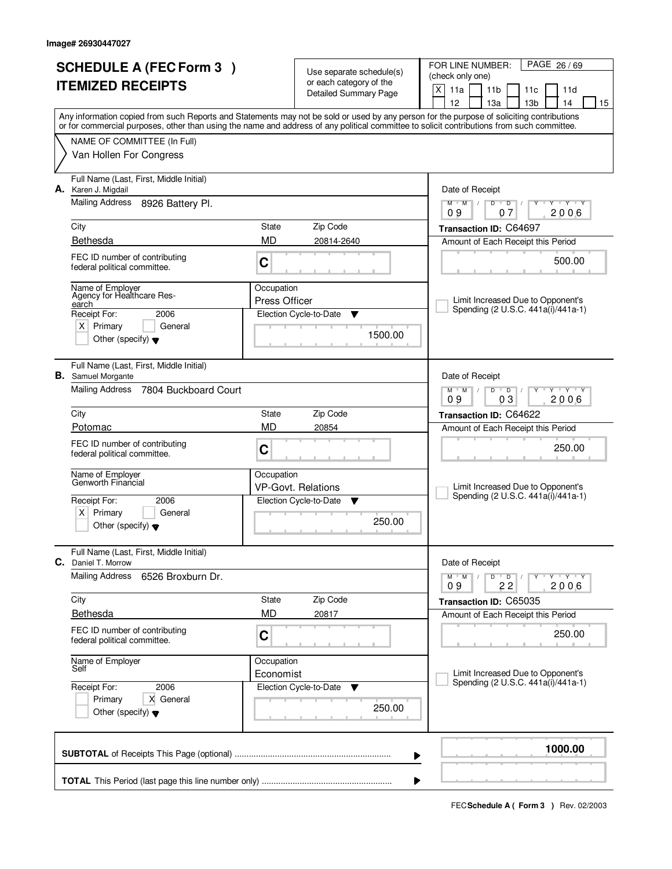| <b>SCHEDULE A (FEC Form 3)</b>                                                                                                             |                                    | Use separate schedule(s)                         | PAGE 26/69<br>FOR LINE NUMBER:<br>(check only one)                                                                                        |  |  |  |
|--------------------------------------------------------------------------------------------------------------------------------------------|------------------------------------|--------------------------------------------------|-------------------------------------------------------------------------------------------------------------------------------------------|--|--|--|
| <b>ITEMIZED RECEIPTS</b>                                                                                                                   |                                    | or each category of the<br>Detailed Summary Page | X<br>11a<br>11 <sub>b</sub><br>11c<br>11d<br>12<br>13 <sub>b</sub><br>14<br>13a<br>15                                                     |  |  |  |
| or for commercial purposes, other than using the name and address of any political committee to solicit contributions from such committee. |                                    |                                                  | Any information copied from such Reports and Statements may not be sold or used by any person for the purpose of soliciting contributions |  |  |  |
| NAME OF COMMITTEE (In Full)<br>Van Hollen For Congress                                                                                     |                                    |                                                  |                                                                                                                                           |  |  |  |
| Full Name (Last, First, Middle Initial)<br>A. Karen J. Migdail                                                                             |                                    |                                                  | Date of Receipt                                                                                                                           |  |  |  |
| Mailing Address<br>8926 Battery Pl.                                                                                                        |                                    |                                                  | $\overline{Y}$ $\overline{Y}$ $\overline{Y}$<br>$M$ <sup>U</sup><br>$M$ /<br>D<br>$\overline{D}$<br>Y<br>2006<br>09<br>07                 |  |  |  |
| City                                                                                                                                       | State                              | Zip Code                                         | Transaction ID: C64697                                                                                                                    |  |  |  |
| Bethesda                                                                                                                                   | <b>MD</b>                          | 20814-2640                                       | Amount of Each Receipt this Period                                                                                                        |  |  |  |
| FEC ID number of contributing<br>federal political committee.                                                                              | $\mathbf C$                        |                                                  | 500.00                                                                                                                                    |  |  |  |
| Name of Employer<br>Agency for Healthcare Res-<br>earch                                                                                    | Occupation<br><b>Press Officer</b> |                                                  | Limit Increased Due to Opponent's                                                                                                         |  |  |  |
| Receipt For:<br>2006                                                                                                                       |                                    | Election Cycle-to-Date<br>Y                      | Spending (2 U.S.C. 441a(i)/441a-1)                                                                                                        |  |  |  |
| $X$ Primary<br>General<br>Other (specify) $\blacktriangledown$                                                                             |                                    | 1500.00                                          |                                                                                                                                           |  |  |  |
| Full Name (Last, First, Middle Initial)<br><b>B.</b> Samuel Morgante                                                                       |                                    |                                                  | Date of Receipt                                                                                                                           |  |  |  |
| <b>Mailing Address</b><br>7804 Buckboard Court                                                                                             |                                    |                                                  | $D$ $D$<br>$Y - Y - Y$<br>$M$ $M$ /<br>09<br>03<br>2006                                                                                   |  |  |  |
| City                                                                                                                                       | State                              | Zip Code                                         | Transaction ID: C64622                                                                                                                    |  |  |  |
| Potomac                                                                                                                                    | <b>MD</b>                          | 20854                                            | Amount of Each Receipt this Period                                                                                                        |  |  |  |
| FEC ID number of contributing<br>federal political committee.                                                                              | C                                  |                                                  | 250.00                                                                                                                                    |  |  |  |
| Name of Employer<br>Genworth Financial                                                                                                     | Occupation                         | <b>VP-Govt. Relations</b>                        | Limit Increased Due to Opponent's                                                                                                         |  |  |  |
| Receipt For:<br>2006                                                                                                                       |                                    | Election Cycle-to-Date<br>v                      | Spending (2 U.S.C. 441a(i)/441a-1)                                                                                                        |  |  |  |
| $x \mid$<br>Primary<br>General<br>Other (specify) $\blacktriangledown$                                                                     |                                    | 250.00                                           |                                                                                                                                           |  |  |  |
| Full Name (Last, First, Middle Initial)<br>C. Daniel T. Morrow                                                                             |                                    |                                                  | Date of Receipt                                                                                                                           |  |  |  |
| <b>Mailing Address</b><br>6526 Broxburn Dr.                                                                                                |                                    |                                                  | $D$ $D$ $I$<br>πηγππηγππηγ<br>$M$ M<br>$\sqrt{ }$<br>2006<br>22<br>09                                                                     |  |  |  |
| City                                                                                                                                       | State                              | Zip Code                                         | Transaction ID: C65035                                                                                                                    |  |  |  |
| Bethesda                                                                                                                                   | <b>MD</b>                          | 20817                                            | Amount of Each Receipt this Period                                                                                                        |  |  |  |
| FEC ID number of contributing<br>federal political committee.                                                                              | C                                  |                                                  | 250.00                                                                                                                                    |  |  |  |
| Name of Employer<br>Self                                                                                                                   | Occupation                         |                                                  |                                                                                                                                           |  |  |  |
| Receipt For:<br>2006                                                                                                                       | Economist                          | Election Cycle-to-Date<br>v                      | Limit Increased Due to Opponent's<br>Spending (2 U.S.C. 441a(i)/441a-1)                                                                   |  |  |  |
| X General<br>Primary<br>Other (specify) $\blacktriangledown$                                                                               |                                    | 250.00                                           |                                                                                                                                           |  |  |  |
|                                                                                                                                            |                                    |                                                  | 1000.00<br>▶                                                                                                                              |  |  |  |
|                                                                                                                                            |                                    |                                                  |                                                                                                                                           |  |  |  |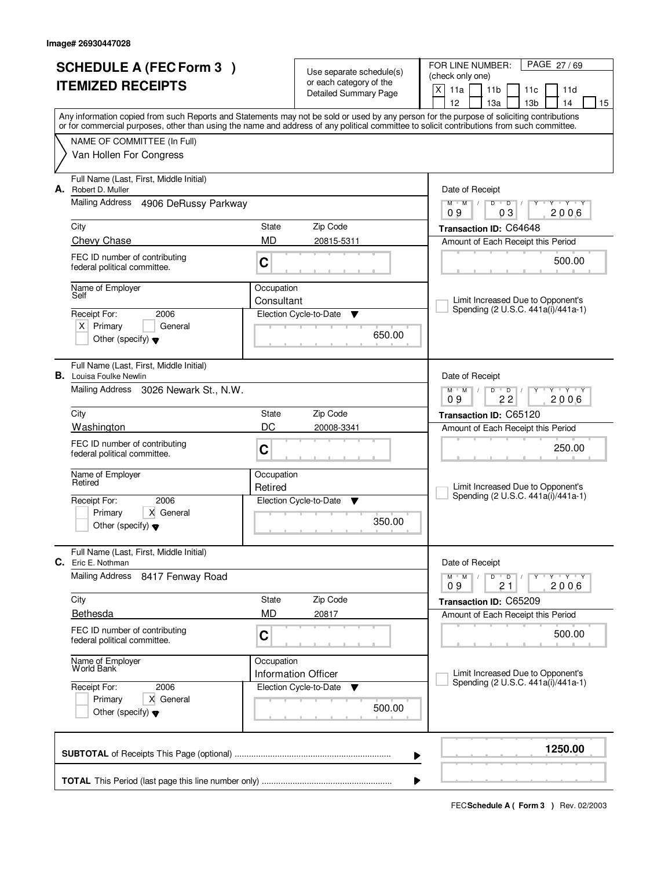|    | <b>SCHEDULE A (FEC Form 3)</b><br><b>ITEMIZED RECEIPTS</b>                |            | Use separate schedule(s)<br>or each category of the       | FOR LINE NUMBER:<br>PAGE 27/69<br>(check only one)                                                                                                                                                                                                                                      |  |  |  |
|----|---------------------------------------------------------------------------|------------|-----------------------------------------------------------|-----------------------------------------------------------------------------------------------------------------------------------------------------------------------------------------------------------------------------------------------------------------------------------------|--|--|--|
|    |                                                                           |            | <b>Detailed Summary Page</b>                              | X<br>11a<br>11 <sub>b</sub><br>11d<br>11c<br>12<br>13 <sub>b</sub><br>13a<br>14<br>15                                                                                                                                                                                                   |  |  |  |
|    |                                                                           |            |                                                           | Any information copied from such Reports and Statements may not be sold or used by any person for the purpose of soliciting contributions<br>or for commercial purposes, other than using the name and address of any political committee to solicit contributions from such committee. |  |  |  |
|    | NAME OF COMMITTEE (In Full)                                               |            |                                                           |                                                                                                                                                                                                                                                                                         |  |  |  |
|    | Van Hollen For Congress                                                   |            |                                                           |                                                                                                                                                                                                                                                                                         |  |  |  |
| А. | Full Name (Last, First, Middle Initial)<br>Robert D. Muller               |            |                                                           | Date of Receipt                                                                                                                                                                                                                                                                         |  |  |  |
|    | Mailing Address<br>4906 DeRussy Parkway                                   |            |                                                           | $D$ $D$<br><b>TEYTY</b><br>$M$ <sup>U</sup><br>M<br>$\sqrt{2}$<br>Y<br>2006<br>09<br>03                                                                                                                                                                                                 |  |  |  |
|    | City                                                                      | State      | Zip Code                                                  | Transaction ID: C64648                                                                                                                                                                                                                                                                  |  |  |  |
|    | Chevy Chase                                                               | <b>MD</b>  | 20815-5311                                                | Amount of Each Receipt this Period                                                                                                                                                                                                                                                      |  |  |  |
|    | FEC ID number of contributing<br>federal political committee.             | C          |                                                           | 500.00                                                                                                                                                                                                                                                                                  |  |  |  |
|    | Name of Employer<br>Self                                                  | Occupation |                                                           |                                                                                                                                                                                                                                                                                         |  |  |  |
|    | Receipt For:<br>2006                                                      | Consultant | Election Cycle-to-Date<br>Y                               | Limit Increased Due to Opponent's<br>Spending (2 U.S.C. 441a(i)/441a-1)                                                                                                                                                                                                                 |  |  |  |
|    | $X$ Primary<br>General                                                    |            |                                                           |                                                                                                                                                                                                                                                                                         |  |  |  |
|    | Other (specify) $\blacktriangledown$                                      |            | 650.00                                                    |                                                                                                                                                                                                                                                                                         |  |  |  |
|    | Full Name (Last, First, Middle Initial)<br><b>B.</b> Louisa Foulke Newlin |            |                                                           | Date of Receipt                                                                                                                                                                                                                                                                         |  |  |  |
|    | Mailing Address 3026 Newark St., N.W.                                     |            |                                                           | $M$ $M$ $/$<br>D<br>$\overline{D}$<br><b>TEY TY</b><br>22<br>2006<br>09                                                                                                                                                                                                                 |  |  |  |
|    | City                                                                      | State      | Zip Code                                                  | Transaction ID: C65120                                                                                                                                                                                                                                                                  |  |  |  |
|    | Washington                                                                | DC         | 20008-3341                                                | Amount of Each Receipt this Period                                                                                                                                                                                                                                                      |  |  |  |
|    | FEC ID number of contributing<br>federal political committee.             | C          |                                                           | 250.00                                                                                                                                                                                                                                                                                  |  |  |  |
|    | Name of Employer<br>Retired                                               | Occupation |                                                           |                                                                                                                                                                                                                                                                                         |  |  |  |
|    | 2006<br>Receipt For:                                                      | Retired    | Election Cycle-to-Date<br>v                               | Limit Increased Due to Opponent's<br>Spending (2 U.S.C. 441a(i)/441a-1)                                                                                                                                                                                                                 |  |  |  |
|    | X General<br>Primary                                                      |            |                                                           |                                                                                                                                                                                                                                                                                         |  |  |  |
|    | Other (specify) $\blacktriangledown$                                      |            | 350.00                                                    |                                                                                                                                                                                                                                                                                         |  |  |  |
| C. | Full Name (Last, First, Middle Initial)<br>Eric E. Nothman                |            |                                                           | Date of Receipt                                                                                                                                                                                                                                                                         |  |  |  |
|    | <b>Mailing Address</b><br>8417 Fenway Road                                |            |                                                           | D<br>$M$ $M$ /<br>$\overline{D}$<br>$Y + Y + Y$<br>09<br>2006<br>21                                                                                                                                                                                                                     |  |  |  |
|    | City                                                                      | State      | Zip Code                                                  | Transaction ID: C65209                                                                                                                                                                                                                                                                  |  |  |  |
|    | Bethesda                                                                  | <b>MD</b>  | 20817                                                     | Amount of Each Receipt this Period                                                                                                                                                                                                                                                      |  |  |  |
|    | FEC ID number of contributing<br>federal political committee.             | C          |                                                           | 500.00                                                                                                                                                                                                                                                                                  |  |  |  |
|    | Name of Employer<br>World Bank                                            | Occupation |                                                           | Limit Increased Due to Opponent's                                                                                                                                                                                                                                                       |  |  |  |
|    | 2006<br>Receipt For:                                                      |            | <b>Information Officer</b><br>Election Cycle-to-Date<br>v | Spending (2 U.S.C. 441a(i)/441a-1)                                                                                                                                                                                                                                                      |  |  |  |
|    | Primary<br>X General<br>Other (specify) $\blacktriangledown$              |            | 500.00                                                    |                                                                                                                                                                                                                                                                                         |  |  |  |
|    |                                                                           |            |                                                           | 1250.00<br>▶                                                                                                                                                                                                                                                                            |  |  |  |
|    |                                                                           |            |                                                           |                                                                                                                                                                                                                                                                                         |  |  |  |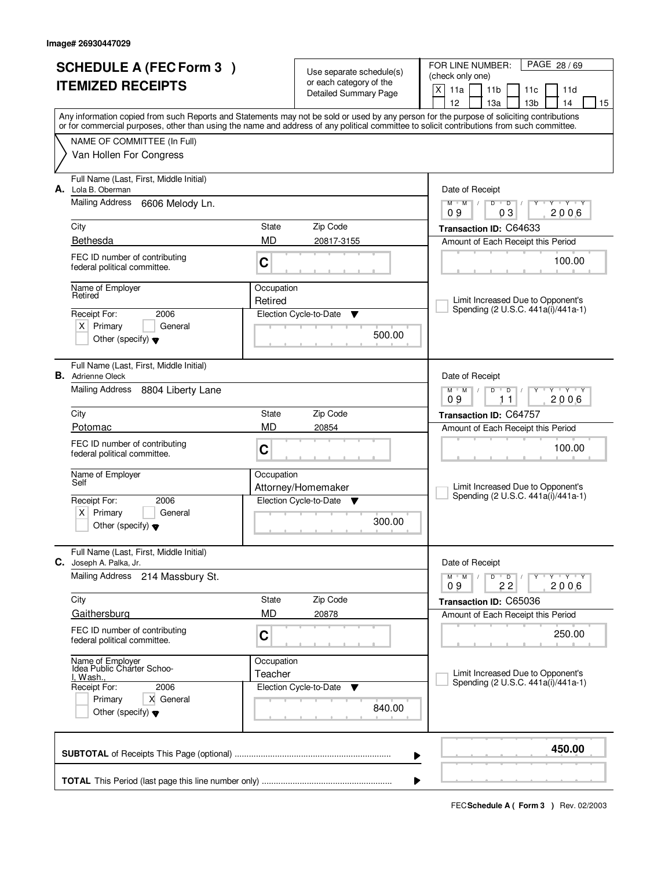|                          | <b>SCHEDULE A (FEC Form 3)</b>                                         |             |                                                     | PAGE 28/69<br>FOR LINE NUMBER:                                                                                                                                                        |
|--------------------------|------------------------------------------------------------------------|-------------|-----------------------------------------------------|---------------------------------------------------------------------------------------------------------------------------------------------------------------------------------------|
| <b>ITEMIZED RECEIPTS</b> |                                                                        |             | Use separate schedule(s)<br>or each category of the | (check only one)                                                                                                                                                                      |
|                          |                                                                        |             | <b>Detailed Summary Page</b>                        | X<br>11a<br>11 <sub>b</sub><br>11c<br>11d                                                                                                                                             |
|                          |                                                                        |             |                                                     | 12<br>13 <sub>b</sub><br>13a<br>14<br>15<br>Any information copied from such Reports and Statements may not be sold or used by any person for the purpose of soliciting contributions |
|                          |                                                                        |             |                                                     | or for commercial purposes, other than using the name and address of any political committee to solicit contributions from such committee.                                            |
|                          | NAME OF COMMITTEE (In Full)                                            |             |                                                     |                                                                                                                                                                                       |
|                          | Van Hollen For Congress                                                |             |                                                     |                                                                                                                                                                                       |
| А.                       | Full Name (Last, First, Middle Initial)<br>Lola B. Oberman             |             |                                                     | Date of Receipt                                                                                                                                                                       |
|                          | <b>Mailing Address</b><br>6606 Melody Ln.                              |             |                                                     | Y Y Y Y<br>$M$ $M$ /<br>$D$ $D$<br>2006<br>09<br>03                                                                                                                                   |
|                          | City                                                                   | State       | Zip Code                                            | Transaction ID: C64633                                                                                                                                                                |
|                          | Bethesda                                                               | MD          | 20817-3155                                          | Amount of Each Receipt this Period                                                                                                                                                    |
|                          | FEC ID number of contributing<br>federal political committee.          | C           |                                                     | 100.00                                                                                                                                                                                |
|                          | Name of Employer                                                       | Occupation  |                                                     |                                                                                                                                                                                       |
|                          | Retired                                                                | Retired     |                                                     | Limit Increased Due to Opponent's<br>Spending (2 U.S.C. 441a(i)/441a-1)                                                                                                               |
|                          | Receipt For:<br>2006                                                   |             | Election Cycle-to-Date<br>Y                         |                                                                                                                                                                                       |
|                          | $X$ Primary<br>General<br>Other (specify) $\blacktriangledown$         |             | 500.00                                              |                                                                                                                                                                                       |
|                          | Full Name (Last, First, Middle Initial)<br><b>B.</b> Adrienne Oleck    |             |                                                     | Date of Receipt                                                                                                                                                                       |
|                          | Mailing Address<br>8804 Liberty Lane                                   |             |                                                     | $M$ M<br><b>TEXT TY</b><br>D<br>$\overline{D}$<br>2006<br>09<br>11                                                                                                                    |
|                          | City                                                                   | State       | Zip Code                                            | Transaction ID: C64757                                                                                                                                                                |
|                          | Potomac                                                                | <b>MD</b>   | 20854                                               | Amount of Each Receipt this Period                                                                                                                                                    |
|                          | FEC ID number of contributing<br>federal political committee.          | C           |                                                     | 100.00                                                                                                                                                                                |
|                          | Name of Employer                                                       | Occupation  |                                                     |                                                                                                                                                                                       |
|                          | Self                                                                   |             | Attorney/Homemaker                                  | Limit Increased Due to Opponent's<br>Spending (2 U.S.C. 441a(i)/441a-1)                                                                                                               |
|                          | Receipt For:<br>2006                                                   |             | Election Cycle-to-Date<br>- V                       |                                                                                                                                                                                       |
|                          | Primary<br>$X \mid$<br>General<br>Other (specify) $\blacktriangledown$ |             | 300.00                                              |                                                                                                                                                                                       |
|                          | Full Name (Last, First, Middle Initial)<br>C. Joseph A. Palka, Jr.     |             |                                                     | Date of Receipt                                                                                                                                                                       |
|                          | <b>Mailing Address</b><br>214 Massbury St.                             |             |                                                     | $M$ $M$ $/$<br>D<br>$\overline{D}$<br>$Y$ $Y$ $Y$ $Y$<br>2006<br>09<br>22                                                                                                             |
|                          | City                                                                   | State       | Zip Code                                            | Transaction ID: C65036                                                                                                                                                                |
|                          | Gaithersburg                                                           | <b>MD</b>   | 20878                                               | Amount of Each Receipt this Period                                                                                                                                                    |
|                          | FEC ID number of contributing<br>federal political committee.          | $\mathbf C$ |                                                     | 250.00                                                                                                                                                                                |
|                          | Name of Employer<br>Idea Public Charter Schoo-                         | Occupation  |                                                     |                                                                                                                                                                                       |
|                          | <u>l, Wash.</u>                                                        | Teacher     |                                                     | Limit Increased Due to Opponent's<br>Spending (2 U.S.C. 441a(i)/441a-1)                                                                                                               |
|                          | Receipt For:<br>2006                                                   |             | Election Cycle-to-Date<br>v                         |                                                                                                                                                                                       |
|                          | Primary<br>X General<br>Other (specify) $\blacktriangledown$           |             | 840.00                                              |                                                                                                                                                                                       |
|                          |                                                                        |             |                                                     | 450.00<br>▶                                                                                                                                                                           |
|                          |                                                                        |             |                                                     | ▶                                                                                                                                                                                     |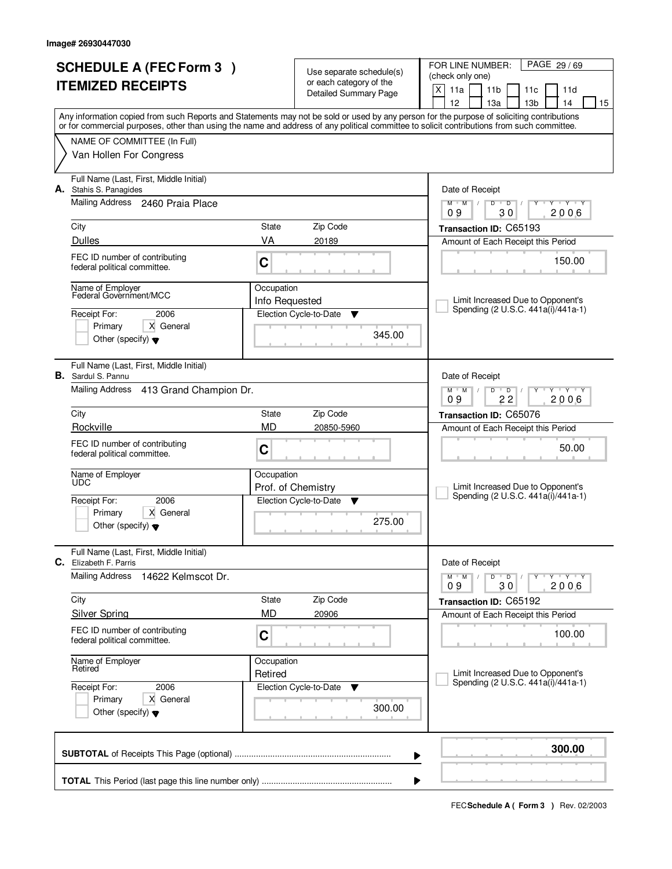| <b>SCHEDULE A (FEC Form 3)</b><br><b>ITEMIZED RECEIPTS</b> |                                                                      |                              | Use separate schedule(s)<br>or each category of the<br><b>Detailed Summary Page</b> | PAGE 29/69<br>FOR LINE NUMBER:<br>(check only one)<br>X<br>11a<br>11 <sub>b</sub><br>11c<br>11d                                                                                                                                                                                         |
|------------------------------------------------------------|----------------------------------------------------------------------|------------------------------|-------------------------------------------------------------------------------------|-----------------------------------------------------------------------------------------------------------------------------------------------------------------------------------------------------------------------------------------------------------------------------------------|
|                                                            |                                                                      |                              |                                                                                     | 12<br>14<br>13a<br>13 <sub>b</sub><br>15                                                                                                                                                                                                                                                |
|                                                            |                                                                      |                              |                                                                                     | Any information copied from such Reports and Statements may not be sold or used by any person for the purpose of soliciting contributions<br>or for commercial purposes, other than using the name and address of any political committee to solicit contributions from such committee. |
|                                                            | NAME OF COMMITTEE (In Full)                                          |                              |                                                                                     |                                                                                                                                                                                                                                                                                         |
|                                                            | Van Hollen For Congress                                              |                              |                                                                                     |                                                                                                                                                                                                                                                                                         |
|                                                            | Full Name (Last, First, Middle Initial)<br>A. Stahis S. Panagides    |                              |                                                                                     | Date of Receipt                                                                                                                                                                                                                                                                         |
|                                                            | Mailing Address 2460 Praia Place                                     |                              |                                                                                     | $M$ /<br>$\overline{D}$<br>$\overline{Y}$ $\overline{Y}$ $\overline{Y}$<br>$M$ <sup><math>+</math></sup><br>D<br>Y<br>30<br>2006<br>09                                                                                                                                                  |
|                                                            | City                                                                 | State                        | Zip Code                                                                            | Transaction ID: C65193                                                                                                                                                                                                                                                                  |
|                                                            | <b>Dulles</b>                                                        | VA                           | 20189                                                                               | Amount of Each Receipt this Period                                                                                                                                                                                                                                                      |
|                                                            | FEC ID number of contributing<br>federal political committee.        | C                            |                                                                                     | 150.00                                                                                                                                                                                                                                                                                  |
|                                                            | Name of Employer<br>Federal Government/MCC                           | Occupation<br>Info Requested |                                                                                     | Limit Increased Due to Opponent's                                                                                                                                                                                                                                                       |
|                                                            | Receipt For:<br>2006                                                 |                              | Election Cycle-to-Date<br>▼                                                         | Spending (2 U.S.C. 441a(i)/441a-1)                                                                                                                                                                                                                                                      |
|                                                            | Primary<br>X General<br>Other (specify) $\blacktriangledown$         |                              | 345.00                                                                              |                                                                                                                                                                                                                                                                                         |
|                                                            | Full Name (Last, First, Middle Initial)<br><b>B.</b> Sardul S. Pannu |                              |                                                                                     | Date of Receipt                                                                                                                                                                                                                                                                         |
|                                                            | Mailing Address<br>413 Grand Champion Dr.                            |                              |                                                                                     | $M$ $M$ /<br>D<br>$\overline{D}$<br>$Y+Y$<br>22<br>09<br>2006                                                                                                                                                                                                                           |
|                                                            | City                                                                 | State                        | Zip Code                                                                            | Transaction ID: C65076                                                                                                                                                                                                                                                                  |
|                                                            | Rockville                                                            | <b>MD</b>                    | 20850-5960                                                                          | Amount of Each Receipt this Period                                                                                                                                                                                                                                                      |
|                                                            | FEC ID number of contributing<br>federal political committee.        | C                            |                                                                                     | 50.00                                                                                                                                                                                                                                                                                   |
|                                                            | Name of Employer<br><b>UDC</b>                                       | Occupation                   | Prof. of Chemistry                                                                  | Limit Increased Due to Opponent's                                                                                                                                                                                                                                                       |
|                                                            | Receipt For:<br>2006                                                 |                              | Election Cycle-to-Date<br>▼                                                         | Spending (2 U.S.C. 441a(i)/441a-1)                                                                                                                                                                                                                                                      |
|                                                            | Primary<br>X General<br>Other (specify) $\blacktriangledown$         |                              | 275.00                                                                              |                                                                                                                                                                                                                                                                                         |
| C.                                                         | Full Name (Last, First, Middle Initial)<br>Elizabeth F. Parris       |                              |                                                                                     | Date of Receipt                                                                                                                                                                                                                                                                         |
|                                                            | <b>Mailing Address</b><br>14622 Kelmscot Dr.                         |                              |                                                                                     | $M = M$<br>$D$ $D$ $/$<br>יץ ייץ ייד<br>Y<br>30<br>2006<br>09                                                                                                                                                                                                                           |
|                                                            | City                                                                 | State                        | Zip Code                                                                            | Transaction ID: C65192                                                                                                                                                                                                                                                                  |
|                                                            | <b>Silver Spring</b>                                                 | MD                           | 20906                                                                               | Amount of Each Receipt this Period                                                                                                                                                                                                                                                      |
|                                                            | FEC ID number of contributing<br>federal political committee.        | C                            |                                                                                     | 100.00                                                                                                                                                                                                                                                                                  |
|                                                            | Name of Employer<br>Retired                                          | Occupation                   |                                                                                     | Limit Increased Due to Opponent's                                                                                                                                                                                                                                                       |
|                                                            | Receipt For:<br>2006                                                 | Retired                      | Election Cycle-to-Date<br>v                                                         | Spending (2 U.S.C. 441a(i)/441a-1)                                                                                                                                                                                                                                                      |
|                                                            | X General<br>Primary<br>Other (specify) $\blacktriangledown$         |                              | 300.00                                                                              |                                                                                                                                                                                                                                                                                         |
|                                                            |                                                                      |                              |                                                                                     | 300.00<br>▶                                                                                                                                                                                                                                                                             |
|                                                            |                                                                      |                              |                                                                                     | ▶                                                                                                                                                                                                                                                                                       |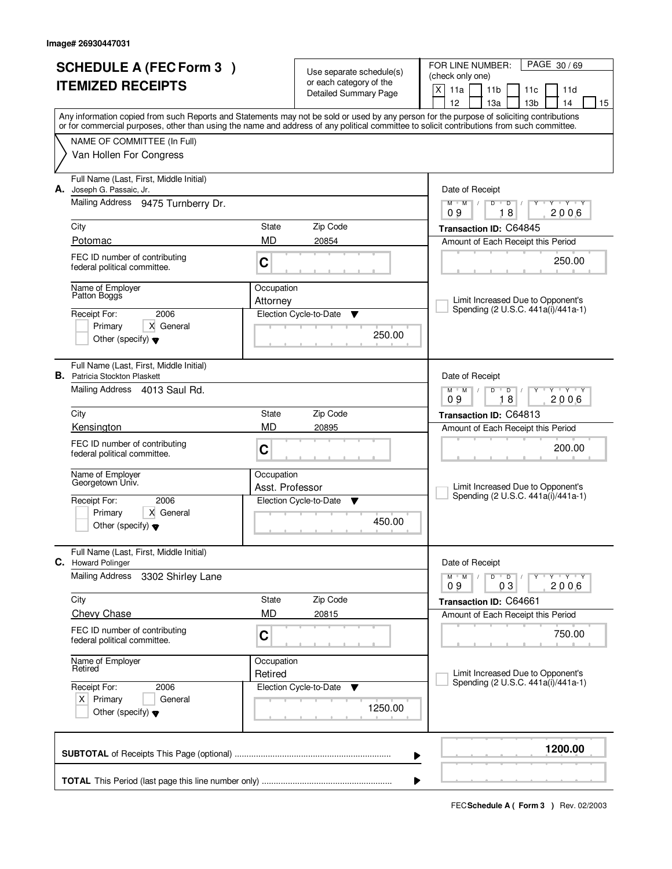| <b>SCHEDULE A (FEC Form 3)</b><br><b>ITEMIZED RECEIPTS</b> |                                                                                        |                               | Use separate schedule(s)<br>or each category of the<br><b>Detailed Summary Page</b> | PAGE 30/69<br>FOR LINE NUMBER:<br>(check only one)<br>$\mathsf{X}$<br>11a<br>11 <sub>b</sub><br>11c<br>11d<br>12<br>13a<br>13 <sub>b</sub><br>14<br>15                                                                                                                                  |  |  |
|------------------------------------------------------------|----------------------------------------------------------------------------------------|-------------------------------|-------------------------------------------------------------------------------------|-----------------------------------------------------------------------------------------------------------------------------------------------------------------------------------------------------------------------------------------------------------------------------------------|--|--|
|                                                            |                                                                                        |                               |                                                                                     | Any information copied from such Reports and Statements may not be sold or used by any person for the purpose of soliciting contributions<br>or for commercial purposes, other than using the name and address of any political committee to solicit contributions from such committee. |  |  |
|                                                            | NAME OF COMMITTEE (In Full)<br>Van Hollen For Congress                                 |                               |                                                                                     |                                                                                                                                                                                                                                                                                         |  |  |
| А.                                                         | Full Name (Last, First, Middle Initial)<br>Joseph G. Passaic, Jr.                      |                               |                                                                                     | Date of Receipt                                                                                                                                                                                                                                                                         |  |  |
|                                                            | Mailing Address 9475 Turnberry Dr.                                                     |                               |                                                                                     | $\mathsf D$<br><b>TY TY</b><br>$M$ $M$ /<br>$D$ <sup>U</sup><br>$\sqrt{ }$<br>Y<br>18<br>2006<br>09                                                                                                                                                                                     |  |  |
|                                                            | City                                                                                   | State                         | Zip Code                                                                            | Transaction ID: C64845                                                                                                                                                                                                                                                                  |  |  |
|                                                            | Potomac                                                                                | <b>MD</b>                     | 20854                                                                               | Amount of Each Receipt this Period                                                                                                                                                                                                                                                      |  |  |
|                                                            | FEC ID number of contributing<br>C<br>federal political committee.                     |                               |                                                                                     | 250.00                                                                                                                                                                                                                                                                                  |  |  |
|                                                            | Name of Employer<br>Patton Boggs                                                       | Occupation<br>Attorney        |                                                                                     | Limit Increased Due to Opponent's                                                                                                                                                                                                                                                       |  |  |
|                                                            | 2006<br>Receipt For:                                                                   |                               | Election Cycle-to-Date<br>v                                                         | Spending (2 U.S.C. 441a(i)/441a-1)                                                                                                                                                                                                                                                      |  |  |
|                                                            | X General<br>Primary<br>Other (specify) $\blacktriangledown$                           |                               | 250.00                                                                              |                                                                                                                                                                                                                                                                                         |  |  |
|                                                            | Full Name (Last, First, Middle Initial)<br><b>B.</b> Patricia Stockton Plaskett        |                               |                                                                                     | Date of Receipt                                                                                                                                                                                                                                                                         |  |  |
|                                                            | Mailing Address 4013 Saul Rd.                                                          |                               |                                                                                     | $M$ $M$ $/$<br>D<br>$\overline{D}$<br>$Y \vdash Y \vdash Y$<br>09<br>18<br>2006                                                                                                                                                                                                         |  |  |
|                                                            | City                                                                                   | State                         | Zip Code                                                                            | Transaction ID: C64813                                                                                                                                                                                                                                                                  |  |  |
|                                                            | Kensington                                                                             | <b>MD</b>                     | 20895                                                                               | Amount of Each Receipt this Period                                                                                                                                                                                                                                                      |  |  |
|                                                            | FEC ID number of contributing<br>federal political committee.                          | C                             |                                                                                     | 200.00                                                                                                                                                                                                                                                                                  |  |  |
|                                                            | Name of Employer<br>Georgetown Univ.                                                   | Occupation<br>Asst. Professor |                                                                                     | Limit Increased Due to Opponent's<br>Spending (2 U.S.C. 441a(i)/441a-1)                                                                                                                                                                                                                 |  |  |
|                                                            | 2006<br>Receipt For:<br>Primary<br>X General<br>Other (specify) $\blacktriangledown$   |                               | Election Cycle-to-Date<br>Y<br>450.00                                               |                                                                                                                                                                                                                                                                                         |  |  |
|                                                            | Full Name (Last, First, Middle Initial)<br><b>C.</b> Howard Polinger                   |                               |                                                                                     | Date of Receipt                                                                                                                                                                                                                                                                         |  |  |
|                                                            | <b>Mailing Address</b><br>3302 Shirley Lane                                            |                               |                                                                                     | $Y^ Y^ Y^ Y^-$<br>$M$ $M$ /<br>$D$ $D$ $/$<br>2006<br>03<br>09                                                                                                                                                                                                                          |  |  |
|                                                            | City                                                                                   | State                         | Zip Code                                                                            | Transaction ID: C64661                                                                                                                                                                                                                                                                  |  |  |
|                                                            | <b>Chevy Chase</b>                                                                     | <b>MD</b>                     | 20815                                                                               | Amount of Each Receipt this Period                                                                                                                                                                                                                                                      |  |  |
|                                                            | FEC ID number of contributing<br>federal political committee.                          | C                             |                                                                                     | 750.00                                                                                                                                                                                                                                                                                  |  |  |
|                                                            | Name of Employer<br>Retired                                                            | Occupation<br>Retired         |                                                                                     | Limit Increased Due to Opponent's                                                                                                                                                                                                                                                       |  |  |
|                                                            | 2006<br>Receipt For:<br>$X$ Primary<br>General<br>Other (specify) $\blacktriangledown$ |                               | Election Cycle-to-Date<br>v<br>1250.00                                              | Spending (2 U.S.C. 441a(i)/441a-1)                                                                                                                                                                                                                                                      |  |  |
|                                                            |                                                                                        |                               |                                                                                     | 1200.00<br>▶                                                                                                                                                                                                                                                                            |  |  |
|                                                            |                                                                                        |                               |                                                                                     |                                                                                                                                                                                                                                                                                         |  |  |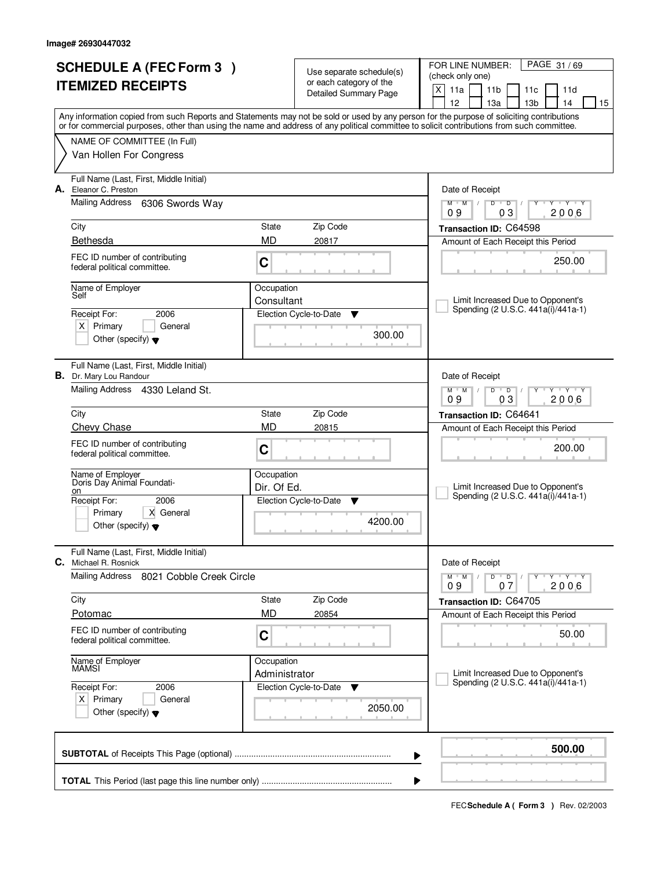| <b>SCHEDULE A (FEC Form 3)</b><br><b>ITEMIZED RECEIPTS</b> |                                                                                        |                             | Use separate schedule(s)<br>or each category of the<br><b>Detailed Summary Page</b> | PAGE 31/69<br>FOR LINE NUMBER:<br>(check only one)<br>X<br>11a<br>11 <sub>b</sub><br>11 <sub>c</sub><br>11d                                                                                                                                                                                                                         |  |  |
|------------------------------------------------------------|----------------------------------------------------------------------------------------|-----------------------------|-------------------------------------------------------------------------------------|-------------------------------------------------------------------------------------------------------------------------------------------------------------------------------------------------------------------------------------------------------------------------------------------------------------------------------------|--|--|
|                                                            |                                                                                        |                             |                                                                                     | 12<br>13а<br>13 <sub>b</sub><br>14<br>15<br>Any information copied from such Reports and Statements may not be sold or used by any person for the purpose of soliciting contributions<br>or for commercial purposes, other than using the name and address of any political committee to solicit contributions from such committee. |  |  |
|                                                            | NAME OF COMMITTEE (In Full)<br>Van Hollen For Congress                                 |                             |                                                                                     |                                                                                                                                                                                                                                                                                                                                     |  |  |
|                                                            | Full Name (Last, First, Middle Initial)<br>A. Eleanor C. Preston                       |                             |                                                                                     | Date of Receipt                                                                                                                                                                                                                                                                                                                     |  |  |
|                                                            | Mailing Address 6306 Swords Way                                                        |                             |                                                                                     | $M$ $M$ /<br>$D$ $D$<br>$Y - Y - Y$<br>03<br>2006<br>09                                                                                                                                                                                                                                                                             |  |  |
|                                                            | City<br>Bethesda                                                                       | State<br><b>MD</b>          | Zip Code<br>20817                                                                   | Transaction ID: C64598                                                                                                                                                                                                                                                                                                              |  |  |
|                                                            | FEC ID number of contributing<br>federal political committee.                          | C                           |                                                                                     | Amount of Each Receipt this Period<br>250.00                                                                                                                                                                                                                                                                                        |  |  |
|                                                            | Name of Employer<br>Self                                                               | Occupation<br>Consultant    |                                                                                     | Limit Increased Due to Opponent's                                                                                                                                                                                                                                                                                                   |  |  |
|                                                            | 2006<br>Receipt For:<br>$X$ Primary<br>General<br>Other (specify) $\blacktriangledown$ |                             | Election Cycle-to-Date<br>▼<br>300.00                                               | Spending (2 U.S.C. 441a(i)/441a-1)                                                                                                                                                                                                                                                                                                  |  |  |
|                                                            | Full Name (Last, First, Middle Initial)<br><b>B.</b> Dr. Mary Lou Randour              |                             |                                                                                     | Date of Receipt                                                                                                                                                                                                                                                                                                                     |  |  |
|                                                            | Mailing Address 4330 Leland St.                                                        |                             |                                                                                     | $M$ $M$ /<br>D<br>$\overline{D}$<br>Y 'Y 'Y<br>03<br>2006<br>09                                                                                                                                                                                                                                                                     |  |  |
|                                                            | City                                                                                   | State                       | Zip Code                                                                            | Transaction ID: C64641                                                                                                                                                                                                                                                                                                              |  |  |
|                                                            | Chevy Chase<br>FEC ID number of contributing<br>federal political committee.           | MD<br>C                     | 20815                                                                               | Amount of Each Receipt this Period<br>200.00                                                                                                                                                                                                                                                                                        |  |  |
|                                                            | Name of Employer<br>Doris Day Animal Foundati-                                         | Occupation<br>Dir. Of Ed.   |                                                                                     | Limit Increased Due to Opponent's                                                                                                                                                                                                                                                                                                   |  |  |
|                                                            | on<br>Receipt For:<br>2006<br>X General<br>Primary                                     |                             | Election Cycle-to-Date<br>▼                                                         | Spending (2 U.S.C. 441a(i)/441a-1)                                                                                                                                                                                                                                                                                                  |  |  |
|                                                            | Other (specify) $\blacktriangledown$                                                   |                             | 4200.00                                                                             |                                                                                                                                                                                                                                                                                                                                     |  |  |
| C.                                                         | Full Name (Last, First, Middle Initial)<br>Michael R. Rosnick                          |                             |                                                                                     | Date of Receipt                                                                                                                                                                                                                                                                                                                     |  |  |
|                                                            | Mailing Address<br>8021 Cobble Creek Circle                                            |                             |                                                                                     | $D$ $D$ $/$<br>יץ ייץ ייד<br>$M$ $M$ $/$<br>Y<br>2006<br>09<br>07                                                                                                                                                                                                                                                                   |  |  |
|                                                            | City                                                                                   | State<br><b>MD</b>          | Zip Code                                                                            | Transaction ID: C64705                                                                                                                                                                                                                                                                                                              |  |  |
|                                                            | Potomac<br>FEC ID number of contributing<br>federal political committee.               | C                           | 20854                                                                               | Amount of Each Receipt this Period<br>50.00                                                                                                                                                                                                                                                                                         |  |  |
|                                                            | Name of Employer<br>MAMSI                                                              | Occupation<br>Administrator |                                                                                     | Limit Increased Due to Opponent's                                                                                                                                                                                                                                                                                                   |  |  |
|                                                            | Receipt For:<br>2006<br>$X$ Primary<br>General<br>Other (specify) $\blacktriangledown$ |                             | Election Cycle-to-Date<br>v<br>2050.00                                              | Spending (2 U.S.C. 441a(i)/441a-1)                                                                                                                                                                                                                                                                                                  |  |  |
|                                                            |                                                                                        |                             |                                                                                     | 500.00                                                                                                                                                                                                                                                                                                                              |  |  |
|                                                            | ▶<br>▶                                                                                 |                             |                                                                                     |                                                                                                                                                                                                                                                                                                                                     |  |  |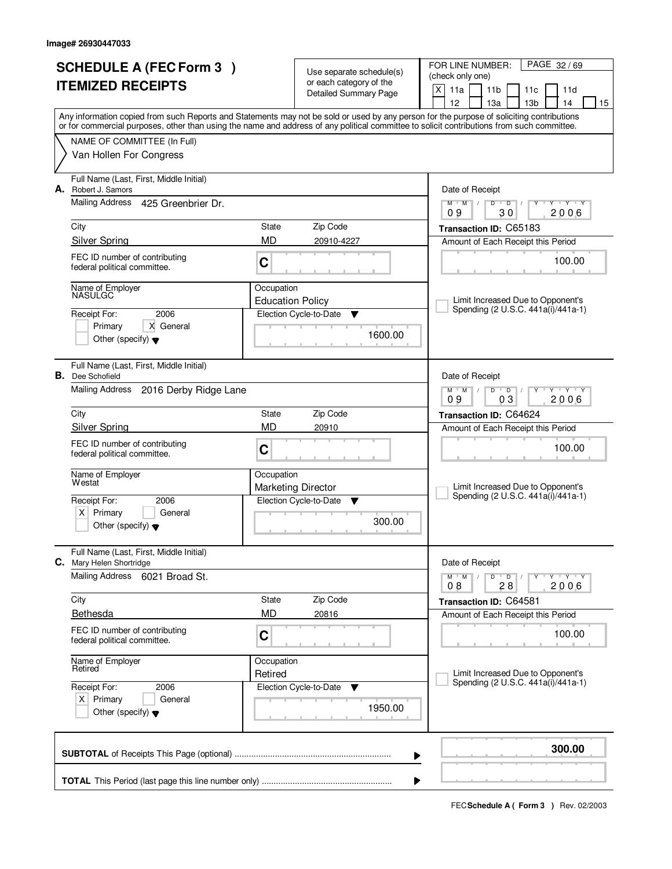| <b>SCHEDULE A (FEC Form 3)</b><br><b>ITEMIZED RECEIPTS</b> |                                                                              |                                       | Use separate schedule(s)<br>or each category of the<br><b>Detailed Summary Page</b> | PAGE 32/69<br>FOR LINE NUMBER:<br>(check only one)<br>X<br>11a<br>11 <sub>b</sub><br>11 <sub>c</sub><br>11d                                                                                                                                                                                                                         |  |  |  |
|------------------------------------------------------------|------------------------------------------------------------------------------|---------------------------------------|-------------------------------------------------------------------------------------|-------------------------------------------------------------------------------------------------------------------------------------------------------------------------------------------------------------------------------------------------------------------------------------------------------------------------------------|--|--|--|
|                                                            |                                                                              |                                       |                                                                                     | 12<br>13а<br>13 <sub>b</sub><br>14<br>15<br>Any information copied from such Reports and Statements may not be sold or used by any person for the purpose of soliciting contributions<br>or for commercial purposes, other than using the name and address of any political committee to solicit contributions from such committee. |  |  |  |
|                                                            | NAME OF COMMITTEE (In Full)<br>Van Hollen For Congress                       |                                       |                                                                                     |                                                                                                                                                                                                                                                                                                                                     |  |  |  |
| А.                                                         | Full Name (Last, First, Middle Initial)<br>Robert J. Samors                  |                                       |                                                                                     | Date of Receipt                                                                                                                                                                                                                                                                                                                     |  |  |  |
|                                                            | Mailing Address<br>425 Greenbrier Dr.                                        |                                       |                                                                                     | $M$ $M$ /<br>$D$ $D$<br>Y Y Y Y<br>2006<br>09<br>30                                                                                                                                                                                                                                                                                 |  |  |  |
|                                                            | City                                                                         | State                                 | Zip Code                                                                            | Transaction ID: C65183                                                                                                                                                                                                                                                                                                              |  |  |  |
|                                                            | <b>Silver Spring</b>                                                         | <b>MD</b>                             | 20910-4227                                                                          | Amount of Each Receipt this Period                                                                                                                                                                                                                                                                                                  |  |  |  |
|                                                            | FEC ID number of contributing<br>federal political committee.                | C                                     |                                                                                     | 100.00                                                                                                                                                                                                                                                                                                                              |  |  |  |
|                                                            | Name of Employer<br><b>NASULGC</b>                                           | Occupation<br><b>Education Policy</b> |                                                                                     | Limit Increased Due to Opponent's                                                                                                                                                                                                                                                                                                   |  |  |  |
|                                                            | 2006<br>Receipt For:                                                         |                                       | Election Cycle-to-Date<br>▼                                                         | Spending (2 U.S.C. 441a(i)/441a-1)                                                                                                                                                                                                                                                                                                  |  |  |  |
|                                                            | Primary<br>X General<br>Other (specify) $\blacktriangledown$                 |                                       | 1600.00                                                                             |                                                                                                                                                                                                                                                                                                                                     |  |  |  |
|                                                            | Full Name (Last, First, Middle Initial)<br><b>B.</b> Dee Schofield           |                                       |                                                                                     | Date of Receipt                                                                                                                                                                                                                                                                                                                     |  |  |  |
|                                                            | Mailing Address<br>2016 Derby Ridge Lane                                     |                                       |                                                                                     | $M$ $M$ /<br>D<br>$\overline{D}$<br>$T$ $Y$ $T$ $Y$<br>03<br>2006<br>09                                                                                                                                                                                                                                                             |  |  |  |
|                                                            | City                                                                         | State                                 | Zip Code                                                                            | Transaction ID: C64624                                                                                                                                                                                                                                                                                                              |  |  |  |
|                                                            | <b>Silver Spring</b>                                                         | MD                                    | 20910                                                                               | Amount of Each Receipt this Period                                                                                                                                                                                                                                                                                                  |  |  |  |
|                                                            | FEC ID number of contributing<br>federal political committee.                | C                                     |                                                                                     | 100.00                                                                                                                                                                                                                                                                                                                              |  |  |  |
|                                                            | Name of Employer<br>Westat                                                   | Occupation                            | <b>Marketing Director</b>                                                           | Limit Increased Due to Opponent's                                                                                                                                                                                                                                                                                                   |  |  |  |
|                                                            | Receipt For:<br>2006                                                         |                                       | Election Cycle-to-Date<br>▼                                                         | Spending (2 U.S.C. 441a(i)/441a-1)                                                                                                                                                                                                                                                                                                  |  |  |  |
|                                                            | x <sub>1</sub><br>Primary<br>General<br>Other (specify) $\blacktriangledown$ |                                       | 300.00                                                                              |                                                                                                                                                                                                                                                                                                                                     |  |  |  |
| С.                                                         | Full Name (Last, First, Middle Initial)<br>Mary Helen Shortridge             |                                       |                                                                                     | Date of Receipt                                                                                                                                                                                                                                                                                                                     |  |  |  |
|                                                            | <b>Mailing Address</b><br>6021 Broad St.                                     |                                       |                                                                                     | $M$ $M$ $M$<br>$D$ $D$ $/$<br>יץ ייץ ייד<br>Y<br>08<br>28<br>2006                                                                                                                                                                                                                                                                   |  |  |  |
|                                                            | City                                                                         | State                                 | Zip Code                                                                            | Transaction ID: C64581                                                                                                                                                                                                                                                                                                              |  |  |  |
|                                                            | <b>Bethesda</b>                                                              | <b>MD</b>                             | 20816                                                                               | Amount of Each Receipt this Period                                                                                                                                                                                                                                                                                                  |  |  |  |
|                                                            | FEC ID number of contributing<br>federal political committee.                | C                                     |                                                                                     | 100.00                                                                                                                                                                                                                                                                                                                              |  |  |  |
|                                                            | Name of Employer<br>Retired                                                  | Occupation<br>Retired                 |                                                                                     | Limit Increased Due to Opponent's                                                                                                                                                                                                                                                                                                   |  |  |  |
|                                                            | Receipt For:<br>2006                                                         |                                       | Election Cycle-to-Date<br>v                                                         | Spending (2 U.S.C. 441a(i)/441a-1)                                                                                                                                                                                                                                                                                                  |  |  |  |
|                                                            | $X$ Primary<br>General<br>Other (specify) $\blacktriangledown$               |                                       | 1950.00                                                                             |                                                                                                                                                                                                                                                                                                                                     |  |  |  |
|                                                            |                                                                              |                                       |                                                                                     | 300.00<br>▶                                                                                                                                                                                                                                                                                                                         |  |  |  |
|                                                            | ▶                                                                            |                                       |                                                                                     |                                                                                                                                                                                                                                                                                                                                     |  |  |  |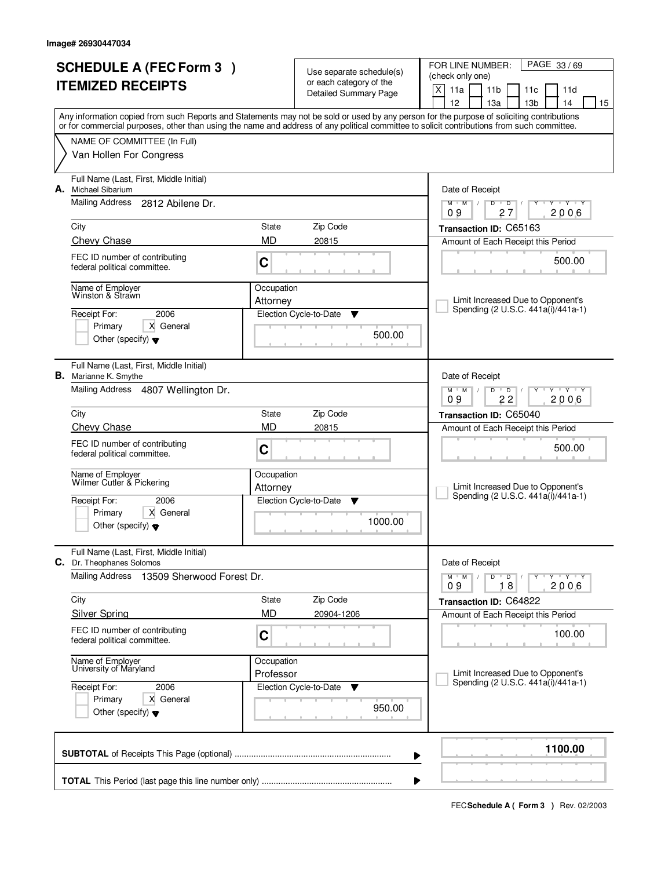| <b>SCHEDULE A (FEC Form 3)</b>                 |                                                                         | Use separate schedule(s)<br>or each category of the |                              | PAGE 33/69<br>FOR LINE NUMBER:<br>(check only one)                                                                                                                                                                                                                                                                                  |  |  |  |
|------------------------------------------------|-------------------------------------------------------------------------|-----------------------------------------------------|------------------------------|-------------------------------------------------------------------------------------------------------------------------------------------------------------------------------------------------------------------------------------------------------------------------------------------------------------------------------------|--|--|--|
|                                                | <b>ITEMIZED RECEIPTS</b>                                                |                                                     | <b>Detailed Summary Page</b> | $X$ 11a<br>11 <sub>b</sub><br>11c<br>11d                                                                                                                                                                                                                                                                                            |  |  |  |
|                                                |                                                                         |                                                     |                              | 12<br>13a<br>13 <sub>b</sub><br>14<br>15<br>Any information copied from such Reports and Statements may not be sold or used by any person for the purpose of soliciting contributions<br>or for commercial purposes, other than using the name and address of any political committee to solicit contributions from such committee. |  |  |  |
|                                                | NAME OF COMMITTEE (In Full)                                             |                                                     |                              |                                                                                                                                                                                                                                                                                                                                     |  |  |  |
|                                                | Van Hollen For Congress                                                 |                                                     |                              |                                                                                                                                                                                                                                                                                                                                     |  |  |  |
| А.                                             | Full Name (Last, First, Middle Initial)<br>Michael Sibarium             |                                                     |                              | Date of Receipt                                                                                                                                                                                                                                                                                                                     |  |  |  |
|                                                | <b>Mailing Address</b><br>2812 Abilene Dr.                              |                                                     |                              | $M^+$ M<br>D<br>$\mathsf D$<br>$\mathbf{y}$ , $\mathbf{y}$<br>2006<br>09<br>27                                                                                                                                                                                                                                                      |  |  |  |
|                                                | City                                                                    | State                                               | Zip Code                     | Transaction ID: C65163                                                                                                                                                                                                                                                                                                              |  |  |  |
|                                                | Chevy Chase                                                             | <b>MD</b>                                           | 20815                        | Amount of Each Receipt this Period                                                                                                                                                                                                                                                                                                  |  |  |  |
|                                                | FEC ID number of contributing<br>federal political committee.           | C                                                   |                              | 500.00                                                                                                                                                                                                                                                                                                                              |  |  |  |
|                                                | Name of Employer<br>Winston & Strawn                                    | Occupation                                          |                              | Limit Increased Due to Opponent's                                                                                                                                                                                                                                                                                                   |  |  |  |
|                                                | 2006<br>Receipt For:                                                    | Attorney                                            | Election Cycle-to-Date<br>v  | Spending (2 U.S.C. 441a(i)/441a-1)                                                                                                                                                                                                                                                                                                  |  |  |  |
|                                                | X General<br>Primary                                                    |                                                     | 500.00                       |                                                                                                                                                                                                                                                                                                                                     |  |  |  |
|                                                | Other (specify) $\blacktriangledown$                                    |                                                     |                              |                                                                                                                                                                                                                                                                                                                                     |  |  |  |
|                                                | Full Name (Last, First, Middle Initial)<br><b>B.</b> Marianne K. Smythe |                                                     |                              | Date of Receipt                                                                                                                                                                                                                                                                                                                     |  |  |  |
|                                                | Mailing Address 4807 Wellington Dr.                                     |                                                     |                              | $M$ $M$<br>D<br>$\overline{D}$<br>$Y - Y - Y$<br>$\perp$<br>22<br>09<br>2006                                                                                                                                                                                                                                                        |  |  |  |
|                                                | City                                                                    | State                                               | Zip Code                     | Transaction ID: C65040                                                                                                                                                                                                                                                                                                              |  |  |  |
|                                                | <b>Chevy Chase</b>                                                      | <b>MD</b>                                           | 20815                        | Amount of Each Receipt this Period                                                                                                                                                                                                                                                                                                  |  |  |  |
|                                                | FEC ID number of contributing<br>federal political committee.           | C                                                   |                              | 500.00                                                                                                                                                                                                                                                                                                                              |  |  |  |
|                                                | Name of Employer<br>Wilmer Cutler & Pickering                           | Occupation                                          |                              |                                                                                                                                                                                                                                                                                                                                     |  |  |  |
|                                                | Receipt For:<br>2006                                                    | Attorney                                            | Election Cycle-to-Date<br>▼  | Limit Increased Due to Opponent's<br>Spending (2 U.S.C. 441a(i)/441a-1)                                                                                                                                                                                                                                                             |  |  |  |
|                                                | Primary<br>X General                                                    |                                                     |                              |                                                                                                                                                                                                                                                                                                                                     |  |  |  |
|                                                | Other (specify) $\blacktriangledown$                                    |                                                     | 1000.00                      |                                                                                                                                                                                                                                                                                                                                     |  |  |  |
| С.                                             | Full Name (Last, First, Middle Initial)<br>Dr. Theophanes Solomos       |                                                     |                              | Date of Receipt                                                                                                                                                                                                                                                                                                                     |  |  |  |
|                                                | Mailing Address<br>13509 Sherwood Forest Dr.                            |                                                     |                              | $Y - Y - Y$<br>$M$ $M$ $/$<br>$D$ $D$ $I$<br>2006<br>18<br>09                                                                                                                                                                                                                                                                       |  |  |  |
|                                                | City                                                                    | State                                               | Zip Code                     | Transaction ID: C64822                                                                                                                                                                                                                                                                                                              |  |  |  |
|                                                | <b>Silver Spring</b>                                                    | <b>MD</b>                                           | 20904-1206                   | Amount of Each Receipt this Period                                                                                                                                                                                                                                                                                                  |  |  |  |
|                                                | FEC ID number of contributing<br>federal political committee.           | C                                                   |                              | 100.00                                                                                                                                                                                                                                                                                                                              |  |  |  |
|                                                | Name of Employer<br>University of Maryland                              | Occupation                                          |                              | Limit Increased Due to Opponent's                                                                                                                                                                                                                                                                                                   |  |  |  |
|                                                | Receipt For:<br>2006                                                    | Professor                                           | Election Cycle-to-Date<br>▼  | Spending (2 U.S.C. 441a(i)/441a-1)                                                                                                                                                                                                                                                                                                  |  |  |  |
|                                                | Primary<br>X General                                                    |                                                     |                              |                                                                                                                                                                                                                                                                                                                                     |  |  |  |
| 950.00<br>Other (specify) $\blacktriangledown$ |                                                                         |                                                     |                              |                                                                                                                                                                                                                                                                                                                                     |  |  |  |
|                                                |                                                                         |                                                     | ▶                            | 1100.00                                                                                                                                                                                                                                                                                                                             |  |  |  |
|                                                | ▶                                                                       |                                                     |                              |                                                                                                                                                                                                                                                                                                                                     |  |  |  |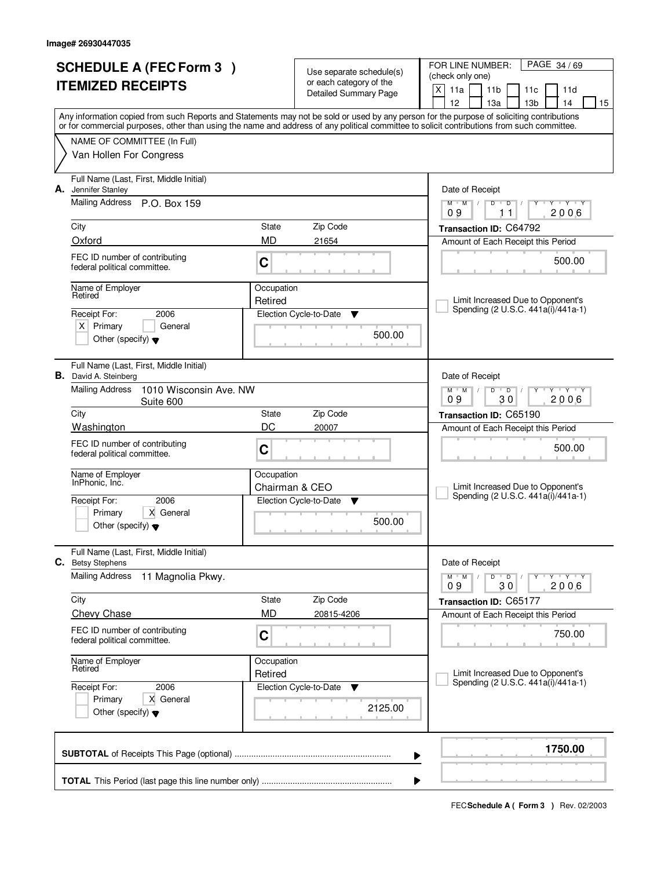| <b>SCHEDULE A (FEC Form 3)</b> |                                                                         | Use separate schedule(s)<br>or each category of the |                              | PAGE 34/69<br>FOR LINE NUMBER:<br>(check only one)                                                                                                                                    |  |  |  |
|--------------------------------|-------------------------------------------------------------------------|-----------------------------------------------------|------------------------------|---------------------------------------------------------------------------------------------------------------------------------------------------------------------------------------|--|--|--|
|                                | <b>ITEMIZED RECEIPTS</b>                                                |                                                     | <b>Detailed Summary Page</b> | $\mathsf{X}$<br>11a<br>11 <sub>b</sub><br>11c<br>11d                                                                                                                                  |  |  |  |
|                                |                                                                         |                                                     |                              | 12<br>13 <sub>b</sub><br>13a<br>14<br>15<br>Any information copied from such Reports and Statements may not be sold or used by any person for the purpose of soliciting contributions |  |  |  |
|                                |                                                                         |                                                     |                              | or for commercial purposes, other than using the name and address of any political committee to solicit contributions from such committee.                                            |  |  |  |
|                                | NAME OF COMMITTEE (In Full)                                             |                                                     |                              |                                                                                                                                                                                       |  |  |  |
|                                | Van Hollen For Congress                                                 |                                                     |                              |                                                                                                                                                                                       |  |  |  |
| А.                             | Full Name (Last, First, Middle Initial)<br>Jennifer Stanley             |                                                     |                              | Date of Receipt                                                                                                                                                                       |  |  |  |
|                                | <b>Mailing Address</b><br>P.O. Box 159                                  |                                                     |                              | $M$ $M$ /<br>$\overline{D}$<br>$Y - Y - Y - Y$<br>$D$ <sup>U</sup><br>$\frac{1}{2}$<br>2006<br>09<br>11                                                                               |  |  |  |
|                                | City                                                                    | State                                               | Zip Code                     | Transaction ID: C64792                                                                                                                                                                |  |  |  |
|                                | Oxford                                                                  | <b>MD</b>                                           | 21654                        | Amount of Each Receipt this Period                                                                                                                                                    |  |  |  |
|                                | FEC ID number of contributing<br>federal political committee.           | C                                                   |                              | 500.00                                                                                                                                                                                |  |  |  |
|                                | Name of Employer<br>Retired                                             | Occupation                                          |                              |                                                                                                                                                                                       |  |  |  |
|                                | Receipt For:<br>2006                                                    | Retired                                             | Election Cycle-to-Date<br>v  | Limit Increased Due to Opponent's<br>Spending (2 U.S.C. 441a(i)/441a-1)                                                                                                               |  |  |  |
|                                | $X$ Primary<br>General                                                  |                                                     |                              |                                                                                                                                                                                       |  |  |  |
|                                | Other (specify) $\blacktriangledown$                                    |                                                     | 500.00                       |                                                                                                                                                                                       |  |  |  |
|                                | Full Name (Last, First, Middle Initial)<br><b>B.</b> David A. Steinberg |                                                     |                              | Date of Receipt                                                                                                                                                                       |  |  |  |
|                                | <b>Mailing Address</b><br>1010 Wisconsin Ave. NW<br>Suite 600           |                                                     |                              | $M$ $M$ $/$<br>D<br>$\overline{D}$<br>$Y \vdash Y \vdash Y$<br>09<br>30<br>2006                                                                                                       |  |  |  |
|                                | City                                                                    | State                                               | Zip Code                     | Transaction ID: C65190                                                                                                                                                                |  |  |  |
|                                | Washington                                                              | DC<br>20007                                         |                              | Amount of Each Receipt this Period                                                                                                                                                    |  |  |  |
|                                | FEC ID number of contributing<br>federal political committee.           | C                                                   |                              | 500.00                                                                                                                                                                                |  |  |  |
|                                | Name of Employer<br>InPhonic, Inc.                                      | Occupation                                          |                              |                                                                                                                                                                                       |  |  |  |
|                                | 2006<br>Receipt For:                                                    | Chairman & CEO                                      | Election Cycle-to-Date<br>▼  | Limit Increased Due to Opponent's<br>Spending (2 U.S.C. 441a(i)/441a-1)                                                                                                               |  |  |  |
|                                | Primary<br>X General                                                    |                                                     |                              |                                                                                                                                                                                       |  |  |  |
|                                | Other (specify) $\blacktriangledown$                                    |                                                     | 500.00                       |                                                                                                                                                                                       |  |  |  |
|                                | Full Name (Last, First, Middle Initial)<br><b>C.</b> Betsy Stephens     |                                                     |                              | Date of Receipt                                                                                                                                                                       |  |  |  |
|                                | <b>Mailing Address</b><br>11 Magnolia Pkwy.                             |                                                     |                              | $Y - Y - Y - Y$<br>$M$ $M$<br>D<br>$\overline{\phantom{0}}$ D $\overline{\phantom{0}}$ /<br>2006<br>09<br>30                                                                          |  |  |  |
|                                | City                                                                    | State                                               | Zip Code                     | Transaction ID: C65177                                                                                                                                                                |  |  |  |
|                                | <b>Chevy Chase</b>                                                      | <b>MD</b>                                           | 20815-4206                   | Amount of Each Receipt this Period                                                                                                                                                    |  |  |  |
|                                | FEC ID number of contributing<br>federal political committee.           | C                                                   |                              | 750.00                                                                                                                                                                                |  |  |  |
|                                | Name of Employer<br>Retired                                             | Occupation                                          |                              |                                                                                                                                                                                       |  |  |  |
|                                | 2006<br>Receipt For:                                                    | Retired                                             | Election Cycle-to-Date<br>v  | Limit Increased Due to Opponent's<br>Spending (2 U.S.C. 441a(i)/441a-1)                                                                                                               |  |  |  |
|                                | Primary<br>X General                                                    |                                                     | 2125.00                      |                                                                                                                                                                                       |  |  |  |
|                                | Other (specify) $\blacktriangledown$                                    |                                                     |                              |                                                                                                                                                                                       |  |  |  |
|                                |                                                                         |                                                     |                              | 1750.00<br>▶                                                                                                                                                                          |  |  |  |
|                                | ▶                                                                       |                                                     |                              |                                                                                                                                                                                       |  |  |  |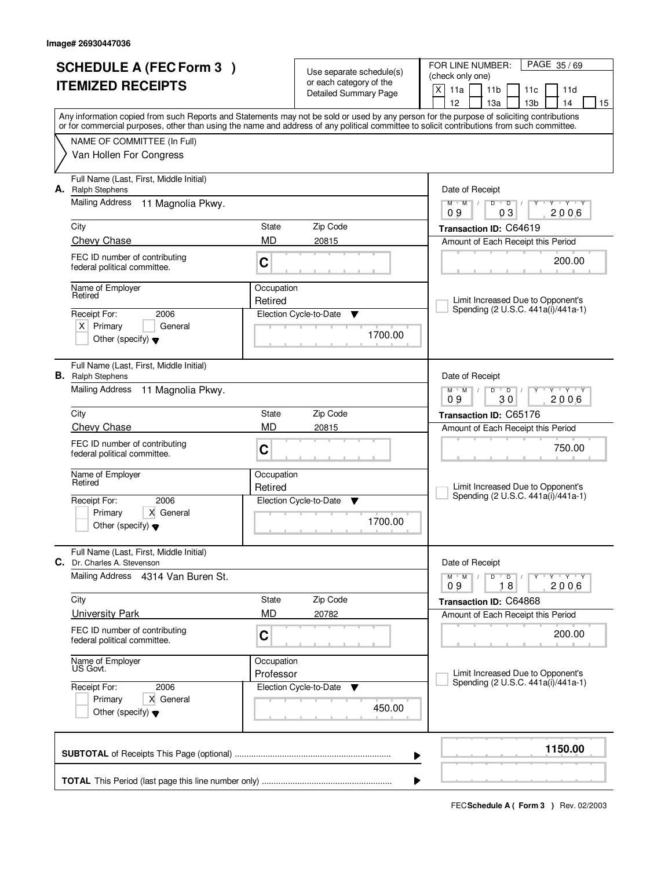| <b>SCHEDULE A (FEC Form 3)</b> |                                                                        | Use separate schedule(s)<br>or each category of the |                              | PAGE 35/69<br>FOR LINE NUMBER:<br>(check only one)                                                                                                                                    |  |  |  |  |
|--------------------------------|------------------------------------------------------------------------|-----------------------------------------------------|------------------------------|---------------------------------------------------------------------------------------------------------------------------------------------------------------------------------------|--|--|--|--|
|                                | <b>ITEMIZED RECEIPTS</b>                                               |                                                     | <b>Detailed Summary Page</b> | $\mathsf{X}$<br>11a<br>11 <sub>b</sub><br>11c<br>11d                                                                                                                                  |  |  |  |  |
|                                |                                                                        |                                                     |                              | 13 <sub>b</sub><br>12<br>13a<br>14<br>15<br>Any information copied from such Reports and Statements may not be sold or used by any person for the purpose of soliciting contributions |  |  |  |  |
|                                |                                                                        |                                                     |                              | or for commercial purposes, other than using the name and address of any political committee to solicit contributions from such committee.                                            |  |  |  |  |
|                                | NAME OF COMMITTEE (In Full)                                            |                                                     |                              |                                                                                                                                                                                       |  |  |  |  |
|                                | Van Hollen For Congress                                                |                                                     |                              |                                                                                                                                                                                       |  |  |  |  |
| А.                             | Full Name (Last, First, Middle Initial)<br><b>Ralph Stephens</b>       |                                                     |                              | Date of Receipt                                                                                                                                                                       |  |  |  |  |
|                                | <b>Mailing Address</b><br>11 Magnolia Pkwy.                            |                                                     |                              | $\overline{D}$<br><b>TY TY</b><br>$M$ $M$ /<br>$D$ <sup>U</sup><br>Y<br>03<br>2006<br>09                                                                                              |  |  |  |  |
|                                | City                                                                   | State                                               | Zip Code                     | Transaction ID: C64619                                                                                                                                                                |  |  |  |  |
|                                | Chevy Chase                                                            | <b>MD</b>                                           | 20815                        | Amount of Each Receipt this Period                                                                                                                                                    |  |  |  |  |
|                                | FEC ID number of contributing<br>federal political committee.          | C                                                   |                              | 200.00                                                                                                                                                                                |  |  |  |  |
|                                | Name of Employer<br>Retired                                            | Occupation                                          |                              |                                                                                                                                                                                       |  |  |  |  |
|                                | Receipt For:<br>2006                                                   | Retired                                             | Election Cycle-to-Date<br>v  | Limit Increased Due to Opponent's<br>Spending (2 U.S.C. 441a(i)/441a-1)                                                                                                               |  |  |  |  |
|                                | $X$ Primary<br>General                                                 |                                                     |                              |                                                                                                                                                                                       |  |  |  |  |
|                                | Other (specify) $\blacktriangledown$                                   |                                                     | 1700.00                      |                                                                                                                                                                                       |  |  |  |  |
|                                | Full Name (Last, First, Middle Initial)<br><b>B.</b> Ralph Stephens    |                                                     |                              | Date of Receipt                                                                                                                                                                       |  |  |  |  |
|                                | Mailing Address<br>11 Magnolia Pkwy.                                   |                                                     |                              | $M$ $M$ $/$<br>D<br>$\overline{D}$<br>$Y - Y - Y$<br>30<br>2006<br>09                                                                                                                 |  |  |  |  |
|                                | City                                                                   | State                                               | Zip Code                     | Transaction ID: C65176                                                                                                                                                                |  |  |  |  |
|                                | <b>Chevy Chase</b>                                                     | <b>MD</b>                                           | 20815                        | Amount of Each Receipt this Period                                                                                                                                                    |  |  |  |  |
|                                | FEC ID number of contributing<br>federal political committee.          | C                                                   |                              | 750.00                                                                                                                                                                                |  |  |  |  |
|                                | Name of Employer<br>Retired                                            | Occupation                                          |                              |                                                                                                                                                                                       |  |  |  |  |
|                                | 2006<br>Receipt For:                                                   | Retired                                             | Election Cycle-to-Date<br>▼  | Limit Increased Due to Opponent's<br>Spending (2 U.S.C. 441a(i)/441a-1)                                                                                                               |  |  |  |  |
|                                | Primary<br>X General                                                   |                                                     |                              |                                                                                                                                                                                       |  |  |  |  |
|                                | Other (specify) $\blacktriangledown$                                   |                                                     | 1700.00                      |                                                                                                                                                                                       |  |  |  |  |
|                                | Full Name (Last, First, Middle Initial)<br>C. Dr. Charles A. Stevenson |                                                     |                              | Date of Receipt                                                                                                                                                                       |  |  |  |  |
|                                | Mailing Address 4314 Van Buren St.                                     |                                                     |                              | $D$ $D$ $I$<br>$Y - Y - Y - Y$<br>$M$ $M$ /<br>2006<br>18<br>09                                                                                                                       |  |  |  |  |
|                                | City                                                                   | State                                               | Zip Code                     | Transaction ID: C64868                                                                                                                                                                |  |  |  |  |
|                                | <b>University Park</b>                                                 | <b>MD</b>                                           | 20782                        | Amount of Each Receipt this Period                                                                                                                                                    |  |  |  |  |
|                                | FEC ID number of contributing<br>federal political committee.          | C                                                   |                              | 200.00                                                                                                                                                                                |  |  |  |  |
|                                | Name of Employer<br>US Govt.                                           | Occupation                                          |                              |                                                                                                                                                                                       |  |  |  |  |
|                                | 2006<br>Receipt For:                                                   | Professor                                           | Election Cycle-to-Date<br>▼  | Limit Increased Due to Opponent's<br>Spending (2 U.S.C. 441a(i)/441a-1)                                                                                                               |  |  |  |  |
|                                | Primary<br>X General                                                   |                                                     |                              |                                                                                                                                                                                       |  |  |  |  |
|                                | Other (specify) $\blacktriangledown$                                   |                                                     | 450.00                       |                                                                                                                                                                                       |  |  |  |  |
|                                |                                                                        |                                                     |                              | 1150.00<br>▶                                                                                                                                                                          |  |  |  |  |
|                                |                                                                        |                                                     |                              | ▶                                                                                                                                                                                     |  |  |  |  |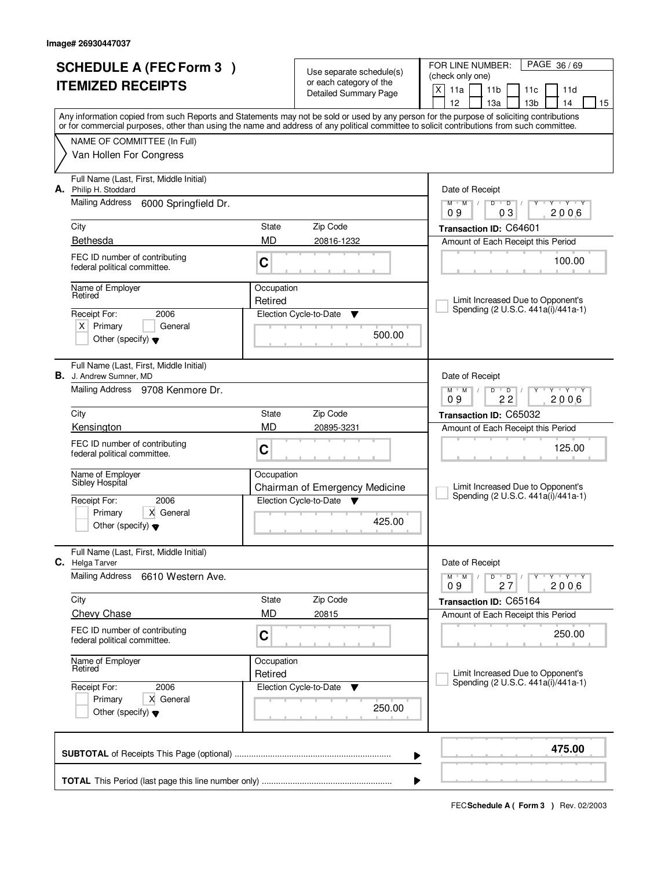| <b>SCHEDULE A (FEC Form 3)</b> |                                                                                                                                            |                    |                                                     | PAGE 36/69<br>FOR LINE NUMBER:                                                                                                            |
|--------------------------------|--------------------------------------------------------------------------------------------------------------------------------------------|--------------------|-----------------------------------------------------|-------------------------------------------------------------------------------------------------------------------------------------------|
|                                | <b>ITEMIZED RECEIPTS</b>                                                                                                                   |                    | Use separate schedule(s)<br>or each category of the | (check only one)                                                                                                                          |
|                                |                                                                                                                                            |                    | <b>Detailed Summary Page</b>                        | X<br>11a<br>11 <sub>b</sub><br>11c<br>11d<br>12<br>14<br>15<br>13a<br>13 <sub>b</sub>                                                     |
|                                |                                                                                                                                            |                    |                                                     | Any information copied from such Reports and Statements may not be sold or used by any person for the purpose of soliciting contributions |
|                                | or for commercial purposes, other than using the name and address of any political committee to solicit contributions from such committee. |                    |                                                     |                                                                                                                                           |
|                                | NAME OF COMMITTEE (In Full)                                                                                                                |                    |                                                     |                                                                                                                                           |
|                                | Van Hollen For Congress                                                                                                                    |                    |                                                     |                                                                                                                                           |
|                                | Full Name (Last, First, Middle Initial)<br>A. Philip H. Stoddard                                                                           |                    |                                                     | Date of Receipt                                                                                                                           |
|                                | Mailing Address<br>6000 Springfield Dr.                                                                                                    |                    |                                                     | $\mathbf{y} + \mathbf{y}$<br>$M$ $M$ /<br>$\overline{D}$<br>D<br>Y<br>03<br>2006<br>09                                                    |
|                                | City                                                                                                                                       | State              | Zip Code                                            | Transaction ID: C64601                                                                                                                    |
|                                | Bethesda                                                                                                                                   | <b>MD</b>          | 20816-1232                                          | Amount of Each Receipt this Period                                                                                                        |
|                                | FEC ID number of contributing                                                                                                              |                    |                                                     | 100.00                                                                                                                                    |
|                                | federal political committee.                                                                                                               | C                  |                                                     |                                                                                                                                           |
|                                | Name of Employer<br>Retired                                                                                                                | Occupation         |                                                     |                                                                                                                                           |
|                                |                                                                                                                                            | Retired            |                                                     | Limit Increased Due to Opponent's<br>Spending (2 U.S.C. 441a(i)/441a-1)                                                                   |
|                                | 2006<br>Receipt For:<br>$X$ Primary<br>General                                                                                             |                    | Election Cycle-to-Date<br>▼                         |                                                                                                                                           |
|                                | Other (specify) $\blacktriangledown$                                                                                                       |                    | 500.00                                              |                                                                                                                                           |
|                                |                                                                                                                                            |                    |                                                     |                                                                                                                                           |
|                                | Full Name (Last, First, Middle Initial)<br><b>B.</b> J. Andrew Sumner, MD                                                                  |                    |                                                     | Date of Receipt                                                                                                                           |
|                                | Mailing Address 9708 Kenmore Dr.                                                                                                           |                    |                                                     | $M$ $M$ /<br>D<br>$\overline{D}$<br>$Y + Y + Y$                                                                                           |
|                                |                                                                                                                                            |                    |                                                     | 09<br>22<br>2006                                                                                                                          |
|                                | City<br>Kensington                                                                                                                         | State<br><b>MD</b> | Zip Code<br>20895-3231                              | Transaction ID: C65032<br>Amount of Each Receipt this Period                                                                              |
|                                | FEC ID number of contributing                                                                                                              |                    |                                                     |                                                                                                                                           |
|                                | federal political committee.                                                                                                               | C                  |                                                     | 125.00                                                                                                                                    |
|                                | Name of Employer                                                                                                                           | Occupation         |                                                     |                                                                                                                                           |
|                                | Sibley Hospital                                                                                                                            |                    | Chairman of Emergency Medicine                      | Limit Increased Due to Opponent's                                                                                                         |
|                                | Receipt For:<br>2006                                                                                                                       |                    | Election Cycle-to-Date ▼                            | Spending (2 U.S.C. 441a(i)/441a-1)                                                                                                        |
|                                | Primary<br>X General<br>Other (specify) $\blacktriangledown$                                                                               |                    | 425.00                                              |                                                                                                                                           |
|                                |                                                                                                                                            |                    |                                                     |                                                                                                                                           |
|                                | Full Name (Last, First, Middle Initial)<br>C. Helga Tarver                                                                                 |                    |                                                     | Date of Receipt                                                                                                                           |
|                                | <b>Mailing Address</b><br>6610 Western Ave.                                                                                                |                    |                                                     | $D$ $D$<br>$M$ M<br>Y<br>түтүтү<br>$\sqrt{ }$<br>2006<br>09<br>27                                                                         |
|                                | City                                                                                                                                       | State              | Zip Code                                            | Transaction ID: C65164                                                                                                                    |
|                                | <b>Chevy Chase</b>                                                                                                                         | MD                 | 20815                                               | Amount of Each Receipt this Period                                                                                                        |
|                                | FEC ID number of contributing                                                                                                              | C                  |                                                     | 250.00                                                                                                                                    |
|                                | federal political committee.                                                                                                               |                    |                                                     |                                                                                                                                           |
|                                | Name of Employer<br>Retired                                                                                                                | Occupation         |                                                     |                                                                                                                                           |
|                                | 2006<br>Receipt For:                                                                                                                       | Retired            | Election Cycle-to-Date<br>v                         | Limit Increased Due to Opponent's<br>Spending (2 U.S.C. 441a(i)/441a-1)                                                                   |
|                                | Primary<br>X General                                                                                                                       |                    |                                                     |                                                                                                                                           |
|                                | Other (specify) $\blacktriangledown$                                                                                                       |                    | 250.00                                              |                                                                                                                                           |
|                                |                                                                                                                                            |                    |                                                     |                                                                                                                                           |
|                                |                                                                                                                                            |                    | ▶                                                   | 475.00                                                                                                                                    |
|                                |                                                                                                                                            |                    |                                                     |                                                                                                                                           |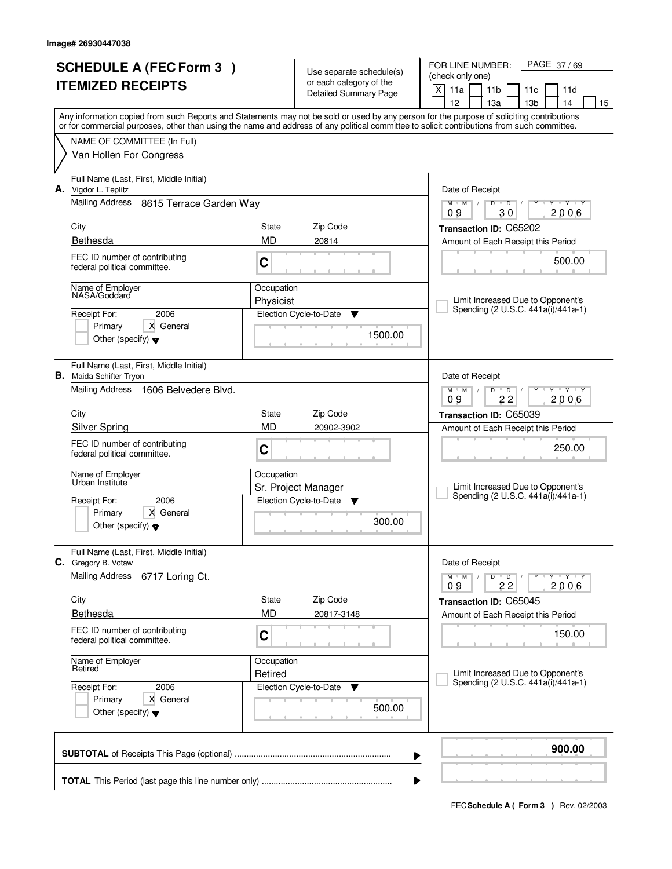| <b>SCHEDULE A (FEC Form 3)</b> |                                                               | Use separate schedule(s) |                              | PAGE 37/69<br>FOR LINE NUMBER:                                                                                                             |  |  |  |
|--------------------------------|---------------------------------------------------------------|--------------------------|------------------------------|--------------------------------------------------------------------------------------------------------------------------------------------|--|--|--|
|                                | <b>ITEMIZED RECEIPTS</b>                                      |                          | or each category of the      | (check only one)<br>X<br>11a<br>11 <sub>b</sub><br>11d<br>11c                                                                              |  |  |  |
|                                |                                                               |                          | <b>Detailed Summary Page</b> | 12<br>13 <sub>b</sub><br>13a<br>14<br>15                                                                                                   |  |  |  |
|                                |                                                               |                          |                              | Any information copied from such Reports and Statements may not be sold or used by any person for the purpose of soliciting contributions  |  |  |  |
|                                |                                                               |                          |                              | or for commercial purposes, other than using the name and address of any political committee to solicit contributions from such committee. |  |  |  |
|                                | NAME OF COMMITTEE (In Full)<br>Van Hollen For Congress        |                          |                              |                                                                                                                                            |  |  |  |
|                                |                                                               |                          |                              |                                                                                                                                            |  |  |  |
| А.                             | Full Name (Last, First, Middle Initial)<br>Vigdor L. Teplitz  |                          |                              | Date of Receipt                                                                                                                            |  |  |  |
|                                | Mailing Address<br>8615 Terrace Garden Way                    |                          |                              | <b>TEXT TEXT</b><br>$M$ <sup>U</sup><br>M<br>D<br>$\overline{D}$<br>$\sqrt{2}$                                                             |  |  |  |
|                                |                                                               |                          |                              | 30<br>2006<br>09                                                                                                                           |  |  |  |
|                                | City<br>Bethesda                                              | State<br><b>MD</b>       | Zip Code                     | Transaction ID: C65202                                                                                                                     |  |  |  |
|                                |                                                               |                          | 20814                        | Amount of Each Receipt this Period                                                                                                         |  |  |  |
|                                | FEC ID number of contributing<br>federal political committee. | C                        |                              | 500.00                                                                                                                                     |  |  |  |
|                                | Name of Employer<br>NASA/Goddard                              | Occupation               |                              |                                                                                                                                            |  |  |  |
|                                |                                                               | Physicist                |                              | Limit Increased Due to Opponent's<br>Spending (2 U.S.C. 441a(i)/441a-1)                                                                    |  |  |  |
|                                | 2006<br>Receipt For:<br>X General<br>Primary                  |                          | Election Cycle-to-Date<br>v  |                                                                                                                                            |  |  |  |
|                                | Other (specify) $\blacktriangledown$                          |                          | 1500.00                      |                                                                                                                                            |  |  |  |
|                                | Full Name (Last, First, Middle Initial)                       |                          |                              |                                                                                                                                            |  |  |  |
|                                | <b>B.</b> Maida Schifter Tryon                                |                          |                              | Date of Receipt                                                                                                                            |  |  |  |
|                                | Mailing Address 1606 Belvedere Blvd.                          |                          |                              | $M$ $M$ $/$<br>$\overline{D}$<br>$\mathbf{Y} \mathbf{Y}$<br>D<br>22<br>2006<br>09                                                          |  |  |  |
|                                | City                                                          | State                    | Zip Code                     | Transaction ID: C65039                                                                                                                     |  |  |  |
|                                | <b>Silver Spring</b>                                          | <b>MD</b>                | 20902-3902                   | Amount of Each Receipt this Period                                                                                                         |  |  |  |
|                                | FEC ID number of contributing                                 |                          |                              |                                                                                                                                            |  |  |  |
|                                | federal political committee.                                  | C                        |                              | 250.00                                                                                                                                     |  |  |  |
|                                | Name of Employer                                              | Occupation               |                              |                                                                                                                                            |  |  |  |
|                                | Urban Institute                                               |                          | Sr. Project Manager          | Limit Increased Due to Opponent's<br>Spending (2 U.S.C. 441a(i)/441a-1)                                                                    |  |  |  |
|                                | Receipt For:<br>2006                                          |                          | Election Cycle-to-Date<br>v  |                                                                                                                                            |  |  |  |
|                                | Primary<br>X General<br>Other (specify) $\blacktriangledown$  |                          | 300.00                       |                                                                                                                                            |  |  |  |
|                                |                                                               |                          |                              |                                                                                                                                            |  |  |  |
| C.                             | Full Name (Last, First, Middle Initial)<br>Gregory B. Votaw   |                          |                              | Date of Receipt                                                                                                                            |  |  |  |
|                                | <b>Mailing Address</b><br>6717 Loring Ct.                     |                          |                              | D<br>$M$ $M$ /<br>$\overline{D}$<br>$Y + Y + Y$<br>09<br>2006<br>22                                                                        |  |  |  |
|                                | City                                                          | State                    | Zip Code                     | Transaction ID: C65045                                                                                                                     |  |  |  |
|                                | Bethesda                                                      | <b>MD</b>                | 20817-3148                   | Amount of Each Receipt this Period                                                                                                         |  |  |  |
|                                | FEC ID number of contributing                                 | C                        |                              | 150.00                                                                                                                                     |  |  |  |
|                                | federal political committee.                                  |                          |                              |                                                                                                                                            |  |  |  |
|                                | Name of Employer<br>Retired                                   | Occupation               |                              |                                                                                                                                            |  |  |  |
|                                |                                                               | Retired                  |                              | Limit Increased Due to Opponent's<br>Spending (2 U.S.C. 441a(i)/441a-1)                                                                    |  |  |  |
|                                | 2006<br>Receipt For:<br>X General<br>Primary                  |                          | Election Cycle-to-Date<br>v  |                                                                                                                                            |  |  |  |
|                                | Other (specify) $\blacktriangledown$                          |                          | 500.00                       |                                                                                                                                            |  |  |  |
|                                |                                                               |                          |                              | 900.00                                                                                                                                     |  |  |  |
|                                |                                                               |                          |                              | ▶                                                                                                                                          |  |  |  |
|                                |                                                               |                          |                              |                                                                                                                                            |  |  |  |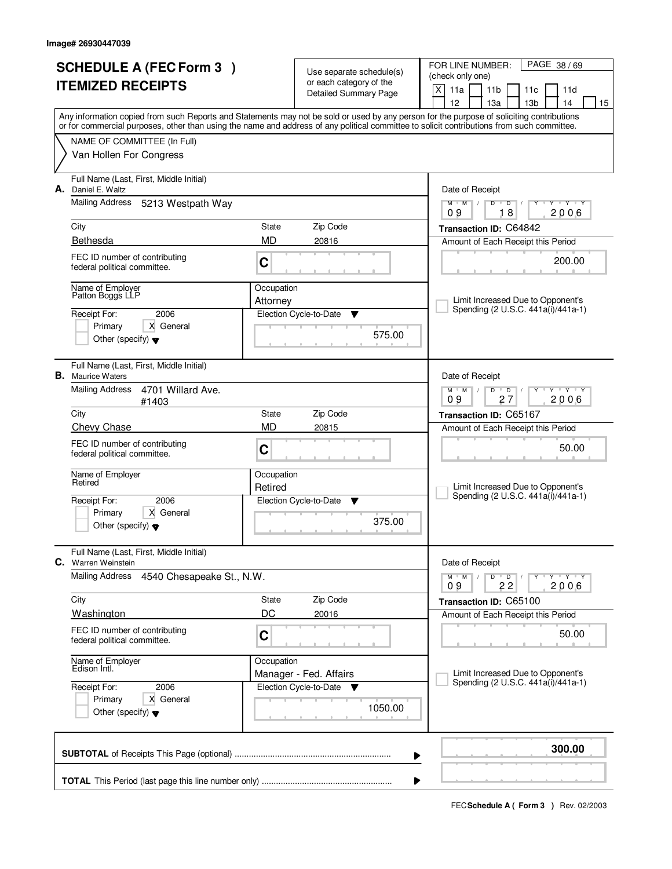| <b>SCHEDULE A (FEC Form 3)</b><br><b>ITEMIZED RECEIPTS</b> |                                                               | Use separate schedule(s)<br>or each category of the |                                      | PAGE 38/69<br>FOR LINE NUMBER:<br>(check only one)                                                                                                                              |  |  |  |
|------------------------------------------------------------|---------------------------------------------------------------|-----------------------------------------------------|--------------------------------------|---------------------------------------------------------------------------------------------------------------------------------------------------------------------------------|--|--|--|
|                                                            |                                                               |                                                     | <b>Detailed Summary Page</b>         | $\mathsf{X}$<br>11a<br>11 <sub>b</sub><br>11c<br>11d<br>12                                                                                                                      |  |  |  |
|                                                            |                                                               |                                                     |                                      | 13a<br>13 <sub>b</sub><br>14<br>15<br>Any information copied from such Reports and Statements may not be sold or used by any person for the purpose of soliciting contributions |  |  |  |
|                                                            | NAME OF COMMITTEE (In Full)                                   |                                                     |                                      | or for commercial purposes, other than using the name and address of any political committee to solicit contributions from such committee.                                      |  |  |  |
|                                                            | Van Hollen For Congress                                       |                                                     |                                      |                                                                                                                                                                                 |  |  |  |
| А.<br>Daniel E. Waltz                                      | Full Name (Last, First, Middle Initial)                       |                                                     |                                      | Date of Receipt                                                                                                                                                                 |  |  |  |
|                                                            | <b>Mailing Address</b><br>5213 Westpath Way                   |                                                     |                                      | $\mathsf D$<br><b>TY TY</b><br>$M$ $M$ /<br>$D$ <sup><math>\Box</math></sup><br>Y<br>18<br>2006<br>09                                                                           |  |  |  |
| City                                                       |                                                               | State                                               | Zip Code                             | Transaction ID: C64842                                                                                                                                                          |  |  |  |
| Bethesda                                                   |                                                               | <b>MD</b>                                           | 20816                                | Amount of Each Receipt this Period                                                                                                                                              |  |  |  |
|                                                            | FEC ID number of contributing<br>federal political committee. | C                                                   |                                      | 200.00                                                                                                                                                                          |  |  |  |
|                                                            | Name of Employer<br>Patton Boggs LLP                          | Occupation<br>Attorney                              |                                      | Limit Increased Due to Opponent's                                                                                                                                               |  |  |  |
| Receipt For:                                               | 2006                                                          |                                                     | Election Cycle-to-Date<br>v          | Spending (2 U.S.C. 441a(i)/441a-1)                                                                                                                                              |  |  |  |
|                                                            | X General<br>Primary<br>Other (specify) $\blacktriangledown$  |                                                     | 575.00                               |                                                                                                                                                                                 |  |  |  |
| <b>B.</b> Maurice Waters                                   | Full Name (Last, First, Middle Initial)                       |                                                     |                                      | Date of Receipt                                                                                                                                                                 |  |  |  |
|                                                            | <b>Mailing Address</b><br>4701 Willard Ave.<br>#1403          |                                                     |                                      | $M$ $M$ $/$<br>D<br>$\overline{D}$<br>$Y \vdash Y \vdash Y$<br>27<br>2006<br>09                                                                                                 |  |  |  |
| City                                                       |                                                               | State                                               | Zip Code                             | Transaction ID: C65167                                                                                                                                                          |  |  |  |
|                                                            | Chevy Chase                                                   | <b>MD</b>                                           | 20815                                | Amount of Each Receipt this Period                                                                                                                                              |  |  |  |
|                                                            | FEC ID number of contributing<br>federal political committee. | C                                                   |                                      | 50.00                                                                                                                                                                           |  |  |  |
| Retired                                                    | Name of Employer                                              | Occupation                                          |                                      |                                                                                                                                                                                 |  |  |  |
|                                                            |                                                               | Retired                                             |                                      | Limit Increased Due to Opponent's<br>Spending (2 U.S.C. 441a(i)/441a-1)                                                                                                         |  |  |  |
| Receipt For:                                               | 2006<br>Primary<br>X General                                  |                                                     | Election Cycle-to-Date<br>▼          |                                                                                                                                                                                 |  |  |  |
|                                                            | Other (specify) $\blacktriangledown$                          |                                                     | 375.00                               |                                                                                                                                                                                 |  |  |  |
| <b>C.</b> Warren Weinstein                                 | Full Name (Last, First, Middle Initial)                       |                                                     |                                      | Date of Receipt                                                                                                                                                                 |  |  |  |
|                                                            | Mailing Address<br>4540 Chesapeake St., N.W.                  |                                                     |                                      | $M$ $M$<br>D<br>$\overline{D}$<br>$Y + Y + Y$<br>2006<br>22<br>09                                                                                                               |  |  |  |
| City                                                       |                                                               | State                                               | Zip Code                             | Transaction ID: C65100                                                                                                                                                          |  |  |  |
|                                                            | Washington                                                    | DC                                                  | 20016                                | Amount of Each Receipt this Period                                                                                                                                              |  |  |  |
|                                                            | FEC ID number of contributing<br>federal political committee. | C                                                   |                                      | 50.00                                                                                                                                                                           |  |  |  |
|                                                            | Name of Employer<br>Edison Intl.<br>2006<br>Receipt For:      |                                                     | Occupation<br>Manager - Fed. Affairs | Limit Increased Due to Opponent's                                                                                                                                               |  |  |  |
|                                                            |                                                               |                                                     | Election Cycle-to-Date<br><b>V</b>   | Spending (2 U.S.C. 441a(i)/441a-1)                                                                                                                                              |  |  |  |
|                                                            | Primary<br>X General<br>Other (specify) $\blacktriangledown$  |                                                     | 1050.00                              |                                                                                                                                                                                 |  |  |  |
|                                                            |                                                               |                                                     | ▶                                    | 300.00                                                                                                                                                                          |  |  |  |
|                                                            |                                                               |                                                     | ▶                                    |                                                                                                                                                                                 |  |  |  |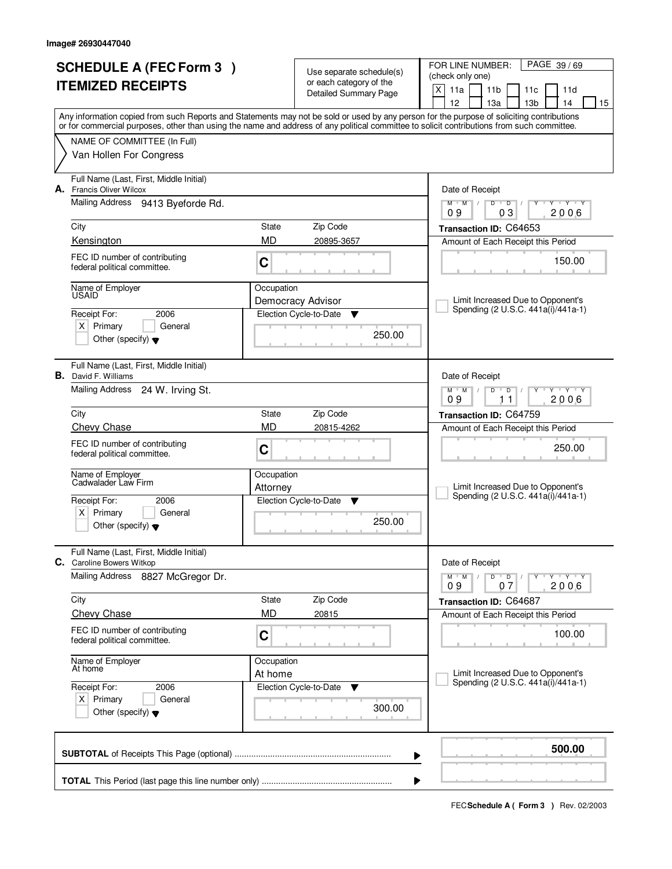| <b>SCHEDULE A (FEC Form 3)</b> |                                                                |              |                                                     | PAGE 39/69<br>FOR LINE NUMBER:                                                                                                                                                                                                                                                          |
|--------------------------------|----------------------------------------------------------------|--------------|-----------------------------------------------------|-----------------------------------------------------------------------------------------------------------------------------------------------------------------------------------------------------------------------------------------------------------------------------------------|
|                                |                                                                |              | Use separate schedule(s)<br>or each category of the | (check only one)                                                                                                                                                                                                                                                                        |
|                                | <b>ITEMIZED RECEIPTS</b>                                       |              | <b>Detailed Summary Page</b>                        | X<br>11a<br>11 <sub>b</sub><br>11 <sub>c</sub><br>11d                                                                                                                                                                                                                                   |
|                                |                                                                |              |                                                     | 12<br>13a<br>13 <sub>b</sub><br>14<br>15                                                                                                                                                                                                                                                |
|                                |                                                                |              |                                                     | Any information copied from such Reports and Statements may not be sold or used by any person for the purpose of soliciting contributions<br>or for commercial purposes, other than using the name and address of any political committee to solicit contributions from such committee. |
|                                | NAME OF COMMITTEE (In Full)                                    |              |                                                     |                                                                                                                                                                                                                                                                                         |
|                                | Van Hollen For Congress                                        |              |                                                     |                                                                                                                                                                                                                                                                                         |
|                                |                                                                |              |                                                     |                                                                                                                                                                                                                                                                                         |
|                                | Full Name (Last, First, Middle Initial)                        |              |                                                     |                                                                                                                                                                                                                                                                                         |
|                                | A. Francis Oliver Wilcox                                       |              |                                                     | Date of Receipt                                                                                                                                                                                                                                                                         |
|                                | Mailing Address 9413 Byeforde Rd.                              |              |                                                     | $M$ $M$ $/$<br>$D$ $D$<br>Y Y Y Y<br>Y<br>$\sqrt{ }$<br>03<br>2006<br>09                                                                                                                                                                                                                |
|                                | City                                                           | State        | Zip Code                                            |                                                                                                                                                                                                                                                                                         |
|                                | Kensington                                                     | <b>MD</b>    | 20895-3657                                          | Transaction ID: C64653<br>Amount of Each Receipt this Period                                                                                                                                                                                                                            |
|                                |                                                                |              |                                                     |                                                                                                                                                                                                                                                                                         |
|                                | FEC ID number of contributing<br>federal political committee.  | C            |                                                     | 150.00                                                                                                                                                                                                                                                                                  |
|                                |                                                                |              |                                                     |                                                                                                                                                                                                                                                                                         |
|                                | Name of Employer<br><b>USAID</b>                               | Occupation   |                                                     |                                                                                                                                                                                                                                                                                         |
|                                |                                                                |              | Democracy Advisor                                   | Limit Increased Due to Opponent's<br>Spending (2 U.S.C. 441a(i)/441a-1)                                                                                                                                                                                                                 |
|                                | 2006<br>Receipt For:<br>$X$ Primary<br>General                 |              | Election Cycle-to-Date<br>▼                         |                                                                                                                                                                                                                                                                                         |
|                                | Other (specify) $\blacktriangledown$                           |              | 250.00                                              |                                                                                                                                                                                                                                                                                         |
|                                |                                                                |              |                                                     |                                                                                                                                                                                                                                                                                         |
|                                | Full Name (Last, First, Middle Initial)                        |              |                                                     |                                                                                                                                                                                                                                                                                         |
|                                | <b>B.</b> David F. Williams                                    |              |                                                     | Date of Receipt                                                                                                                                                                                                                                                                         |
|                                | Mailing Address<br>24 W. Irving St.                            |              |                                                     | $M$ M<br>D<br>$T - Y$<br>D                                                                                                                                                                                                                                                              |
|                                |                                                                |              |                                                     | 2006<br>09<br>11                                                                                                                                                                                                                                                                        |
|                                | City                                                           | <b>State</b> | Zip Code                                            | Transaction ID: C64759                                                                                                                                                                                                                                                                  |
|                                | Chevy Chase                                                    | <b>MD</b>    | 20815-4262                                          | Amount of Each Receipt this Period                                                                                                                                                                                                                                                      |
|                                | FEC ID number of contributing<br>federal political committee.  | C            |                                                     | 250.00                                                                                                                                                                                                                                                                                  |
|                                |                                                                |              |                                                     |                                                                                                                                                                                                                                                                                         |
|                                | Name of Employer<br>Cadwalader Law Firm                        | Occupation   |                                                     |                                                                                                                                                                                                                                                                                         |
|                                |                                                                | Attorney     |                                                     | Limit Increased Due to Opponent's<br>Spending (2 U.S.C. 441a(i)/441a-1)                                                                                                                                                                                                                 |
|                                | Receipt For:<br>2006                                           |              | Election Cycle-to-Date<br>▼                         |                                                                                                                                                                                                                                                                                         |
|                                | $X$ Primary<br>General<br>Other (specify) $\blacktriangledown$ |              | 250.00                                              |                                                                                                                                                                                                                                                                                         |
|                                |                                                                |              |                                                     |                                                                                                                                                                                                                                                                                         |
|                                | Full Name (Last, First, Middle Initial)                        |              |                                                     |                                                                                                                                                                                                                                                                                         |
|                                | C. Caroline Bowers Witkop                                      |              |                                                     | Date of Receipt                                                                                                                                                                                                                                                                         |
|                                | Mailing Address<br>8827 McGregor Dr.                           |              |                                                     | $D$ $D$ $I$<br>$M$ $M$ $/$<br>Y Y Y Y<br>Υ<br>2006                                                                                                                                                                                                                                      |
|                                | City                                                           | State        | Zip Code                                            | 09<br>07                                                                                                                                                                                                                                                                                |
|                                | <b>Chevy Chase</b>                                             | <b>MD</b>    | 20815                                               | Transaction ID: C64687<br>Amount of Each Receipt this Period                                                                                                                                                                                                                            |
|                                |                                                                |              |                                                     |                                                                                                                                                                                                                                                                                         |
|                                | FEC ID number of contributing<br>federal political committee.  | C            |                                                     | 100.00                                                                                                                                                                                                                                                                                  |
|                                |                                                                |              |                                                     |                                                                                                                                                                                                                                                                                         |
|                                | Name of Employer<br>At home                                    | Occupation   |                                                     |                                                                                                                                                                                                                                                                                         |
|                                |                                                                | At home      |                                                     | Limit Increased Due to Opponent's<br>Spending (2 U.S.C. 441a(i)/441a-1)                                                                                                                                                                                                                 |
|                                | Receipt For:<br>2006<br>$X$ Primary<br>General                 |              | Election Cycle-to-Date<br>v                         |                                                                                                                                                                                                                                                                                         |
|                                | Other (specify) $\blacktriangledown$                           |              | 300.00                                              |                                                                                                                                                                                                                                                                                         |
|                                |                                                                |              |                                                     |                                                                                                                                                                                                                                                                                         |
|                                |                                                                |              |                                                     |                                                                                                                                                                                                                                                                                         |
|                                |                                                                |              |                                                     | 500.00<br>▶                                                                                                                                                                                                                                                                             |
|                                |                                                                |              |                                                     |                                                                                                                                                                                                                                                                                         |
|                                |                                                                |              |                                                     |                                                                                                                                                                                                                                                                                         |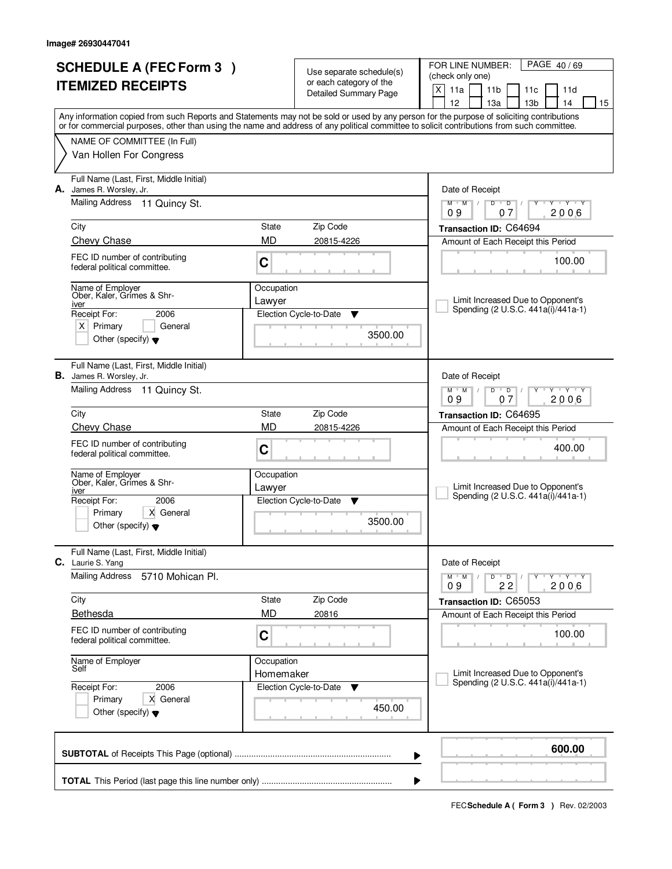| <b>SCHEDULE A (FEC Form 3)</b>                                             | Use separate schedule(s) |                                                  | PAGE 40/69<br>FOR LINE NUMBER:<br>(check only one)                                                                                                                                                                                                                                      |  |  |  |
|----------------------------------------------------------------------------|--------------------------|--------------------------------------------------|-----------------------------------------------------------------------------------------------------------------------------------------------------------------------------------------------------------------------------------------------------------------------------------------|--|--|--|
| <b>ITEMIZED RECEIPTS</b>                                                   |                          | or each category of the<br>Detailed Summary Page | X<br>11a<br>11 <sub>b</sub><br>11c<br>11d<br>12<br>13 <sub>b</sub><br>14<br>13a<br>15                                                                                                                                                                                                   |  |  |  |
|                                                                            |                          |                                                  | Any information copied from such Reports and Statements may not be sold or used by any person for the purpose of soliciting contributions<br>or for commercial purposes, other than using the name and address of any political committee to solicit contributions from such committee. |  |  |  |
| NAME OF COMMITTEE (In Full)                                                |                          |                                                  |                                                                                                                                                                                                                                                                                         |  |  |  |
| Van Hollen For Congress                                                    |                          |                                                  |                                                                                                                                                                                                                                                                                         |  |  |  |
| Full Name (Last, First, Middle Initial)<br><b>A.</b> James R. Worsley, Jr. |                          |                                                  | Date of Receipt                                                                                                                                                                                                                                                                         |  |  |  |
| Mailing Address<br>11 Quincy St.                                           |                          |                                                  | $+Y+Y$<br>$M$ <sup><math>+</math></sup><br>$M$ /<br>D<br>$\overline{D}$<br>Y<br>2006<br>09<br>07                                                                                                                                                                                        |  |  |  |
| City                                                                       | State                    | Zip Code                                         | Transaction ID: C64694                                                                                                                                                                                                                                                                  |  |  |  |
| Chevy Chase                                                                | <b>MD</b>                | 20815-4226                                       | Amount of Each Receipt this Period                                                                                                                                                                                                                                                      |  |  |  |
| FEC ID number of contributing<br>federal political committee.              | C                        |                                                  | 100.00                                                                                                                                                                                                                                                                                  |  |  |  |
| Name of Employer<br>Ober, Kaler, Grimes & Shr-                             | Occupation               |                                                  |                                                                                                                                                                                                                                                                                         |  |  |  |
| iver<br>Receipt For:<br>2006                                               | Lawyer                   | Election Cycle-to-Date<br>▼                      | Limit Increased Due to Opponent's<br>Spending (2 U.S.C. 441a(i)/441a-1)                                                                                                                                                                                                                 |  |  |  |
| $X$ Primary<br>General                                                     |                          |                                                  |                                                                                                                                                                                                                                                                                         |  |  |  |
| Other (specify) $\blacktriangledown$                                       |                          | 3500.00                                          |                                                                                                                                                                                                                                                                                         |  |  |  |
| Full Name (Last, First, Middle Initial)<br><b>B.</b> James R. Worsley, Jr. |                          |                                                  | Date of Receipt                                                                                                                                                                                                                                                                         |  |  |  |
| Mailing Address 11 Quincy St.                                              |                          |                                                  | $D$ $D$<br>$Y \vdash Y \vdash Y$<br>$M$ $M$ /<br>09<br>07<br>2006                                                                                                                                                                                                                       |  |  |  |
| City                                                                       | State                    | Zip Code                                         | Transaction ID: C64695                                                                                                                                                                                                                                                                  |  |  |  |
| Chevy Chase                                                                | <b>MD</b>                | 20815-4226                                       | Amount of Each Receipt this Period                                                                                                                                                                                                                                                      |  |  |  |
| FEC ID number of contributing<br>federal political committee.              | С                        |                                                  | 400.00                                                                                                                                                                                                                                                                                  |  |  |  |
| Name of Employer<br>Ober, Kaler, Grimes & Shr-                             | Occupation<br>Lawyer     |                                                  | Limit Increased Due to Opponent's                                                                                                                                                                                                                                                       |  |  |  |
| iver<br>Receipt For:<br>2006                                               |                          | Election Cycle-to-Date<br>▼                      | Spending (2 U.S.C. 441a(i)/441a-1)                                                                                                                                                                                                                                                      |  |  |  |
| X General<br>Primary<br>Other (specify) $\blacktriangledown$               |                          | 3500.00                                          |                                                                                                                                                                                                                                                                                         |  |  |  |
| Full Name (Last, First, Middle Initial)<br>C. Laurie S. Yang               |                          |                                                  | Date of Receipt                                                                                                                                                                                                                                                                         |  |  |  |
| <b>Mailing Address</b><br>5710 Mohican Pl.                                 |                          |                                                  | $D$ $D$<br>πηγππηγππηγ<br>$M$ $M$<br>$\sqrt{ }$<br>Y<br>2006<br>22<br>09                                                                                                                                                                                                                |  |  |  |
| City                                                                       | State                    | Zip Code                                         | Transaction ID: C65053                                                                                                                                                                                                                                                                  |  |  |  |
| Bethesda                                                                   | <b>MD</b>                | 20816                                            | Amount of Each Receipt this Period                                                                                                                                                                                                                                                      |  |  |  |
| FEC ID number of contributing<br>federal political committee.              | C                        |                                                  | 100.00                                                                                                                                                                                                                                                                                  |  |  |  |
| Name of Employer<br>Self                                                   | Occupation               |                                                  | Limit Increased Due to Opponent's                                                                                                                                                                                                                                                       |  |  |  |
| Receipt For:<br>2006                                                       | Homemaker                | Election Cycle-to-Date<br>v                      | Spending (2 U.S.C. 441a(i)/441a-1)                                                                                                                                                                                                                                                      |  |  |  |
| Primary<br>X General<br>Other (specify) $\blacktriangledown$               |                          | 450.00                                           |                                                                                                                                                                                                                                                                                         |  |  |  |
|                                                                            |                          |                                                  | 600.00<br>▶                                                                                                                                                                                                                                                                             |  |  |  |
|                                                                            |                          |                                                  |                                                                                                                                                                                                                                                                                         |  |  |  |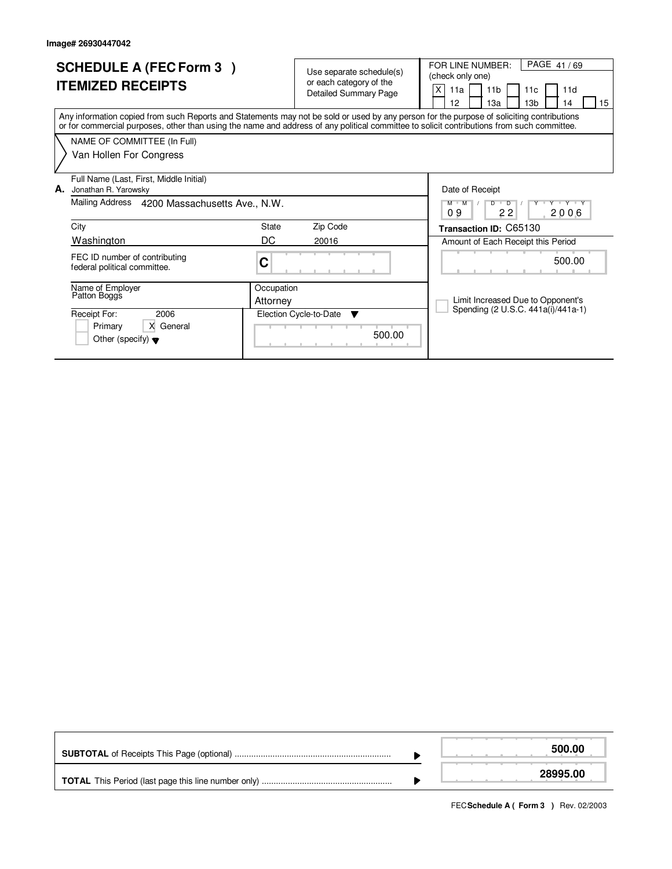| <b>SCHEDULE A (FEC Form 3)</b><br><b>ITEMIZED RECEIPTS</b>                                                                                                                                                                                                                              | Use separate schedule(s)<br>or each category of the<br><b>Detailed Summary Page</b> | PAGE 41/69<br>FOR LINE NUMBER:<br>(check only one)<br>X<br>11 <sub>b</sub><br>11d<br>11a<br>11c<br>13 <sub>b</sub><br>12<br>15<br>13a<br>14 |  |  |
|-----------------------------------------------------------------------------------------------------------------------------------------------------------------------------------------------------------------------------------------------------------------------------------------|-------------------------------------------------------------------------------------|---------------------------------------------------------------------------------------------------------------------------------------------|--|--|
| Any information copied from such Reports and Statements may not be sold or used by any person for the purpose of soliciting contributions<br>or for commercial purposes, other than using the name and address of any political committee to solicit contributions from such committee. |                                                                                     |                                                                                                                                             |  |  |
| NAME OF COMMITTEE (In Full)<br>Van Hollen For Congress                                                                                                                                                                                                                                  |                                                                                     |                                                                                                                                             |  |  |
| Full Name (Last, First, Middle Initial)<br>А.<br>Jonathan R. Yarowsky<br>Mailing Address<br>4200 Massachusetts Ave., N.W.                                                                                                                                                               |                                                                                     | Date of Receipt<br>$M$ $M$<br>$D$ <sup><math>\Box</math></sup><br>$\overline{D}$<br>V Y V Y                                                 |  |  |
| City                                                                                                                                                                                                                                                                                    | State<br>Zip Code                                                                   | 22<br>09<br>2006                                                                                                                            |  |  |
| Washington                                                                                                                                                                                                                                                                              | DC<br>20016                                                                         | Transaction ID: C65130<br>Amount of Each Receipt this Period                                                                                |  |  |
| FEC ID number of contributing<br>federal political committee.                                                                                                                                                                                                                           | C                                                                                   | 500.00                                                                                                                                      |  |  |
| Name of Employer<br>Patton Boggs                                                                                                                                                                                                                                                        | Occupation<br>Attorney                                                              | Limit Increased Due to Opponent's                                                                                                           |  |  |
| Receipt For:<br>2006<br>X General<br>Primary<br>Other (specify) $\blacktriangledown$                                                                                                                                                                                                    | Election Cycle-to-Date<br>▼<br>500.00                                               | Spending (2 U.S.C. 441a(i)/441a-1)                                                                                                          |  |  |

|  | 500.00   |
|--|----------|
|  | 28995.00 |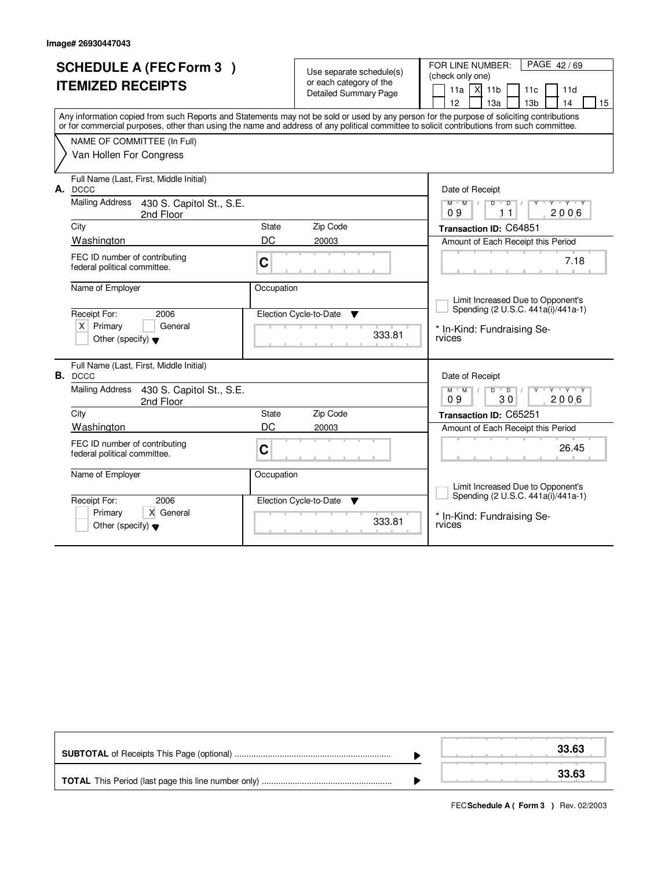| <b>SCHEDULE A (FEC Form 3)</b><br><b>ITEMIZED RECEIPTS</b><br>NAME OF COMMITTEE (In Full)<br>Van Hollen For Congress                                                                                                                                                                                                                                             | Use separate schedule(s)<br>or each category of the<br><b>Detailed Summary Page</b><br>Any information copied from such Reports and Statements may not be sold or used by any person for the purpose of soliciting contributions<br>or for commercial purposes, other than using the name and address of any political committee to solicit contributions from such committee. | FOR LINE NUMBER:<br>PAGE 42/69<br>(check only one)<br>$11a$ $\overline{X}$ 11b<br>11 <sub>c</sub><br>11d<br>12<br>14<br>13a<br>13 <sub>b</sub><br>15                                                                                                                               |
|------------------------------------------------------------------------------------------------------------------------------------------------------------------------------------------------------------------------------------------------------------------------------------------------------------------------------------------------------------------|--------------------------------------------------------------------------------------------------------------------------------------------------------------------------------------------------------------------------------------------------------------------------------------------------------------------------------------------------------------------------------|------------------------------------------------------------------------------------------------------------------------------------------------------------------------------------------------------------------------------------------------------------------------------------|
| Full Name (Last, First, Middle Initial)<br>A. DCCC<br><b>Mailing Address</b><br>430 S. Capitol St., S.E.<br>2nd Floor<br>City<br>Washington<br>FEC ID number of contributing<br>federal political committee.<br>Name of Employer<br>Receipt For:<br>2006<br>$X$ Primary<br>General                                                                               | State<br>Zip Code<br>DC<br>20003<br>C<br>Occupation<br>Election Cycle-to-Date<br>▼<br>333.81                                                                                                                                                                                                                                                                                   | Date of Receipt<br>$M$ $M$<br>Y Y Y Y<br>D<br>$\overline{D}$<br>2006<br>09<br>11<br>Transaction ID: C64851<br>Amount of Each Receipt this Period<br>7.18<br>Limit Increased Due to Opponent's<br>Spending (2 U.S.C. 441a(i)/441a-1)<br>* In-Kind: Fundraising Se-<br>rvices        |
| Other (specify) $\blacktriangledown$<br>Full Name (Last, First, Middle Initial)<br>B. DCCC<br><b>Mailing Address</b><br>430 S. Capitol St., S.E.<br>2nd Floor<br>City<br>Washington<br>FEC ID number of contributing<br>federal political committee.<br>Name of Employer<br>2006<br>Receipt For:<br>Primary<br>X General<br>Other (specify) $\blacktriangledown$ | Zip Code<br>State<br>DC<br>20003<br>C<br>Occupation<br>Election Cycle-to-Date<br>▼<br>333.81                                                                                                                                                                                                                                                                                   | Date of Receipt<br>$M^+$ M<br>$D$ $D$ $1$<br>Y<br>ਦਾγ≕⊏γ≕∽γ<br>30<br>2006<br>09<br><b>Transaction ID: C65251</b><br>Amount of Each Receipt this Period<br>26.45<br>Limit Increased Due to Opponent's<br>Spending (2 U.S.C. 441a(i)/441a-1)<br>* In-Kind: Fundraising Se-<br>rvices |

|  |  |  | 33.63 |
|--|--|--|-------|
|  |  |  | 33.63 |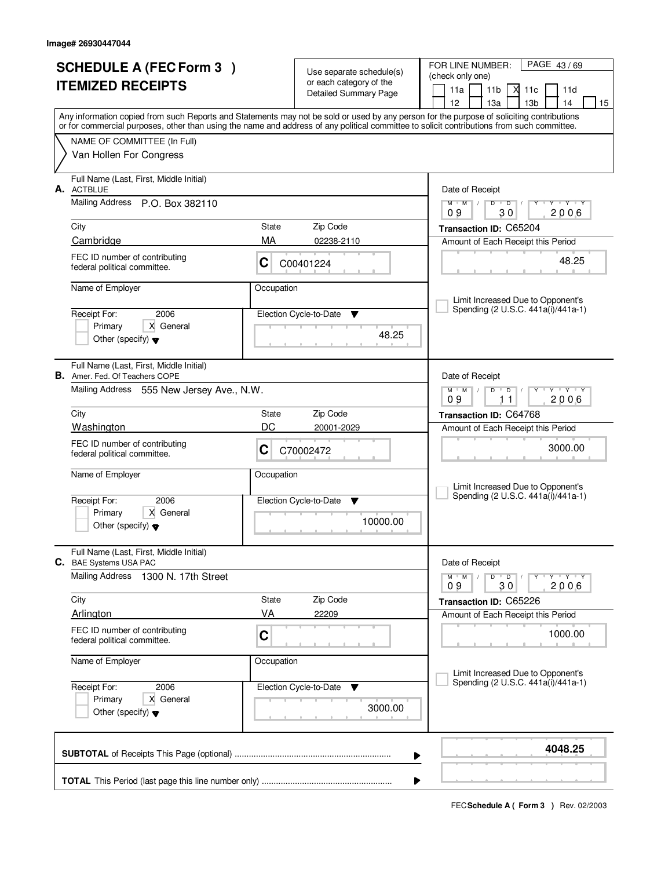| <b>SCHEDULE A (FEC Form 3)</b>                                                   |            | Use separate schedule(s)                                | FOR LINE NUMBER:<br>PAGE 43/69<br>(check only one)                                                                                                                                                                                                                                      |  |  |
|----------------------------------------------------------------------------------|------------|---------------------------------------------------------|-----------------------------------------------------------------------------------------------------------------------------------------------------------------------------------------------------------------------------------------------------------------------------------------|--|--|
| <b>ITEMIZED RECEIPTS</b>                                                         |            | or each category of the<br><b>Detailed Summary Page</b> | 11a<br>11 <sub>b</sub><br>Х<br>11c<br>11d                                                                                                                                                                                                                                               |  |  |
|                                                                                  |            |                                                         | 12<br>13a<br>13 <sub>b</sub><br>14<br>15                                                                                                                                                                                                                                                |  |  |
|                                                                                  |            |                                                         | Any information copied from such Reports and Statements may not be sold or used by any person for the purpose of soliciting contributions<br>or for commercial purposes, other than using the name and address of any political committee to solicit contributions from such committee. |  |  |
| NAME OF COMMITTEE (In Full)                                                      |            |                                                         |                                                                                                                                                                                                                                                                                         |  |  |
| Van Hollen For Congress                                                          |            |                                                         |                                                                                                                                                                                                                                                                                         |  |  |
| Full Name (Last, First, Middle Initial)<br><b>ACTBLUE</b><br>А.                  |            |                                                         | Date of Receipt                                                                                                                                                                                                                                                                         |  |  |
| <b>Mailing Address</b><br>P.O. Box 382110                                        |            |                                                         | $D$ $D$<br>$M$ $M$ /<br>$Y - Y - Y - Y$<br>30<br>2006<br>09                                                                                                                                                                                                                             |  |  |
| City                                                                             | State      | Zip Code                                                | Transaction ID: C65204                                                                                                                                                                                                                                                                  |  |  |
| Cambridge                                                                        | MA         | 02238-2110                                              | Amount of Each Receipt this Period                                                                                                                                                                                                                                                      |  |  |
| FEC ID number of contributing<br>federal political committee.                    | C          | C00401224                                               | 48.25                                                                                                                                                                                                                                                                                   |  |  |
| Name of Employer                                                                 | Occupation |                                                         | Limit Increased Due to Opponent's                                                                                                                                                                                                                                                       |  |  |
| Receipt For:<br>2006                                                             |            | Election Cycle-to-Date<br>v                             | Spending (2 U.S.C. 441a(i)/441a-1)                                                                                                                                                                                                                                                      |  |  |
| X General<br>Primary                                                             |            | 48.25                                                   |                                                                                                                                                                                                                                                                                         |  |  |
| Other (specify) $\blacktriangledown$                                             |            |                                                         |                                                                                                                                                                                                                                                                                         |  |  |
| Full Name (Last, First, Middle Initial)<br><b>B.</b> Amer. Fed. Of Teachers COPE |            |                                                         | Date of Receipt                                                                                                                                                                                                                                                                         |  |  |
| Mailing Address 555 New Jersey Ave., N.W.                                        |            |                                                         | $V = Y + Y$<br>$M$ M<br>D<br>$\overline{D}$<br>Y<br>2006<br>09<br>11                                                                                                                                                                                                                    |  |  |
| City                                                                             | State      | Zip Code                                                | Transaction ID: C64768                                                                                                                                                                                                                                                                  |  |  |
| Washington                                                                       | DC         | 20001-2029                                              | Amount of Each Receipt this Period                                                                                                                                                                                                                                                      |  |  |
| FEC ID number of contributing<br>federal political committee.                    | C          | C70002472                                               | 3000.00                                                                                                                                                                                                                                                                                 |  |  |
| Name of Employer                                                                 | Occupation |                                                         | Limit Increased Due to Opponent's                                                                                                                                                                                                                                                       |  |  |
| 2006<br>Receipt For:                                                             |            | Election Cycle-to-Date<br>▼                             | Spending (2 U.S.C. 441a(i)/441a-1)                                                                                                                                                                                                                                                      |  |  |
| Primary<br>X General<br>Other (specify) $\blacktriangledown$                     |            | 10000.00                                                |                                                                                                                                                                                                                                                                                         |  |  |
| Full Name (Last, First, Middle Initial)                                          |            |                                                         |                                                                                                                                                                                                                                                                                         |  |  |
| C. BAE Systems USA PAC                                                           |            |                                                         | Date of Receipt                                                                                                                                                                                                                                                                         |  |  |
| <b>Mailing Address</b><br>1300 N. 17th Street                                    |            |                                                         | D<br>$\blacksquare$ D $\blacksquare$ /<br>$\mathsf{v}$ $\mathsf{y}$ $\mathsf{v}$ $\mathsf{y}$ $\mathsf{v}$<br>$M$ $M$ /<br>Y<br>30<br>2006<br>09                                                                                                                                        |  |  |
| City                                                                             | State      | Zip Code                                                | Transaction ID: C65226                                                                                                                                                                                                                                                                  |  |  |
| Arlington                                                                        | VA         | 22209                                                   | Amount of Each Receipt this Period                                                                                                                                                                                                                                                      |  |  |
| FEC ID number of contributing<br>federal political committee.                    | C          |                                                         | 1000.00                                                                                                                                                                                                                                                                                 |  |  |
| Name of Employer                                                                 | Occupation |                                                         | Limit Increased Due to Opponent's                                                                                                                                                                                                                                                       |  |  |
| Receipt For:<br>2006                                                             |            | Election Cycle-to-Date ▼                                | Spending (2 U.S.C. 441a(i)/441a-1)                                                                                                                                                                                                                                                      |  |  |
| Primary<br>X General<br>Other (specify) $\blacktriangledown$                     |            | 3000.00                                                 |                                                                                                                                                                                                                                                                                         |  |  |
|                                                                                  |            |                                                         | 4048.25<br>▶                                                                                                                                                                                                                                                                            |  |  |
|                                                                                  |            |                                                         | ▶                                                                                                                                                                                                                                                                                       |  |  |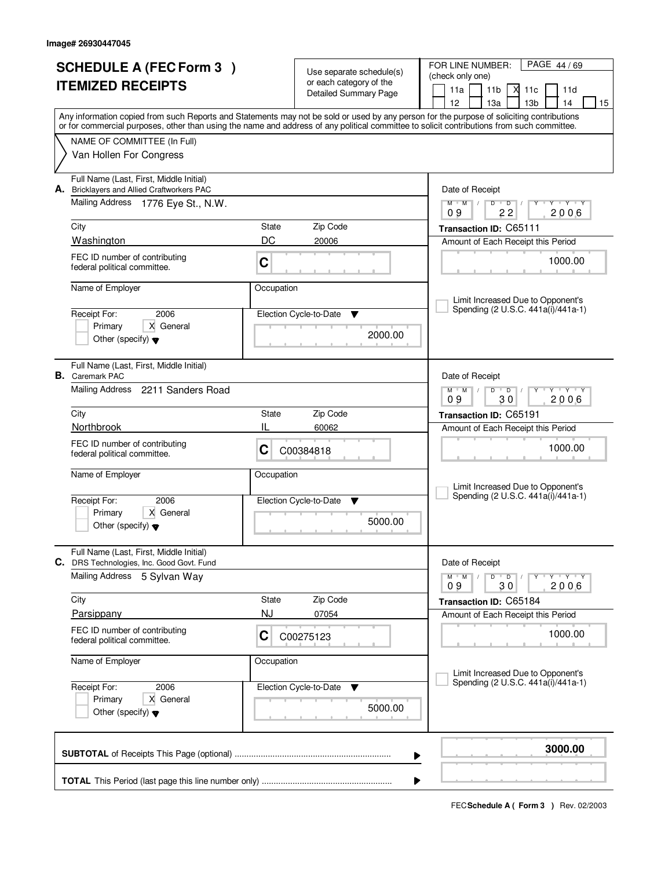| <b>SCHEDULE A (FEC Form 3)</b> |                                                                                           |            |                                                     | PAGE 44/69<br>FOR LINE NUMBER:                                                                                                             |  |  |  |
|--------------------------------|-------------------------------------------------------------------------------------------|------------|-----------------------------------------------------|--------------------------------------------------------------------------------------------------------------------------------------------|--|--|--|
|                                | <b>ITEMIZED RECEIPTS</b>                                                                  |            | Use separate schedule(s)<br>or each category of the | (check only one)                                                                                                                           |  |  |  |
|                                |                                                                                           |            | Detailed Summary Page                               | 11a<br>11 <sub>b</sub><br>Х<br>11c<br>11d<br>12<br>13 <sub>b</sub><br>15<br>13a<br>14                                                      |  |  |  |
|                                |                                                                                           |            |                                                     | Any information copied from such Reports and Statements may not be sold or used by any person for the purpose of soliciting contributions  |  |  |  |
|                                |                                                                                           |            |                                                     | or for commercial purposes, other than using the name and address of any political committee to solicit contributions from such committee. |  |  |  |
|                                | NAME OF COMMITTEE (In Full)<br>Van Hollen For Congress                                    |            |                                                     |                                                                                                                                            |  |  |  |
|                                |                                                                                           |            |                                                     |                                                                                                                                            |  |  |  |
| А.                             | Full Name (Last, First, Middle Initial)<br><b>Bricklayers and Allied Craftworkers PAC</b> |            |                                                     | Date of Receipt                                                                                                                            |  |  |  |
|                                | Mailing Address 1776 Eye St., N.W.                                                        |            |                                                     | $Y + Y + Y$<br>$D$ $D$<br>$M$ $M$ /<br>Y<br>09<br>22<br>2006                                                                               |  |  |  |
|                                | City                                                                                      | State      | Zip Code                                            | Transaction ID: C65111                                                                                                                     |  |  |  |
|                                | Washington                                                                                | DC         | 20006                                               | Amount of Each Receipt this Period                                                                                                         |  |  |  |
|                                | FEC ID number of contributing<br>federal political committee.                             | C          |                                                     | 1000.00                                                                                                                                    |  |  |  |
|                                | Name of Employer                                                                          | Occupation |                                                     |                                                                                                                                            |  |  |  |
|                                | Receipt For:<br>2006                                                                      |            | Election Cycle-to-Date<br>▼                         | Limit Increased Due to Opponent's<br>Spending (2 U.S.C. 441a(i)/441a-1)                                                                    |  |  |  |
|                                | X General<br>Primary                                                                      |            |                                                     |                                                                                                                                            |  |  |  |
|                                | Other (specify) $\blacktriangledown$                                                      |            | 2000.00                                             |                                                                                                                                            |  |  |  |
|                                | Full Name (Last, First, Middle Initial)<br><b>B.</b> Caremark PAC                         |            |                                                     | Date of Receipt                                                                                                                            |  |  |  |
|                                | Mailing Address 2211 Sanders Road                                                         |            |                                                     | $M$ M<br>D<br>$\overline{D}$<br>$Y \vdash Y \vdash Y$<br>30<br>2006<br>09                                                                  |  |  |  |
|                                | City                                                                                      | State      | Zip Code                                            | Transaction ID: C65191                                                                                                                     |  |  |  |
|                                | Northbrook                                                                                | IL         | 60062                                               | Amount of Each Receipt this Period                                                                                                         |  |  |  |
|                                | FEC ID number of contributing<br>federal political committee.                             | С          | C00384818                                           | 1000.00                                                                                                                                    |  |  |  |
|                                | Name of Employer                                                                          | Occupation |                                                     | Limit Increased Due to Opponent's                                                                                                          |  |  |  |
|                                | 2006<br>Receipt For:                                                                      |            | Election Cycle-to-Date<br>▼                         | Spending (2 U.S.C. 441a(i)/441a-1)                                                                                                         |  |  |  |
|                                | X General<br>Primary<br>Other (specify) $\blacktriangledown$                              |            | 5000.00                                             |                                                                                                                                            |  |  |  |
|                                | Full Name (Last, First, Middle Initial)<br>C. DRS Technologies, Inc. Good Govt. Fund      |            |                                                     | Date of Receipt                                                                                                                            |  |  |  |
|                                | <b>Mailing Address</b><br>5 Sylvan Way                                                    |            |                                                     | $\mathsf D$<br>$M$ /<br>$\overline{D}$<br>M<br>Y Y Y Y<br>2006<br>30<br>09                                                                 |  |  |  |
|                                | City                                                                                      | State      | Zip Code                                            | Transaction ID: C65184                                                                                                                     |  |  |  |
|                                | Parsippany                                                                                | <b>NJ</b>  | 07054                                               | Amount of Each Receipt this Period                                                                                                         |  |  |  |
|                                | FEC ID number of contributing<br>federal political committee.                             | C          | C00275123                                           | 1000.00                                                                                                                                    |  |  |  |
|                                | Name of Employer                                                                          | Occupation |                                                     | Limit Increased Due to Opponent's                                                                                                          |  |  |  |
|                                | Receipt For:<br>2006                                                                      |            | Election Cycle-to-Date<br>v                         | Spending (2 U.S.C. 441a(i)/441a-1)                                                                                                         |  |  |  |
|                                | X General<br>Primary<br>Other (specify) $\blacktriangledown$                              | 5000.00    |                                                     |                                                                                                                                            |  |  |  |
|                                |                                                                                           |            |                                                     |                                                                                                                                            |  |  |  |
|                                |                                                                                           |            | ▶                                                   | 3000.00                                                                                                                                    |  |  |  |
|                                |                                                                                           |            | ▶                                                   |                                                                                                                                            |  |  |  |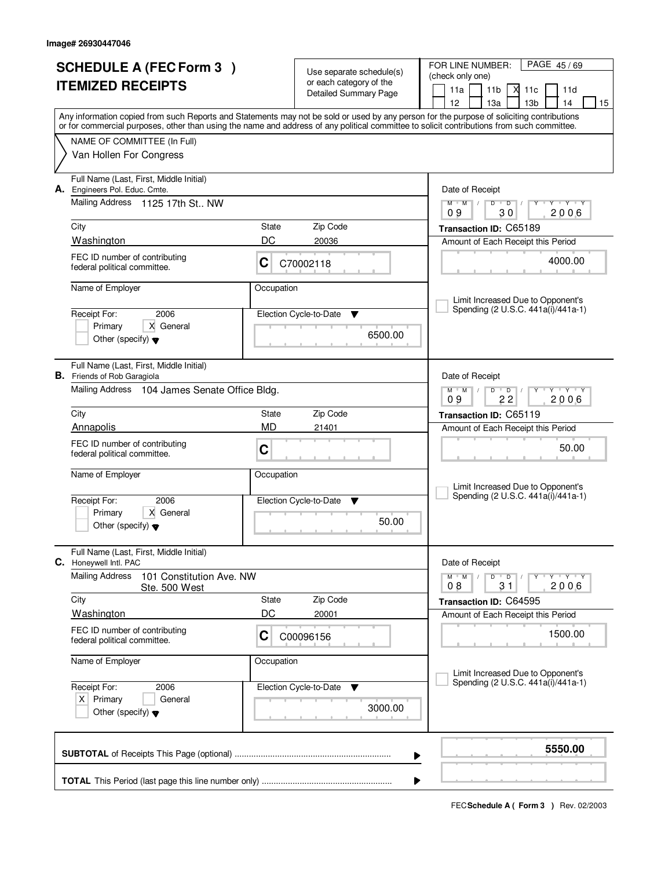| <b>SCHEDULE A (FEC Form 3)</b><br><b>ITEMIZED RECEIPTS</b> |                                                                               |            | Use separate schedule(s)<br>or each category of the<br><b>Detailed Summary Page</b> | FOR LINE NUMBER:<br>PAGE 45/69<br>(check only one)<br>11a<br>11 <sub>b</sub><br>Х<br>11c<br>11d                                                                                                                                                                                         |  |
|------------------------------------------------------------|-------------------------------------------------------------------------------|------------|-------------------------------------------------------------------------------------|-----------------------------------------------------------------------------------------------------------------------------------------------------------------------------------------------------------------------------------------------------------------------------------------|--|
|                                                            |                                                                               |            |                                                                                     | 12<br>13a<br>13 <sub>b</sub><br>14<br>15                                                                                                                                                                                                                                                |  |
|                                                            |                                                                               |            |                                                                                     | Any information copied from such Reports and Statements may not be sold or used by any person for the purpose of soliciting contributions<br>or for commercial purposes, other than using the name and address of any political committee to solicit contributions from such committee. |  |
|                                                            | NAME OF COMMITTEE (In Full)                                                   |            |                                                                                     |                                                                                                                                                                                                                                                                                         |  |
|                                                            | Van Hollen For Congress                                                       |            |                                                                                     |                                                                                                                                                                                                                                                                                         |  |
| А.                                                         | Full Name (Last, First, Middle Initial)<br>Engineers Pol. Educ. Cmte.         |            |                                                                                     | Date of Receipt                                                                                                                                                                                                                                                                         |  |
|                                                            | Mailing Address<br>1125 17th St., NW                                          |            |                                                                                     | $D$ $D$<br>$M$ $M$ /<br>$Y - Y - Y - Y$<br>30<br>2006<br>09                                                                                                                                                                                                                             |  |
|                                                            | City                                                                          | State      | Zip Code                                                                            | Transaction ID: C65189                                                                                                                                                                                                                                                                  |  |
|                                                            | Washington                                                                    | DC         | 20036                                                                               | Amount of Each Receipt this Period                                                                                                                                                                                                                                                      |  |
|                                                            | FEC ID number of contributing<br>federal political committee.                 | C          | C70002118                                                                           | 4000.00                                                                                                                                                                                                                                                                                 |  |
|                                                            | Name of Employer                                                              | Occupation |                                                                                     | Limit Increased Due to Opponent's                                                                                                                                                                                                                                                       |  |
|                                                            | Receipt For:<br>2006                                                          |            | Election Cycle-to-Date<br>v                                                         | Spending (2 U.S.C. 441a(i)/441a-1)                                                                                                                                                                                                                                                      |  |
|                                                            | X General<br>Primary<br>Other (specify) $\blacktriangledown$                  |            | 6500.00                                                                             |                                                                                                                                                                                                                                                                                         |  |
|                                                            | Full Name (Last, First, Middle Initial)<br><b>B.</b> Friends of Rob Garagiola |            |                                                                                     | Date of Receipt                                                                                                                                                                                                                                                                         |  |
|                                                            | Mailing Address 104 James Senate Office Bldg.                                 |            |                                                                                     | $T - Y - T Y$<br>$M$ $M$ /<br>D<br>$\overline{D}$<br>Y<br>22<br>2006<br>09                                                                                                                                                                                                              |  |
|                                                            | City                                                                          | State      | Zip Code                                                                            | Transaction ID: C65119                                                                                                                                                                                                                                                                  |  |
|                                                            | Annapolis                                                                     | MD         | 21401                                                                               | Amount of Each Receipt this Period                                                                                                                                                                                                                                                      |  |
|                                                            | FEC ID number of contributing<br>federal political committee.                 | C          |                                                                                     | 50.00                                                                                                                                                                                                                                                                                   |  |
|                                                            | Name of Employer                                                              | Occupation |                                                                                     | Limit Increased Due to Opponent's                                                                                                                                                                                                                                                       |  |
|                                                            | 2006<br>Receipt For:                                                          |            | Election Cycle-to-Date<br>▼                                                         | Spending (2 U.S.C. 441a(i)/441a-1)                                                                                                                                                                                                                                                      |  |
|                                                            | Primary<br>X General<br>Other (specify) $\blacktriangledown$                  |            | 50.00                                                                               |                                                                                                                                                                                                                                                                                         |  |
|                                                            | Full Name (Last, First, Middle Initial)<br>C. Honeywell Intl. PAC             |            |                                                                                     | Date of Receipt                                                                                                                                                                                                                                                                         |  |
|                                                            | <b>Mailing Address</b><br>101 Constitution Ave. NW<br>Ste. 500 West           |            |                                                                                     | D<br>Y 'Y Y 'Y<br>$M$ $M$ /<br>$\overline{D}$<br>2006<br>08<br>31                                                                                                                                                                                                                       |  |
|                                                            | City                                                                          | State      | Zip Code                                                                            | Transaction ID: C64595                                                                                                                                                                                                                                                                  |  |
|                                                            | <b>Washington</b>                                                             | DC         | 20001                                                                               | Amount of Each Receipt this Period                                                                                                                                                                                                                                                      |  |
|                                                            | FEC ID number of contributing<br>federal political committee.                 | С          | C00096156                                                                           | 1500.00                                                                                                                                                                                                                                                                                 |  |
|                                                            | Name of Employer                                                              | Occupation |                                                                                     | Limit Increased Due to Opponent's                                                                                                                                                                                                                                                       |  |
|                                                            | Receipt For:<br>2006                                                          |            | Election Cycle-to-Date ▼                                                            | Spending (2 U.S.C. 441a(i)/441a-1)                                                                                                                                                                                                                                                      |  |
|                                                            | $X$ Primary<br>General<br>Other (specify) $\blacktriangledown$                |            | 3000.00                                                                             |                                                                                                                                                                                                                                                                                         |  |
|                                                            |                                                                               |            |                                                                                     | 5550.00<br>▶                                                                                                                                                                                                                                                                            |  |
|                                                            |                                                                               |            |                                                                                     | ▶                                                                                                                                                                                                                                                                                       |  |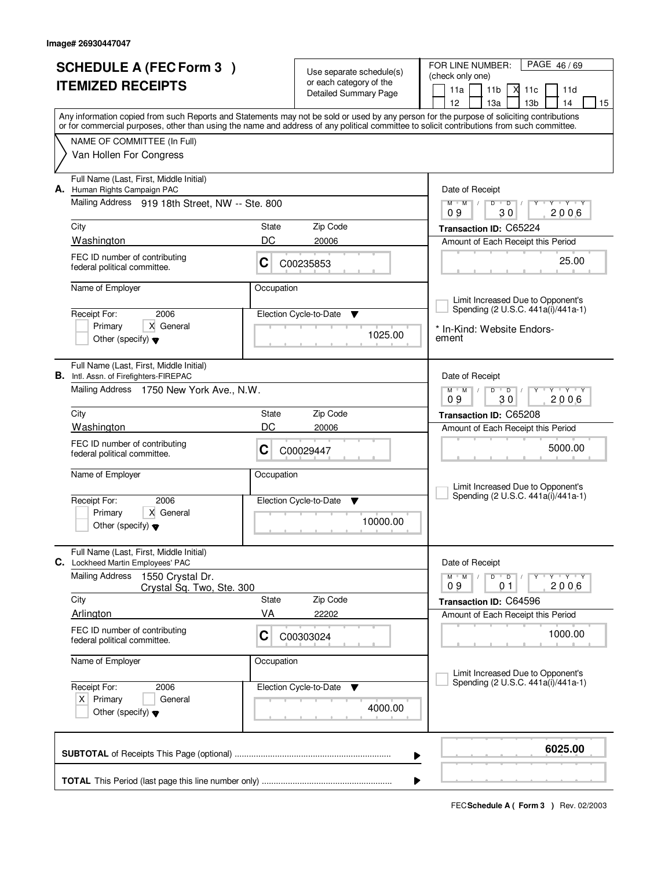| <b>SCHEDULE A (FEC Form 3)</b>       |                                                                                                                                            |             |                                                     | PAGE 46/69<br>FOR LINE NUMBER:                                                                        |
|--------------------------------------|--------------------------------------------------------------------------------------------------------------------------------------------|-------------|-----------------------------------------------------|-------------------------------------------------------------------------------------------------------|
|                                      | <b>ITEMIZED RECEIPTS</b>                                                                                                                   |             | Use separate schedule(s)<br>or each category of the | (check only one)                                                                                      |
|                                      |                                                                                                                                            |             | Detailed Summary Page                               | М<br>11a<br>11 <sub>b</sub><br>11c<br>11d                                                             |
|                                      | Any information copied from such Reports and Statements may not be sold or used by any person for the purpose of soliciting contributions  |             |                                                     | 12<br>13 <sub>b</sub><br>13a<br>14<br>15                                                              |
|                                      | or for commercial purposes, other than using the name and address of any political committee to solicit contributions from such committee. |             |                                                     |                                                                                                       |
|                                      | NAME OF COMMITTEE (In Full)                                                                                                                |             |                                                     |                                                                                                       |
|                                      | Van Hollen For Congress                                                                                                                    |             |                                                     |                                                                                                       |
|                                      | Full Name (Last, First, Middle Initial)<br>A. Human Rights Campaign PAC                                                                    |             |                                                     | Date of Receipt                                                                                       |
|                                      | Mailing Address 919 18th Street, NW -- Ste. 800                                                                                            |             |                                                     | $\mathsf{Y} \dashv \mathsf{Y} \dashv \mathsf{Y}$<br>$M$ $M$ /<br>$D$ $D$ $1$<br>Y<br>30<br>2006<br>09 |
|                                      | City                                                                                                                                       | State<br>DC | Zip Code                                            | Transaction ID: C65224                                                                                |
|                                      | Washington                                                                                                                                 |             | 20006                                               | Amount of Each Receipt this Period                                                                    |
|                                      | FEC ID number of contributing<br>federal political committee.                                                                              | C           | C00235853                                           | 25.00                                                                                                 |
|                                      | Name of Employer                                                                                                                           | Occupation  |                                                     |                                                                                                       |
|                                      |                                                                                                                                            |             |                                                     | Limit Increased Due to Opponent's                                                                     |
|                                      | 2006<br>Receipt For:                                                                                                                       |             | Election Cycle-to-Date<br>▼                         | Spending (2 U.S.C. 441a(i)/441a-1)                                                                    |
|                                      | X General<br>Primary                                                                                                                       |             | 1025.00                                             | * In-Kind: Website Endors-                                                                            |
|                                      | Other (specify) $\blacktriangledown$                                                                                                       |             |                                                     | ement                                                                                                 |
|                                      | Full Name (Last, First, Middle Initial)                                                                                                    |             |                                                     |                                                                                                       |
|                                      | <b>B.</b> Intl. Assn. of Firefighters-FIREPAC                                                                                              |             |                                                     | Date of Receipt                                                                                       |
|                                      | Mailing Address 1750 New York Ave., N.W.                                                                                                   |             |                                                     | $M$ $M$ $/$<br>D<br>$\overline{D}$<br>Y 'Y 'Y<br>30<br>2006<br>09                                     |
|                                      | City                                                                                                                                       | State       | Zip Code                                            | Transaction ID: C65208                                                                                |
|                                      | Washington                                                                                                                                 | DC          | 20006                                               | Amount of Each Receipt this Period                                                                    |
|                                      | FEC ID number of contributing                                                                                                              |             |                                                     | 5000.00                                                                                               |
|                                      | federal political committee.                                                                                                               | С           | C00029447                                           |                                                                                                       |
|                                      | Name of Employer                                                                                                                           | Occupation  |                                                     |                                                                                                       |
|                                      |                                                                                                                                            |             |                                                     | Limit Increased Due to Opponent's                                                                     |
|                                      | 2006<br>Receipt For:                                                                                                                       |             | Election Cycle-to-Date<br><b>V</b>                  | Spending (2 U.S.C. 441a(i)/441a-1)                                                                    |
|                                      | Primary<br>X General                                                                                                                       |             | 10000.00                                            |                                                                                                       |
|                                      | Other (specify) $\blacktriangledown$                                                                                                       |             |                                                     |                                                                                                       |
|                                      | Full Name (Last, First, Middle Initial)<br>C. Lockheed Martin Employees' PAC                                                               |             |                                                     | Date of Receipt                                                                                       |
|                                      | <b>Mailing Address</b><br>1550 Crystal Dr.<br>Crystal Sq. Two, Ste. 300                                                                    |             |                                                     | $D$ $D$ $/$<br>$M$ $M$ /<br>Y Y Y Y<br>Υ<br>09<br>2006<br>01                                          |
|                                      | City                                                                                                                                       | State       | Zip Code                                            | Transaction ID: C64596                                                                                |
|                                      | Arlington                                                                                                                                  | VA          | 22202                                               | Amount of Each Receipt this Period                                                                    |
|                                      | FEC ID number of contributing<br>federal political committee.                                                                              | C           | C00303024                                           | 1000.00                                                                                               |
|                                      | Name of Employer                                                                                                                           | Occupation  |                                                     |                                                                                                       |
|                                      |                                                                                                                                            |             |                                                     | Limit Increased Due to Opponent's                                                                     |
|                                      | Receipt For:<br>2006                                                                                                                       |             | Election Cycle-to-Date<br>v                         | Spending (2 U.S.C. 441a(i)/441a-1)                                                                    |
| $X$ Primary<br>General               |                                                                                                                                            |             | 4000.00                                             |                                                                                                       |
| Other (specify) $\blacktriangledown$ |                                                                                                                                            |             |                                                     |                                                                                                       |
|                                      |                                                                                                                                            |             | ▶                                                   | 6025.00                                                                                               |
|                                      |                                                                                                                                            |             |                                                     |                                                                                                       |
|                                      |                                                                                                                                            |             |                                                     |                                                                                                       |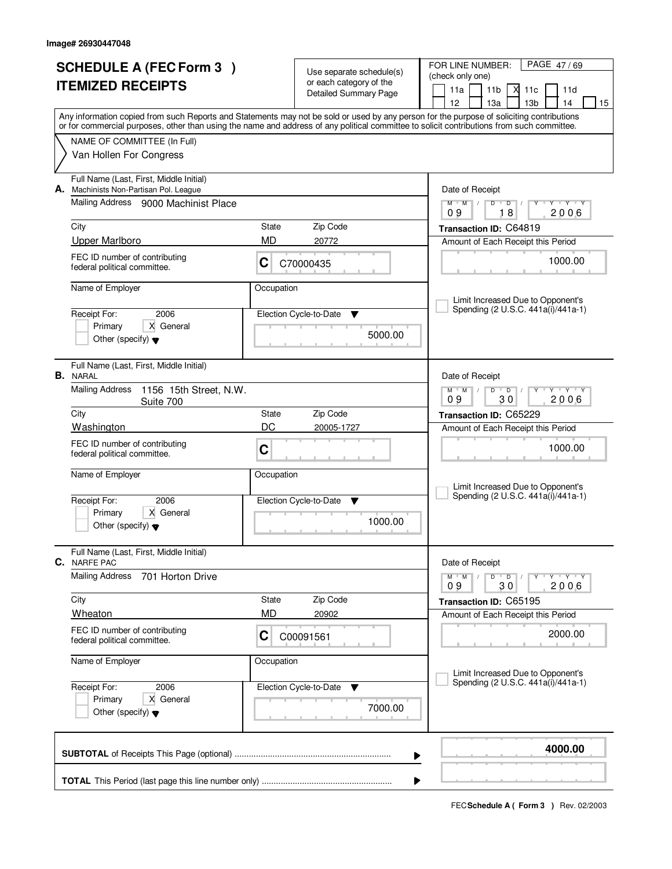| <b>SCHEDULE A (FEC Form 3)</b> |                                                                                                                                                                           |                    | Use separate schedule(s)     | FOR LINE NUMBER:<br>PAGE 47/69                                                                                                            |
|--------------------------------|---------------------------------------------------------------------------------------------------------------------------------------------------------------------------|--------------------|------------------------------|-------------------------------------------------------------------------------------------------------------------------------------------|
|                                | <b>ITEMIZED RECEIPTS</b>                                                                                                                                                  |                    | or each category of the      | (check only one)<br>11a<br>11 <sub>b</sub><br>М<br>11c<br>11d                                                                             |
|                                |                                                                                                                                                                           |                    | <b>Detailed Summary Page</b> | 12<br>13 <sub>b</sub><br>13a<br>14<br>15                                                                                                  |
|                                |                                                                                                                                                                           |                    |                              | Any information copied from such Reports and Statements may not be sold or used by any person for the purpose of soliciting contributions |
|                                | or for commercial purposes, other than using the name and address of any political committee to solicit contributions from such committee.<br>NAME OF COMMITTEE (In Full) |                    |                              |                                                                                                                                           |
|                                | Van Hollen For Congress                                                                                                                                                   |                    |                              |                                                                                                                                           |
|                                |                                                                                                                                                                           |                    |                              |                                                                                                                                           |
| А.                             | Full Name (Last, First, Middle Initial)<br>Machinists Non-Partisan Pol. League                                                                                            |                    |                              | Date of Receipt                                                                                                                           |
|                                | Mailing Address 9000 Machinist Place                                                                                                                                      |                    |                              | Y Y Y Y<br>$M$ $M$ /<br>D<br>$\overline{D}$                                                                                               |
|                                |                                                                                                                                                                           |                    | Zip Code                     | 18<br>2006<br>09                                                                                                                          |
|                                | City<br><b>Upper Marlboro</b>                                                                                                                                             | State<br>MD        | 20772                        | Transaction ID: C64819<br>Amount of Each Receipt this Period                                                                              |
|                                | FEC ID number of contributing                                                                                                                                             |                    |                              |                                                                                                                                           |
|                                | federal political committee.                                                                                                                                              | C                  | C70000435                    | 1000.00                                                                                                                                   |
|                                | Name of Employer                                                                                                                                                          | Occupation         |                              |                                                                                                                                           |
|                                |                                                                                                                                                                           |                    |                              | Limit Increased Due to Opponent's<br>Spending (2 U.S.C. 441a(i)/441a-1)                                                                   |
|                                | 2006<br>Receipt For:<br>X General<br>Primary                                                                                                                              |                    | Election Cycle-to-Date<br>▼  |                                                                                                                                           |
|                                | Other (specify) $\blacktriangledown$                                                                                                                                      |                    | 5000.00                      |                                                                                                                                           |
|                                |                                                                                                                                                                           |                    |                              |                                                                                                                                           |
|                                | Full Name (Last, First, Middle Initial)<br><b>B.</b> NARAL                                                                                                                |                    |                              | Date of Receipt                                                                                                                           |
|                                | <b>Mailing Address</b><br>1156 15th Street, N.W.                                                                                                                          |                    |                              | $M$ $M$ $/$<br>TEY TEY<br>D<br>$\overline{D}$                                                                                             |
|                                | Suite 700                                                                                                                                                                 |                    |                              | 09<br>30<br>2006                                                                                                                          |
|                                | City<br>Washington                                                                                                                                                        | State<br>DC        | Zip Code<br>20005-1727       | Transaction ID: C65229                                                                                                                    |
|                                | FEC ID number of contributing                                                                                                                                             |                    |                              | Amount of Each Receipt this Period                                                                                                        |
|                                | federal political committee.                                                                                                                                              | C                  |                              | 1000.00                                                                                                                                   |
|                                | Name of Employer                                                                                                                                                          | Occupation         |                              |                                                                                                                                           |
|                                |                                                                                                                                                                           |                    |                              | Limit Increased Due to Opponent's<br>Spending (2 U.S.C. 441a(i)/441a-1)                                                                   |
|                                | Receipt For:<br>2006<br>Primary<br>X General                                                                                                                              |                    | Election Cycle-to-Date<br>v  |                                                                                                                                           |
|                                | Other (specify) $\blacktriangledown$                                                                                                                                      |                    | 1000.00                      |                                                                                                                                           |
|                                |                                                                                                                                                                           |                    |                              |                                                                                                                                           |
| C.                             | Full Name (Last, First, Middle Initial)<br><b>NARFE PAC</b>                                                                                                               |                    |                              | Date of Receipt                                                                                                                           |
|                                | Mailing Address<br>701 Horton Drive                                                                                                                                       |                    |                              | $M$ M<br>D<br>$\overline{D}$<br>$Y$ $Y$ $Y$ $Y$                                                                                           |
|                                |                                                                                                                                                                           |                    |                              | 2006<br>09<br>30                                                                                                                          |
|                                | City<br>Wheaton                                                                                                                                                           | State<br><b>MD</b> | Zip Code<br>20902            | Transaction ID: C65195<br>Amount of Each Receipt this Period                                                                              |
|                                | FEC ID number of contributing                                                                                                                                             |                    |                              |                                                                                                                                           |
|                                | federal political committee.                                                                                                                                              | C                  | C00091561                    | 2000.00                                                                                                                                   |
|                                | Name of Employer                                                                                                                                                          | Occupation         |                              |                                                                                                                                           |
|                                |                                                                                                                                                                           |                    |                              | Limit Increased Due to Opponent's<br>Spending (2 U.S.C. 441a(i)/441a-1)                                                                   |
|                                | Receipt For:<br>2006<br>Primary<br>X General                                                                                                                              |                    | Election Cycle-to-Date<br>v  |                                                                                                                                           |
|                                | Other (specify) $\blacktriangledown$                                                                                                                                      |                    | 7000.00                      |                                                                                                                                           |
|                                |                                                                                                                                                                           |                    |                              |                                                                                                                                           |
|                                |                                                                                                                                                                           | 4000.00            |                              |                                                                                                                                           |
|                                |                                                                                                                                                                           |                    |                              | ▶                                                                                                                                         |
|                                |                                                                                                                                                                           |                    |                              |                                                                                                                                           |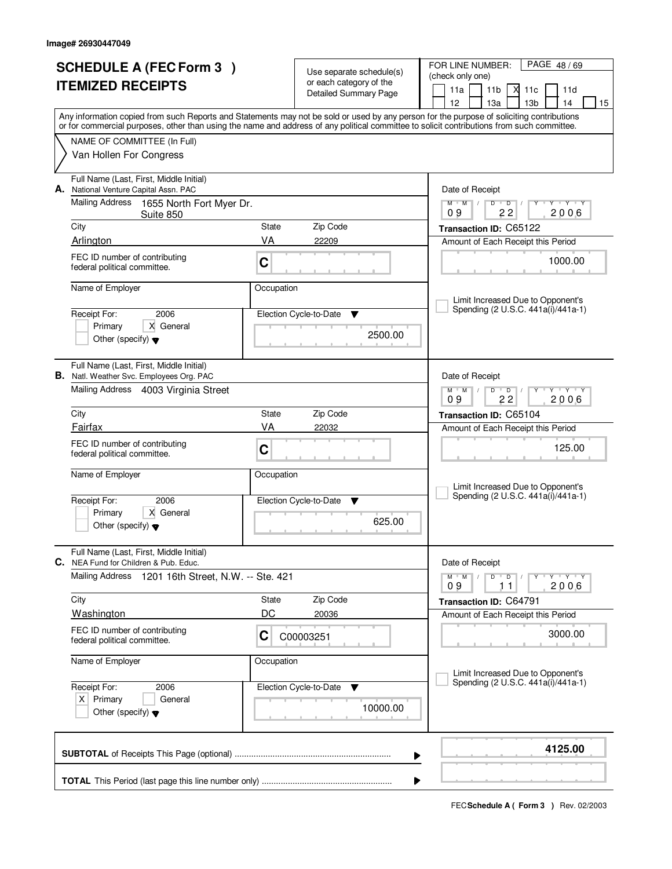| <b>SCHEDULE A (FEC Form 3)</b><br><b>ITEMIZED RECEIPTS</b>                                                       |                                                                                                                                    |               | Use separate schedule(s)<br>or each category of the<br><b>Detailed Summary Page</b> | PAGE 48/69<br>FOR LINE NUMBER:<br>(check only one)<br>11a<br>11 <sub>b</sub><br>М<br>11c<br>11d                                                                                                                                                                                                                                     |  |  |
|------------------------------------------------------------------------------------------------------------------|------------------------------------------------------------------------------------------------------------------------------------|---------------|-------------------------------------------------------------------------------------|-------------------------------------------------------------------------------------------------------------------------------------------------------------------------------------------------------------------------------------------------------------------------------------------------------------------------------------|--|--|
|                                                                                                                  |                                                                                                                                    |               |                                                                                     | 12<br>13 <sub>b</sub><br>13a<br>14<br>15<br>Any information copied from such Reports and Statements may not be sold or used by any person for the purpose of soliciting contributions<br>or for commercial purposes, other than using the name and address of any political committee to solicit contributions from such committee. |  |  |
|                                                                                                                  | NAME OF COMMITTEE (In Full)<br>Van Hollen For Congress                                                                             |               |                                                                                     |                                                                                                                                                                                                                                                                                                                                     |  |  |
|                                                                                                                  | Full Name (Last, First, Middle Initial)<br>A. National Venture Capital Assn. PAC                                                   |               |                                                                                     | Date of Receipt                                                                                                                                                                                                                                                                                                                     |  |  |
|                                                                                                                  | Mailing Address 1655 North Fort Myer Dr.<br>Suite 850                                                                              |               |                                                                                     | $M$ $M$<br>$D$ $D$<br>Y Y Y Y<br>$\sqrt{ }$<br>2006<br>09<br>22                                                                                                                                                                                                                                                                     |  |  |
|                                                                                                                  | City<br>Arlington                                                                                                                  | State<br>VA   | Zip Code<br>22209                                                                   | Transaction ID: C65122<br>Amount of Each Receipt this Period                                                                                                                                                                                                                                                                        |  |  |
|                                                                                                                  | FEC ID number of contributing<br>C<br>federal political committee.                                                                 |               |                                                                                     | 1000.00                                                                                                                                                                                                                                                                                                                             |  |  |
|                                                                                                                  | Name of Employer                                                                                                                   | Occupation    |                                                                                     | Limit Increased Due to Opponent's                                                                                                                                                                                                                                                                                                   |  |  |
|                                                                                                                  | Receipt For:<br>2006<br>X General<br>Primary<br>Other (specify) $\blacktriangledown$                                               |               | Election Cycle-to-Date<br>v<br>2500.00                                              | Spending (2 U.S.C. 441a(i)/441a-1)                                                                                                                                                                                                                                                                                                  |  |  |
|                                                                                                                  | Full Name (Last, First, Middle Initial)<br><b>B.</b> Natl. Weather Svc. Employees Org. PAC<br>Mailing Address 4003 Virginia Street |               |                                                                                     | Date of Receipt<br>$\mathsf{L} \mathsf{Y} \mathsf{L} \mathsf{Y} \mathsf{Y} \mathsf{Y}$<br>$M$ $M$ /<br>$D$ $D$                                                                                                                                                                                                                      |  |  |
|                                                                                                                  | City                                                                                                                               | State         | Zip Code                                                                            | 09<br>22<br>2006<br>Transaction ID: C65104                                                                                                                                                                                                                                                                                          |  |  |
|                                                                                                                  | Fairfax                                                                                                                            | VA            | 22032                                                                               | Amount of Each Receipt this Period                                                                                                                                                                                                                                                                                                  |  |  |
|                                                                                                                  | FEC ID number of contributing<br>federal political committee.                                                                      | C             |                                                                                     | 125.00                                                                                                                                                                                                                                                                                                                              |  |  |
|                                                                                                                  | Name of Employer<br>Receipt For:<br>2006<br>X General<br>Primary                                                                   | Occupation    | Election Cycle-to-Date<br>▼<br>625.00                                               | Limit Increased Due to Opponent's<br>Spending (2 U.S.C. 441a(i)/441a-1)                                                                                                                                                                                                                                                             |  |  |
|                                                                                                                  | Other (specify) $\blacktriangledown$<br>Full Name (Last, First, Middle Initial)                                                    |               |                                                                                     |                                                                                                                                                                                                                                                                                                                                     |  |  |
|                                                                                                                  | C. NEA Fund for Children & Pub. Educ.                                                                                              |               |                                                                                     | Date of Receipt                                                                                                                                                                                                                                                                                                                     |  |  |
|                                                                                                                  | Mailing Address<br>1201 16th Street, N.W. -- Ste. 421                                                                              |               |                                                                                     | $D$ $D$ $I$<br>$Y - Y - Y - Y$<br>$M$ $M$ $/$<br>2006<br>09<br>11                                                                                                                                                                                                                                                                   |  |  |
|                                                                                                                  | City                                                                                                                               | State         | Zip Code                                                                            | Transaction ID: C64791                                                                                                                                                                                                                                                                                                              |  |  |
|                                                                                                                  | Washington<br>FEC ID number of contributing<br>federal political committee.                                                        | DC<br>C       | 20036<br>C00003251                                                                  | Amount of Each Receipt this Period<br>3000.00                                                                                                                                                                                                                                                                                       |  |  |
|                                                                                                                  | Name of Employer                                                                                                                   | Occupation    |                                                                                     |                                                                                                                                                                                                                                                                                                                                     |  |  |
| Election Cycle-to-Date<br>Receipt For:<br>2006<br>$X$ Primary<br>General<br>Other (specify) $\blacktriangledown$ |                                                                                                                                    | v<br>10000.00 | Limit Increased Due to Opponent's<br>Spending (2 U.S.C. 441a(i)/441a-1)             |                                                                                                                                                                                                                                                                                                                                     |  |  |
| 4125.00<br>▶                                                                                                     |                                                                                                                                    |               |                                                                                     |                                                                                                                                                                                                                                                                                                                                     |  |  |
|                                                                                                                  |                                                                                                                                    |               |                                                                                     |                                                                                                                                                                                                                                                                                                                                     |  |  |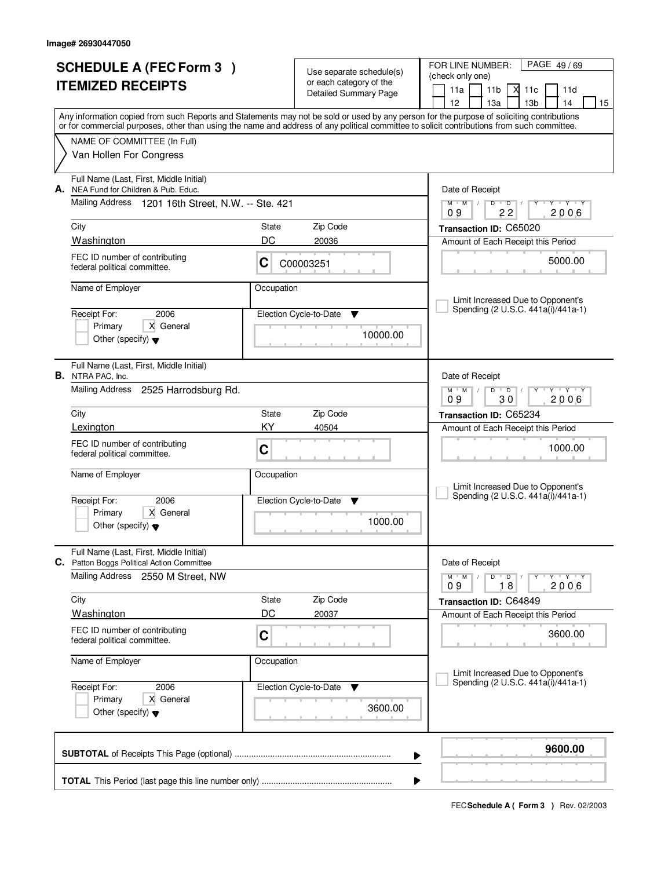| <b>SCHEDULE A (FEC Form 3)</b><br><b>ITEMIZED RECEIPTS</b> |                                                                                                                                                                                                                                                                                         | Use separate schedule(s)<br>or each category of the<br><b>Detailed Summary Page</b> |                                         | FOR LINE NUMBER:<br>PAGE 49/69<br>(check only one)<br>11a<br>11 <sub>b</sub><br>Х<br>11c<br>11d<br>12<br>13a<br>13 <sub>b</sub><br>14<br>15 |
|------------------------------------------------------------|-----------------------------------------------------------------------------------------------------------------------------------------------------------------------------------------------------------------------------------------------------------------------------------------|-------------------------------------------------------------------------------------|-----------------------------------------|---------------------------------------------------------------------------------------------------------------------------------------------|
|                                                            | Any information copied from such Reports and Statements may not be sold or used by any person for the purpose of soliciting contributions<br>or for commercial purposes, other than using the name and address of any political committee to solicit contributions from such committee. |                                                                                     |                                         |                                                                                                                                             |
|                                                            | NAME OF COMMITTEE (In Full)<br>Van Hollen For Congress                                                                                                                                                                                                                                  |                                                                                     |                                         |                                                                                                                                             |
| А.                                                         | Full Name (Last, First, Middle Initial)<br>NEA Fund for Children & Pub. Educ.                                                                                                                                                                                                           |                                                                                     |                                         | Date of Receipt                                                                                                                             |
|                                                            | Mailing Address 1201 16th Street, N.W. -- Ste. 421                                                                                                                                                                                                                                      |                                                                                     |                                         | $M$ $M$ $M$<br>$D$ $D$ $/$<br>$Y - Y - Y$<br>22<br>2006<br>09                                                                               |
|                                                            | City<br><b>Washington</b>                                                                                                                                                                                                                                                               | State<br>DC                                                                         | Zip Code<br>20036                       | Transaction ID: C65020                                                                                                                      |
|                                                            | FEC ID number of contributing<br>federal political committee.                                                                                                                                                                                                                           | C                                                                                   | C00003251                               | Amount of Each Receipt this Period<br>5000.00                                                                                               |
|                                                            | Name of Employer                                                                                                                                                                                                                                                                        | Occupation                                                                          |                                         | Limit Increased Due to Opponent's                                                                                                           |
|                                                            | Receipt For:<br>2006<br>X General<br>Primary<br>Other (specify) $\blacktriangledown$                                                                                                                                                                                                    |                                                                                     | Election Cycle-to-Date<br>v<br>10000.00 | Spending (2 U.S.C. 441a(i)/441a-1)                                                                                                          |
|                                                            | Full Name (Last, First, Middle Initial)<br><b>B.</b> NTRA PAC, Inc.                                                                                                                                                                                                                     |                                                                                     |                                         | Date of Receipt                                                                                                                             |
|                                                            | Mailing Address 2525 Harrodsburg Rd.                                                                                                                                                                                                                                                    |                                                                                     |                                         | $V = Y + Y$<br>$\overline{D}$<br>$M$ $M$ /<br>D<br>Y<br>2006<br>09<br>30                                                                    |
|                                                            | City                                                                                                                                                                                                                                                                                    | State                                                                               | Zip Code                                | Transaction ID: C65234                                                                                                                      |
|                                                            | Lexington                                                                                                                                                                                                                                                                               | KY.                                                                                 | 40504                                   | Amount of Each Receipt this Period                                                                                                          |
|                                                            | FEC ID number of contributing<br>federal political committee.                                                                                                                                                                                                                           | C                                                                                   |                                         | 1000.00                                                                                                                                     |
|                                                            | Name of Employer                                                                                                                                                                                                                                                                        | Occupation                                                                          |                                         | Limit Increased Due to Opponent's                                                                                                           |
|                                                            | 2006<br>Receipt For:                                                                                                                                                                                                                                                                    |                                                                                     | Election Cycle-to-Date<br>Y             | Spending (2 U.S.C. 441a(i)/441a-1)                                                                                                          |
|                                                            | Primary<br>X General<br>Other (specify) $\blacktriangledown$                                                                                                                                                                                                                            |                                                                                     | 1000.00                                 |                                                                                                                                             |
|                                                            | Full Name (Last, First, Middle Initial)<br>C. Patton Boggs Political Action Committee                                                                                                                                                                                                   |                                                                                     |                                         | Date of Receipt                                                                                                                             |
|                                                            | Mailing Address 2550 M Street, NW                                                                                                                                                                                                                                                       |                                                                                     |                                         | $Y + Y + Y$<br>$M$ $M$ /<br>D<br>$D$ /<br>8<br>2006<br>09<br>1                                                                              |
|                                                            | City                                                                                                                                                                                                                                                                                    | State                                                                               | Zip Code                                | Transaction ID: C64849                                                                                                                      |
|                                                            | <b>Washington</b>                                                                                                                                                                                                                                                                       | DC                                                                                  | 20037                                   | Amount of Each Receipt this Period                                                                                                          |
|                                                            | FEC ID number of contributing<br>federal political committee.                                                                                                                                                                                                                           | C                                                                                   |                                         | 3600.00                                                                                                                                     |
|                                                            | Name of Employer                                                                                                                                                                                                                                                                        | Occupation                                                                          |                                         | Limit Increased Due to Opponent's                                                                                                           |
|                                                            | 2006<br>Receipt For:                                                                                                                                                                                                                                                                    |                                                                                     | Election Cycle-to-Date<br>v             | Spending (2 U.S.C. 441a(i)/441a-1)                                                                                                          |
|                                                            | X General<br>Primary<br>Other (specify) $\blacktriangledown$                                                                                                                                                                                                                            |                                                                                     | 3600.00                                 |                                                                                                                                             |
|                                                            |                                                                                                                                                                                                                                                                                         |                                                                                     | ▶                                       | 9600.00                                                                                                                                     |
|                                                            |                                                                                                                                                                                                                                                                                         |                                                                                     | ▶                                       |                                                                                                                                             |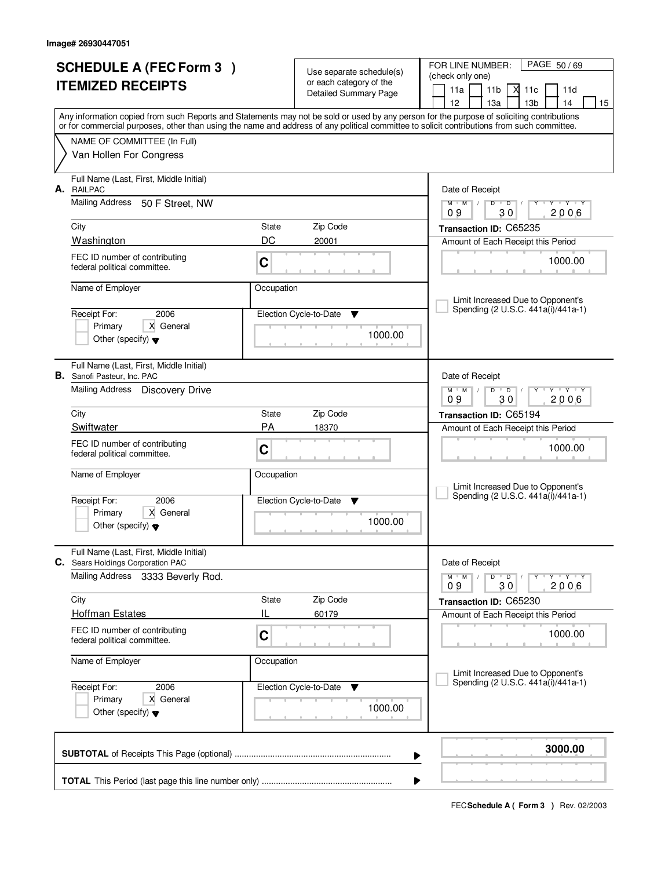| <b>SCHEDULE A (FEC Form 3)</b><br><b>ITEMIZED RECEIPTS</b> |                                                                              |             | Use separate schedule(s)<br>or each category of the<br>Detailed Summary Page | FOR LINE NUMBER:<br>PAGE 50/69<br>(check only one)<br>11a<br>11 <sub>b</sub><br>⋊<br>11c<br>11d<br>12<br>13a<br>13 <sub>b</sub><br>14<br>15                                                                                                                                             |
|------------------------------------------------------------|------------------------------------------------------------------------------|-------------|------------------------------------------------------------------------------|-----------------------------------------------------------------------------------------------------------------------------------------------------------------------------------------------------------------------------------------------------------------------------------------|
|                                                            |                                                                              |             |                                                                              | Any information copied from such Reports and Statements may not be sold or used by any person for the purpose of soliciting contributions<br>or for commercial purposes, other than using the name and address of any political committee to solicit contributions from such committee. |
|                                                            | NAME OF COMMITTEE (In Full)<br>Van Hollen For Congress                       |             |                                                                              |                                                                                                                                                                                                                                                                                         |
| А.                                                         | Full Name (Last, First, Middle Initial)<br><b>RAILPAC</b>                    |             |                                                                              | Date of Receipt                                                                                                                                                                                                                                                                         |
|                                                            | <b>Mailing Address</b><br>50 F Street, NW                                    |             |                                                                              | $M$ $M$ $M$<br>$D$ $D$ $/$<br>$Y - Y - Y$<br>2006<br>09<br>30                                                                                                                                                                                                                           |
|                                                            | City                                                                         | State       | Zip Code                                                                     | Transaction ID: C65235                                                                                                                                                                                                                                                                  |
|                                                            | <b>Washington</b><br>FEC ID number of contributing                           | DC          | 20001                                                                        | Amount of Each Receipt this Period                                                                                                                                                                                                                                                      |
|                                                            | federal political committee.                                                 | $\mathbf C$ |                                                                              | 1000.00                                                                                                                                                                                                                                                                                 |
|                                                            | Name of Employer                                                             | Occupation  |                                                                              |                                                                                                                                                                                                                                                                                         |
|                                                            | Receipt For:<br>2006                                                         |             | Election Cycle-to-Date<br>v                                                  | Limit Increased Due to Opponent's<br>Spending (2 U.S.C. 441a(i)/441a-1)                                                                                                                                                                                                                 |
|                                                            | X General<br>Primary<br>Other (specify) $\blacktriangledown$                 |             | 1000.00                                                                      |                                                                                                                                                                                                                                                                                         |
| В.                                                         | Full Name (Last, First, Middle Initial)<br>Sanofi Pasteur, Inc. PAC          |             |                                                                              | Date of Receipt                                                                                                                                                                                                                                                                         |
|                                                            | Mailing Address Discovery Drive                                              |             |                                                                              | $+Y+Y$<br>$\overline{D}$<br>$M$ $M$ /<br>D<br>Y<br>2006<br>09<br>30                                                                                                                                                                                                                     |
|                                                            | City                                                                         | State       | Zip Code                                                                     | Transaction ID: C65194                                                                                                                                                                                                                                                                  |
|                                                            | Swiftwater                                                                   | <b>PA</b>   | 18370                                                                        | Amount of Each Receipt this Period                                                                                                                                                                                                                                                      |
|                                                            | FEC ID number of contributing<br>federal political committee.                | $\mathbf C$ |                                                                              | 1000.00                                                                                                                                                                                                                                                                                 |
|                                                            | Name of Employer                                                             | Occupation  |                                                                              | Limit Increased Due to Opponent's                                                                                                                                                                                                                                                       |
|                                                            | 2006<br>Receipt For:                                                         |             | Election Cycle-to-Date<br>Y                                                  | Spending (2 U.S.C. 441a(i)/441a-1)                                                                                                                                                                                                                                                      |
|                                                            | Primary<br>X General<br>Other (specify) $\blacktriangledown$                 |             | 1000.00                                                                      |                                                                                                                                                                                                                                                                                         |
|                                                            | Full Name (Last, First, Middle Initial)<br>C. Sears Holdings Corporation PAC |             |                                                                              | Date of Receipt                                                                                                                                                                                                                                                                         |
|                                                            | <b>Mailing Address</b><br>3333 Beverly Rod.                                  |             |                                                                              | $Y + Y + Y$<br>$M^+$ M<br>D<br>$\Box$<br>30<br>2006<br>09                                                                                                                                                                                                                               |
|                                                            | City                                                                         | State       | Zip Code                                                                     | Transaction ID: C65230                                                                                                                                                                                                                                                                  |
|                                                            | <b>Hoffman Estates</b>                                                       | IL          | 60179                                                                        | Amount of Each Receipt this Period                                                                                                                                                                                                                                                      |
|                                                            | FEC ID number of contributing<br>federal political committee.                | C           |                                                                              | 1000.00                                                                                                                                                                                                                                                                                 |
|                                                            | Name of Employer                                                             | Occupation  |                                                                              | Limit Increased Due to Opponent's                                                                                                                                                                                                                                                       |
|                                                            | 2006<br>Receipt For:                                                         |             | Election Cycle-to-Date<br>v                                                  | Spending (2 U.S.C. 441a(i)/441a-1)                                                                                                                                                                                                                                                      |
|                                                            | X General<br>Primary<br>Other (specify) $\blacktriangledown$                 |             | 1000.00                                                                      |                                                                                                                                                                                                                                                                                         |
|                                                            |                                                                              |             |                                                                              | 3000.00<br>▶                                                                                                                                                                                                                                                                            |
|                                                            |                                                                              |             |                                                                              | ▶                                                                                                                                                                                                                                                                                       |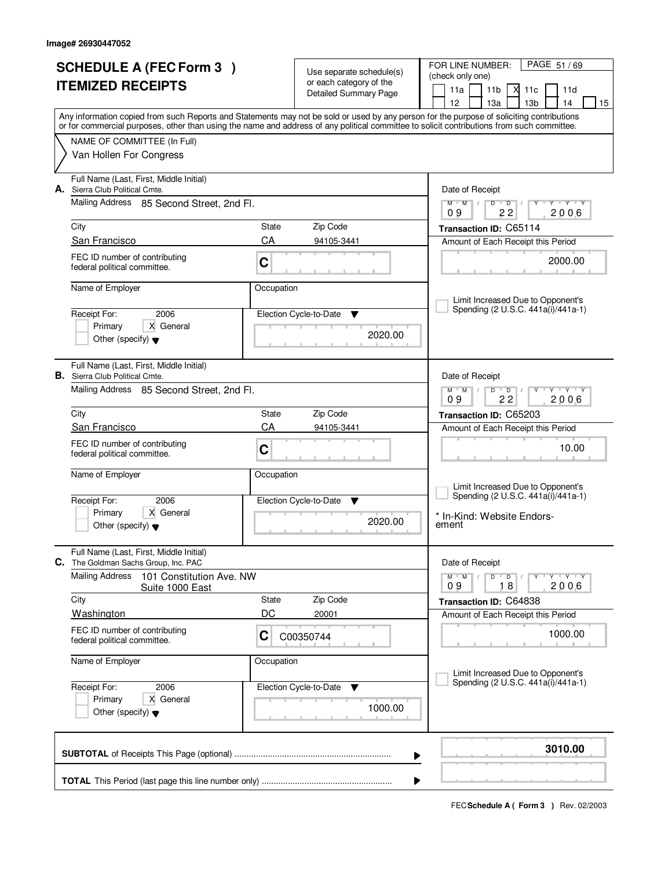| <b>SCHEDULE A (FEC Form 3)</b><br><b>ITEMIZED RECEIPTS</b> |                                                                                      |                   | Use separate schedule(s)<br>or each category of the<br>Detailed Summary Page | PAGE 51/69<br>FOR LINE NUMBER:<br>(check only one)<br>11a<br>11 <sub>b</sub><br>Х<br>11c<br>11d<br>12<br>13 <sub>b</sub><br>13a<br>14<br>15                                                                                                                                             |
|------------------------------------------------------------|--------------------------------------------------------------------------------------|-------------------|------------------------------------------------------------------------------|-----------------------------------------------------------------------------------------------------------------------------------------------------------------------------------------------------------------------------------------------------------------------------------------|
|                                                            |                                                                                      |                   |                                                                              | Any information copied from such Reports and Statements may not be sold or used by any person for the purpose of soliciting contributions<br>or for commercial purposes, other than using the name and address of any political committee to solicit contributions from such committee. |
|                                                            | NAME OF COMMITTEE (In Full)<br>Van Hollen For Congress                               |                   |                                                                              |                                                                                                                                                                                                                                                                                         |
| А.                                                         | Full Name (Last, First, Middle Initial)<br>Sierra Club Political Cmte.               |                   |                                                                              | Date of Receipt                                                                                                                                                                                                                                                                         |
|                                                            | Mailing Address 85 Second Street, 2nd Fl.                                            |                   |                                                                              | $M$ $M$ /<br>$D$ $D$<br>Y TY Y Y<br>22<br>2006<br>09                                                                                                                                                                                                                                    |
|                                                            | City                                                                                 | State             | Zip Code                                                                     | Transaction ID: C65114                                                                                                                                                                                                                                                                  |
|                                                            | San Francisco<br>FEC ID number of contributing<br>federal political committee.       | CA<br>$\mathbf C$ | 94105-3441                                                                   | Amount of Each Receipt this Period<br>2000.00                                                                                                                                                                                                                                           |
|                                                            | Name of Employer                                                                     | Occupation        |                                                                              | Limit Increased Due to Opponent's                                                                                                                                                                                                                                                       |
|                                                            | Receipt For:<br>2006<br>X General<br>Primary<br>Other (specify) $\blacktriangledown$ |                   | Election Cycle-to-Date<br>v<br>2020.00                                       | Spending (2 U.S.C. 441a(i)/441a-1)                                                                                                                                                                                                                                                      |
|                                                            | Full Name (Last, First, Middle Initial)<br><b>B.</b> Sierra Club Political Cmte.     |                   |                                                                              | Date of Receipt                                                                                                                                                                                                                                                                         |
|                                                            | Mailing Address 85 Second Street, 2nd Fl.                                            |                   |                                                                              | $M$ $M$ /<br>$D$ $D$<br>$Y - Y - Y$<br>09<br>22<br>2006                                                                                                                                                                                                                                 |
|                                                            | City                                                                                 | State             | Zip Code                                                                     | Transaction ID: C65203                                                                                                                                                                                                                                                                  |
|                                                            | San Francisco                                                                        | CA                | 94105-3441                                                                   | Amount of Each Receipt this Period                                                                                                                                                                                                                                                      |
|                                                            | FEC ID number of contributing<br>federal political committee.                        | C                 |                                                                              | 10.00                                                                                                                                                                                                                                                                                   |
|                                                            | Name of Employer<br>Receipt For:<br>2006                                             | Occupation        | Election Cycle-to-Date<br><b>V</b>                                           | Limit Increased Due to Opponent's<br>Spending (2 U.S.C. 441a(i)/441a-1)                                                                                                                                                                                                                 |
|                                                            | Primary<br>X General<br>Other (specify) $\blacktriangledown$                         |                   | 2020.00                                                                      | * In-Kind: Website Endors-<br>ement                                                                                                                                                                                                                                                     |
|                                                            | Full Name (Last, First, Middle Initial)<br>C. The Goldman Sachs Group, Inc. PAC      |                   |                                                                              | Date of Receipt                                                                                                                                                                                                                                                                         |
|                                                            | Mailing Address<br>101 Constitution Ave. NW<br>Suite 1000 East                       |                   |                                                                              | $D$ $D$ $/$<br>$Y - Y - Y$<br>$M$ $M$ /<br>2006<br>18<br>09                                                                                                                                                                                                                             |
|                                                            | City                                                                                 | State             | Zip Code                                                                     | Transaction ID: C64838                                                                                                                                                                                                                                                                  |
|                                                            | Washington<br>FEC ID number of contributing                                          | DC                | 20001                                                                        | Amount of Each Receipt this Period                                                                                                                                                                                                                                                      |
|                                                            | federal political committee.                                                         | C                 | C00350744                                                                    | 1000.00                                                                                                                                                                                                                                                                                 |
|                                                            | Name of Employer                                                                     | Occupation        |                                                                              | Limit Increased Due to Opponent's                                                                                                                                                                                                                                                       |
|                                                            | 2006<br>Receipt For:                                                                 |                   | Election Cycle-to-Date<br>v                                                  | Spending (2 U.S.C. 441a(i)/441a-1)                                                                                                                                                                                                                                                      |
|                                                            | Primary<br>X General<br>Other (specify) $\blacktriangledown$                         |                   |                                                                              |                                                                                                                                                                                                                                                                                         |
|                                                            |                                                                                      |                   |                                                                              | 3010.00<br>▶                                                                                                                                                                                                                                                                            |
|                                                            |                                                                                      |                   |                                                                              | ▶                                                                                                                                                                                                                                                                                       |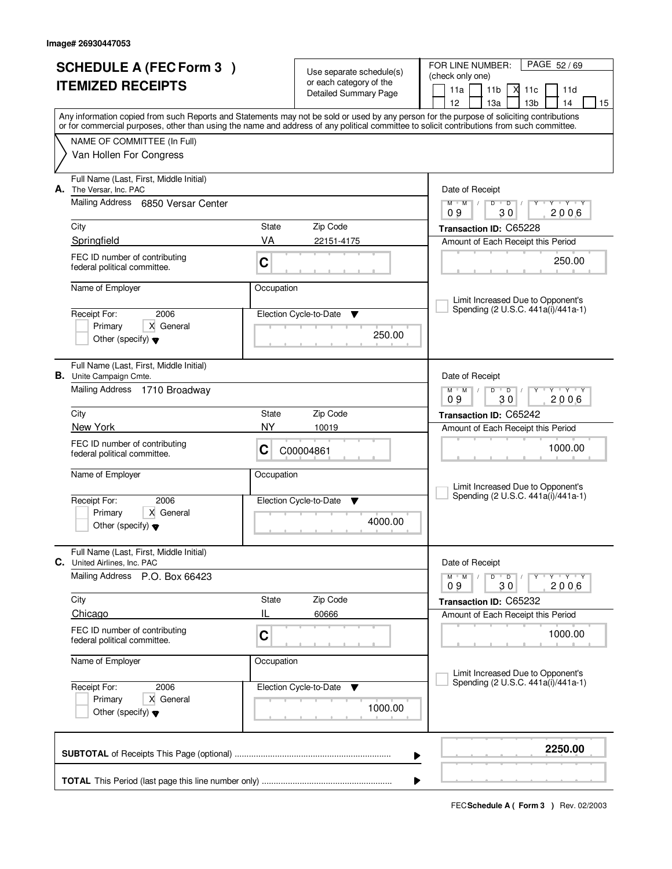| <b>SCHEDULE A (FEC Form 3)</b>                                                                                                                                                                                                                                                          |             |                                                     | FOR LINE NUMBER:<br>PAGE 52/69                                         |  |
|-----------------------------------------------------------------------------------------------------------------------------------------------------------------------------------------------------------------------------------------------------------------------------------------|-------------|-----------------------------------------------------|------------------------------------------------------------------------|--|
| <b>ITEMIZED RECEIPTS</b>                                                                                                                                                                                                                                                                |             | Use separate schedule(s)<br>or each category of the | (check only one)                                                       |  |
|                                                                                                                                                                                                                                                                                         |             | Detailed Summary Page                               | 11a<br>11 <sub>b</sub><br>м<br>11c<br>11d                              |  |
|                                                                                                                                                                                                                                                                                         |             |                                                     | 12<br>13 <sub>b</sub><br>13a<br>14<br>15                               |  |
| Any information copied from such Reports and Statements may not be sold or used by any person for the purpose of soliciting contributions<br>or for commercial purposes, other than using the name and address of any political committee to solicit contributions from such committee. |             |                                                     |                                                                        |  |
| NAME OF COMMITTEE (In Full)                                                                                                                                                                                                                                                             |             |                                                     |                                                                        |  |
| Van Hollen For Congress                                                                                                                                                                                                                                                                 |             |                                                     |                                                                        |  |
| Full Name (Last, First, Middle Initial)<br>А.<br>The Versar, Inc. PAC                                                                                                                                                                                                                   |             |                                                     | Date of Receipt                                                        |  |
| <b>Mailing Address</b><br>6850 Versar Center                                                                                                                                                                                                                                            |             |                                                     | $Y - Y - Y$<br>$M$ $M$ /<br>D<br>$\overline{D}$<br>2006<br>09<br>30    |  |
| City                                                                                                                                                                                                                                                                                    | State       | Zip Code                                            | Transaction ID: C65228                                                 |  |
| Springfield                                                                                                                                                                                                                                                                             | VA          | 22151-4175                                          | Amount of Each Receipt this Period                                     |  |
| FEC ID number of contributing<br>federal political committee.                                                                                                                                                                                                                           | C           |                                                     | 250.00                                                                 |  |
| Name of Employer                                                                                                                                                                                                                                                                        | Occupation  |                                                     | Limit Increased Due to Opponent's                                      |  |
| 2006<br>Receipt For:                                                                                                                                                                                                                                                                    |             | Election Cycle-to-Date<br>v                         | Spending (2 U.S.C. 441a(i)/441a-1)                                     |  |
| X General<br>Primary                                                                                                                                                                                                                                                                    |             |                                                     |                                                                        |  |
| Other (specify) $\blacktriangledown$                                                                                                                                                                                                                                                    |             | 250.00                                              |                                                                        |  |
| Full Name (Last, First, Middle Initial)<br><b>B.</b> Unite Campaign Cmte.                                                                                                                                                                                                               |             |                                                     | Date of Receipt                                                        |  |
| Mailing Address 1710 Broadway                                                                                                                                                                                                                                                           |             |                                                     | <b>TEXT TY</b><br>$M$ $M$ /<br>D<br>$\overline{D}$<br>30<br>2006<br>09 |  |
| City                                                                                                                                                                                                                                                                                    | State       | Zip Code                                            | Transaction ID: C65242                                                 |  |
| New York                                                                                                                                                                                                                                                                                | NY          | 10019                                               | Amount of Each Receipt this Period                                     |  |
| FEC ID number of contributing<br>federal political committee.                                                                                                                                                                                                                           | C           | C00004861                                           | 1000.00                                                                |  |
| Name of Employer                                                                                                                                                                                                                                                                        | Occupation  |                                                     | Limit Increased Due to Opponent's                                      |  |
| 2006<br>Receipt For:                                                                                                                                                                                                                                                                    |             | Election Cycle-to-Date<br>v                         | Spending (2 U.S.C. 441a(i)/441a-1)                                     |  |
| Primary<br>X General                                                                                                                                                                                                                                                                    |             |                                                     |                                                                        |  |
| Other (specify) $\blacktriangledown$                                                                                                                                                                                                                                                    |             | 4000.00                                             |                                                                        |  |
| Full Name (Last, First, Middle Initial)<br>C. United Airlines, Inc. PAC                                                                                                                                                                                                                 |             |                                                     | Date of Receipt                                                        |  |
| Mailing Address<br>P.O. Box 66423                                                                                                                                                                                                                                                       |             |                                                     | D<br>$M$ $M$ $/$<br>$\overline{D}$<br>$Y + Y + Y$<br>2006<br>09<br>30  |  |
| City                                                                                                                                                                                                                                                                                    | State       | Zip Code                                            | Transaction ID: C65232                                                 |  |
| Chicago                                                                                                                                                                                                                                                                                 | IL          | 60666                                               | Amount of Each Receipt this Period                                     |  |
| FEC ID number of contributing<br>federal political committee.                                                                                                                                                                                                                           | $\mathbf C$ |                                                     | 1000.00                                                                |  |
| Name of Employer                                                                                                                                                                                                                                                                        | Occupation  |                                                     | Limit Increased Due to Opponent's                                      |  |
| 2006<br>Receipt For:                                                                                                                                                                                                                                                                    |             | Election Cycle-to-Date<br>v                         | Spending (2 U.S.C. 441a(i)/441a-1)                                     |  |
| Primary<br>X General<br>Other (specify) $\blacktriangledown$                                                                                                                                                                                                                            |             | 1000.00                                             |                                                                        |  |
|                                                                                                                                                                                                                                                                                         |             |                                                     | 2250.00<br>▶                                                           |  |
|                                                                                                                                                                                                                                                                                         |             |                                                     | ▶                                                                      |  |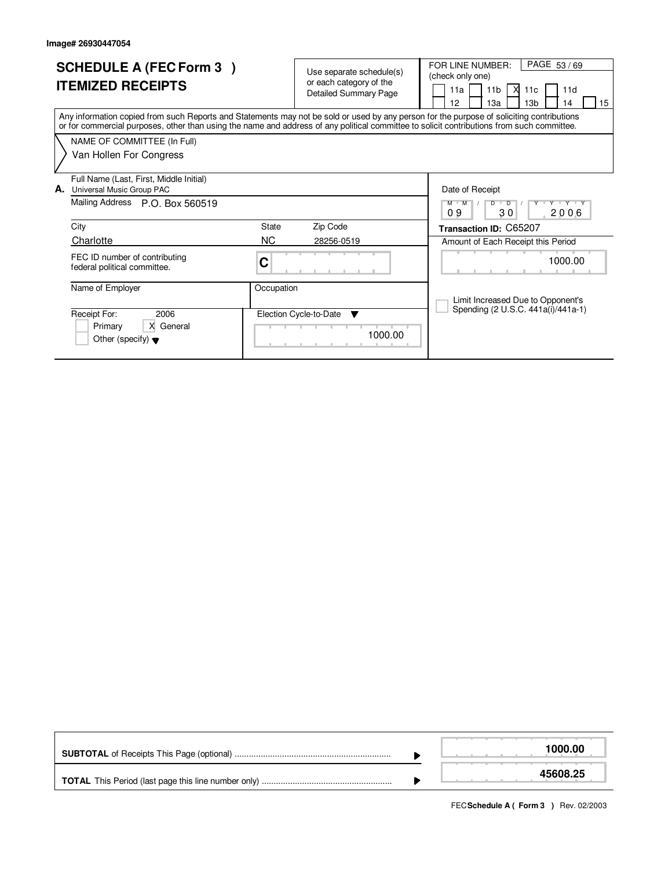| <b>SCHEDULE A (FEC Form 3)</b><br><b>ITEMIZED RECEIPTS</b>                                                                                                                                                                                                                              | Use separate schedule(s)<br>or each category of the<br><b>Detailed Summary Page</b> | PAGE 53/69<br>FOR LINE NUMBER:<br>(check only one)<br>11 <sub>b</sub><br>X<br>11a<br>11d<br>11 <sub>c</sub><br>12<br>13a<br>13 <sub>b</sub><br>14<br>15 |
|-----------------------------------------------------------------------------------------------------------------------------------------------------------------------------------------------------------------------------------------------------------------------------------------|-------------------------------------------------------------------------------------|---------------------------------------------------------------------------------------------------------------------------------------------------------|
| Any information copied from such Reports and Statements may not be sold or used by any person for the purpose of soliciting contributions<br>or for commercial purposes, other than using the name and address of any political committee to solicit contributions from such committee. |                                                                                     |                                                                                                                                                         |
| NAME OF COMMITTEE (In Full)<br>Van Hollen For Congress                                                                                                                                                                                                                                  |                                                                                     |                                                                                                                                                         |
| Full Name (Last, First, Middle Initial)<br>Universal Music Group PAC<br>А.<br>Mailing Address P.O. Box 560519                                                                                                                                                                           |                                                                                     | Date of Receipt<br>Y * Y * Y * Y<br>M M<br>D<br>D<br>09<br>30<br>2006                                                                                   |
| City                                                                                                                                                                                                                                                                                    | State<br>Zip Code                                                                   | Transaction ID: C65207                                                                                                                                  |
| Charlotte<br>FEC ID number of contributing<br>federal political committee.                                                                                                                                                                                                              | NC.<br>28256-0519<br>С<br>.                                                         | Amount of Each Receipt this Period<br>1000.00                                                                                                           |
| Name of Employer<br>Receipt For:<br>2006<br>X General<br>Primary<br>Other (specify) $\blacktriangledown$                                                                                                                                                                                | Occupation<br>Election Cycle-to-Date<br>▼<br>1000.00                                | Limit Increased Due to Opponent's<br>Spending (2 U.S.C. 441a(i)/441a-1)                                                                                 |

|  | 1000.00  |
|--|----------|
|  | 45608.25 |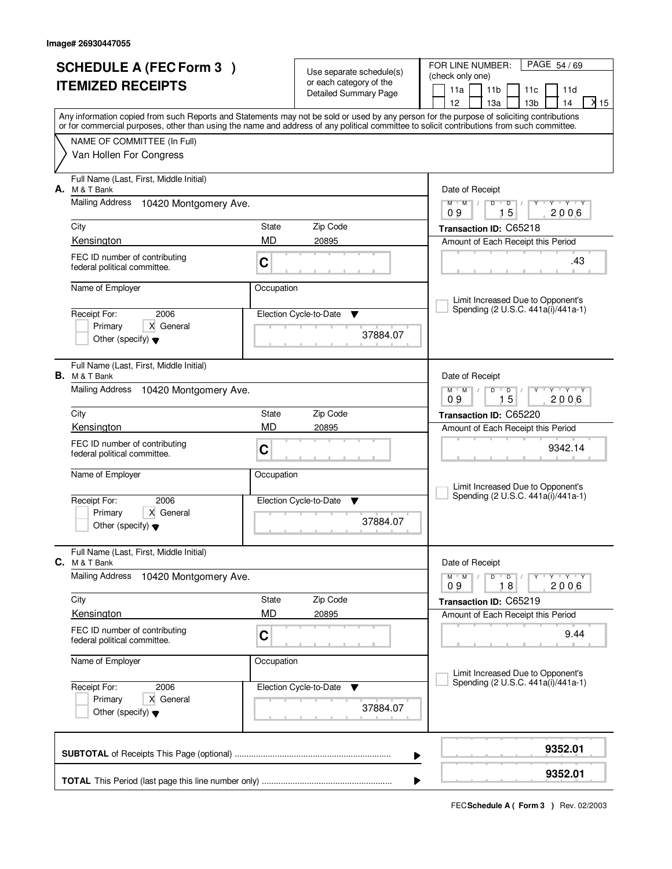| <b>SCHEDULE A (FEC Form 3)</b><br><b>ITEMIZED RECEIPTS</b>                                                                                                                |              | Use separate schedule(s)<br>or each category of the | FOR LINE NUMBER:<br>PAGE 54 / 69<br>(check only one)                                                                                    |  |  |  |
|---------------------------------------------------------------------------------------------------------------------------------------------------------------------------|--------------|-----------------------------------------------------|-----------------------------------------------------------------------------------------------------------------------------------------|--|--|--|
|                                                                                                                                                                           |              | <b>Detailed Summary Page</b>                        | 11a<br>11 <sub>b</sub><br>11c<br>11d<br>$\lambda$ 15<br>12<br>13a<br>13 <sub>b</sub><br>14                                              |  |  |  |
| Any information copied from such Reports and Statements may not be sold or used by any person for the purpose of soliciting contributions                                 |              |                                                     |                                                                                                                                         |  |  |  |
| or for commercial purposes, other than using the name and address of any political committee to solicit contributions from such committee.<br>NAME OF COMMITTEE (In Full) |              |                                                     |                                                                                                                                         |  |  |  |
| Van Hollen For Congress                                                                                                                                                   |              |                                                     |                                                                                                                                         |  |  |  |
| Full Name (Last, First, Middle Initial)<br>А.<br>M & T Bank                                                                                                               |              |                                                     | Date of Receipt                                                                                                                         |  |  |  |
| <b>Mailing Address</b><br>10420 Montgomery Ave.                                                                                                                           |              |                                                     | $M^{\prime}$ $M^{\prime}$ $M^{\prime}$<br>$D$ $D$<br>$Y - Y - Y$<br>$\perp$<br>15<br>2006<br>09                                         |  |  |  |
| City                                                                                                                                                                      | <b>State</b> | Zip Code                                            | Transaction ID: C65218                                                                                                                  |  |  |  |
| Kensington<br>FEC ID number of contributing                                                                                                                               | <b>MD</b>    | 20895                                               | Amount of Each Receipt this Period                                                                                                      |  |  |  |
| federal political committee.                                                                                                                                              | C            |                                                     | .43                                                                                                                                     |  |  |  |
| Name of Employer                                                                                                                                                          | Occupation   |                                                     | Limit Increased Due to Opponent's                                                                                                       |  |  |  |
| Receipt For:<br>2006                                                                                                                                                      |              | Election Cycle-to-Date<br>v                         | Spending (2 U.S.C. 441a(i)/441a-1)                                                                                                      |  |  |  |
| X General<br>Primary<br>Other (specify) $\blacktriangledown$                                                                                                              |              | 37884.07                                            |                                                                                                                                         |  |  |  |
| Full Name (Last, First, Middle Initial)<br><b>B.</b> M & T Bank                                                                                                           |              |                                                     | Date of Receipt                                                                                                                         |  |  |  |
| Mailing Address<br>10420 Montgomery Ave.                                                                                                                                  |              |                                                     | <b>TY TY</b><br>$M$ M<br>D<br>$\overline{D}$<br>15<br>2006<br>09                                                                        |  |  |  |
| City                                                                                                                                                                      | State        | Zip Code                                            | Transaction ID: C65220                                                                                                                  |  |  |  |
| Kensington                                                                                                                                                                | <b>MD</b>    | 20895                                               | Amount of Each Receipt this Period                                                                                                      |  |  |  |
| FEC ID number of contributing<br>federal political committee.                                                                                                             | C            |                                                     | 9342.14                                                                                                                                 |  |  |  |
| Name of Employer                                                                                                                                                          | Occupation   |                                                     | Limit Increased Due to Opponent's                                                                                                       |  |  |  |
| 2006<br>Receipt For:                                                                                                                                                      |              | Election Cycle-to-Date<br>▼                         | Spending (2 U.S.C. 441a(i)/441a-1)                                                                                                      |  |  |  |
| Primary<br>X General<br>Other (specify) $\blacktriangledown$                                                                                                              |              | 37884.07                                            |                                                                                                                                         |  |  |  |
| Full Name (Last, First, Middle Initial)<br><b>C.</b> M & T Bank                                                                                                           |              |                                                     | Date of Receipt                                                                                                                         |  |  |  |
| <b>Mailing Address</b><br>10420 Montgomery Ave.                                                                                                                           |              |                                                     | $M = M$<br>$D$ $D$ $/$<br>$\begin{array}{c} \Vdash \mathsf{Y} \dashv \mathsf{Y} \dashv \mathsf{Y} \end{array}$<br>Y<br>18<br>2006<br>09 |  |  |  |
| City                                                                                                                                                                      | State        | Zip Code                                            | Transaction ID: C65219                                                                                                                  |  |  |  |
| Kensington                                                                                                                                                                | <b>MD</b>    | 20895                                               | Amount of Each Receipt this Period                                                                                                      |  |  |  |
| FEC ID number of contributing<br>federal political committee.                                                                                                             | C            |                                                     | 9.44                                                                                                                                    |  |  |  |
| Name of Employer                                                                                                                                                          | Occupation   |                                                     | Limit Increased Due to Opponent's                                                                                                       |  |  |  |
| Receipt For:<br>2006                                                                                                                                                      |              | Election Cycle-to-Date ▼                            | Spending (2 U.S.C. 441a(i)/441a-1)                                                                                                      |  |  |  |
| Primary<br>X General<br>Other (specify) $\blacktriangledown$                                                                                                              |              | 37884.07                                            |                                                                                                                                         |  |  |  |
| 9352.01<br>▶                                                                                                                                                              |              |                                                     |                                                                                                                                         |  |  |  |
|                                                                                                                                                                           |              |                                                     | 9352.01                                                                                                                                 |  |  |  |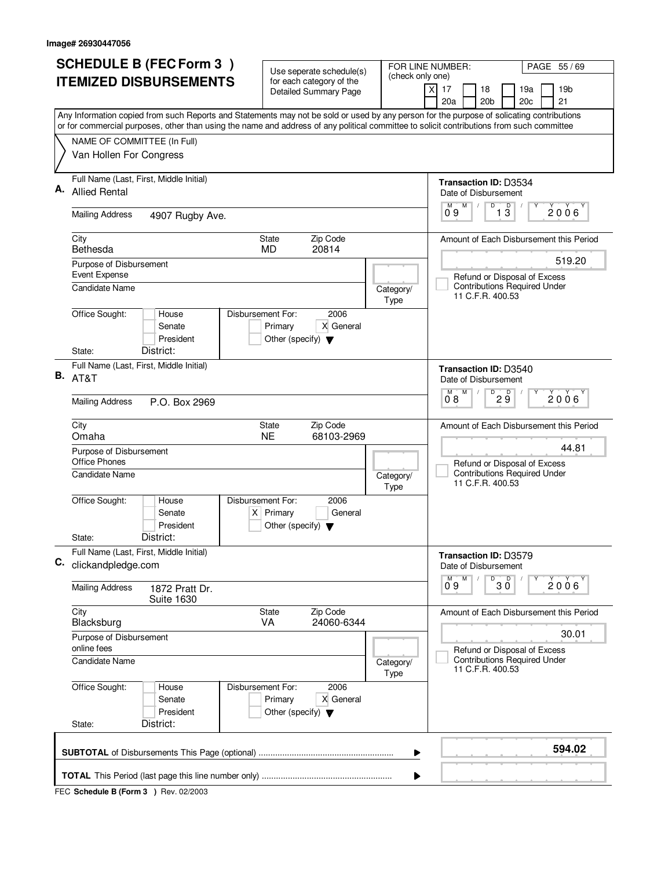| (check only one)<br><b>ITEMIZED DISBURSEMENTS</b><br>for each category of the<br>17<br>18<br>19a<br>19 <sub>b</sub><br>X<br><b>Detailed Summary Page</b><br>20a<br>20 <sub>b</sub><br>20c<br>21<br>Any Information copied from such Reports and Statements may not be sold or used by any person for the purpose of solicating contributions<br>or for commercial purposes, other than using the name and address of any political committee to solicit contributions from such committee<br>NAME OF COMMITTEE (In Full)<br>Van Hollen For Congress<br>Full Name (Last, First, Middle Initial)<br><b>Transaction ID: D3534</b><br><b>Allied Rental</b><br>Date of Disbursement<br>D<br>$\overline{1}$ $\overline{3}$<br>M<br>М<br>2006<br>0.9<br><b>Mailing Address</b><br>4907 Rugby Ave.<br>Zip Code<br>City<br><b>State</b><br>Bethesda<br>20814<br><b>MD</b><br>519.20<br>Purpose of Disbursement<br>Event Expense<br>Refund or Disposal of Excess<br><b>Contributions Required Under</b><br><b>Candidate Name</b><br>Category/<br>11 C.F.R. 400.53<br>Type<br>Office Sought:<br>Disbursement For:<br>2006<br>House<br>Senate<br>Primary<br>X General<br>President<br>Other (specify) $\blacktriangledown$<br>District:<br>State:<br>Full Name (Last, First, Middle Initial)<br><b>Transaction ID: D3540</b><br><b>B.</b> AT&T<br>Date of Disbursement<br>$\overline{D}$<br>М<br>D<br>$2006^{\circ}$<br>$2\overline{9}$<br>08<br><b>Mailing Address</b><br>P.O. Box 2969<br>Zip Code<br>City<br><b>State</b><br><b>NE</b><br>Omaha<br>68103-2969<br>44.81<br>Purpose of Disbursement<br><b>Office Phones</b><br>Refund or Disposal of Excess<br><b>Contributions Required Under</b><br><b>Candidate Name</b><br>Category/<br>11 C.F.R. 400.53<br>Type<br>Office Sought:<br>Disbursement For:<br>House<br>2006<br>$X$ Primary<br>Senate<br>General<br>President<br>Other (specify) $\blacktriangledown$<br>District:<br>State:<br>Full Name (Last, First, Middle Initial)<br>Transaction ID: D3579<br>clickandpledge.com<br>Date of Disbursement<br>D<br>M<br>30<br>$2006^{\circ}$<br>09<br><b>Mailing Address</b><br>1872 Pratt Dr.<br><b>Suite 1630</b><br>City<br>Zip Code<br>State<br><b>VA</b><br>24060-6344<br>Blacksburg<br>30.01<br>Purpose of Disbursement<br>online fees<br>Refund or Disposal of Excess<br><b>Contributions Required Under</b><br><b>Candidate Name</b><br>Category/<br>11 C.F.R. 400.53<br>Type<br>Office Sought:<br>Disbursement For:<br>2006<br>House<br>Senate<br>Primary<br>X General<br>President<br>Other (specify) $\blacktriangledown$<br>District:<br>State:<br>594.02<br>▶<br>▶ |    | <b>SCHEDULE B (FEC Form 3)</b> | Use seperate schedule(s) | FOR LINE NUMBER:<br>PAGE 55 / 69        |
|--------------------------------------------------------------------------------------------------------------------------------------------------------------------------------------------------------------------------------------------------------------------------------------------------------------------------------------------------------------------------------------------------------------------------------------------------------------------------------------------------------------------------------------------------------------------------------------------------------------------------------------------------------------------------------------------------------------------------------------------------------------------------------------------------------------------------------------------------------------------------------------------------------------------------------------------------------------------------------------------------------------------------------------------------------------------------------------------------------------------------------------------------------------------------------------------------------------------------------------------------------------------------------------------------------------------------------------------------------------------------------------------------------------------------------------------------------------------------------------------------------------------------------------------------------------------------------------------------------------------------------------------------------------------------------------------------------------------------------------------------------------------------------------------------------------------------------------------------------------------------------------------------------------------------------------------------------------------------------------------------------------------------------------------------------------------------------------------------------------------------------------------------------------------------------------------------------------------------------------------------------------------------------------------------------------------------------------------------------------------------------------------------------------------------------------------------------------------------------------------------------------------------------------------------------------------------------------------------------------------------|----|--------------------------------|--------------------------|-----------------------------------------|
|                                                                                                                                                                                                                                                                                                                                                                                                                                                                                                                                                                                                                                                                                                                                                                                                                                                                                                                                                                                                                                                                                                                                                                                                                                                                                                                                                                                                                                                                                                                                                                                                                                                                                                                                                                                                                                                                                                                                                                                                                                                                                                                                                                                                                                                                                                                                                                                                                                                                                                                                                                                                                          |    |                                |                          |                                         |
|                                                                                                                                                                                                                                                                                                                                                                                                                                                                                                                                                                                                                                                                                                                                                                                                                                                                                                                                                                                                                                                                                                                                                                                                                                                                                                                                                                                                                                                                                                                                                                                                                                                                                                                                                                                                                                                                                                                                                                                                                                                                                                                                                                                                                                                                                                                                                                                                                                                                                                                                                                                                                          |    |                                |                          |                                         |
|                                                                                                                                                                                                                                                                                                                                                                                                                                                                                                                                                                                                                                                                                                                                                                                                                                                                                                                                                                                                                                                                                                                                                                                                                                                                                                                                                                                                                                                                                                                                                                                                                                                                                                                                                                                                                                                                                                                                                                                                                                                                                                                                                                                                                                                                                                                                                                                                                                                                                                                                                                                                                          |    |                                |                          |                                         |
|                                                                                                                                                                                                                                                                                                                                                                                                                                                                                                                                                                                                                                                                                                                                                                                                                                                                                                                                                                                                                                                                                                                                                                                                                                                                                                                                                                                                                                                                                                                                                                                                                                                                                                                                                                                                                                                                                                                                                                                                                                                                                                                                                                                                                                                                                                                                                                                                                                                                                                                                                                                                                          | А. |                                |                          |                                         |
|                                                                                                                                                                                                                                                                                                                                                                                                                                                                                                                                                                                                                                                                                                                                                                                                                                                                                                                                                                                                                                                                                                                                                                                                                                                                                                                                                                                                                                                                                                                                                                                                                                                                                                                                                                                                                                                                                                                                                                                                                                                                                                                                                                                                                                                                                                                                                                                                                                                                                                                                                                                                                          |    |                                |                          |                                         |
|                                                                                                                                                                                                                                                                                                                                                                                                                                                                                                                                                                                                                                                                                                                                                                                                                                                                                                                                                                                                                                                                                                                                                                                                                                                                                                                                                                                                                                                                                                                                                                                                                                                                                                                                                                                                                                                                                                                                                                                                                                                                                                                                                                                                                                                                                                                                                                                                                                                                                                                                                                                                                          |    |                                |                          | Amount of Each Disbursement this Period |
|                                                                                                                                                                                                                                                                                                                                                                                                                                                                                                                                                                                                                                                                                                                                                                                                                                                                                                                                                                                                                                                                                                                                                                                                                                                                                                                                                                                                                                                                                                                                                                                                                                                                                                                                                                                                                                                                                                                                                                                                                                                                                                                                                                                                                                                                                                                                                                                                                                                                                                                                                                                                                          |    |                                |                          |                                         |
|                                                                                                                                                                                                                                                                                                                                                                                                                                                                                                                                                                                                                                                                                                                                                                                                                                                                                                                                                                                                                                                                                                                                                                                                                                                                                                                                                                                                                                                                                                                                                                                                                                                                                                                                                                                                                                                                                                                                                                                                                                                                                                                                                                                                                                                                                                                                                                                                                                                                                                                                                                                                                          |    |                                |                          |                                         |
|                                                                                                                                                                                                                                                                                                                                                                                                                                                                                                                                                                                                                                                                                                                                                                                                                                                                                                                                                                                                                                                                                                                                                                                                                                                                                                                                                                                                                                                                                                                                                                                                                                                                                                                                                                                                                                                                                                                                                                                                                                                                                                                                                                                                                                                                                                                                                                                                                                                                                                                                                                                                                          |    |                                |                          |                                         |
|                                                                                                                                                                                                                                                                                                                                                                                                                                                                                                                                                                                                                                                                                                                                                                                                                                                                                                                                                                                                                                                                                                                                                                                                                                                                                                                                                                                                                                                                                                                                                                                                                                                                                                                                                                                                                                                                                                                                                                                                                                                                                                                                                                                                                                                                                                                                                                                                                                                                                                                                                                                                                          |    |                                |                          |                                         |
|                                                                                                                                                                                                                                                                                                                                                                                                                                                                                                                                                                                                                                                                                                                                                                                                                                                                                                                                                                                                                                                                                                                                                                                                                                                                                                                                                                                                                                                                                                                                                                                                                                                                                                                                                                                                                                                                                                                                                                                                                                                                                                                                                                                                                                                                                                                                                                                                                                                                                                                                                                                                                          |    |                                |                          | Amount of Each Disbursement this Period |
|                                                                                                                                                                                                                                                                                                                                                                                                                                                                                                                                                                                                                                                                                                                                                                                                                                                                                                                                                                                                                                                                                                                                                                                                                                                                                                                                                                                                                                                                                                                                                                                                                                                                                                                                                                                                                                                                                                                                                                                                                                                                                                                                                                                                                                                                                                                                                                                                                                                                                                                                                                                                                          |    |                                |                          |                                         |
|                                                                                                                                                                                                                                                                                                                                                                                                                                                                                                                                                                                                                                                                                                                                                                                                                                                                                                                                                                                                                                                                                                                                                                                                                                                                                                                                                                                                                                                                                                                                                                                                                                                                                                                                                                                                                                                                                                                                                                                                                                                                                                                                                                                                                                                                                                                                                                                                                                                                                                                                                                                                                          |    |                                |                          |                                         |
|                                                                                                                                                                                                                                                                                                                                                                                                                                                                                                                                                                                                                                                                                                                                                                                                                                                                                                                                                                                                                                                                                                                                                                                                                                                                                                                                                                                                                                                                                                                                                                                                                                                                                                                                                                                                                                                                                                                                                                                                                                                                                                                                                                                                                                                                                                                                                                                                                                                                                                                                                                                                                          | C. |                                |                          |                                         |
|                                                                                                                                                                                                                                                                                                                                                                                                                                                                                                                                                                                                                                                                                                                                                                                                                                                                                                                                                                                                                                                                                                                                                                                                                                                                                                                                                                                                                                                                                                                                                                                                                                                                                                                                                                                                                                                                                                                                                                                                                                                                                                                                                                                                                                                                                                                                                                                                                                                                                                                                                                                                                          |    |                                |                          |                                         |
|                                                                                                                                                                                                                                                                                                                                                                                                                                                                                                                                                                                                                                                                                                                                                                                                                                                                                                                                                                                                                                                                                                                                                                                                                                                                                                                                                                                                                                                                                                                                                                                                                                                                                                                                                                                                                                                                                                                                                                                                                                                                                                                                                                                                                                                                                                                                                                                                                                                                                                                                                                                                                          |    |                                |                          | Amount of Each Disbursement this Period |
|                                                                                                                                                                                                                                                                                                                                                                                                                                                                                                                                                                                                                                                                                                                                                                                                                                                                                                                                                                                                                                                                                                                                                                                                                                                                                                                                                                                                                                                                                                                                                                                                                                                                                                                                                                                                                                                                                                                                                                                                                                                                                                                                                                                                                                                                                                                                                                                                                                                                                                                                                                                                                          |    |                                |                          |                                         |
|                                                                                                                                                                                                                                                                                                                                                                                                                                                                                                                                                                                                                                                                                                                                                                                                                                                                                                                                                                                                                                                                                                                                                                                                                                                                                                                                                                                                                                                                                                                                                                                                                                                                                                                                                                                                                                                                                                                                                                                                                                                                                                                                                                                                                                                                                                                                                                                                                                                                                                                                                                                                                          |    |                                |                          |                                         |
|                                                                                                                                                                                                                                                                                                                                                                                                                                                                                                                                                                                                                                                                                                                                                                                                                                                                                                                                                                                                                                                                                                                                                                                                                                                                                                                                                                                                                                                                                                                                                                                                                                                                                                                                                                                                                                                                                                                                                                                                                                                                                                                                                                                                                                                                                                                                                                                                                                                                                                                                                                                                                          |    |                                |                          |                                         |
|                                                                                                                                                                                                                                                                                                                                                                                                                                                                                                                                                                                                                                                                                                                                                                                                                                                                                                                                                                                                                                                                                                                                                                                                                                                                                                                                                                                                                                                                                                                                                                                                                                                                                                                                                                                                                                                                                                                                                                                                                                                                                                                                                                                                                                                                                                                                                                                                                                                                                                                                                                                                                          |    |                                |                          |                                         |
|                                                                                                                                                                                                                                                                                                                                                                                                                                                                                                                                                                                                                                                                                                                                                                                                                                                                                                                                                                                                                                                                                                                                                                                                                                                                                                                                                                                                                                                                                                                                                                                                                                                                                                                                                                                                                                                                                                                                                                                                                                                                                                                                                                                                                                                                                                                                                                                                                                                                                                                                                                                                                          |    |                                |                          |                                         |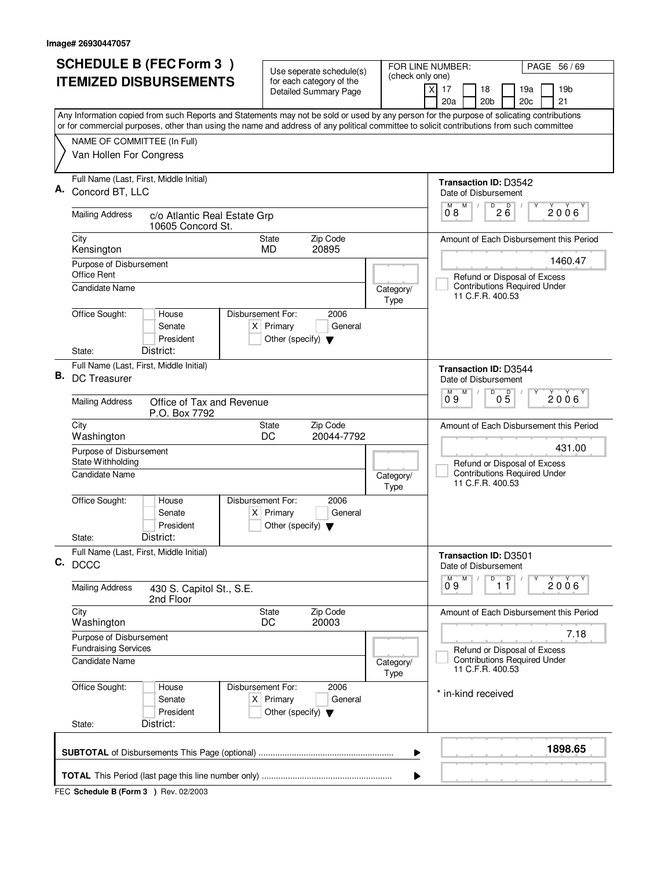| <b>SCHEDULE B (FEC Form 3)</b>                                                                                                                                                                                                                                                         | Use seperate schedule(s)                                                                    |                   | FOR LINE NUMBER:<br>PAGE 56/69                               |
|----------------------------------------------------------------------------------------------------------------------------------------------------------------------------------------------------------------------------------------------------------------------------------------|---------------------------------------------------------------------------------------------|-------------------|--------------------------------------------------------------|
| <b>ITEMIZED DISBURSEMENTS</b>                                                                                                                                                                                                                                                          | for each category of the<br><b>Detailed Summary Page</b>                                    | (check only one)  | 17<br>18<br>19a<br>19 <sub>b</sub><br>X                      |
|                                                                                                                                                                                                                                                                                        |                                                                                             |                   | 20a<br>20 <sub>b</sub><br>20 <sub>c</sub><br>21              |
| Any Information copied from such Reports and Statements may not be sold or used by any person for the purpose of solicating contributions<br>or for commercial purposes, other than using the name and address of any political committee to solicit contributions from such committee |                                                                                             |                   |                                                              |
| NAME OF COMMITTEE (In Full)                                                                                                                                                                                                                                                            |                                                                                             |                   |                                                              |
| Van Hollen For Congress                                                                                                                                                                                                                                                                |                                                                                             |                   |                                                              |
| Full Name (Last, First, Middle Initial)<br>Concord BT, LLC                                                                                                                                                                                                                             |                                                                                             |                   | <b>Transaction ID: D3542</b><br>Date of Disbursement         |
| <b>Mailing Address</b><br>c/o Atlantic Real Estate Grp                                                                                                                                                                                                                                 |                                                                                             |                   | D<br>$2\overline{6}$<br>M<br>$0^{\circ}$ 8<br>$2006^{\circ}$ |
| 10605 Concord St.<br>City                                                                                                                                                                                                                                                              | Zip Code<br><b>State</b>                                                                    |                   | Amount of Each Disbursement this Period                      |
| Kensington                                                                                                                                                                                                                                                                             | 20895<br><b>MD</b>                                                                          |                   |                                                              |
| Purpose of Disbursement<br>Office Rent                                                                                                                                                                                                                                                 |                                                                                             |                   | 1460.47<br>Refund or Disposal of Excess                      |
| <b>Candidate Name</b>                                                                                                                                                                                                                                                                  |                                                                                             | Category/<br>Type | <b>Contributions Required Under</b><br>11 C.F.R. 400.53      |
| Office Sought:<br>House<br>Senate<br>President                                                                                                                                                                                                                                         | Disbursement For:<br>2006<br>$X$ Primary<br>General<br>Other (specify) $\blacktriangledown$ |                   |                                                              |
| District:<br>State:                                                                                                                                                                                                                                                                    |                                                                                             |                   |                                                              |
| Full Name (Last, First, Middle Initial)<br>В.<br><b>DC Treasurer</b>                                                                                                                                                                                                                   |                                                                                             |                   | <b>Transaction ID: D3544</b><br>Date of Disbursement         |
| <b>Mailing Address</b><br>Office of Tax and Revenue<br>P.O. Box 7792                                                                                                                                                                                                                   |                                                                                             |                   | D<br>$0\overline{5}$<br>M<br>2006<br>09                      |
| City<br>Washington                                                                                                                                                                                                                                                                     | Zip Code<br><b>State</b><br>DC<br>20044-7792                                                |                   | Amount of Each Disbursement this Period                      |
| Purpose of Disbursement<br>State Withholding                                                                                                                                                                                                                                           |                                                                                             |                   | 431.00<br>Refund or Disposal of Excess                       |
| <b>Candidate Name</b>                                                                                                                                                                                                                                                                  |                                                                                             | Category/<br>Type | <b>Contributions Required Under</b><br>11 C.F.R. 400.53      |
| Office Sought:<br>House<br>Senate<br>President                                                                                                                                                                                                                                         | Disbursement For:<br>2006<br>$X$ Primary<br>General<br>Other (specify) $\blacktriangledown$ |                   |                                                              |
| District:<br>State:                                                                                                                                                                                                                                                                    |                                                                                             |                   |                                                              |
| Full Name (Last, First, Middle Initial)<br>C. DCCC                                                                                                                                                                                                                                     |                                                                                             |                   | Transaction ID: D3501<br>Date of Disbursement                |
| <b>Mailing Address</b><br>430 S. Capitol St., S.E.<br>2nd Floor                                                                                                                                                                                                                        |                                                                                             |                   | D<br>$\overline{1}$ $\overline{1}$<br>2006<br>09             |
| City<br>Washington                                                                                                                                                                                                                                                                     | Zip Code<br>State<br>DC<br>20003                                                            |                   | Amount of Each Disbursement this Period                      |
| Purpose of Disbursement<br><b>Fundraising Services</b>                                                                                                                                                                                                                                 |                                                                                             |                   | 7.18<br>Refund or Disposal of Excess                         |
| <b>Candidate Name</b>                                                                                                                                                                                                                                                                  |                                                                                             | Category/<br>Type | <b>Contributions Required Under</b><br>11 C.F.R. 400.53      |
| Office Sought:<br>House<br>Senate<br>President                                                                                                                                                                                                                                         | Disbursement For:<br>2006<br>$X$ Primary<br>General<br>Other (specify) $\blacktriangledown$ |                   | * in-kind received                                           |
| District:<br>State:                                                                                                                                                                                                                                                                    |                                                                                             |                   |                                                              |
|                                                                                                                                                                                                                                                                                        |                                                                                             | ▶                 | 1898.65                                                      |
|                                                                                                                                                                                                                                                                                        |                                                                                             | ▶                 |                                                              |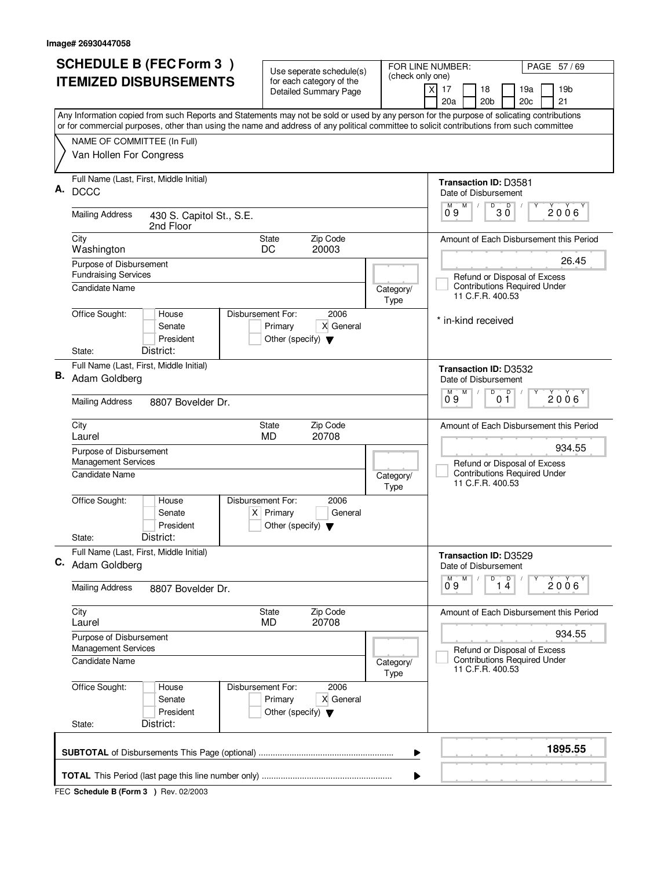| <b>SCHEDULE B (FEC Form 3)</b><br><b>ITEMIZED DISBURSEMENTS</b>                                                                                                                                                                                                                        | Use seperate schedule(s)<br>(check only one)<br>for each category of the<br><b>Detailed Summary Page</b> | PAGE 57/69<br>FOR LINE NUMBER:<br>19 <sub>b</sub><br>$\times$<br>17<br>18<br>19a                  |
|----------------------------------------------------------------------------------------------------------------------------------------------------------------------------------------------------------------------------------------------------------------------------------------|----------------------------------------------------------------------------------------------------------|---------------------------------------------------------------------------------------------------|
|                                                                                                                                                                                                                                                                                        |                                                                                                          | 20a<br>20 <sub>b</sub><br>21<br>20c                                                               |
| Any Information copied from such Reports and Statements may not be sold or used by any person for the purpose of solicating contributions<br>or for commercial purposes, other than using the name and address of any political committee to solicit contributions from such committee |                                                                                                          |                                                                                                   |
| NAME OF COMMITTEE (In Full)<br>Van Hollen For Congress                                                                                                                                                                                                                                 |                                                                                                          |                                                                                                   |
| Full Name (Last, First, Middle Initial)<br>Α.<br><b>DCCC</b>                                                                                                                                                                                                                           |                                                                                                          | <b>Transaction ID: D3581</b><br>Date of Disbursement                                              |
| <b>Mailing Address</b><br>430 S. Capitol St., S.E.<br>2nd Floor                                                                                                                                                                                                                        |                                                                                                          | $0^{\circ}9$<br>M<br>D<br>30<br>2006                                                              |
| City<br>Washington                                                                                                                                                                                                                                                                     | Zip Code<br>State<br>20003<br>DC                                                                         | Amount of Each Disbursement this Period                                                           |
| Purpose of Disbursement<br><b>Fundraising Services</b><br>Candidate Name                                                                                                                                                                                                               | Category/                                                                                                | 26.45<br>Refund or Disposal of Excess<br><b>Contributions Required Under</b><br>11 C.F.R. 400.53  |
| Office Sought:<br>House<br>Senate<br>President<br>District:<br>State:                                                                                                                                                                                                                  | Type<br>Disbursement For:<br>2006<br>X General<br>Primary<br>Other (specify) $\blacktriangledown$        | * in-kind received                                                                                |
| Full Name (Last, First, Middle Initial)<br>В.<br>Adam Goldberg                                                                                                                                                                                                                         |                                                                                                          | <b>Transaction ID: D3532</b><br>Date of Disbursement                                              |
| <b>Mailing Address</b><br>8807 Bovelder Dr.                                                                                                                                                                                                                                            |                                                                                                          | D<br>D<br>M<br>M<br>2006<br>09<br>01                                                              |
| City<br>Laurel                                                                                                                                                                                                                                                                         | Zip Code<br>State<br><b>MD</b><br>20708                                                                  | Amount of Each Disbursement this Period                                                           |
| Purpose of Disbursement<br><b>Management Services</b><br>Candidate Name                                                                                                                                                                                                                | Category/<br>Type                                                                                        | 934.55<br>Refund or Disposal of Excess<br><b>Contributions Required Under</b><br>11 C.F.R. 400.53 |
| Office Sought:<br>House<br>Senate<br>President<br>District:<br>State:                                                                                                                                                                                                                  | Disbursement For:<br>2006<br>$X$ Primary<br>General<br>Other (specify) $\blacktriangledown$              |                                                                                                   |
| Full Name (Last, First, Middle Initial)<br>C. Adam Goldberg                                                                                                                                                                                                                            |                                                                                                          | Transaction ID: D3529<br>Date of Disbursement                                                     |
| <b>Mailing Address</b><br>8807 Bovelder Dr.                                                                                                                                                                                                                                            |                                                                                                          | D<br>1 <sup>D</sup><br>M<br>2006<br>09                                                            |
| City<br>Laurel                                                                                                                                                                                                                                                                         | Zip Code<br>State<br>20708<br>MD                                                                         | Amount of Each Disbursement this Period                                                           |
| Purpose of Disbursement<br>Management Services                                                                                                                                                                                                                                         |                                                                                                          | 934.55<br>Refund or Disposal of Excess                                                            |
| Candidate Name                                                                                                                                                                                                                                                                         | Category/<br>Type                                                                                        | <b>Contributions Required Under</b><br>11 C.F.R. 400.53                                           |
| Office Sought:<br>House<br>Senate<br>President<br>District:<br>State:                                                                                                                                                                                                                  | Disbursement For:<br>2006<br>X General<br>Primary<br>Other (specify) $\blacktriangledown$                |                                                                                                   |
|                                                                                                                                                                                                                                                                                        | ▶                                                                                                        | 1895.55                                                                                           |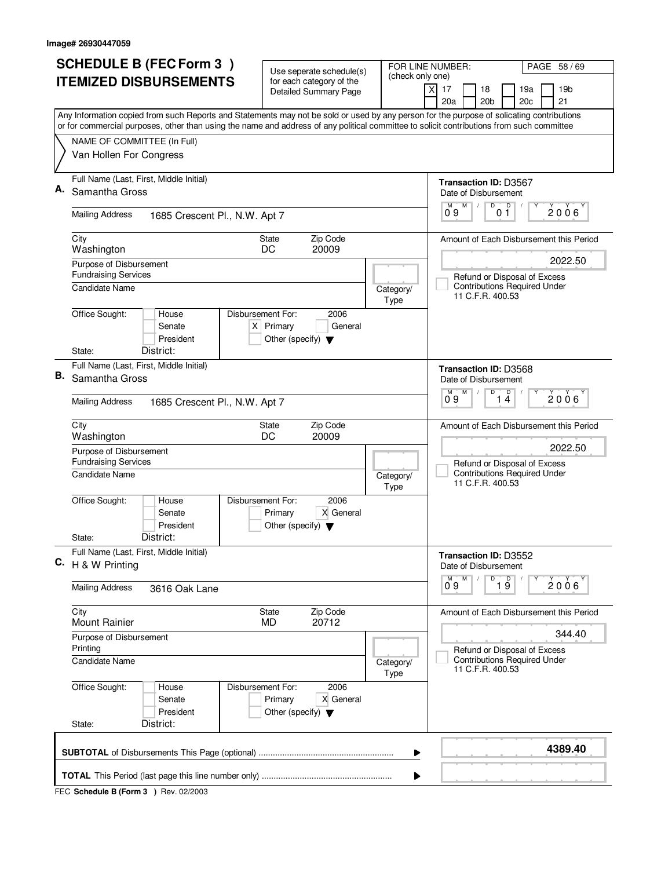|    | <b>SCHEDULE B (FEC Form 3)</b>                                                                                                                                                                                                                                                         | Use seperate schedule(s)                                                                    |                   | PAGE 58 / 69<br>FOR LINE NUMBER:                                                                   |
|----|----------------------------------------------------------------------------------------------------------------------------------------------------------------------------------------------------------------------------------------------------------------------------------------|---------------------------------------------------------------------------------------------|-------------------|----------------------------------------------------------------------------------------------------|
|    | <b>ITEMIZED DISBURSEMENTS</b>                                                                                                                                                                                                                                                          | for each category of the<br><b>Detailed Summary Page</b>                                    | (check only one)  | 19 <sub>b</sub><br>$\times$<br>17<br>18<br>19a<br>20a<br>20 <sub>b</sub><br>20c<br>21              |
|    | Any Information copied from such Reports and Statements may not be sold or used by any person for the purpose of solicating contributions<br>or for commercial purposes, other than using the name and address of any political committee to solicit contributions from such committee |                                                                                             |                   |                                                                                                    |
|    | NAME OF COMMITTEE (In Full)<br>Van Hollen For Congress                                                                                                                                                                                                                                 |                                                                                             |                   |                                                                                                    |
|    | Full Name (Last, First, Middle Initial)<br>Samantha Gross                                                                                                                                                                                                                              |                                                                                             |                   | <b>Transaction ID: D3567</b><br>Date of Disbursement<br>D<br>M                                     |
|    | <b>Mailing Address</b><br>1685 Crescent Pl., N.W. Apt 7                                                                                                                                                                                                                                |                                                                                             |                   | 0 <sup>0</sup><br>$0^{\circ}9$<br>$2006^{\circ}$                                                   |
|    | City<br>Washington                                                                                                                                                                                                                                                                     | Zip Code<br>State<br>DC<br>20009                                                            |                   | Amount of Each Disbursement this Period                                                            |
|    | Purpose of Disbursement<br><b>Fundraising Services</b><br><b>Candidate Name</b>                                                                                                                                                                                                        |                                                                                             | Category/<br>Type | 2022.50<br>Refund or Disposal of Excess<br><b>Contributions Required Under</b><br>11 C.F.R. 400.53 |
|    | Office Sought:<br>House<br>Senate<br>President<br>District:<br>State:                                                                                                                                                                                                                  | Disbursement For:<br>2006<br>$X$ Primary<br>General<br>Other (specify) $\blacktriangledown$ |                   |                                                                                                    |
| В. | Full Name (Last, First, Middle Initial)<br>Samantha Gross                                                                                                                                                                                                                              |                                                                                             |                   | <b>Transaction ID: D3568</b><br>Date of Disbursement                                               |
|    | <b>Mailing Address</b><br>1685 Crescent Pl., N.W. Apt 7                                                                                                                                                                                                                                |                                                                                             |                   | D<br>D<br>М<br>2006<br>09<br>14                                                                    |
|    | City<br>Washington                                                                                                                                                                                                                                                                     | Zip Code<br>State<br>20009<br>DC                                                            |                   | Amount of Each Disbursement this Period                                                            |
|    | Purpose of Disbursement<br><b>Fundraising Services</b><br><b>Candidate Name</b>                                                                                                                                                                                                        |                                                                                             | Category/<br>Type | 2022.50<br>Refund or Disposal of Excess<br><b>Contributions Required Under</b><br>11 C.F.R. 400.53 |
|    | Office Sought:<br>House<br>Senate<br>President                                                                                                                                                                                                                                         | Disbursement For:<br>2006<br>Primary<br>X General<br>Other (specify) $\blacktriangledown$   |                   |                                                                                                    |
|    | District:<br>State:<br>Full Name (Last, First, Middle Initial)<br>C. $H \& W$ Printing                                                                                                                                                                                                 |                                                                                             |                   | Transaction ID: D3552                                                                              |
|    | <b>Mailing Address</b><br>3616 Oak Lane                                                                                                                                                                                                                                                |                                                                                             |                   | Date of Disbursement<br>D<br>M<br>$\overline{1}$ $\overline{9}$<br>2006<br>09                      |
|    | City<br>Mount Rainier                                                                                                                                                                                                                                                                  | Zip Code<br>State<br>20712<br>MD                                                            |                   | Amount of Each Disbursement this Period                                                            |
|    | Purpose of Disbursement<br>Printing                                                                                                                                                                                                                                                    |                                                                                             |                   | 344.40<br>Refund or Disposal of Excess                                                             |
|    | <b>Candidate Name</b>                                                                                                                                                                                                                                                                  |                                                                                             | Category/<br>Type | <b>Contributions Required Under</b><br>11 C.F.R. 400.53                                            |
|    | Office Sought:<br>House<br>Senate<br>President<br>District:<br>State:                                                                                                                                                                                                                  | Disbursement For:<br>2006<br>X General<br>Primary<br>Other (specify) $\blacktriangledown$   |                   |                                                                                                    |
|    |                                                                                                                                                                                                                                                                                        |                                                                                             | ▶                 | 4389.40                                                                                            |
|    |                                                                                                                                                                                                                                                                                        |                                                                                             |                   |                                                                                                    |
|    |                                                                                                                                                                                                                                                                                        |                                                                                             |                   |                                                                                                    |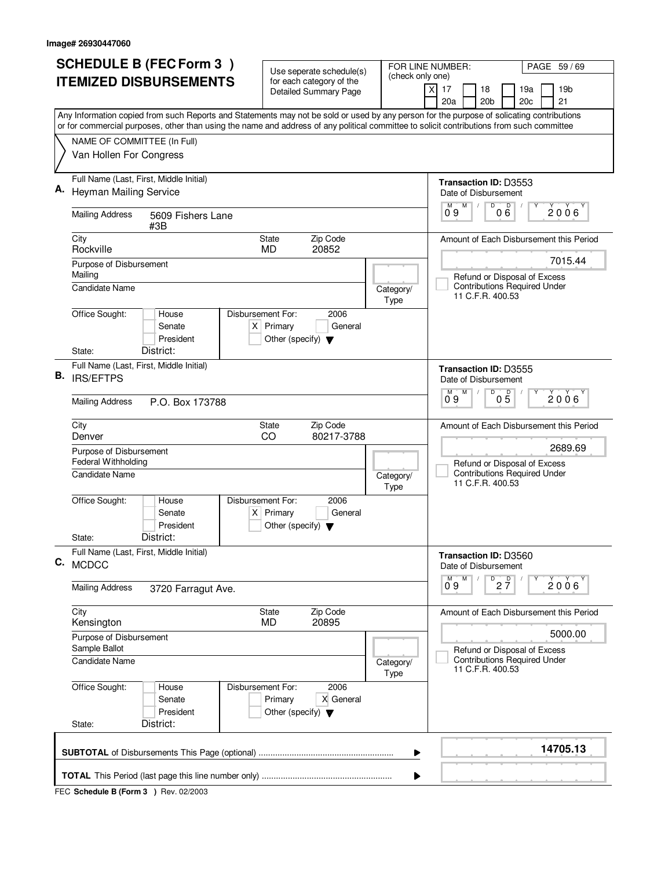|    | <b>SCHEDULE B (FEC Form 3)</b>                                                                                                            | Use seperate schedule(s)                     |                   | FOR LINE NUMBER:<br>PAGE 59 / 69                                               |
|----|-------------------------------------------------------------------------------------------------------------------------------------------|----------------------------------------------|-------------------|--------------------------------------------------------------------------------|
|    | <b>ITEMIZED DISBURSEMENTS</b>                                                                                                             | for each category of the                     | (check only one)  |                                                                                |
|    |                                                                                                                                           | <b>Detailed Summary Page</b>                 |                   | 17<br>18<br>19a<br>19 <sub>b</sub><br>X<br>20a<br>20 <sub>b</sub><br>20c<br>21 |
|    | Any Information copied from such Reports and Statements may not be sold or used by any person for the purpose of solicating contributions |                                              |                   |                                                                                |
|    | or for commercial purposes, other than using the name and address of any political committee to solicit contributions from such committee |                                              |                   |                                                                                |
|    | NAME OF COMMITTEE (In Full)                                                                                                               |                                              |                   |                                                                                |
|    | Van Hollen For Congress                                                                                                                   |                                              |                   |                                                                                |
|    | Full Name (Last, First, Middle Initial)                                                                                                   |                                              |                   | <b>Transaction ID: D3553</b>                                                   |
|    | <b>Heyman Mailing Service</b>                                                                                                             |                                              |                   | Date of Disbursement<br>D<br>M                                                 |
|    | <b>Mailing Address</b><br>5609 Fishers Lane<br>#3B                                                                                        |                                              |                   | $0\overset{D}{6}$<br>$0^{\circ}9$<br>2006'                                     |
|    | City                                                                                                                                      | Zip Code<br><b>State</b>                     |                   | Amount of Each Disbursement this Period                                        |
|    | Rockville                                                                                                                                 | 20852<br><b>MD</b>                           |                   | 7015.44                                                                        |
|    | Purpose of Disbursement<br>Mailing                                                                                                        |                                              |                   | Refund or Disposal of Excess                                                   |
|    | <b>Candidate Name</b>                                                                                                                     |                                              | Category/         | <b>Contributions Required Under</b>                                            |
|    |                                                                                                                                           |                                              | Type              | 11 C.F.R. 400.53                                                               |
|    | Office Sought:<br>Disbursement For:<br>House                                                                                              | 2006                                         |                   |                                                                                |
|    | Senate<br>President                                                                                                                       | $X$ Primary<br>General                       |                   |                                                                                |
|    | District:<br>State:                                                                                                                       | Other (specify) $\blacktriangledown$         |                   |                                                                                |
|    | Full Name (Last, First, Middle Initial)                                                                                                   |                                              |                   | <b>Transaction ID: D3555</b>                                                   |
| В. | <b>IRS/EFTPS</b>                                                                                                                          |                                              |                   | Date of Disbursement                                                           |
|    |                                                                                                                                           |                                              |                   | D<br>M<br>05<br>2006                                                           |
|    | <b>Mailing Address</b><br>P.O. Box 173788                                                                                                 |                                              |                   | 09                                                                             |
|    | City<br>Denver                                                                                                                            | Zip Code<br><b>State</b><br>CO<br>80217-3788 |                   | Amount of Each Disbursement this Period                                        |
|    | Purpose of Disbursement                                                                                                                   |                                              |                   | 2689.69                                                                        |
|    | Federal Withholding                                                                                                                       |                                              |                   | Refund or Disposal of Excess                                                   |
|    | Candidate Name                                                                                                                            |                                              | Category/<br>Type | <b>Contributions Required Under</b><br>11 C.F.R. 400.53                        |
|    | Office Sought:<br>Disbursement For:<br>House<br>Senate                                                                                    | 2006<br>$X$ Primary<br>General               |                   |                                                                                |
|    | President                                                                                                                                 | Other (specify) $\blacktriangledown$         |                   |                                                                                |
|    | District:<br>State:<br>Full Name (Last, First, Middle Initial)                                                                            |                                              |                   |                                                                                |
| C. | <b>MCDCC</b>                                                                                                                              |                                              |                   | Transaction ID: D3560<br>Date of Disbursement                                  |
|    |                                                                                                                                           |                                              |                   | $D$ <sub>2</sub> $\frac{D}{7}$<br>M                                            |
|    | <b>Mailing Address</b><br>3720 Farragut Ave.                                                                                              |                                              |                   | 2006<br>09                                                                     |
|    | City                                                                                                                                      | State<br>Zip Code<br>MD<br>20895             |                   | Amount of Each Disbursement this Period                                        |
|    | Kensington<br>Purpose of Disbursement                                                                                                     |                                              |                   | 5000.00                                                                        |
|    | Sample Ballot                                                                                                                             |                                              |                   | Refund or Disposal of Excess                                                   |
|    | <b>Candidate Name</b>                                                                                                                     |                                              | Category/<br>Type | <b>Contributions Required Under</b><br>11 C.F.R. 400.53                        |
|    | Office Sought:<br>House<br>Disbursement For:                                                                                              | 2006                                         |                   |                                                                                |
|    | Senate                                                                                                                                    | Primary<br>X General                         |                   |                                                                                |
|    | President<br>District:<br>State:                                                                                                          | Other (specify) $\blacktriangledown$         |                   |                                                                                |
|    |                                                                                                                                           |                                              |                   |                                                                                |
|    |                                                                                                                                           |                                              | ▶                 | 14705.13                                                                       |
|    |                                                                                                                                           |                                              |                   |                                                                                |
|    |                                                                                                                                           |                                              |                   |                                                                                |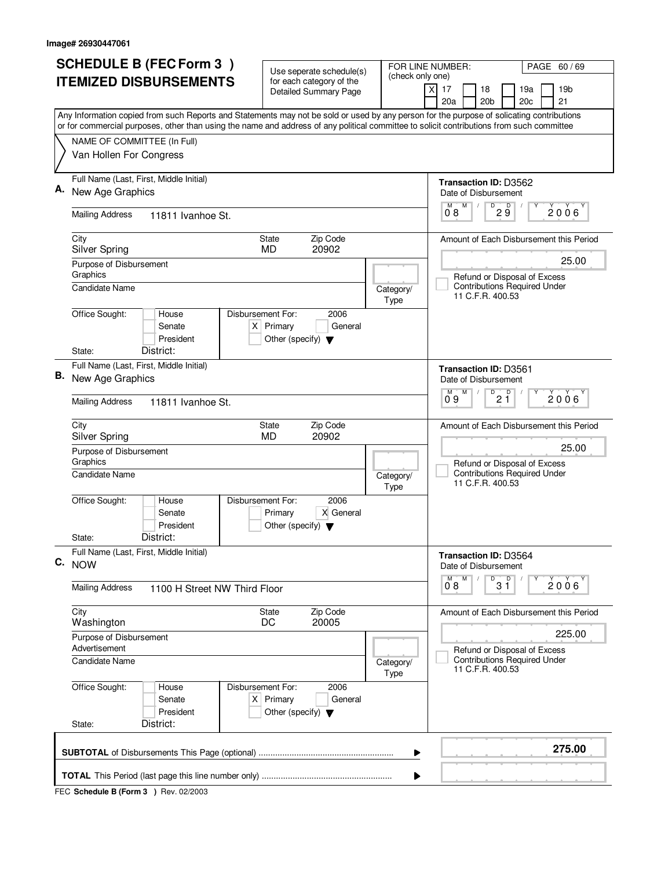|    | <b>SCHEDULE B (FEC Form 3)</b><br><b>ITEMIZED DISBURSEMENTS</b>                                                                                                                                     | Use seperate schedule(s)<br>for each category of the<br><b>Detailed Summary Page</b>                | PAGE 60/69<br>FOR LINE NUMBER:<br>(check only one)<br>19 <sub>b</sub><br>xl<br>17<br>18<br>19a<br>20a<br>20 <sub>b</sub><br>21<br>20c     |
|----|-----------------------------------------------------------------------------------------------------------------------------------------------------------------------------------------------------|-----------------------------------------------------------------------------------------------------|-------------------------------------------------------------------------------------------------------------------------------------------|
|    |                                                                                                                                                                                                     |                                                                                                     | Any Information copied from such Reports and Statements may not be sold or used by any person for the purpose of solicating contributions |
|    | or for commercial purposes, other than using the name and address of any political committee to solicit contributions from such committee<br>NAME OF COMMITTEE (In Full)<br>Van Hollen For Congress |                                                                                                     |                                                                                                                                           |
|    | Full Name (Last, First, Middle Initial)<br>New Age Graphics                                                                                                                                         |                                                                                                     | <b>Transaction ID: D3562</b><br>Date of Disbursement                                                                                      |
|    | <b>Mailing Address</b><br>11811 Ivanhoe St.                                                                                                                                                         |                                                                                                     | M<br>$D^D$ $\overline{9}$<br>2006<br>0.8                                                                                                  |
|    | City<br><b>Silver Spring</b>                                                                                                                                                                        | Zip Code<br>State<br>20902<br><b>MD</b>                                                             | Amount of Each Disbursement this Period                                                                                                   |
|    | Purpose of Disbursement<br>Graphics<br>Candidate Name                                                                                                                                               |                                                                                                     | 25.00<br>Refund or Disposal of Excess<br><b>Contributions Required Under</b><br>Category/<br>11 C.F.R. 400.53                             |
|    | Office Sought:<br>House<br>Senate<br>President<br>District:<br>State:                                                                                                                               | Type<br>Disbursement For:<br>2006<br>$X$ Primary<br>General<br>Other (specify) $\blacktriangledown$ |                                                                                                                                           |
| В. | Full Name (Last, First, Middle Initial)<br>New Age Graphics                                                                                                                                         |                                                                                                     | <b>Transaction ID: D3561</b><br>Date of Disbursement                                                                                      |
|    | <b>Mailing Address</b><br>11811 Ivanhoe St.                                                                                                                                                         |                                                                                                     | D<br>D<br>M<br>M<br>2006<br>2 Ĭ<br>09                                                                                                     |
|    | City<br><b>Silver Spring</b>                                                                                                                                                                        | Zip Code<br><b>State</b><br><b>MD</b><br>20902                                                      | Amount of Each Disbursement this Period                                                                                                   |
|    | Purpose of Disbursement<br>Graphics<br>Candidate Name                                                                                                                                               | Type                                                                                                | 25.00<br>Refund or Disposal of Excess<br><b>Contributions Required Under</b><br>Category/<br>11 C.F.R. 400.53                             |
|    | Office Sought:<br>House<br>Senate<br>President<br>District:                                                                                                                                         | Disbursement For:<br>2006<br>Primary<br>X General<br>Other (specify) $\blacktriangledown$           |                                                                                                                                           |
|    | State:<br>Full Name (Last, First, Middle Initial)<br>C. NOW                                                                                                                                         |                                                                                                     | Transaction ID: D3564<br>Date of Disbursement                                                                                             |
|    | <b>Mailing Address</b><br>1100 H Street NW Third Floor                                                                                                                                              |                                                                                                     | $\overline{D}$<br>M<br>D<br>M<br>2006<br>$3\bar{1}$<br>08                                                                                 |
|    | City<br>Washington                                                                                                                                                                                  | Zip Code<br>State<br>DC<br>20005                                                                    | Amount of Each Disbursement this Period                                                                                                   |
|    | Purpose of Disbursement<br>Advertisement                                                                                                                                                            |                                                                                                     | 225.00<br>Refund or Disposal of Excess                                                                                                    |
|    | Candidate Name                                                                                                                                                                                      | Type                                                                                                | <b>Contributions Required Under</b><br>Category/<br>11 C.F.R. 400.53                                                                      |
|    | Office Sought:<br>House<br>Senate<br>President<br>District:<br>State:                                                                                                                               | Disbursement For:<br>2006<br>$X$ Primary<br>General<br>Other (specify) $\blacktriangledown$         |                                                                                                                                           |
|    |                                                                                                                                                                                                     |                                                                                                     | 275.00<br>▶                                                                                                                               |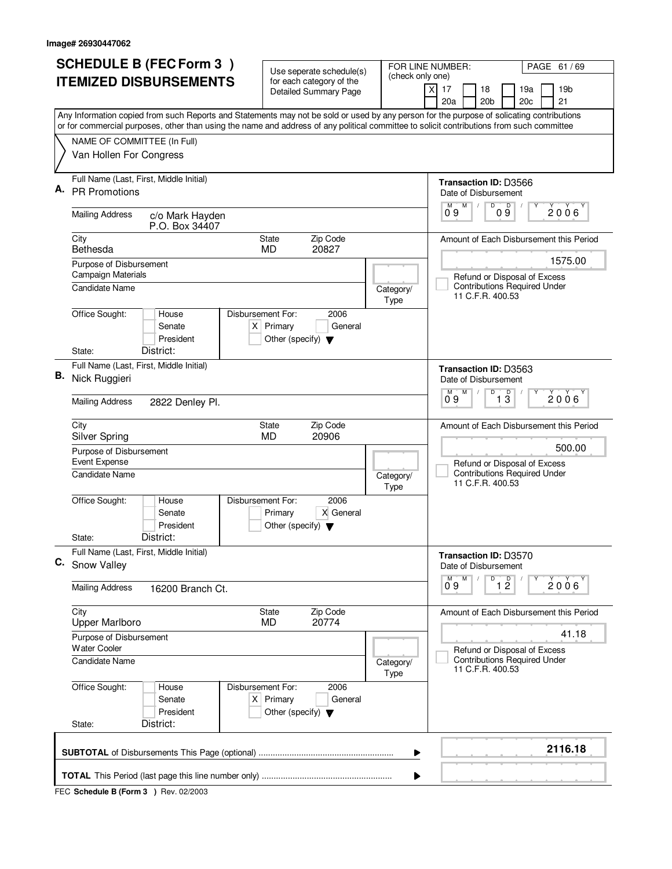|    | <b>SCHEDULE B (FEC Form 3)</b>                                                                                                            | Use seperate schedule(s)                                       |                   | FOR LINE NUMBER:<br>PAGE 61 / 69                                                        |
|----|-------------------------------------------------------------------------------------------------------------------------------------------|----------------------------------------------------------------|-------------------|-----------------------------------------------------------------------------------------|
|    | <b>ITEMIZED DISBURSEMENTS</b>                                                                                                             | for each category of the                                       | (check only one)  |                                                                                         |
|    |                                                                                                                                           | <b>Detailed Summary Page</b>                                   |                   | $\times$<br>17<br>18<br>19a<br>19 <sub>b</sub><br>20a<br>20 <sub>b</sub><br>20c<br>21   |
|    | Any Information copied from such Reports and Statements may not be sold or used by any person for the purpose of solicating contributions |                                                                |                   |                                                                                         |
|    | or for commercial purposes, other than using the name and address of any political committee to solicit contributions from such committee |                                                                |                   |                                                                                         |
|    | NAME OF COMMITTEE (In Full)                                                                                                               |                                                                |                   |                                                                                         |
|    | Van Hollen For Congress                                                                                                                   |                                                                |                   |                                                                                         |
|    | Full Name (Last, First, Middle Initial)                                                                                                   |                                                                |                   | Transaction ID: D3566                                                                   |
|    | <b>PR Promotions</b>                                                                                                                      |                                                                |                   | Date of Disbursement                                                                    |
|    | <b>Mailing Address</b><br>c/o Mark Hayden<br>P.O. Box 34407                                                                               |                                                                |                   | D<br>09<br>$0^{\circ}9$<br>M<br>$2006^\circ$                                            |
|    | City                                                                                                                                      | Zip Code<br><b>State</b>                                       |                   | Amount of Each Disbursement this Period                                                 |
|    | Bethesda                                                                                                                                  | 20827<br><b>MD</b>                                             |                   | 1575.00                                                                                 |
|    | Purpose of Disbursement<br>Campaign Materials                                                                                             |                                                                |                   | Refund or Disposal of Excess                                                            |
|    | Candidate Name                                                                                                                            |                                                                | Category/         | <b>Contributions Required Under</b>                                                     |
|    |                                                                                                                                           |                                                                | Type              | 11 C.F.R. 400.53                                                                        |
|    | Office Sought:<br>House                                                                                                                   | Disbursement For:<br>2006                                      |                   |                                                                                         |
|    | Senate<br>President                                                                                                                       | $X$ Primary<br>General<br>Other (specify) $\blacktriangledown$ |                   |                                                                                         |
|    | District:<br>State:                                                                                                                       |                                                                |                   |                                                                                         |
|    | Full Name (Last, First, Middle Initial)                                                                                                   |                                                                |                   | <b>Transaction ID: D3563</b>                                                            |
| В. | Nick Ruggieri                                                                                                                             |                                                                |                   | Date of Disbursement                                                                    |
|    | <b>Mailing Address</b>                                                                                                                    |                                                                |                   | D<br>D<br>M<br>M<br>2006<br>$1\overline{3}$<br>09                                       |
|    | 2822 Denley Pl.                                                                                                                           |                                                                |                   |                                                                                         |
|    | City<br>Silver Spring                                                                                                                     | Zip Code<br><b>State</b><br><b>MD</b><br>20906                 |                   | Amount of Each Disbursement this Period                                                 |
|    | Purpose of Disbursement                                                                                                                   |                                                                |                   | 500.00                                                                                  |
|    | Event Expense                                                                                                                             |                                                                |                   | Refund or Disposal of Excess                                                            |
|    | Candidate Name                                                                                                                            |                                                                | Category/<br>Type | <b>Contributions Required Under</b><br>11 C.F.R. 400.53                                 |
|    | Office Sought:<br>House                                                                                                                   | Disbursement For:<br>2006                                      |                   |                                                                                         |
|    | Senate<br>President                                                                                                                       | X General<br>Primary<br>Other (specify) $\blacktriangledown$   |                   |                                                                                         |
|    | District:<br>State:                                                                                                                       |                                                                |                   |                                                                                         |
|    | Full Name (Last, First, Middle Initial)                                                                                                   |                                                                |                   | Transaction ID: D3570                                                                   |
|    | C. Snow Valley                                                                                                                            |                                                                |                   | Date of Disbursement                                                                    |
|    | <b>Mailing Address</b><br>16200 Branch Ct.                                                                                                |                                                                |                   | D<br>M<br>$\overline{1}$ $\overline{2}$<br>2006<br>09                                   |
|    | City                                                                                                                                      | Zip Code<br>State                                              |                   | Amount of Each Disbursement this Period                                                 |
|    | <b>Upper Marlboro</b>                                                                                                                     | <b>MD</b><br>20774                                             |                   |                                                                                         |
|    | Purpose of Disbursement<br><b>Water Cooler</b>                                                                                            |                                                                |                   | 41.18                                                                                   |
|    | Candidate Name                                                                                                                            |                                                                | Category/<br>Type | Refund or Disposal of Excess<br><b>Contributions Required Under</b><br>11 C.F.R. 400.53 |
|    | Office Sought:<br>House                                                                                                                   | 2006<br>Disbursement For:                                      |                   |                                                                                         |
|    | Senate                                                                                                                                    | $X$ Primary<br>General                                         |                   |                                                                                         |
|    | President<br>District:<br>State:                                                                                                          | Other (specify) $\blacktriangledown$                           |                   |                                                                                         |
|    |                                                                                                                                           |                                                                |                   |                                                                                         |
|    |                                                                                                                                           |                                                                | ▶                 | 2116.18                                                                                 |
|    |                                                                                                                                           |                                                                |                   |                                                                                         |
|    |                                                                                                                                           |                                                                |                   |                                                                                         |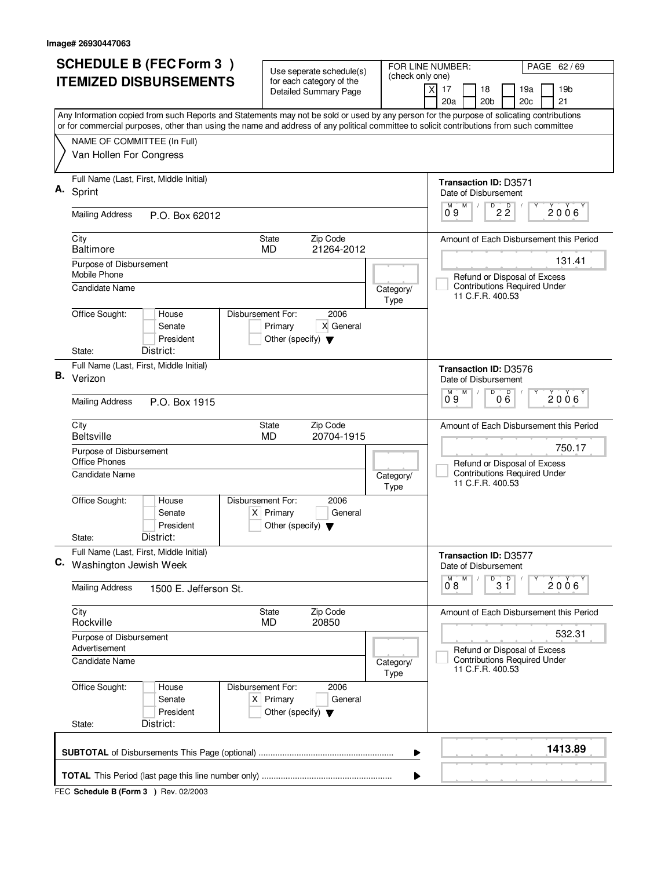|    | <b>SCHEDULE B (FEC Form 3)</b>                                                                                                                                                                                                                                                         | Use seperate schedule(s)                                                                    |                   | FOR LINE NUMBER:<br>PAGE 62/69                                                   |  |
|----|----------------------------------------------------------------------------------------------------------------------------------------------------------------------------------------------------------------------------------------------------------------------------------------|---------------------------------------------------------------------------------------------|-------------------|----------------------------------------------------------------------------------|--|
|    | <b>ITEMIZED DISBURSEMENTS</b>                                                                                                                                                                                                                                                          | for each category of the<br><b>Detailed Summary Page</b>                                    | (check only one)  | 17<br>18<br>19a<br>19 <sub>b</sub><br>X<br>20a<br>20 <sub>b</sub><br>20c<br>21   |  |
|    | Any Information copied from such Reports and Statements may not be sold or used by any person for the purpose of solicating contributions<br>or for commercial purposes, other than using the name and address of any political committee to solicit contributions from such committee |                                                                                             |                   |                                                                                  |  |
|    | NAME OF COMMITTEE (In Full)<br>Van Hollen For Congress                                                                                                                                                                                                                                 |                                                                                             |                   |                                                                                  |  |
| А. | Full Name (Last, First, Middle Initial)<br>Sprint                                                                                                                                                                                                                                      |                                                                                             |                   | Transaction ID: D3571<br>Date of Disbursement                                    |  |
|    | <b>Mailing Address</b><br>P.O. Box 62012                                                                                                                                                                                                                                               |                                                                                             |                   | $D$ <sub>2</sub> $\frac{D}{2}$<br>M<br>М<br>2006<br>0.9                          |  |
|    | City<br><b>Baltimore</b>                                                                                                                                                                                                                                                               | <b>State</b><br>Zip Code<br>21264-2012<br><b>MD</b>                                         |                   | Amount of Each Disbursement this Period                                          |  |
|    | Purpose of Disbursement<br>Mobile Phone                                                                                                                                                                                                                                                |                                                                                             |                   | 131.41<br>Refund or Disposal of Excess<br><b>Contributions Required Under</b>    |  |
|    | <b>Candidate Name</b><br>Office Sought:<br>Disbursement For:<br>House                                                                                                                                                                                                                  | 2006                                                                                        | Category/<br>Type | 11 C.F.R. 400.53                                                                 |  |
|    | Senate<br>President<br>District:<br>State:                                                                                                                                                                                                                                             | Primary<br>X General<br>Other (specify) $\blacktriangledown$                                |                   |                                                                                  |  |
|    | Full Name (Last, First, Middle Initial)                                                                                                                                                                                                                                                |                                                                                             |                   |                                                                                  |  |
| В. | Verizon                                                                                                                                                                                                                                                                                |                                                                                             |                   | <b>Transaction ID: D3576</b><br>Date of Disbursement<br>$\overline{D}$<br>M<br>D |  |
|    | <b>Mailing Address</b><br>P.O. Box 1915                                                                                                                                                                                                                                                |                                                                                             |                   | $2006^{\circ}$<br>09<br>06                                                       |  |
|    | City<br><b>Beltsville</b>                                                                                                                                                                                                                                                              | Zip Code<br><b>State</b><br><b>MD</b><br>20704-1915                                         |                   | Amount of Each Disbursement this Period<br>750.17                                |  |
|    | Purpose of Disbursement<br><b>Office Phones</b>                                                                                                                                                                                                                                        |                                                                                             |                   | Refund or Disposal of Excess<br><b>Contributions Required Under</b>              |  |
|    | <b>Candidate Name</b>                                                                                                                                                                                                                                                                  |                                                                                             | Category/<br>Type | 11 C.F.R. 400.53                                                                 |  |
|    | Office Sought:<br>Disbursement For:<br>House<br>Senate<br>President                                                                                                                                                                                                                    | 2006<br>$X$ Primary<br>General<br>Other (specify) $\blacktriangledown$                      |                   |                                                                                  |  |
|    | District:<br>State:                                                                                                                                                                                                                                                                    |                                                                                             |                   |                                                                                  |  |
|    | Full Name (Last, First, Middle Initial)<br>C. Washington Jewish Week                                                                                                                                                                                                                   |                                                                                             |                   | <b>Transaction ID: D3577</b><br>Date of Disbursement<br>D<br>M                   |  |
|    | <b>Mailing Address</b><br>1500 E. Jefferson St.                                                                                                                                                                                                                                        |                                                                                             |                   | $3^{\circ}$<br>$2006^{\circ}$<br>08                                              |  |
|    | City<br>Rockville                                                                                                                                                                                                                                                                      | Zip Code<br>State<br>MD<br>20850                                                            |                   | Amount of Each Disbursement this Period                                          |  |
|    | Purpose of Disbursement<br>Advertisement                                                                                                                                                                                                                                               |                                                                                             |                   | 532.31<br>Refund or Disposal of Excess                                           |  |
|    | <b>Candidate Name</b>                                                                                                                                                                                                                                                                  |                                                                                             | Category/<br>Type | <b>Contributions Required Under</b><br>11 C.F.R. 400.53                          |  |
|    | Office Sought:<br>House<br>Senate<br>President                                                                                                                                                                                                                                         | 2006<br>Disbursement For:<br>$X$ Primary<br>General<br>Other (specify) $\blacktriangledown$ |                   |                                                                                  |  |
|    | District:<br>State:                                                                                                                                                                                                                                                                    |                                                                                             |                   |                                                                                  |  |
|    |                                                                                                                                                                                                                                                                                        |                                                                                             | ▶                 | 1413.89                                                                          |  |
|    | ▶                                                                                                                                                                                                                                                                                      |                                                                                             |                   |                                                                                  |  |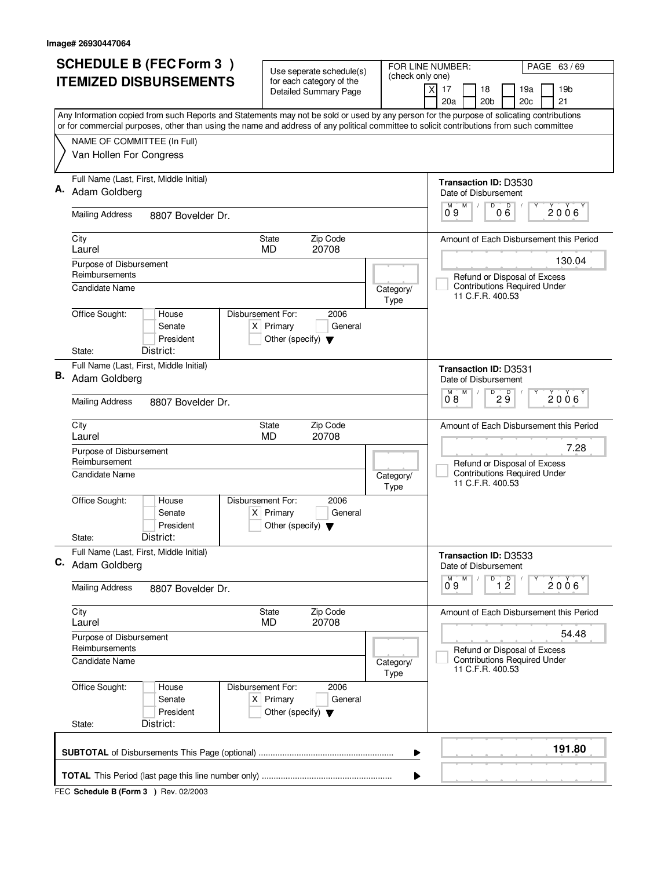|    | <b>SCHEDULE B (FEC Form 3)</b>                                                                                                                                                                                                                                                         | Use seperate schedule(s)                                                                    |                   | FOR LINE NUMBER:<br>PAGE 63/69                                                          |  |
|----|----------------------------------------------------------------------------------------------------------------------------------------------------------------------------------------------------------------------------------------------------------------------------------------|---------------------------------------------------------------------------------------------|-------------------|-----------------------------------------------------------------------------------------|--|
|    | <b>ITEMIZED DISBURSEMENTS</b>                                                                                                                                                                                                                                                          | for each category of the<br><b>Detailed Summary Page</b>                                    | (check only one)  | 17<br>18<br>19a<br>19 <sub>b</sub><br>X<br>20a<br>20 <sub>b</sub><br>20c<br>21          |  |
|    | Any Information copied from such Reports and Statements may not be sold or used by any person for the purpose of solicating contributions<br>or for commercial purposes, other than using the name and address of any political committee to solicit contributions from such committee |                                                                                             |                   |                                                                                         |  |
|    | NAME OF COMMITTEE (In Full)<br>Van Hollen For Congress                                                                                                                                                                                                                                 |                                                                                             |                   |                                                                                         |  |
|    | Full Name (Last, First, Middle Initial)                                                                                                                                                                                                                                                |                                                                                             |                   | <b>Transaction ID: D3530</b>                                                            |  |
|    | Adam Goldberg                                                                                                                                                                                                                                                                          |                                                                                             |                   | Date of Disbursement                                                                    |  |
|    | <b>Mailing Address</b><br>8807 Bovelder Dr.                                                                                                                                                                                                                                            |                                                                                             |                   | M<br>000<br>M<br>2006<br>0.9                                                            |  |
|    | City<br>Laurel                                                                                                                                                                                                                                                                         | <b>State</b><br>Zip Code<br>20708<br><b>MD</b>                                              |                   | Amount of Each Disbursement this Period                                                 |  |
|    | Purpose of Disbursement                                                                                                                                                                                                                                                                |                                                                                             |                   | 130.04                                                                                  |  |
|    | Reimbursements                                                                                                                                                                                                                                                                         |                                                                                             |                   | Refund or Disposal of Excess                                                            |  |
|    | <b>Candidate Name</b>                                                                                                                                                                                                                                                                  |                                                                                             | Category/<br>Type | <b>Contributions Required Under</b><br>11 C.F.R. 400.53                                 |  |
|    | Office Sought:<br>House<br>Senate<br>President<br>District:<br>State:                                                                                                                                                                                                                  | Disbursement For:<br>2006<br>$X$ Primary<br>General<br>Other (specify) $\blacktriangledown$ |                   |                                                                                         |  |
|    | Full Name (Last, First, Middle Initial)                                                                                                                                                                                                                                                |                                                                                             |                   | <b>Transaction ID: D3531</b>                                                            |  |
| В. | Adam Goldberg                                                                                                                                                                                                                                                                          |                                                                                             |                   | Date of Disbursement                                                                    |  |
|    | <b>Mailing Address</b><br>8807 Bovelder Dr.                                                                                                                                                                                                                                            |                                                                                             |                   | D<br>М<br>D<br>$2006^{\circ}$<br>$2\bar{9}$<br>08                                       |  |
|    | City<br>Laurel                                                                                                                                                                                                                                                                         | Zip Code<br><b>State</b><br>20708<br><b>MD</b>                                              |                   | Amount of Each Disbursement this Period                                                 |  |
|    | Purpose of Disbursement<br>Reimbursement                                                                                                                                                                                                                                               |                                                                                             |                   | 7.28<br>Refund or Disposal of Excess                                                    |  |
|    | <b>Candidate Name</b>                                                                                                                                                                                                                                                                  |                                                                                             | Category/<br>Type | <b>Contributions Required Under</b><br>11 C.F.R. 400.53                                 |  |
|    | Office Sought:<br>House<br>Senate<br>President                                                                                                                                                                                                                                         | Disbursement For:<br>2006<br>$X$ Primary<br>General<br>Other (specify) $\blacktriangledown$ |                   |                                                                                         |  |
|    | District:<br>State:<br>Full Name (Last, First, Middle Initial)                                                                                                                                                                                                                         |                                                                                             |                   |                                                                                         |  |
|    | C. Adam Goldberg                                                                                                                                                                                                                                                                       |                                                                                             |                   | Transaction ID: D3533<br>Date of Disbursement<br>D<br>M                                 |  |
|    | <b>Mailing Address</b><br>8807 Bovelder Dr.                                                                                                                                                                                                                                            |                                                                                             |                   | $\overline{1}$ $\overline{2}$<br>$2006^{\circ}$<br>09                                   |  |
|    | City<br>Laurel                                                                                                                                                                                                                                                                         | Zip Code<br>State<br><b>MD</b><br>20708                                                     |                   | Amount of Each Disbursement this Period                                                 |  |
|    | Purpose of Disbursement<br>Reimbursements                                                                                                                                                                                                                                              |                                                                                             |                   | 54.48                                                                                   |  |
|    | <b>Candidate Name</b>                                                                                                                                                                                                                                                                  |                                                                                             | Category/<br>Type | Refund or Disposal of Excess<br><b>Contributions Required Under</b><br>11 C.F.R. 400.53 |  |
|    | Office Sought:<br>House<br>Senate<br>President<br>District:<br>State:                                                                                                                                                                                                                  | 2006<br>Disbursement For:<br>$X$ Primary<br>General<br>Other (specify) $\blacktriangledown$ |                   |                                                                                         |  |
|    |                                                                                                                                                                                                                                                                                        |                                                                                             |                   |                                                                                         |  |
|    |                                                                                                                                                                                                                                                                                        |                                                                                             | ▶                 | 191.80                                                                                  |  |
|    | ▶                                                                                                                                                                                                                                                                                      |                                                                                             |                   |                                                                                         |  |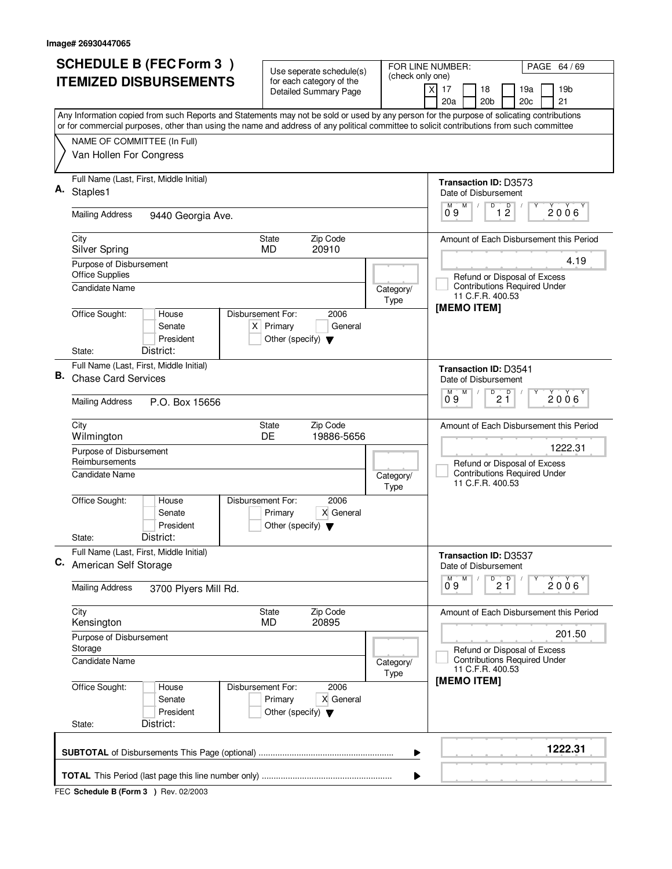|    | <b>SCHEDULE B (FEC Form 3)</b>                                                                                                                                                                                                                                                         | Use seperate schedule(s)                                                                    | FOR LINE NUMBER:  | PAGE 64 / 69                                                              |  |
|----|----------------------------------------------------------------------------------------------------------------------------------------------------------------------------------------------------------------------------------------------------------------------------------------|---------------------------------------------------------------------------------------------|-------------------|---------------------------------------------------------------------------|--|
|    | <b>ITEMIZED DISBURSEMENTS</b>                                                                                                                                                                                                                                                          | for each category of the<br><b>Detailed Summary Page</b>                                    | (check only one)  | $\times$<br>17<br>18<br>19b<br>19a                                        |  |
|    |                                                                                                                                                                                                                                                                                        |                                                                                             |                   | 20a<br>20 <sub>b</sub><br>21<br>20c                                       |  |
|    | Any Information copied from such Reports and Statements may not be sold or used by any person for the purpose of solicating contributions<br>or for commercial purposes, other than using the name and address of any political committee to solicit contributions from such committee |                                                                                             |                   |                                                                           |  |
|    | NAME OF COMMITTEE (In Full)                                                                                                                                                                                                                                                            |                                                                                             |                   |                                                                           |  |
|    | Van Hollen For Congress                                                                                                                                                                                                                                                                |                                                                                             |                   |                                                                           |  |
| Α. | Full Name (Last, First, Middle Initial)<br>Staples1                                                                                                                                                                                                                                    |                                                                                             |                   | Transaction ID: D3573<br>Date of Disbursement                             |  |
|    | <b>Mailing Address</b><br>9440 Georgia Ave.                                                                                                                                                                                                                                            |                                                                                             |                   | D<br>M<br>$\overline{1}$ $\overline{2}$<br>$0^{\circ}9$<br>$2006^{\circ}$ |  |
|    | City                                                                                                                                                                                                                                                                                   | Zip Code<br>State                                                                           |                   | Amount of Each Disbursement this Period                                   |  |
|    | <b>Silver Spring</b>                                                                                                                                                                                                                                                                   | 20910<br><b>MD</b>                                                                          |                   |                                                                           |  |
|    | Purpose of Disbursement<br><b>Office Supplies</b>                                                                                                                                                                                                                                      |                                                                                             |                   | 4.19<br>Refund or Disposal of Excess                                      |  |
|    | <b>Candidate Name</b>                                                                                                                                                                                                                                                                  |                                                                                             | Category/<br>Type | <b>Contributions Required Under</b><br>11 C.F.R. 400.53                   |  |
|    | Office Sought:<br>House<br>Senate<br>President                                                                                                                                                                                                                                         | Disbursement For:<br>2006<br>$X$ Primary<br>General<br>Other (specify) $\blacktriangledown$ |                   | [MEMO ITEM]                                                               |  |
|    | District:<br>State:<br>Full Name (Last, First, Middle Initial)                                                                                                                                                                                                                         |                                                                                             |                   |                                                                           |  |
| В. | <b>Chase Card Services</b>                                                                                                                                                                                                                                                             |                                                                                             |                   | <b>Transaction ID: D3541</b><br>Date of Disbursement<br>D<br>D<br>М       |  |
|    | <b>Mailing Address</b><br>P.O. Box 15656                                                                                                                                                                                                                                               |                                                                                             |                   | 2006<br>21<br>09                                                          |  |
|    | City<br>Wilmington                                                                                                                                                                                                                                                                     | Zip Code<br><b>State</b><br>19886-5656<br><b>DE</b>                                         |                   | Amount of Each Disbursement this Period                                   |  |
|    | Purpose of Disbursement<br>Reimbursements                                                                                                                                                                                                                                              |                                                                                             |                   | 1222.31<br>Refund or Disposal of Excess                                   |  |
|    | <b>Candidate Name</b>                                                                                                                                                                                                                                                                  |                                                                                             | Category/<br>Type | <b>Contributions Required Under</b><br>11 C.F.R. 400.53                   |  |
|    | Office Sought:<br>House<br>Senate<br>President                                                                                                                                                                                                                                         | Disbursement For:<br>2006<br>Primary<br>X General<br>Other (specify) $\blacktriangledown$   |                   |                                                                           |  |
|    | District:<br>State:                                                                                                                                                                                                                                                                    |                                                                                             |                   |                                                                           |  |
|    | Full Name (Last, First, Middle Initial)<br>C. American Self Storage                                                                                                                                                                                                                    |                                                                                             |                   | Transaction ID: D3537<br>Date of Disbursement                             |  |
|    | <b>Mailing Address</b><br>3700 Plyers Mill Rd.                                                                                                                                                                                                                                         |                                                                                             |                   | D<br>M<br>2 <sup>0</sup><br>$2006^{\circ}$<br>09                          |  |
|    | City<br>Kensington                                                                                                                                                                                                                                                                     | Zip Code<br>State<br>MD<br>20895                                                            |                   | Amount of Each Disbursement this Period                                   |  |
|    | Purpose of Disbursement<br>Storage                                                                                                                                                                                                                                                     |                                                                                             |                   | 201.50<br>Refund or Disposal of Excess                                    |  |
|    | <b>Candidate Name</b>                                                                                                                                                                                                                                                                  |                                                                                             | Category/<br>Type | <b>Contributions Required Under</b><br>11 C.F.R. 400.53                   |  |
|    | Office Sought:<br>House<br>Senate<br>President                                                                                                                                                                                                                                         | Disbursement For:<br>2006<br>X General<br>Primary<br>Other (specify) $\blacktriangledown$   |                   | [MEMO ITEM]                                                               |  |
|    | District:<br>State:                                                                                                                                                                                                                                                                    |                                                                                             |                   |                                                                           |  |
|    |                                                                                                                                                                                                                                                                                        |                                                                                             | ▶                 | 1222.31                                                                   |  |
|    | ▶                                                                                                                                                                                                                                                                                      |                                                                                             |                   |                                                                           |  |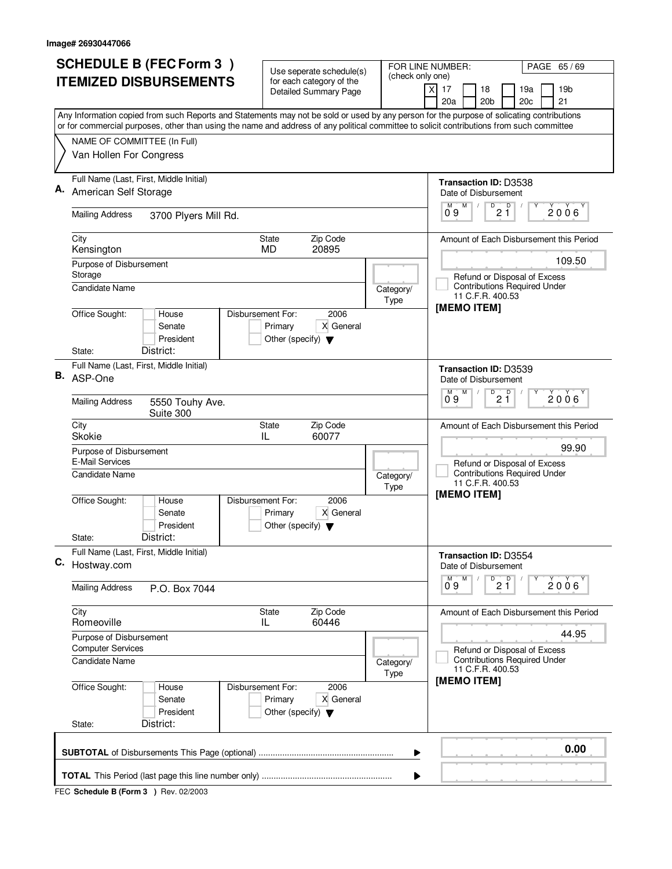| <b>SCHEDULE B (FEC Form 3)</b>                                                                                                            | Use seperate schedule(s)<br>for each category of the                                      | FOR LINE NUMBER:<br>PAGE 65/69<br>(check only one)                                                                                        |
|-------------------------------------------------------------------------------------------------------------------------------------------|-------------------------------------------------------------------------------------------|-------------------------------------------------------------------------------------------------------------------------------------------|
| <b>ITEMIZED DISBURSEMENTS</b>                                                                                                             | <b>Detailed Summary Page</b>                                                              | 19 <sub>b</sub><br>xl<br>17<br>18<br>19a<br>20a<br>20 <sub>b</sub><br>20c<br>21                                                           |
| or for commercial purposes, other than using the name and address of any political committee to solicit contributions from such committee |                                                                                           | Any Information copied from such Reports and Statements may not be sold or used by any person for the purpose of solicating contributions |
| NAME OF COMMITTEE (In Full)<br>Van Hollen For Congress                                                                                    |                                                                                           |                                                                                                                                           |
| Full Name (Last, First, Middle Initial)<br>Α.<br>American Self Storage                                                                    |                                                                                           | Transaction ID: D3538<br>Date of Disbursement                                                                                             |
| <b>Mailing Address</b><br>3700 Plyers Mill Rd.                                                                                            |                                                                                           | M<br>$\overline{21}$<br>$2006^{\circ}$<br>09                                                                                              |
| City<br>Kensington                                                                                                                        | Zip Code<br>State<br>20895<br><b>MD</b>                                                   | Amount of Each Disbursement this Period                                                                                                   |
| Purpose of Disbursement<br>Storage<br>Candidate Name                                                                                      |                                                                                           | 109.50<br>Refund or Disposal of Excess<br><b>Contributions Required Under</b><br>Category/<br>11 C.F.R. 400.53                            |
| Office Sought:<br>House<br>Senate<br>President<br>District:<br>State:                                                                     | Disbursement For:<br>2006<br>X General<br>Primary<br>Other (specify) $\blacktriangledown$ | Type<br>[MEMO ITEM]                                                                                                                       |
| Full Name (Last, First, Middle Initial)<br>В.<br>ASP-One                                                                                  |                                                                                           | <b>Transaction ID: D3539</b><br>Date of Disbursement<br>D<br>м<br>M<br>D                                                                  |
| <b>Mailing Address</b><br>5550 Touhy Ave.<br>Suite 300                                                                                    |                                                                                           | 2006<br>2 Ĭ<br>09                                                                                                                         |
| City<br><b>Skokie</b>                                                                                                                     | Zip Code<br><b>State</b><br>60077<br>IL                                                   | Amount of Each Disbursement this Period                                                                                                   |
| Purpose of Disbursement<br>E-Mail Services<br><b>Candidate Name</b>                                                                       |                                                                                           | 99.90<br>Refund or Disposal of Excess<br><b>Contributions Required Under</b><br>Category/<br>11 C.F.R. 400.53<br>Type                     |
| Office Sought:<br>House<br>Senate<br>President<br>District:<br>State:                                                                     | Disbursement For:<br>2006<br>Primary<br>X General<br>Other (specify) $\blacktriangledown$ | [MEMO ITEM]                                                                                                                               |
| Full Name (Last, First, Middle Initial)<br>C. Hostway.com                                                                                 |                                                                                           | <b>Transaction ID: D3554</b><br>Date of Disbursement<br>$\overline{D}$<br>D<br>M                                                          |
| <b>Mailing Address</b><br>P.O. Box 7044                                                                                                   |                                                                                           | $2006^{\circ}$<br>21<br>09                                                                                                                |
| City<br>Romeoville                                                                                                                        | Zip Code<br>State<br>IL<br>60446                                                          | Amount of Each Disbursement this Period                                                                                                   |
| Purpose of Disbursement<br><b>Computer Services</b>                                                                                       |                                                                                           | 44.95<br>Refund or Disposal of Excess                                                                                                     |
| <b>Candidate Name</b>                                                                                                                     |                                                                                           | <b>Contributions Required Under</b><br>Category/<br>11 C.F.R. 400.53<br>Type<br>[MEMO ITEM]                                               |
| Office Sought:<br>House<br>Senate<br>President<br>District:<br>State:                                                                     | Disbursement For:<br>2006<br>X General<br>Primary<br>Other (specify) $\blacktriangledown$ |                                                                                                                                           |
|                                                                                                                                           |                                                                                           | 0.00<br>▶                                                                                                                                 |
|                                                                                                                                           |                                                                                           | ▶                                                                                                                                         |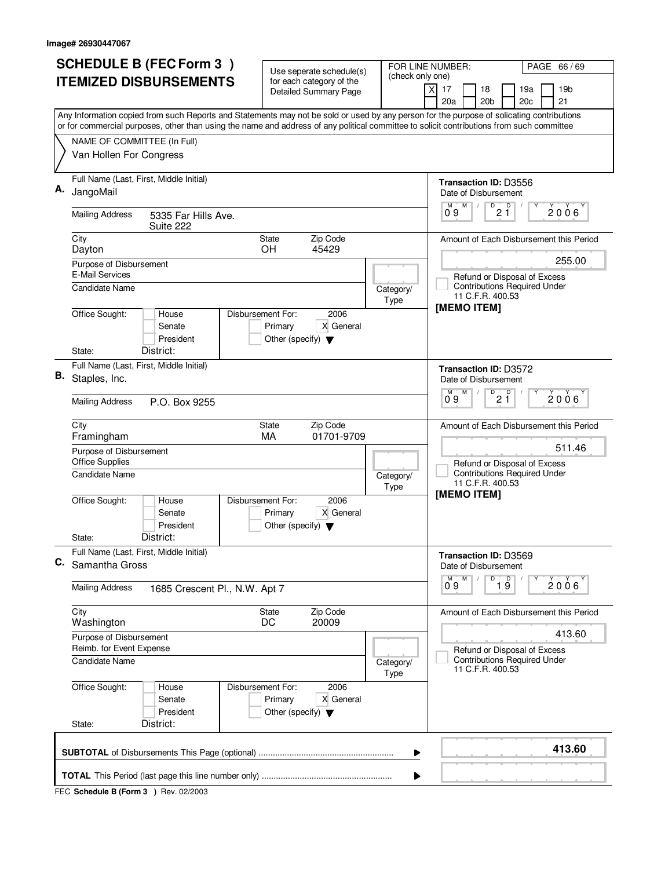|    | <b>SCHEDULE B (FEC Form 3)</b>                                                                                                                                                                                                                                                         | Use seperate schedule(s)                                                                  |                   | PAGE 66/69<br>FOR LINE NUMBER:                                                          |  |
|----|----------------------------------------------------------------------------------------------------------------------------------------------------------------------------------------------------------------------------------------------------------------------------------------|-------------------------------------------------------------------------------------------|-------------------|-----------------------------------------------------------------------------------------|--|
|    | <b>ITEMIZED DISBURSEMENTS</b>                                                                                                                                                                                                                                                          | for each category of the<br><b>Detailed Summary Page</b>                                  | (check only one)  | 19 <sub>b</sub><br>X<br>17<br>18<br>19a<br>20a<br>20 <sub>b</sub><br>20c<br>21          |  |
|    | Any Information copied from such Reports and Statements may not be sold or used by any person for the purpose of solicating contributions<br>or for commercial purposes, other than using the name and address of any political committee to solicit contributions from such committee |                                                                                           |                   |                                                                                         |  |
|    | NAME OF COMMITTEE (In Full)<br>Van Hollen For Congress                                                                                                                                                                                                                                 |                                                                                           |                   |                                                                                         |  |
|    | Full Name (Last, First, Middle Initial)<br>JangoMail                                                                                                                                                                                                                                   |                                                                                           |                   | <b>Transaction ID: D3556</b><br>Date of Disbursement<br>M                               |  |
|    | <b>Mailing Address</b><br>5335 Far Hills Ave.<br>Suite 222                                                                                                                                                                                                                             |                                                                                           |                   | $\overline{21}$<br>$0^{\circ}9$<br>$2006^{\circ}$                                       |  |
|    | City<br>Dayton                                                                                                                                                                                                                                                                         | Zip Code<br>State<br>45429<br><b>OH</b>                                                   |                   | Amount of Each Disbursement this Period                                                 |  |
|    | Purpose of Disbursement<br><b>E-Mail Services</b><br><b>Candidate Name</b>                                                                                                                                                                                                             |                                                                                           | Category/         | 255.00<br>Refund or Disposal of Excess<br><b>Contributions Required Under</b>           |  |
|    | Office Sought:<br>House<br>Senate<br>President                                                                                                                                                                                                                                         | 2006<br>Disbursement For:<br>Primary<br>X General<br>Other (specify) $\blacktriangledown$ | Type              | 11 C.F.R. 400.53<br>[MEMO ITEM]                                                         |  |
| В. | District:<br>State:<br>Full Name (Last, First, Middle Initial)<br>Staples, Inc.                                                                                                                                                                                                        |                                                                                           |                   | <b>Transaction ID: D3572</b><br>Date of Disbursement                                    |  |
|    | <b>Mailing Address</b><br>P.O. Box 9255                                                                                                                                                                                                                                                |                                                                                           |                   | D<br>D<br>M<br>м<br>2006<br>21<br>09                                                    |  |
|    | City<br>Framingham<br>Purpose of Disbursement                                                                                                                                                                                                                                          | Zip Code<br><b>State</b><br>01701-9709<br>MA                                              |                   | Amount of Each Disbursement this Period<br>511.46                                       |  |
|    | <b>Office Supplies</b><br><b>Candidate Name</b>                                                                                                                                                                                                                                        |                                                                                           | Category/<br>Type | Refund or Disposal of Excess<br><b>Contributions Required Under</b><br>11 C.F.R. 400.53 |  |
|    | Office Sought:<br>House<br>Senate<br>President<br>District:<br>State:                                                                                                                                                                                                                  | Disbursement For:<br>2006<br>Primary<br>X General<br>Other (specify) $\blacktriangledown$ |                   | [MEMO ITEM]                                                                             |  |
| C. | Full Name (Last, First, Middle Initial)<br>Samantha Gross                                                                                                                                                                                                                              |                                                                                           |                   | Transaction ID: D3569<br>Date of Disbursement<br>D<br>M                                 |  |
|    | <b>Mailing Address</b><br>1685 Crescent Pl., N.W. Apt 7                                                                                                                                                                                                                                |                                                                                           |                   | $\overline{1}$ $\overline{9}$<br>$2006^{\circ}$<br>09                                   |  |
|    | City<br>Washington                                                                                                                                                                                                                                                                     | Zip Code<br>State<br>20009<br>DC                                                          |                   | Amount of Each Disbursement this Period                                                 |  |
|    | Purpose of Disbursement<br>Reimb. for Event Expense                                                                                                                                                                                                                                    |                                                                                           |                   | 413.60<br>Refund or Disposal of Excess                                                  |  |
|    | <b>Candidate Name</b>                                                                                                                                                                                                                                                                  |                                                                                           | Category/<br>Type | <b>Contributions Required Under</b><br>11 C.F.R. 400.53                                 |  |
|    | Office Sought:<br>House<br>Senate<br>President                                                                                                                                                                                                                                         | 2006<br>Disbursement For:<br>X General<br>Primary<br>Other (specify) $\blacktriangledown$ |                   |                                                                                         |  |
|    | District:<br>State:                                                                                                                                                                                                                                                                    |                                                                                           |                   |                                                                                         |  |
|    |                                                                                                                                                                                                                                                                                        |                                                                                           | ▶                 | 413.60                                                                                  |  |
|    |                                                                                                                                                                                                                                                                                        |                                                                                           |                   |                                                                                         |  |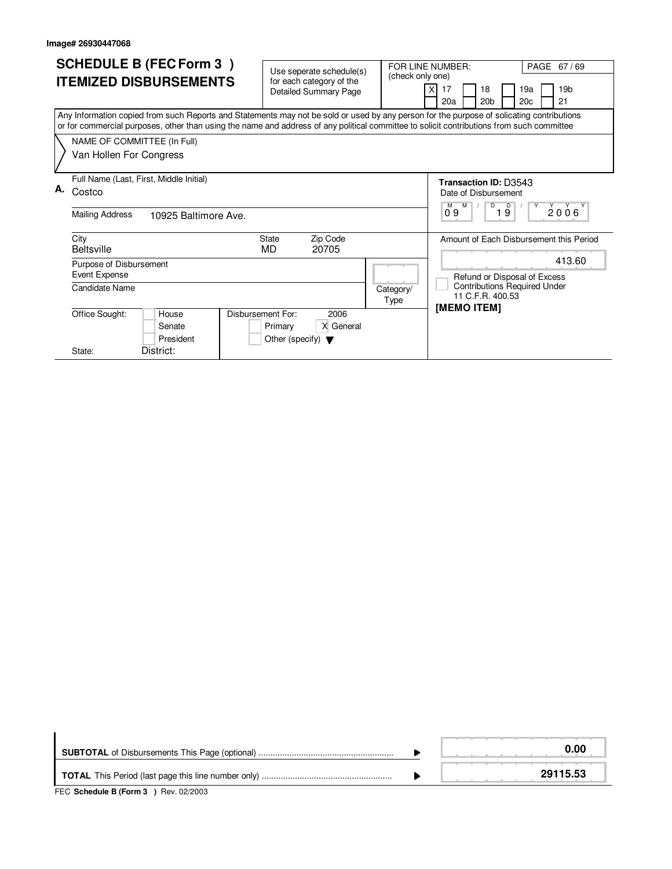| <b>SCHEDULE B (FEC Form 3)</b><br><b>ITEMIZED DISBURSEMENTS</b>                                                                                                                                                                                                                                                                                  | Use seperate schedule(s)<br>(check only one)<br>for each category of the<br><b>Detailed Summary Page</b> | PAGE 67/69<br>FOR LINE NUMBER:<br>17<br>19 <sub>b</sub><br>18<br>19a<br>20a<br>20 <sub>b</sub><br>20 <sub>c</sub><br>21  |
|--------------------------------------------------------------------------------------------------------------------------------------------------------------------------------------------------------------------------------------------------------------------------------------------------------------------------------------------------|----------------------------------------------------------------------------------------------------------|--------------------------------------------------------------------------------------------------------------------------|
| Any Information copied from such Reports and Statements may not be sold or used by any person for the purpose of solicating contributions<br>or for commercial purposes, other than using the name and address of any political committee to solicit contributions from such committee<br>NAME OF COMMITTEE (In Full)<br>Van Hollen For Congress |                                                                                                          |                                                                                                                          |
| Full Name (Last, First, Middle Initial)<br>А.<br>Costco<br><b>Mailing Address</b><br>10925 Baltimore Ave.                                                                                                                                                                                                                                        |                                                                                                          | Transaction ID: D3543<br>Date of Disbursement<br>D<br>19<br>M<br>2006<br>09                                              |
| City<br><b>Beltsville</b><br>Purpose of Disbursement<br>Event Expense<br>Candidate Name                                                                                                                                                                                                                                                          | Zip Code<br><b>State</b><br>MD<br>20705<br>Category/                                                     | Amount of Each Disbursement this Period<br>413.60<br>Refund or Disposal of Excess<br><b>Contributions Required Under</b> |
| Disbursement For:<br>Office Sought:<br>House<br>Senate<br>President<br>District:<br>State:                                                                                                                                                                                                                                                       | Type<br>2006<br>X General<br>Primary<br>Other (specify) $\blacktriangledown$                             | 11 C.F.R. 400.53<br><b>IMEMO ITEMI</b>                                                                                   |

|                                                                         | 0.00     |
|-------------------------------------------------------------------------|----------|
|                                                                         | 29115.53 |
| $FFA$ , $A + I + I + R$ , $F + \ldots$ , $A + R + \ldots$ , $A + R + R$ |          |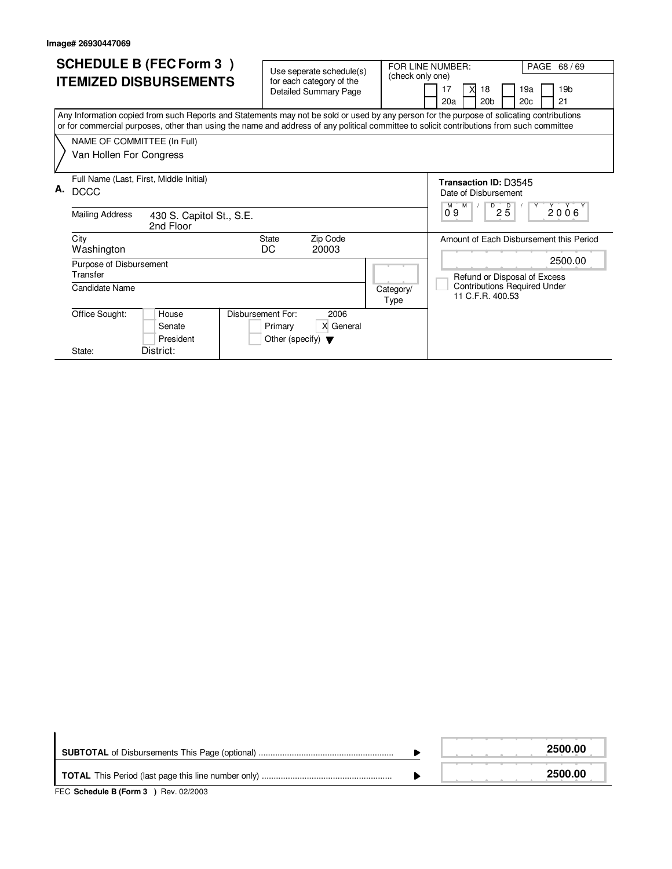| <b>SCHEDULE B (FEC Form 3)</b><br><b>ITEMIZED DISBURSEMENTS</b><br>Any Information copied from such Reports and Statements may not be sold or used by any person for the purpose of solicating contributions |                                                                                                                                                                   |                                                                                                                                           |  | Use seperate schedule(s)<br>for each category of the<br><b>Detailed Summary Page</b> |  | (check only one)  | FOR LINE NUMBER:<br>17<br>18<br>X<br>20 <sub>b</sub><br>20a                                                                                                                                                    | PAGE 68 / 69<br>19a<br>19 <sub>b</sub><br>20 <sub>c</sub><br>21 |  |
|--------------------------------------------------------------------------------------------------------------------------------------------------------------------------------------------------------------|-------------------------------------------------------------------------------------------------------------------------------------------------------------------|-------------------------------------------------------------------------------------------------------------------------------------------|--|--------------------------------------------------------------------------------------|--|-------------------|----------------------------------------------------------------------------------------------------------------------------------------------------------------------------------------------------------------|-----------------------------------------------------------------|--|
|                                                                                                                                                                                                              | NAME OF COMMITTEE (In Full)<br>Van Hollen For Congress                                                                                                            | or for commercial purposes, other than using the name and address of any political committee to solicit contributions from such committee |  |                                                                                      |  |                   |                                                                                                                                                                                                                |                                                                 |  |
| А.                                                                                                                                                                                                           | Full Name (Last, First, Middle Initial)<br><b>DCCC</b><br><b>Mailing Address</b><br>430 S. Capitol St., S.E.<br>2nd Floor<br>Zip Code<br>City<br>State            |                                                                                                                                           |  |                                                                                      |  |                   | <b>Transaction ID: D3545</b><br>Date of Disbursement<br>$\overline{P}$ 2 5<br>M<br>$\begin{array}{c} \begin{array}{c} \gamma \\ 2006 \end{array} \end{array}$<br>09<br>Amount of Each Disbursement this Period |                                                                 |  |
|                                                                                                                                                                                                              | Washington<br>Purpose of Disbursement<br>Transfer<br>Candidate Name<br>Disbursement For:<br>Office Sought:<br>House<br>Senate<br>President<br>District:<br>State: |                                                                                                                                           |  | DC<br>20003<br>2006<br>X General<br>Primary<br>Other (specify) $\blacktriangledown$  |  | Category/<br>Type | 2500.00<br>Refund or Disposal of Excess<br><b>Contributions Required Under</b><br>11 C.F.R. 400.53                                                                                                             |                                                                 |  |

|                                       | 2500.00 |
|---------------------------------------|---------|
|                                       | 2500.00 |
| FEC Schedule B (Form 3 ) Rev. 02/2003 |         |